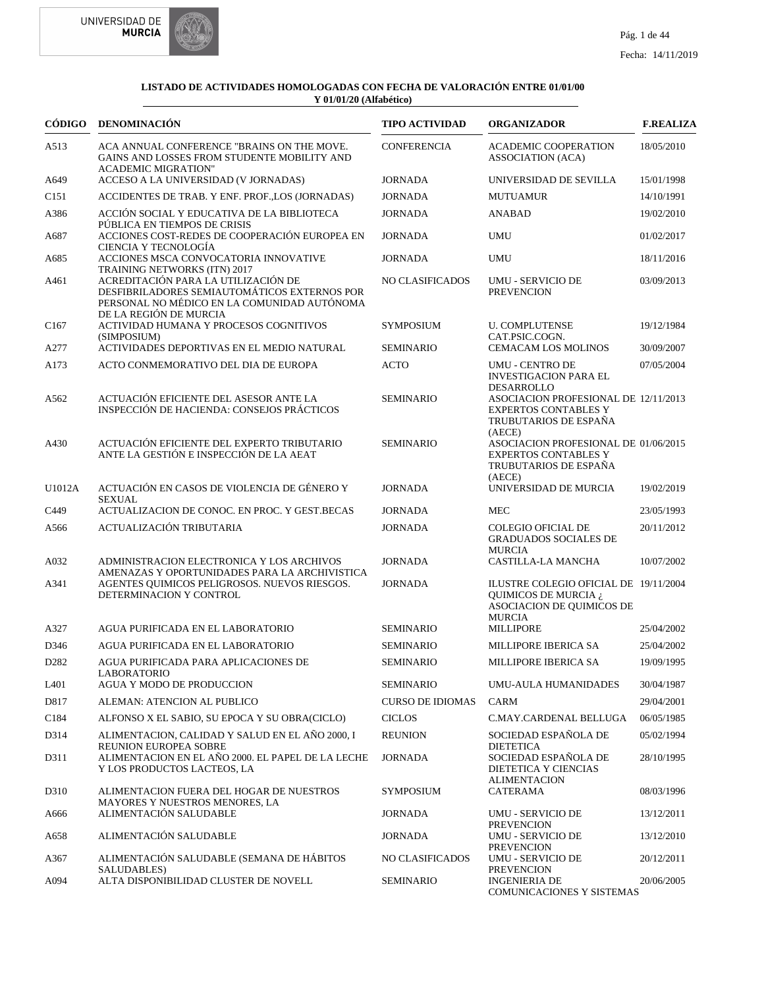



| CÓDIGO            | <b>DENOMINACIÓN</b>                                                                                                                                          | <b>TIPO ACTIVIDAD</b>   | <b>ORGANIZADOR</b>                                                                                                          | <b>F.REALIZA</b> |
|-------------------|--------------------------------------------------------------------------------------------------------------------------------------------------------------|-------------------------|-----------------------------------------------------------------------------------------------------------------------------|------------------|
| A513              | ACA ANNUAL CONFERENCE "BRAINS ON THE MOVE.<br>GAINS AND LOSSES FROM STUDENTE MOBILITY AND<br><b>ACADEMIC MIGRATION"</b>                                      | <b>CONFERENCIA</b>      | <b>ACADEMIC COOPERATION</b><br><b>ASSOCIATION (ACA)</b>                                                                     | 18/05/2010       |
| A649              | ACCESO A LA UNIVERSIDAD (V JORNADAS)                                                                                                                         | <b>JORNADA</b>          | UNIVERSIDAD DE SEVILLA                                                                                                      | 15/01/1998       |
| C <sub>151</sub>  | ACCIDENTES DE TRAB. Y ENF. PROF., LOS (JORNADAS)                                                                                                             | <b>JORNADA</b>          | <b>MUTUAMUR</b>                                                                                                             | 14/10/1991       |
| A386              | ACCIÓN SOCIAL Y EDUCATIVA DE LA BIBLIOTECA<br>PÚBLICA EN TIEMPOS DE CRISIS                                                                                   | <b>JORNADA</b>          | <b>ANABAD</b>                                                                                                               | 19/02/2010       |
| A687              | ACCIONES COST-REDES DE COOPERACIÓN EUROPEA EN<br>CIENCIA Y TECNOLOGÍA                                                                                        | <b>JORNADA</b>          | <b>UMU</b>                                                                                                                  | 01/02/2017       |
| A685              | ACCIONES MSCA CONVOCATORIA INNOVATIVE<br>TRAINING NETWORKS (ITN) 2017                                                                                        | <b>JORNADA</b>          | <b>UMU</b>                                                                                                                  | 18/11/2016       |
| A461              | ACREDITACIÓN PARA LA UTILIZACIÓN DE<br>DESFIBRILADORES SEMIAUTOMÁTICOS EXTERNOS POR<br>PERSONAL NO MÉDICO EN LA COMUNIDAD AUTÓNOMA<br>DE LA REGIÓN DE MURCIA | NO CLASIFICADOS         | <b>UMU - SERVICIO DE</b><br><b>PREVENCION</b>                                                                               | 03/09/2013       |
| C <sub>167</sub>  | ACTIVIDAD HUMANA Y PROCESOS COGNITIVOS<br>(SIMPOSIUM)                                                                                                        | <b>SYMPOSIUM</b>        | <b>U. COMPLUTENSE</b><br>CAT.PSIC.COGN.                                                                                     | 19/12/1984       |
| A277              | ACTIVIDADES DEPORTIVAS EN EL MEDIO NATURAL                                                                                                                   | <b>SEMINARIO</b>        | <b>CEMACAM LOS MOLINOS</b>                                                                                                  | 30/09/2007       |
| A173              | ACTO CONMEMORATIVO DEL DIA DE EUROPA                                                                                                                         | <b>ACTO</b>             | <b>UMU - CENTRO DE</b><br><b>INVESTIGACION PARA EL</b>                                                                      | 07/05/2004       |
| A562              | ACTUACIÓN EFICIENTE DEL ASESOR ANTE LA<br>INSPECCIÓN DE HACIENDA: CONSEJOS PRÁCTICOS                                                                         | <b>SEMINARIO</b>        | <b>DESARROLLO</b><br>ASOCIACION PROFESIONAL DE 12/11/2013<br><b>EXPERTOS CONTABLES Y</b><br>TRUBUTARIOS DE ESPAÑA<br>(AECE) |                  |
| A430              | ACTUACIÓN EFICIENTE DEL EXPERTO TRIBUTARIO<br>ANTE LA GESTIÓN E INSPECCIÓN DE LA AEAT                                                                        | <b>SEMINARIO</b>        | ASOCIACION PROFESIONAL DE 01/06/2015<br><b>EXPERTOS CONTABLES Y</b><br>TRUBUTARIOS DE ESPAÑA<br>(AECE)                      |                  |
| U1012A            | ACTUACIÓN EN CASOS DE VIOLENCIA DE GÉNERO Y<br><b>SEXUAL</b>                                                                                                 | <b>JORNADA</b>          | UNIVERSIDAD DE MURCIA                                                                                                       | 19/02/2019       |
| C449              | ACTUALIZACION DE CONOC. EN PROC. Y GEST.BECAS                                                                                                                | <b>JORNADA</b>          | <b>MEC</b>                                                                                                                  | 23/05/1993       |
| A566              | ACTUALIZACIÓN TRIBUTARIA                                                                                                                                     | <b>JORNADA</b>          | <b>COLEGIO OFICIAL DE</b><br><b>GRADUADOS SOCIALES DE</b><br><b>MURCIA</b>                                                  | 20/11/2012       |
| A032              | ADMINISTRACION ELECTRONICA Y LOS ARCHIVOS                                                                                                                    | <b>JORNADA</b>          | CASTILLA-LA MANCHA                                                                                                          | 10/07/2002       |
| A341              | AMENAZAS Y OPORTUNIDADES PARA LA ARCHIVISTICA<br>AGENTES QUIMICOS PELIGROSOS. NUEVOS RIESGOS.<br>DETERMINACION Y CONTROL                                     | <b>JORNADA</b>          | ILUSTRE COLEGIO OFICIAL DE 19/11/2004<br>QUIMICOS DE MURCIA ¿<br>ASOCIACION DE QUIMICOS DE<br><b>MURCIA</b>                 |                  |
| A327              | AGUA PURIFICADA EN EL LABORATORIO                                                                                                                            | <b>SEMINARIO</b>        | MILLIPORE                                                                                                                   | 25/04/2002       |
| D346              | AGUA PURIFICADA EN EL LABORATORIO                                                                                                                            | <b>SEMINARIO</b>        | <b>MILLIPORE IBERICA SA</b>                                                                                                 | 25/04/2002       |
| D <sub>2</sub> 82 | AGUA PURIFICADA PARA APLICACIONES DE<br><b>LABORATORIO</b>                                                                                                   | <b>SEMINARIO</b>        | MILLIPORE IBERICA SA                                                                                                        | 19/09/1995       |
| L401              | AGUA Y MODO DE PRODUCCION                                                                                                                                    | <b>SEMINARIO</b>        | UMU-AULA HUMANIDADES                                                                                                        | 30/04/1987       |
| D817              | ALEMAN: ATENCION AL PUBLICO                                                                                                                                  | <b>CURSO DE IDIOMAS</b> | <b>CARM</b>                                                                                                                 | 29/04/2001       |
| C184              | ALFONSO X EL SABIO, SU EPOCA Y SU OBRA(CICLO)                                                                                                                | <b>CICLOS</b>           | C.MAY.CARDENAL BELLUGA                                                                                                      | 06/05/1985       |
| D314              | ALIMENTACION, CALIDAD Y SALUD EN EL AÑO 2000, I<br>REUNION EUROPEA SOBRE                                                                                     | <b>REUNION</b>          | SOCIEDAD ESPAÑOLA DE<br><b>DIETETICA</b>                                                                                    | 05/02/1994       |
| D311              | ALIMENTACION EN EL AÑO 2000. EL PAPEL DE LA LECHE<br>Y LOS PRODUCTOS LACTEOS, LA                                                                             | <b>JORNADA</b>          | SOCIEDAD ESPAÑOLA DE<br>DIETETICA Y CIENCIAS<br><b>ALIMENTACION</b>                                                         | 28/10/1995       |
| D310              | ALIMENTACION FUERA DEL HOGAR DE NUESTROS                                                                                                                     | <b>SYMPOSIUM</b>        | CATERAMA                                                                                                                    | 08/03/1996       |
| A666              | MAYORES Y NUESTROS MENORES, LA<br>ALIMENTACIÓN SALUDABLE                                                                                                     | <b>JORNADA</b>          | UMU - SERVICIO DE<br><b>PREVENCION</b>                                                                                      | 13/12/2011       |
| A658              | ALIMENTACIÓN SALUDABLE                                                                                                                                       | <b>JORNADA</b>          | UMU - SERVICIO DE<br><b>PREVENCION</b>                                                                                      | 13/12/2010       |
| A367              | ALIMENTACIÓN SALUDABLE (SEMANA DE HÁBITOS<br>SALUDABLES)                                                                                                     | NO CLASIFICADOS         | UMU - SERVICIO DE<br><b>PREVENCION</b>                                                                                      | 20/12/2011       |
| A094              | ALTA DISPONIBILIDAD CLUSTER DE NOVELL                                                                                                                        | <b>SEMINARIO</b>        | <b>INGENIERIA DE</b><br>COMUNICACIONES Y SISTEMAS                                                                           | 20/06/2005       |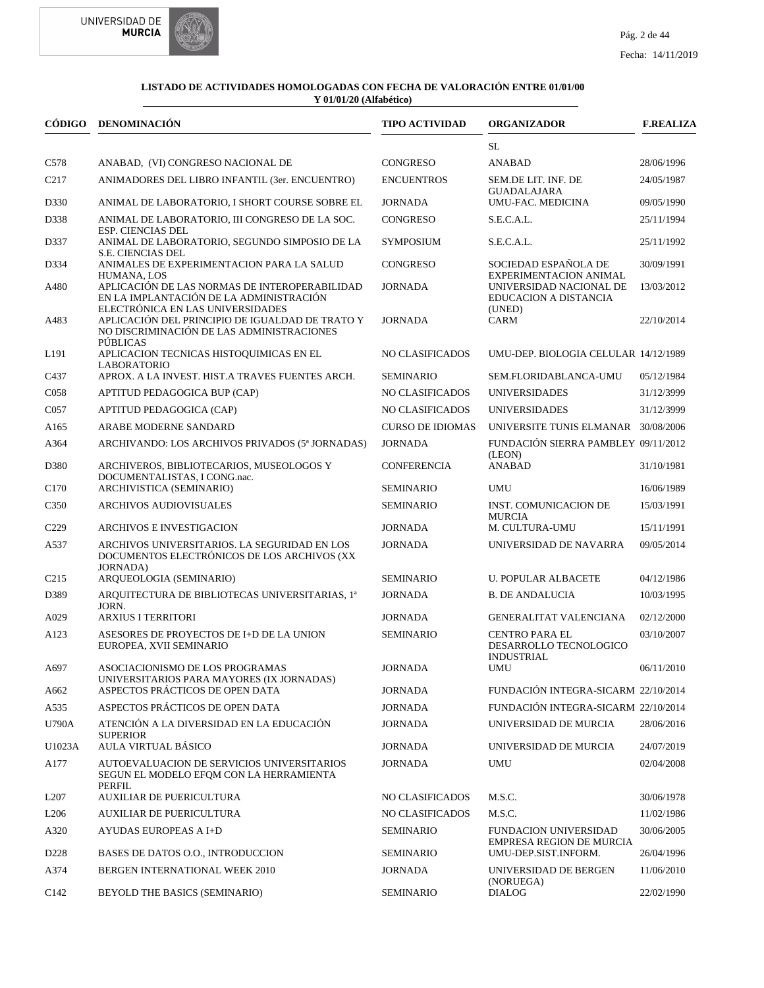

|                   | CÓDIGO DENOMINACIÓN                                                                                                          | <b>TIPO ACTIVIDAD</b>   | <b>ORGANIZADOR</b>                                                   | <b>F.REALIZA</b> |
|-------------------|------------------------------------------------------------------------------------------------------------------------------|-------------------------|----------------------------------------------------------------------|------------------|
|                   |                                                                                                                              |                         | <b>SL</b>                                                            |                  |
| C578              | ANABAD, (VI) CONGRESO NACIONAL DE                                                                                            | CONGRESO                | <b>ANABAD</b>                                                        | 28/06/1996       |
| C <sub>2</sub> 17 | ANIMADORES DEL LIBRO INFANTIL (3er. ENCUENTRO)                                                                               | <b>ENCUENTROS</b>       | SEM.DE LIT. INF. DE<br><b>GUADALAJARA</b>                            | 24/05/1987       |
| D330              | ANIMAL DE LABORATORIO, I SHORT COURSE SOBRE EL                                                                               | <b>JORNADA</b>          | UMU-FAC. MEDICINA                                                    | 09/05/1990       |
| D338              | ANIMAL DE LABORATORIO, III CONGRESO DE LA SOC.<br>ESP. CIENCIAS DEL                                                          | CONGRESO                | S.E.C.A.L.                                                           | 25/11/1994       |
| D337              | ANIMAL DE LABORATORIO, SEGUNDO SIMPOSIO DE LA<br>S.E. CIENCIAS DEL                                                           | <b>SYMPOSIUM</b>        | S.E.C.A.L.                                                           | 25/11/1992       |
| D334              | ANIMALES DE EXPERIMENTACION PARA LA SALUD<br>HUMANA, LOS                                                                     | <b>CONGRESO</b>         | SOCIEDAD ESPAÑOLA DE<br>EXPERIMENTACION ANIMAL                       | 30/09/1991       |
| A480              | APLICACIÓN DE LAS NORMAS DE INTEROPERABILIDAD<br>EN LA IMPLANTACIÓN DE LA ADMINISTRACIÓN<br>ELECTRÓNICA EN LAS UNIVERSIDADES | <b>JORNADA</b>          | UNIVERSIDAD NACIONAL DE<br>EDUCACION A DISTANCIA<br>(UNED)           | 13/03/2012       |
| A483              | APLICACIÓN DEL PRINCIPIO DE IGUALDAD DE TRATO Y<br>NO DISCRIMINACIÓN DE LAS ADMINISTRACIONES<br><b>PÚBLICAS</b>              | <b>JORNADA</b>          | <b>CARM</b>                                                          | 22/10/2014       |
| L191              | APLICACION TECNICAS HISTOQUIMICAS EN EL<br><b>LABORATORIO</b>                                                                | NO CLASIFICADOS         | UMU-DEP. BIOLOGIA CELULAR 14/12/1989                                 |                  |
| C437              | APROX. A LA INVEST. HIST.A TRAVES FUENTES ARCH.                                                                              | <b>SEMINARIO</b>        | SEM.FLORIDABLANCA-UMU                                                | 05/12/1984       |
| C <sub>058</sub>  | APTITUD PEDAGOGICA BUP (CAP)                                                                                                 | NO CLASIFICADOS         | <b>UNIVERSIDADES</b>                                                 | 31/12/3999       |
| C <sub>057</sub>  | APTITUD PEDAGOGICA (CAP)                                                                                                     | NO CLASIFICADOS         | <b>UNIVERSIDADES</b>                                                 | 31/12/3999       |
| A165              | ARABE MODERNE SANDARD                                                                                                        | <b>CURSO DE IDIOMAS</b> | UNIVERSITE TUNIS ELMANAR 30/08/2006                                  |                  |
| A364              | ARCHIVANDO: LOS ARCHIVOS PRIVADOS (5ª JORNADAS)                                                                              | <b>JORNADA</b>          | FUNDACIÓN SIERRA PAMBLEY 09/11/2012<br>(LEON)                        |                  |
| D380              | ARCHIVEROS, BIBLIOTECARIOS, MUSEOLOGOS Y<br>DOCUMENTALISTAS, I CONG.nac.                                                     | <b>CONFERENCIA</b>      | <b>ANABAD</b>                                                        | 31/10/1981       |
| C <sub>170</sub>  | ARCHIVISTICA (SEMINARIO)                                                                                                     | <b>SEMINARIO</b>        | <b>UMU</b>                                                           | 16/06/1989       |
| C <sub>350</sub>  | <b>ARCHIVOS AUDIOVISUALES</b>                                                                                                | <b>SEMINARIO</b>        | <b>INST. COMUNICACION DE</b><br><b>MURCIA</b>                        | 15/03/1991       |
| C <sub>229</sub>  | <b>ARCHIVOS E INVESTIGACION</b>                                                                                              | <b>JORNADA</b>          | M. CULTURA-UMU                                                       | 15/11/1991       |
| A537              | ARCHIVOS UNIVERSITARIOS. LA SEGURIDAD EN LOS<br>DOCUMENTOS ELECTRÓNICOS DE LOS ARCHIVOS (XX<br><b>JORNADA</b> )              | <b>JORNADA</b>          | UNIVERSIDAD DE NAVARRA                                               | 09/05/2014       |
| C <sub>2</sub> 15 | ARQUEOLOGIA (SEMINARIO)                                                                                                      | <b>SEMINARIO</b>        | <b>U. POPULAR ALBACETE</b>                                           | 04/12/1986       |
| D389              | ARQUITECTURA DE BIBLIOTECAS UNIVERSITARIAS, 1ª<br>JORN.                                                                      | <b>JORNADA</b>          | <b>B. DE ANDALUCIA</b>                                               | 10/03/1995       |
| A029              | <b>ARXIUS I TERRITORI</b>                                                                                                    | <b>JORNADA</b>          | <b>GENERALITAT VALENCIANA</b>                                        | 02/12/2000       |
| A123              | ASESORES DE PROYECTOS DE I+D DE LA UNION<br>EUROPEA, XVII SEMINARIO                                                          | <b>SEMINARIO</b>        | <b>CENTRO PARA EL</b><br>DESARROLLO TECNOLOGICO<br><b>INDUSTRIAL</b> | 03/10/2007       |
| A697              | ASOCIACIONISMO DE LOS PROGRAMAS<br>UNIVERSITARIOS PARA MAYORES (IX JORNADAS)                                                 | <b>JORNADA</b>          | <b>UMU</b>                                                           | 06/11/2010       |
| A662              | ASPECTOS PRÁCTICOS DE OPEN DATA                                                                                              | <b>JORNADA</b>          | FUNDACIÓN INTEGRA-SICARM 22/10/2014                                  |                  |
| A535              | ASPECTOS PRÁCTICOS DE OPEN DATA                                                                                              | <b>JORNADA</b>          | FUNDACIÓN INTEGRA-SICARM 22/10/2014                                  |                  |
| U790A             | ATENCIÓN A LA DIVERSIDAD EN LA EDUCACIÓN<br><b>SUPERIOR</b>                                                                  | <b>JORNADA</b>          | UNIVERSIDAD DE MURCIA                                                | 28/06/2016       |
| U1023A            | AULA VIRTUAL BÁSICO                                                                                                          | <b>JORNADA</b>          | UNIVERSIDAD DE MURCIA                                                | 24/07/2019       |
| A177              | AUTOEVALUACION DE SERVICIOS UNIVERSITARIOS<br>SEGUN EL MODELO EFOM CON LA HERRAMIENTA                                        | <b>JORNADA</b>          | <b>UMU</b>                                                           | 02/04/2008       |
| L <sub>207</sub>  | <b>PERFIL</b><br><b>AUXILIAR DE PUERICULTURA</b>                                                                             | <b>NO CLASIFICADOS</b>  | M.S.C.                                                               | 30/06/1978       |
| L <sub>206</sub>  | <b>AUXILIAR DE PUERICULTURA</b>                                                                                              | NO CLASIFICADOS         | M.S.C.                                                               | 11/02/1986       |
| A320              | <b>AYUDAS EUROPEAS A I+D</b>                                                                                                 | <b>SEMINARIO</b>        | <b>FUNDACION UNIVERSIDAD</b><br><b>EMPRESA REGION DE MURCIA</b>      | 30/06/2005       |
| D <sub>228</sub>  | BASES DE DATOS O.O., INTRODUCCION                                                                                            | <b>SEMINARIO</b>        | UMU-DEP.SIST.INFORM.                                                 | 26/04/1996       |
| A374              | BERGEN INTERNATIONAL WEEK 2010                                                                                               | <b>JORNADA</b>          | UNIVERSIDAD DE BERGEN<br>(NORUEGA)                                   | 11/06/2010       |
| C142              | BEYOLD THE BASICS (SEMINARIO)                                                                                                | <b>SEMINARIO</b>        | <b>DIALOG</b>                                                        | 22/02/1990       |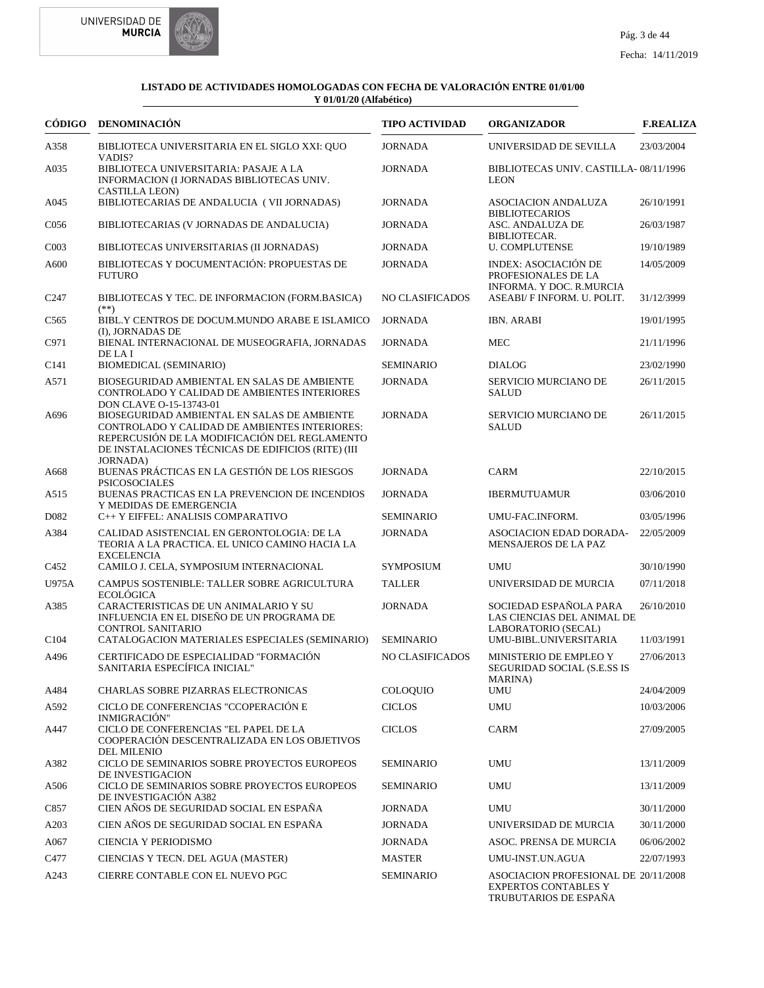



| CÓDIGO            | <b>DENOMINACIÓN</b>                                                                                                                                                                                 | <b>TIPO ACTIVIDAD</b> | <b>ORGANIZADOR</b>                                                                           | <b>F.REALIZA</b> |
|-------------------|-----------------------------------------------------------------------------------------------------------------------------------------------------------------------------------------------------|-----------------------|----------------------------------------------------------------------------------------------|------------------|
| A358              | BIBLIOTECA UNIVERSITARIA EN EL SIGLO XXI: QUO<br>VADIS?                                                                                                                                             | <b>JORNADA</b>        | UNIVERSIDAD DE SEVILLA                                                                       | 23/03/2004       |
| A035              | BIBLIOTECA UNIVERSITARIA: PASAJE A LA<br>INFORMACION (I JORNADAS BIBLIOTECAS UNIV.<br><b>CASTILLA LEON)</b>                                                                                         | <b>JORNADA</b>        | BIBLIOTECAS UNIV. CASTILLA-08/11/1996<br><b>LEON</b>                                         |                  |
| A045              | BIBLIOTECARIAS DE ANDALUCIA (VII JORNADAS)                                                                                                                                                          | <b>JORNADA</b>        | <b>ASOCIACION ANDALUZA</b>                                                                   | 26/10/1991       |
| C <sub>056</sub>  | BIBLIOTECARIAS (V JORNADAS DE ANDALUCIA)                                                                                                                                                            | <b>JORNADA</b>        | <b>BIBLIOTECARIOS</b><br>ASC. ANDALUZA DE<br>BIBLIOTECAR.                                    | 26/03/1987       |
| CO <sub>03</sub>  | BIBLIOTECAS UNIVERSITARIAS (II JORNADAS)                                                                                                                                                            | <b>JORNADA</b>        | <b>U. COMPLUTENSE</b>                                                                        | 19/10/1989       |
| A600              | BIBLIOTECAS Y DOCUMENTACIÓN: PROPUESTAS DE<br><b>FUTURO</b>                                                                                                                                         | <b>JORNADA</b>        | INDEX: ASOCIACIÓN DE<br>PROFESIONALES DE LA<br>INFORMA. Y DOC. R.MURCIA                      | 14/05/2009       |
| C <sub>247</sub>  | BIBLIOTECAS Y TEC. DE INFORMACION (FORM.BASICA)<br>$(**)$                                                                                                                                           | NO CLASIFICADOS       | ASEABI/ F INFORM. U. POLIT.                                                                  | 31/12/3999       |
| C <sub>565</sub>  | BIBL.Y CENTROS DE DOCUM.MUNDO ARABE E ISLAMICO<br>(I), JORNADAS DE                                                                                                                                  | <b>JORNADA</b>        | <b>IBN. ARABI</b>                                                                            | 19/01/1995       |
| C971              | BIENAL INTERNACIONAL DE MUSEOGRAFIA, JORNADAS<br>DE LA I                                                                                                                                            | <b>JORNADA</b>        | <b>MEC</b>                                                                                   | 21/11/1996       |
| C <sub>141</sub>  | BIOMEDICAL (SEMINARIO)                                                                                                                                                                              | <b>SEMINARIO</b>      | <b>DIALOG</b>                                                                                | 23/02/1990       |
| A571              | BIOSEGURIDAD AMBIENTAL EN SALAS DE AMBIENTE<br>CONTROLADO Y CALIDAD DE AMBIENTES INTERIORES<br>DON CLAVE O-15-13743-01                                                                              | <b>JORNADA</b>        | SERVICIO MURCIANO DE<br><b>SALUD</b>                                                         | 26/11/2015       |
| A696              | BIOSEGURIDAD AMBIENTAL EN SALAS DE AMBIENTE<br>CONTROLADO Y CALIDAD DE AMBIENTES INTERIORES:<br>REPERCUSIÓN DE LA MODIFICACIÓN DEL REGLAMENTO<br>DE INSTALACIONES TÉCNICAS DE EDIFICIOS (RITE) (III | <b>JORNADA</b>        | SERVICIO MURCIANO DE<br><b>SALUD</b>                                                         | 26/11/2015       |
| A668              | <b>JORNADA</b> )<br>BUENAS PRÁCTICAS EN LA GESTIÓN DE LOS RIESGOS<br><b>PSICOSOCIALES</b>                                                                                                           | <b>JORNADA</b>        | CARM                                                                                         | 22/10/2015       |
| A515              | BUENAS PRACTICAS EN LA PREVENCION DE INCENDIOS<br>Y MEDIDAS DE EMERGENCIA                                                                                                                           | <b>JORNADA</b>        | <b>IBERMUTUAMUR</b>                                                                          | 03/06/2010       |
| D <sub>0</sub> 82 | C++ Y EIFFEL: ANALISIS COMPARATIVO                                                                                                                                                                  | <b>SEMINARIO</b>      | UMU-FAC.INFORM.                                                                              | 03/05/1996       |
| A384              | CALIDAD ASISTENCIAL EN GERONTOLOGIA: DE LA<br>TEORIA A LA PRACTICA. EL UNICO CAMINO HACIA LA<br><b>EXCELENCIA</b>                                                                                   | <b>JORNADA</b>        | <b>ASOCIACION EDAD DORADA-</b><br>MENSAJEROS DE LA PAZ                                       | 22/05/2009       |
| C452              | CAMILO J. CELA, SYMPOSIUM INTERNACIONAL                                                                                                                                                             | <b>SYMPOSIUM</b>      | <b>UMU</b>                                                                                   | 30/10/1990       |
| U975A             | CAMPUS SOSTENIBLE: TALLER SOBRE AGRICULTURA                                                                                                                                                         | <b>TALLER</b>         | UNIVERSIDAD DE MURCIA                                                                        | 07/11/2018       |
| A385              | <b>ECOLÓGICA</b><br>CARACTERISTICAS DE UN ANIMALARIO Y SU<br>INFLUENCIA EN EL DISEÑO DE UN PROGRAMA DE<br><b>CONTROL SANITARIO</b>                                                                  | <b>JORNADA</b>        | SOCIEDAD ESPAÑOLA PARA<br>LAS CIENCIAS DEL ANIMAL DE<br>LABORATORIO (SECAL)                  | 26/10/2010       |
| C <sub>104</sub>  | CATALOGACION MATERIALES ESPECIALES (SEMINARIO)                                                                                                                                                      | <b>SEMINARIO</b>      | UMU-BIBL.UNIVERSITARIA                                                                       | 11/03/1991       |
| A496              | CERTIFICADO DE ESPECIALIDAD "FORMACIÓN<br>SANITARIA ESPECÍFICA INICIAL"                                                                                                                             | NO CLASIFICADOS       | <b>MINISTERIO DE EMPLEO Y</b><br>SEGURIDAD SOCIAL (S.E.SS IS<br><b>MARINA</b> )              | 27/06/2013       |
| A484              | CHARLAS SOBRE PIZARRAS ELECTRONICAS                                                                                                                                                                 | <b>COLOQUIO</b>       | <b>UMU</b>                                                                                   | 24/04/2009       |
| A592              | CICLO DE CONFERENCIAS "CCOPERACIÓN E<br><b>INMIGRACIÓN"</b>                                                                                                                                         | <b>CICLOS</b>         | <b>UMU</b>                                                                                   | 10/03/2006       |
| A447              | CICLO DE CONFERENCIAS "EL PAPEL DE LA<br>COOPERACIÓN DESCENTRALIZADA EN LOS OBJETIVOS<br><b>DEL MILENIO</b>                                                                                         | <b>CICLOS</b>         | <b>CARM</b>                                                                                  | 27/09/2005       |
| A382              | CICLO DE SEMINARIOS SOBRE PROYECTOS EUROPEOS                                                                                                                                                        | <b>SEMINARIO</b>      | <b>UMU</b>                                                                                   | 13/11/2009       |
| A506              | DE INVESTIGACION<br>CICLO DE SEMINARIOS SOBRE PROYECTOS EUROPEOS<br>DE INVESTIGACIÓN A382                                                                                                           | <b>SEMINARIO</b>      | <b>UMU</b>                                                                                   | 13/11/2009       |
| C857              | CIEN AÑOS DE SEGURIDAD SOCIAL EN ESPAÑA                                                                                                                                                             | JORNADA               | <b>UMU</b>                                                                                   | 30/11/2000       |
| A203              | CIEN AÑOS DE SEGURIDAD SOCIAL EN ESPAÑA                                                                                                                                                             | <b>JORNADA</b>        | UNIVERSIDAD DE MURCIA                                                                        | 30/11/2000       |
| A067              | CIENCIA Y PERIODISMO                                                                                                                                                                                | <b>JORNADA</b>        | ASOC. PRENSA DE MURCIA                                                                       | 06/06/2002       |
| C477              | CIENCIAS Y TECN. DEL AGUA (MASTER)                                                                                                                                                                  | <b>MASTER</b>         | UMU-INST.UN.AGUA                                                                             | 22/07/1993       |
| A243              | CIERRE CONTABLE CON EL NUEVO PGC                                                                                                                                                                    | <b>SEMINARIO</b>      | ASOCIACION PROFESIONAL DE 20/11/2008<br><b>EXPERTOS CONTABLES Y</b><br>TRUBUTARIOS DE ESPAÑA |                  |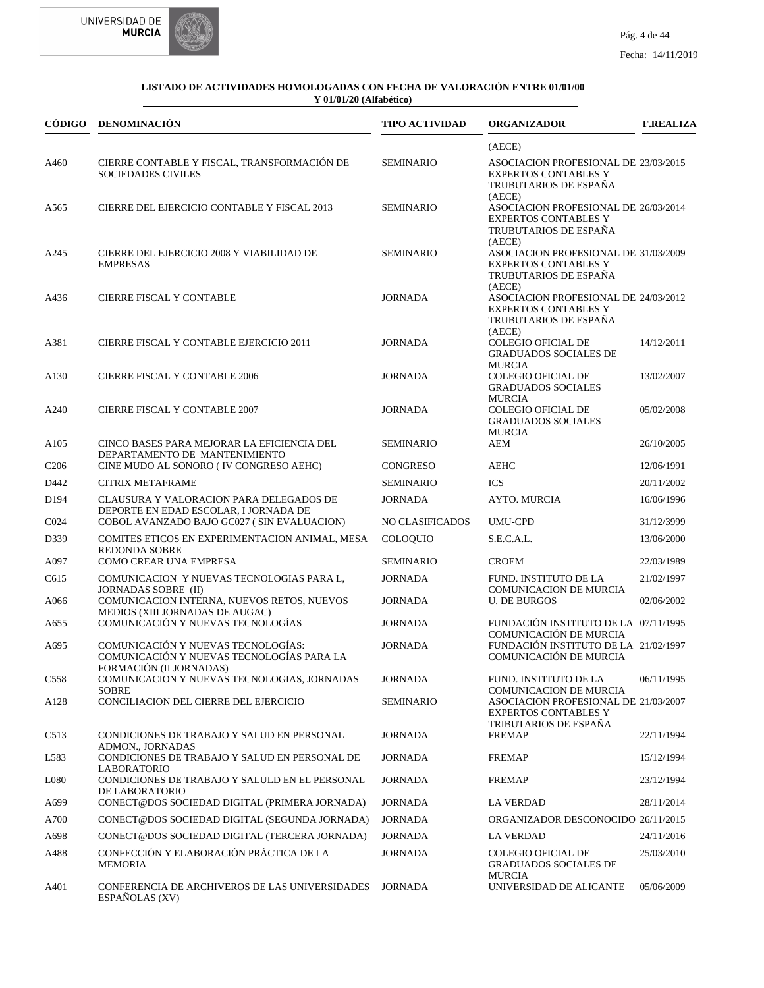



|                  | CÓDIGO DENOMINACIÓN                                                                                        | <b>TIPO ACTIVIDAD</b> | <b>ORGANIZADOR</b>                                                                                                            | <b>F.REALIZA</b> |
|------------------|------------------------------------------------------------------------------------------------------------|-----------------------|-------------------------------------------------------------------------------------------------------------------------------|------------------|
|                  |                                                                                                            |                       | (AECE)                                                                                                                        |                  |
| A460             | CIERRE CONTABLE Y FISCAL, TRANSFORMACIÓN DE<br><b>SOCIEDADES CIVILES</b>                                   | <b>SEMINARIO</b>      | ASOCIACION PROFESIONAL DE 23/03/2015<br><b>EXPERTOS CONTABLES Y</b><br>TRUBUTARIOS DE ESPAÑA                                  |                  |
| A565             | CIERRE DEL EJERCICIO CONTABLE Y FISCAL 2013                                                                | <b>SEMINARIO</b>      | (AECE)<br>ASOCIACION PROFESIONAL DE 26/03/2014<br><b>EXPERTOS CONTABLES Y</b><br>TRUBUTARIOS DE ESPAÑA<br>(AECE)              |                  |
| A245             | CIERRE DEL EJERCICIO 2008 Y VIABILIDAD DE<br><b>EMPRESAS</b>                                               | <b>SEMINARIO</b>      | ASOCIACION PROFESIONAL DE 31/03/2009<br><b>EXPERTOS CONTABLES Y</b><br>TRUBUTARIOS DE ESPAÑA<br>(AECE)                        |                  |
| A436             | <b>CIERRE FISCAL Y CONTABLE</b>                                                                            | <b>JORNADA</b>        | ASOCIACION PROFESIONAL DE 24/03/2012<br><b>EXPERTOS CONTABLES Y</b><br>TRUBUTARIOS DE ESPAÑA<br>(AECE)                        |                  |
| A381             | CIERRE FISCAL Y CONTABLE EJERCICIO 2011                                                                    | <b>JORNADA</b>        | <b>COLEGIO OFICIAL DE</b><br><b>GRADUADOS SOCIALES DE</b><br><b>MURCIA</b>                                                    | 14/12/2011       |
| A <sub>130</sub> | <b>CIERRE FISCAL Y CONTABLE 2006</b>                                                                       | <b>JORNADA</b>        | <b>COLEGIO OFICIAL DE</b><br><b>GRADUADOS SOCIALES</b><br><b>MURCIA</b>                                                       | 13/02/2007       |
| A240             | <b>CIERRE FISCAL Y CONTABLE 2007</b>                                                                       | <b>JORNADA</b>        | <b>COLEGIO OFICIAL DE</b><br><b>GRADUADOS SOCIALES</b><br><b>MURCIA</b>                                                       | 05/02/2008       |
| A105             | CINCO BASES PARA MEJORAR LA EFICIENCIA DEL<br>DEPARTAMENTO DE MANTENIMIENTO                                | <b>SEMINARIO</b>      | AEM                                                                                                                           | 26/10/2005       |
| C <sub>206</sub> | CINE MUDO AL SONORO (IV CONGRESO AEHC)                                                                     | <b>CONGRESO</b>       | <b>AEHC</b>                                                                                                                   | 12/06/1991       |
| D442             | <b>CITRIX METAFRAME</b>                                                                                    | <b>SEMINARIO</b>      | <b>ICS</b>                                                                                                                    | 20/11/2002       |
| D <sub>194</sub> | CLAUSURA Y VALORACION PARA DELEGADOS DE<br>DEPORTE EN EDAD ESCOLAR, I JORNADA DE                           | <b>JORNADA</b>        | <b>AYTO. MURCIA</b>                                                                                                           | 16/06/1996       |
| C <sub>024</sub> | COBOL AVANZADO BAJO GC027 (SIN EVALUACION)                                                                 | NO CLASIFICADOS       | <b>UMU-CPD</b>                                                                                                                | 31/12/3999       |
| D339             | COMITES ETICOS EN EXPERIMENTACION ANIMAL, MESA<br><b>REDONDA SOBRE</b>                                     | <b>COLOQUIO</b>       | S.E.C.A.L.                                                                                                                    | 13/06/2000       |
| A097             | COMO CREAR UNA EMPRESA                                                                                     | <b>SEMINARIO</b>      | <b>CROEM</b>                                                                                                                  | 22/03/1989       |
| C615             | COMUNICACION Y NUEVAS TECNOLOGIAS PARA L,<br><b>JORNADAS SOBRE (II)</b>                                    | <b>JORNADA</b>        | FUND. INSTITUTO DE LA<br><b>COMUNICACION DE MURCIA</b>                                                                        | 21/02/1997       |
| A066             | COMUNICACION INTERNA, NUEVOS RETOS, NUEVOS<br>MEDIOS (XIII JORNADAS DE AUGAC)                              | <b>JORNADA</b>        | <b>U. DE BURGOS</b>                                                                                                           | 02/06/2002       |
| A655             | COMUNICACIÓN Y NUEVAS TECNOLOGÍAS                                                                          | <b>JORNADA</b>        | FUNDACIÓN INSTITUTO DE LA 07/11/1995<br>COMUNICACIÓN DE MURCIA                                                                |                  |
| A695             | COMUNICACIÓN Y NUEVAS TECNOLOGÍAS:<br>COMUNICACIÓN Y NUEVAS TECNOLOGÍAS PARA LA<br>FORMACIÓN (II JORNADAS) | <b>JORNADA</b>        | FUNDACIÓN INSTITUTO DE LA 21/02/1997<br>COMUNICACIÓN DE MURCIA                                                                |                  |
| C <sub>558</sub> | COMUNICACION Y NUEVAS TECNOLOGIAS, JORNADAS                                                                | <b>JORNADA</b>        | FUND. INSTITUTO DE LA                                                                                                         | 06/11/1995       |
| A <sub>128</sub> | <b>SOBRE</b><br>CONCILIACION DEL CIERRE DEL EJERCICIO                                                      | <b>SEMINARIO</b>      | <b>COMUNICACION DE MURCIA</b><br>ASOCIACION PROFESIONAL DE 21/03/2007<br><b>EXPERTOS CONTABLES Y</b><br>TRIBUTARIOS DE ESPAÑA |                  |
| C <sub>513</sub> | CONDICIONES DE TRABAJO Y SALUD EN PERSONAL<br><b>ADMON., JORNADAS</b>                                      | <b>JORNADA</b>        | <b>FREMAP</b>                                                                                                                 | 22/11/1994       |
| L583             | CONDICIONES DE TRABAJO Y SALUD EN PERSONAL DE<br><b>LABORATORIO</b>                                        | <b>JORNADA</b>        | <b>FREMAP</b>                                                                                                                 | 15/12/1994       |
| L080             | CONDICIONES DE TRABAJO Y SALULD EN EL PERSONAL<br>DE LABORATORIO                                           | <b>JORNADA</b>        | <b>FREMAP</b>                                                                                                                 | 23/12/1994       |
| A699             | CONECT@DOS SOCIEDAD DIGITAL (PRIMERA JORNADA)                                                              | <b>JORNADA</b>        | <b>LA VERDAD</b>                                                                                                              | 28/11/2014       |
| A700             | CONECT@DOS SOCIEDAD DIGITAL (SEGUNDA JORNADA)                                                              | <b>JORNADA</b>        | ORGANIZADOR DESCONOCIDO 26/11/2015                                                                                            |                  |
| A698             | CONECT@DOS SOCIEDAD DIGITAL (TERCERA JORNADA)                                                              | <b>JORNADA</b>        | <b>LA VERDAD</b>                                                                                                              | 24/11/2016       |
| A488             | CONFECCIÓN Y ELABORACIÓN PRÁCTICA DE LA<br>MEMORIA                                                         | <b>JORNADA</b>        | <b>COLEGIO OFICIAL DE</b><br><b>GRADUADOS SOCIALES DE</b>                                                                     | 25/03/2010       |
| A401             | CONFERENCIA DE ARCHIVEROS DE LAS UNIVERSIDADES<br>ESPAÑOLAS (XV)                                           | <b>JORNADA</b>        | <b>MURCIA</b><br>UNIVERSIDAD DE ALICANTE                                                                                      | 05/06/2009       |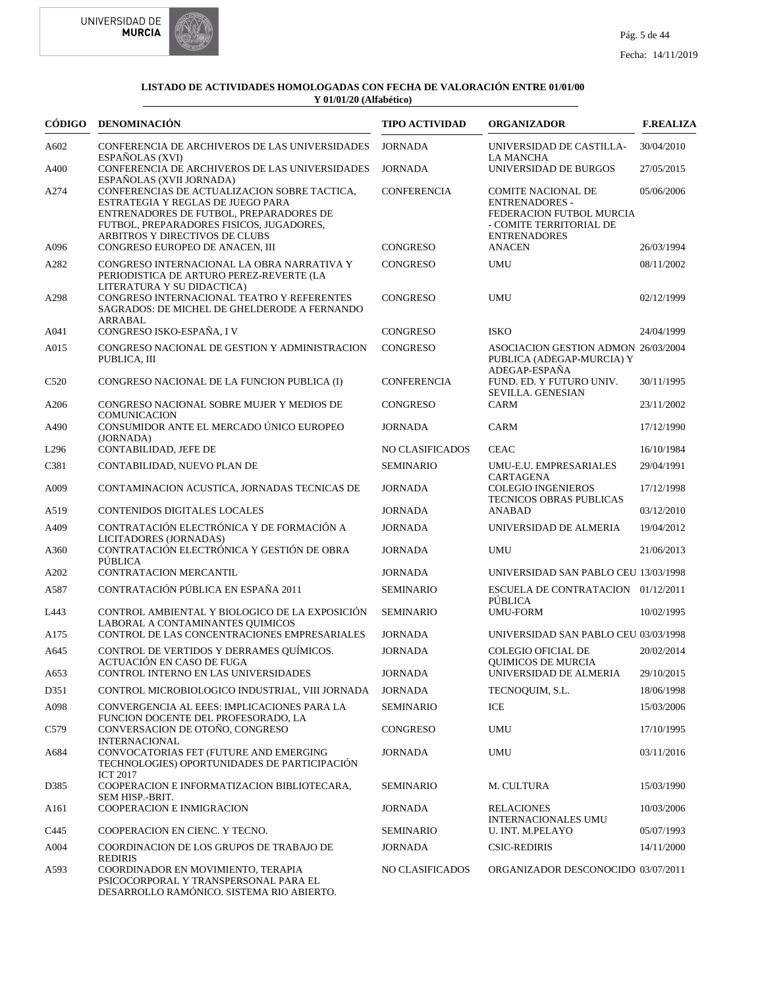



|                  | CÓDIGO DENOMINACIÓN                                                                                                                                                                                        | <b>TIPO ACTIVIDAD</b> | <b>ORGANIZADOR</b>                                                                                                               | <b>F.REALIZA</b> |
|------------------|------------------------------------------------------------------------------------------------------------------------------------------------------------------------------------------------------------|-----------------------|----------------------------------------------------------------------------------------------------------------------------------|------------------|
| A602             | CONFERENCIA DE ARCHIVEROS DE LAS UNIVERSIDADES<br>ESPAÑOLAS (XVI)                                                                                                                                          | <b>JORNADA</b>        | UNIVERSIDAD DE CASTILLA-<br><b>LA MANCHA</b>                                                                                     | 30/04/2010       |
| A400             | CONFERENCIA DE ARCHIVEROS DE LAS UNIVERSIDADES<br>ESPAÑOLAS (XVII JORNADA)                                                                                                                                 | <b>JORNADA</b>        | UNIVERSIDAD DE BURGOS                                                                                                            | 27/05/2015       |
| A274             | CONFERENCIAS DE ACTUALIZACION SOBRE TACTICA,<br>ESTRATEGIA Y REGLAS DE JUEGO PARA<br>ENTRENADORES DE FUTBOL, PREPARADORES DE<br>FUTBOL, PREPARADORES FISICOS, JUGADORES,<br>ARBITROS Y DIRECTIVOS DE CLUBS | <b>CONFERENCIA</b>    | <b>COMITE NACIONAL DE</b><br><b>ENTRENADORES -</b><br>FEDERACION FUTBOL MURCIA<br>- COMITE TERRITORIAL DE<br><b>ENTRENADORES</b> | 05/06/2006       |
| A096             | CONGRESO EUROPEO DE ANACEN, III                                                                                                                                                                            | <b>CONGRESO</b>       | <b>ANACEN</b>                                                                                                                    | 26/03/1994       |
| A282             | CONGRESO INTERNACIONAL LA OBRA NARRATIVA Y<br>PERIODISTICA DE ARTURO PEREZ-REVERTE (LA<br>LITERATURA Y SU DIDACTICA)                                                                                       | <b>CONGRESO</b>       | <b>UMU</b>                                                                                                                       | 08/11/2002       |
| A298             | CONGRESO INTERNACIONAL TEATRO Y REFERENTES<br>SAGRADOS: DE MICHEL DE GHELDERODE A FERNANDO<br>ARRABAL                                                                                                      | <b>CONGRESO</b>       | <b>UMU</b>                                                                                                                       | 02/12/1999       |
| A041             | CONGRESO ISKO-ESPAÑA, I V                                                                                                                                                                                  | <b>CONGRESO</b>       | <b>ISKO</b>                                                                                                                      | 24/04/1999       |
| A015             | CONGRESO NACIONAL DE GESTION Y ADMINISTRACION<br>PUBLICA, III                                                                                                                                              | <b>CONGRESO</b>       | ASOCIACION GESTION ADMON 26/03/2004<br>PUBLICA (ADEGAP-MURCIA) Y<br>ADEGAP-ESPAÑA                                                |                  |
| C <sub>520</sub> | CONGRESO NACIONAL DE LA FUNCION PUBLICA (I)                                                                                                                                                                | <b>CONFERENCIA</b>    | FUND. ED. Y FUTURO UNIV.<br>SEVILLA. GENESIAN                                                                                    | 30/11/1995       |
| A206             | CONGRESO NACIONAL SOBRE MUJER Y MEDIOS DE<br><b>COMUNICACION</b>                                                                                                                                           | <b>CONGRESO</b>       | CARM                                                                                                                             | 23/11/2002       |
| A490             | CONSUMIDOR ANTE EL MERCADO ÚNICO EUROPEO<br>(JORNADA)                                                                                                                                                      | <b>JORNADA</b>        | CARM                                                                                                                             | 17/12/1990       |
| L <sub>296</sub> | CONTABILIDAD, JEFE DE                                                                                                                                                                                      | NO CLASIFICADOS       | <b>CEAC</b>                                                                                                                      | 16/10/1984       |
| C381             | CONTABILIDAD, NUEVO PLAN DE                                                                                                                                                                                | <b>SEMINARIO</b>      | UMU-E.U. EMPRESARIALES                                                                                                           | 29/04/1991       |
| A009             | CONTAMINACION ACUSTICA, JORNADAS TECNICAS DE                                                                                                                                                               | <b>JORNADA</b>        | <b>CARTAGENA</b><br><b>COLEGIO INGENIEROS</b><br><b>TECNICOS OBRAS PUBLICAS</b>                                                  | 17/12/1998       |
| A519             | CONTENIDOS DIGITALES LOCALES                                                                                                                                                                               | <b>JORNADA</b>        | <b>ANABAD</b>                                                                                                                    | 03/12/2010       |
| A409             | CONTRATACIÓN ELECTRÓNICA Y DE FORMACIÓN A<br>LICITADORES (JORNADAS)                                                                                                                                        | <b>JORNADA</b>        | UNIVERSIDAD DE ALMERIA                                                                                                           | 19/04/2012       |
| A360             | CONTRATACIÓN ELECTRÓNICA Y GESTIÓN DE OBRA<br>PÚBLICA                                                                                                                                                      | <b>JORNADA</b>        | <b>UMU</b>                                                                                                                       | 21/06/2013       |
| A202             | <b>CONTRATACION MERCANTIL</b>                                                                                                                                                                              | <b>JORNADA</b>        | UNIVERSIDAD SAN PABLO CEU 13/03/1998                                                                                             |                  |
| A587             | CONTRATACIÓN PÚBLICA EN ESPAÑA 2011                                                                                                                                                                        | <b>SEMINARIO</b>      | ESCUELA DE CONTRATACION 01/12/2011<br>PÚBLICA                                                                                    |                  |
| L443             | CONTROL AMBIENTAL Y BIOLOGICO DE LA EXPOSICIÓN<br>LABORAL A CONTAMINANTES QUIMICOS                                                                                                                         | <b>SEMINARIO</b>      | <b>UMU-FORM</b>                                                                                                                  | 10/02/1995       |
| A175             | CONTROL DE LAS CONCENTRACIONES EMPRESARIALES                                                                                                                                                               | <b>JORNADA</b>        | UNIVERSIDAD SAN PABLO CEU 03/03/1998                                                                                             |                  |
| A645             | CONTROL DE VERTIDOS Y DERRAMES QUÍMICOS.<br>ACTUACIÓN EN CASO DE FUGA                                                                                                                                      | <b>JORNADA</b>        | <b>COLEGIO OFICIAL DE</b><br><b>OUIMICOS DE MURCIA</b>                                                                           | 20/02/2014       |
| A653             | CONTROL INTERNO EN LAS UNIVERSIDADES                                                                                                                                                                       | <b>JORNADA</b>        | UNIVERSIDAD DE ALMERIA                                                                                                           | 29/10/2015       |
| D351             | CONTROL MICROBIOLOGICO INDUSTRIAL, VIII JORNADA                                                                                                                                                            | <b>JORNADA</b>        | TECNOQUIM, S.L.                                                                                                                  | 18/06/1998       |
| A098             | CONVERGENCIA AL EEES: IMPLICACIONES PARA LA<br>FUNCION DOCENTE DEL PROFESORADO, LA                                                                                                                         | <b>SEMINARIO</b>      | ICE                                                                                                                              | 15/03/2006       |
| C579             | CONVERSACION DE OTOÑO, CONGRESO<br><b>INTERNACIONAL</b>                                                                                                                                                    | CONGRESO              | <b>UMU</b>                                                                                                                       | 17/10/1995       |
| A684             | CONVOCATORIAS FET (FUTURE AND EMERGING<br>TECHNOLOGIES) OPORTUNIDADES DE PARTICIPACIÓN<br><b>ICT 2017</b>                                                                                                  | <b>JORNADA</b>        | <b>UMU</b>                                                                                                                       | 03/11/2016       |
| D385             | COOPERACION E INFORMATIZACION BIBLIOTECARA,<br>SEM HISP.-BRIT.                                                                                                                                             | <b>SEMINARIO</b>      | M. CULTURA                                                                                                                       | 15/03/1990       |
| A161             | COOPERACION E INMIGRACION                                                                                                                                                                                  | <b>JORNADA</b>        | <b>RELACIONES</b><br><b>INTERNACIONALES UMU</b>                                                                                  | 10/03/2006       |
| C445             | COOPERACION EN CIENC. Y TECNO.                                                                                                                                                                             | <b>SEMINARIO</b>      | U. INT. M.PELAYO                                                                                                                 | 05/07/1993       |
| A004             | COORDINACION DE LOS GRUPOS DE TRABAJO DE<br><b>REDIRIS</b>                                                                                                                                                 | <b>JORNADA</b>        | <b>CSIC-REDIRIS</b>                                                                                                              | 14/11/2000       |
| A593             | COORDINADOR EN MOVIMIENTO, TERAPIA<br>PSICOCORPORAL Y TRANSPERSONAL PARA EL<br>DESARROLLO RAMÓNICO. SISTEMA RIO ABIERTO.                                                                                   | NO CLASIFICADOS       | ORGANIZADOR DESCONOCIDO 03/07/2011                                                                                               |                  |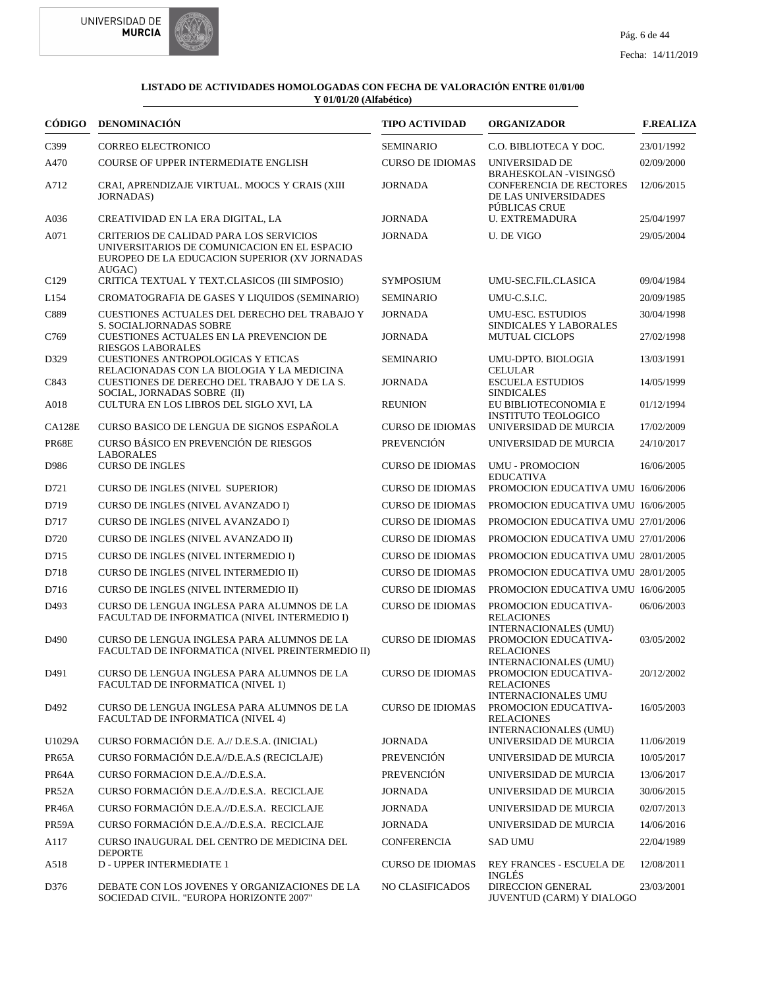



| CÓDIGO           | DENOMINACIÓN                                                                                                                                       | <b>TIPO ACTIVIDAD</b>   | <b>ORGANIZADOR</b>                                                                                       | <b>F.REALIZA</b> |
|------------------|----------------------------------------------------------------------------------------------------------------------------------------------------|-------------------------|----------------------------------------------------------------------------------------------------------|------------------|
| C399             | <b>CORREO ELECTRONICO</b>                                                                                                                          | <b>SEMINARIO</b>        | C.O. BIBLIOTECA Y DOC.                                                                                   | 23/01/1992       |
| A470             | COURSE OF UPPER INTERMEDIATE ENGLISH                                                                                                               | <b>CURSO DE IDIOMAS</b> | UNIVERSIDAD DE                                                                                           | 02/09/2000       |
| A712             | CRAI, APRENDIZAJE VIRTUAL. MOOCS Y CRAIS (XIII<br><b>JORNADAS</b> )                                                                                | <b>JORNADA</b>          | <b>BRAHESKOLAN - VISINGSÖ</b><br><b>CONFERENCIA DE RECTORES</b><br>DE LAS UNIVERSIDADES<br>PÚBLICAS CRUE | 12/06/2015       |
| A036             | CREATIVIDAD EN LA ERA DIGITAL, LA                                                                                                                  | <b>JORNADA</b>          | <b>U. EXTREMADURA</b>                                                                                    | 25/04/1997       |
| A071             | CRITERIOS DE CALIDAD PARA LOS SERVICIOS<br>UNIVERSITARIOS DE COMUNICACION EN EL ESPACIO<br>EUROPEO DE LA EDUCACION SUPERIOR (XV JORNADAS<br>AUGAC) | <b>JORNADA</b>          | <b>U. DE VIGO</b>                                                                                        | 29/05/2004       |
| C <sub>129</sub> | CRITICA TEXTUAL Y TEXT.CLASICOS (III SIMPOSIO)                                                                                                     | <b>SYMPOSIUM</b>        | UMU-SEC.FIL.CLASICA                                                                                      | 09/04/1984       |
| L154             | CROMATOGRAFIA DE GASES Y LIQUIDOS (SEMINARIO)                                                                                                      | <b>SEMINARIO</b>        | UMU-C.S.I.C.                                                                                             | 20/09/1985       |
| C889             | CUESTIONES ACTUALES DEL DERECHO DEL TRABAJO Y<br>S. SOCIALJORNADAS SOBRE                                                                           | <b>JORNADA</b>          | UMU-ESC. ESTUDIOS<br>SINDICALES Y LABORALES                                                              | 30/04/1998       |
| C769             | CUESTIONES ACTUALES EN LA PREVENCION DE<br><b>RIESGOS LABORALES</b>                                                                                | <b>JORNADA</b>          | <b>MUTUAL CICLOPS</b>                                                                                    | 27/02/1998       |
| D329             | <b>CUESTIONES ANTROPOLOGICAS Y ETICAS</b><br>RELACIONADAS CON LA BIOLOGIA Y LA MEDICINA                                                            | <b>SEMINARIO</b>        | UMU-DPTO. BIOLOGIA<br><b>CELULAR</b>                                                                     | 13/03/1991       |
| C843             | CUESTIONES DE DERECHO DEL TRABAJO Y DE LA S.<br>SOCIAL, JORNADAS SOBRE (II)                                                                        | <b>JORNADA</b>          | <b>ESCUELA ESTUDIOS</b><br><b>SINDICALES</b>                                                             | 14/05/1999       |
| A018             | CULTURA EN LOS LIBROS DEL SIGLO XVI, LA                                                                                                            | <b>REUNION</b>          | EU BIBLIOTECONOMIA E<br><b>INSTITUTO TEOLOGICO</b>                                                       | 01/12/1994       |
| <b>CA128E</b>    | CURSO BASICO DE LENGUA DE SIGNOS ESPAÑOLA                                                                                                          | <b>CURSO DE IDIOMAS</b> | UNIVERSIDAD DE MURCIA                                                                                    | 17/02/2009       |
| PR68E            | CURSO BÁSICO EN PREVENCIÓN DE RIESGOS<br><b>LABORALES</b>                                                                                          | <b>PREVENCIÓN</b>       | UNIVERSIDAD DE MURCIA                                                                                    | 24/10/2017       |
| D986             | <b>CURSO DE INGLES</b>                                                                                                                             | <b>CURSO DE IDIOMAS</b> | <b>UMU - PROMOCION</b><br><b>EDUCATIVA</b>                                                               | 16/06/2005       |
| D721             | CURSO DE INGLES (NIVEL SUPERIOR)                                                                                                                   | <b>CURSO DE IDIOMAS</b> | PROMOCION EDUCATIVA UMU 16/06/2006                                                                       |                  |
| D719             | CURSO DE INGLES (NIVEL AVANZADO I)                                                                                                                 | <b>CURSO DE IDIOMAS</b> | PROMOCION EDUCATIVA UMU 16/06/2005                                                                       |                  |
| D717             | CURSO DE INGLES (NIVEL AVANZADO I)                                                                                                                 | <b>CURSO DE IDIOMAS</b> | PROMOCION EDUCATIVA UMU 27/01/2006                                                                       |                  |
| D720             | CURSO DE INGLES (NIVEL AVANZADO II)                                                                                                                | <b>CURSO DE IDIOMAS</b> | PROMOCION EDUCATIVA UMU 27/01/2006                                                                       |                  |
| D715             | CURSO DE INGLES (NIVEL INTERMEDIO I)                                                                                                               | <b>CURSO DE IDIOMAS</b> | PROMOCION EDUCATIVA UMU 28/01/2005                                                                       |                  |
| D718             | CURSO DE INGLES (NIVEL INTERMEDIO II)                                                                                                              | <b>CURSO DE IDIOMAS</b> | PROMOCION EDUCATIVA UMU 28/01/2005                                                                       |                  |
| D716             | CURSO DE INGLES (NIVEL INTERMEDIO II)                                                                                                              | <b>CURSO DE IDIOMAS</b> | PROMOCION EDUCATIVA UMU 16/06/2005                                                                       |                  |
| D493             | CURSO DE LENGUA INGLESA PARA ALUMNOS DE LA<br>FACULTAD DE INFORMATICA (NIVEL INTERMEDIO I)                                                         | <b>CURSO DE IDIOMAS</b> | PROMOCION EDUCATIVA-<br><b>RELACIONES</b>                                                                | 06/06/2003       |
| D <sub>490</sub> | CURSO DE LENGUA INGLESA PARA ALUMNOS DE LA<br>FACULTAD DE INFORMATICA (NIVEL PREINTERMEDIO II)                                                     | <b>CURSO DE IDIOMAS</b> | INTERNACIONALES (UMU)<br>PROMOCION EDUCATIVA-<br><b>RELACIONES</b>                                       | 03/05/2002       |
| D491             | CURSO DE LENGUA INGLESA PARA ALUMNOS DE LA<br>FACULTAD DE INFORMATICA (NIVEL 1)                                                                    | <b>CURSO DE IDIOMAS</b> | INTERNACIONALES (UMU)<br>PROMOCION EDUCATIVA-<br><b>RELACIONES</b>                                       | 20/12/2002       |
| D492             | CURSO DE LENGUA INGLESA PARA ALUMNOS DE LA<br>FACULTAD DE INFORMATICA (NIVEL 4)                                                                    | <b>CURSO DE IDIOMAS</b> | <b>INTERNACIONALES UMU</b><br>PROMOCION EDUCATIVA-<br><b>RELACIONES</b><br><b>INTERNACIONALES (UMU)</b>  | 16/05/2003       |
| U1029A           | CURSO FORMACIÓN D.E. A.// D.E.S.A. (INICIAL)                                                                                                       | <b>JORNADA</b>          | UNIVERSIDAD DE MURCIA                                                                                    | 11/06/2019       |
| PR65A            | CURSO FORMACIÓN D.E.A//D.E.A.S (RECICLAJE)                                                                                                         | <b>PREVENCIÓN</b>       | UNIVERSIDAD DE MURCIA                                                                                    | 10/05/2017       |
| PR64A            | CURSO FORMACION D.E.A.//D.E.S.A.                                                                                                                   | <b>PREVENCIÓN</b>       | UNIVERSIDAD DE MURCIA                                                                                    | 13/06/2017       |
| PR52A            | CURSO FORMACIÓN D.E.A.//D.E.S.A. RECICLAJE                                                                                                         | <b>JORNADA</b>          | UNIVERSIDAD DE MURCIA                                                                                    | 30/06/2015       |
| PR46A            | CURSO FORMACIÓN D.E.A.//D.E.S.A. RECICLAJE                                                                                                         | <b>JORNADA</b>          | UNIVERSIDAD DE MURCIA                                                                                    | 02/07/2013       |
| PR59A            | CURSO FORMACIÓN D.E.A.//D.E.S.A. RECICLAJE                                                                                                         | <b>JORNADA</b>          | UNIVERSIDAD DE MURCIA                                                                                    | 14/06/2016       |
| A117             | CURSO INAUGURAL DEL CENTRO DE MEDICINA DEL                                                                                                         | <b>CONFERENCIA</b>      | <b>SAD UMU</b>                                                                                           | 22/04/1989       |
| A518             | <b>DEPORTE</b><br>D - UPPER INTERMEDIATE 1                                                                                                         | <b>CURSO DE IDIOMAS</b> | REY FRANCES - ESCUELA DE                                                                                 | 12/08/2011       |
| D376             | DEBATE CON LOS JOVENES Y ORGANIZACIONES DE LA<br>SOCIEDAD CIVIL. "EUROPA HORIZONTE 2007"                                                           | NO CLASIFICADOS         | <b>INGLÉS</b><br><b>DIRECCION GENERAL</b><br><b>JUVENTUD (CARM) Y DIALOGO</b>                            | 23/03/2001       |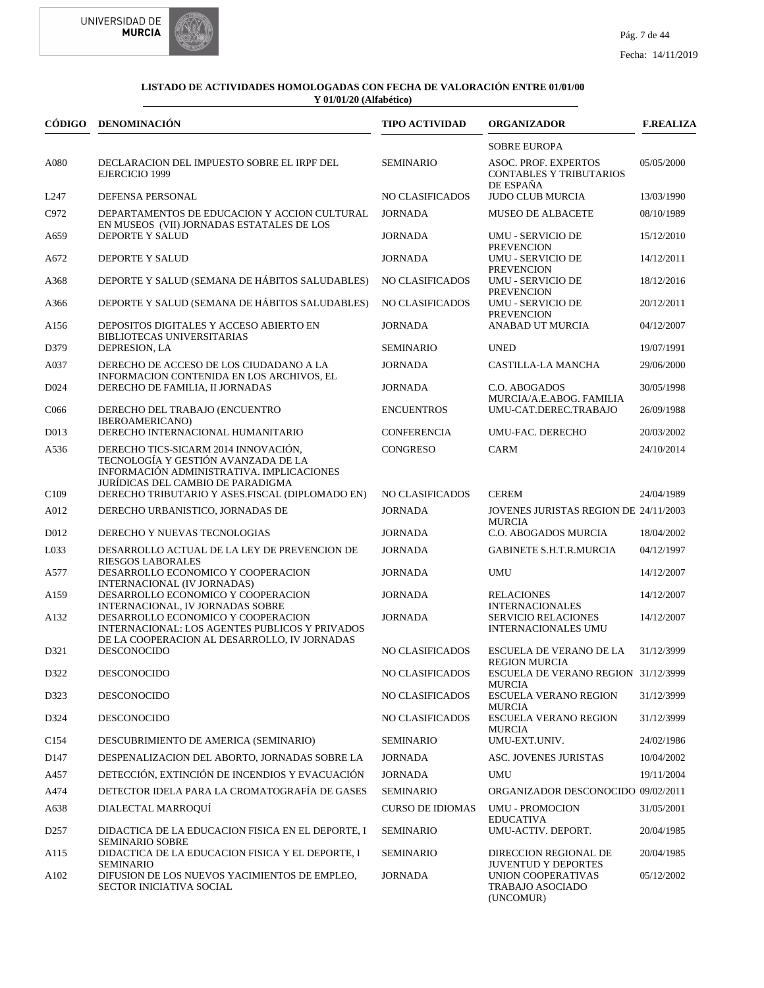



|                   | CÓDIGO DENOMINACIÓN                                                                                                                                           | <b>TIPO ACTIVIDAD</b>   | <b>ORGANIZADOR</b>                                                                 | <b>F.REALIZA</b> |
|-------------------|---------------------------------------------------------------------------------------------------------------------------------------------------------------|-------------------------|------------------------------------------------------------------------------------|------------------|
|                   |                                                                                                                                                               |                         | <b>SOBRE EUROPA</b>                                                                |                  |
| A080              | DECLARACION DEL IMPUESTO SOBRE EL IRPF DEL<br>EJERCICIO 1999                                                                                                  | <b>SEMINARIO</b>        | <b>ASOC. PROF. EXPERTOS</b><br><b>CONTABLES Y TRIBUTARIOS</b>                      | 05/05/2000       |
| L247              | DEFENSA PERSONAL                                                                                                                                              | NO CLASIFICADOS         | DE ESPAÑA<br><b>JUDO CLUB MURCIA</b>                                               | 13/03/1990       |
| C972              | DEPARTAMENTOS DE EDUCACION Y ACCION CULTURAL                                                                                                                  | <b>JORNADA</b>          | <b>MUSEO DE ALBACETE</b>                                                           | 08/10/1989       |
| A659              | EN MUSEOS (VII) JORNADAS ESTATALES DE LOS<br>DEPORTE Y SALUD                                                                                                  | <b>JORNADA</b>          | <b>UMU - SERVICIO DE</b>                                                           | 15/12/2010       |
| A672              | <b>DEPORTE Y SALUD</b>                                                                                                                                        | <b>JORNADA</b>          | <b>PREVENCION</b><br><b>UMU - SERVICIO DE</b><br><b>PREVENCION</b>                 | 14/12/2011       |
| A368              | DEPORTE Y SALUD (SEMANA DE HÁBITOS SALUDABLES)                                                                                                                | NO CLASIFICADOS         | <b>UMU - SERVICIO DE</b>                                                           | 18/12/2016       |
| A366              | DEPORTE Y SALUD (SEMANA DE HÁBITOS SALUDABLES)                                                                                                                | NO CLASIFICADOS         | <b>PREVENCION</b><br><b>UMU - SERVICIO DE</b><br><b>PREVENCION</b>                 | 20/12/2011       |
| A156              | DEPOSITOS DIGITALES Y ACCESO ABIERTO EN<br>BIBLIOTECAS UNIVERSITARIAS                                                                                         | <b>JORNADA</b>          | ANABAD UT MURCIA                                                                   | 04/12/2007       |
| D379              | DEPRESION, LA                                                                                                                                                 | <b>SEMINARIO</b>        | <b>UNED</b>                                                                        | 19/07/1991       |
| A037              | DERECHO DE ACCESO DE LOS CIUDADANO A LA<br>INFORMACION CONTENIDA EN LOS ARCHIVOS, EL                                                                          | <b>JORNADA</b>          | <b>CASTILLA-LA MANCHA</b>                                                          | 29/06/2000       |
| D024              | DERECHO DE FAMILIA, II JORNADAS                                                                                                                               | <b>JORNADA</b>          | C.O. ABOGADOS<br>MURCIA/A.E.ABOG. FAMILIA                                          | 30/05/1998       |
| C <sub>066</sub>  | DERECHO DEL TRABAJO (ENCUENTRO<br>IBEROAMERICANO)                                                                                                             | <b>ENCUENTROS</b>       | UMU-CAT.DEREC.TRABAJO                                                              | 26/09/1988       |
| D <sub>0</sub> 13 | DERECHO INTERNACIONAL HUMANITARIO                                                                                                                             | <b>CONFERENCIA</b>      | UMU-FAC. DERECHO                                                                   | 20/03/2002       |
| A536              | DERECHO TICS-SICARM 2014 INNOVACIÓN,<br>TECNOLOGÍA Y GESTIÓN AVANZADA DE LA<br>INFORMACIÓN ADMINISTRATIVA. IMPLICACIONES<br>JURÍDICAS DEL CAMBIO DE PARADIGMA | <b>CONGRESO</b>         | <b>CARM</b>                                                                        | 24/10/2014       |
| C <sub>109</sub>  | DERECHO TRIBUTARIO Y ASES.FISCAL (DIPLOMADO EN)                                                                                                               | NO CLASIFICADOS         | <b>CEREM</b>                                                                       | 24/04/1989       |
| A012              | DERECHO URBANISTICO, JORNADAS DE                                                                                                                              | <b>JORNADA</b>          | JOVENES JURISTAS REGION DE 24/11/2003<br><b>MURCIA</b>                             |                  |
| D012              | DERECHO Y NUEVAS TECNOLOGIAS                                                                                                                                  | <b>JORNADA</b>          | C.O. ABOGADOS MURCIA                                                               | 18/04/2002       |
| L033              | DESARROLLO ACTUAL DE LA LEY DE PREVENCION DE<br><b>RIESGOS LABORALES</b>                                                                                      | <b>JORNADA</b>          | <b>GABINETE S.H.T.R.MURCIA</b>                                                     | 04/12/1997       |
| A577              | DESARROLLO ECONOMICO Y COOPERACION<br>INTERNACIONAL (IV JORNADAS)                                                                                             | <b>JORNADA</b>          | UMU                                                                                | 14/12/2007       |
| A159              | DESARROLLO ECONOMICO Y COOPERACION                                                                                                                            | <b>JORNADA</b>          | <b>RELACIONES</b>                                                                  | 14/12/2007       |
| A132              | INTERNACIONAL, IV JORNADAS SOBRE<br>DESARROLLO ECONOMICO Y COOPERACION<br>INTERNACIONAL: LOS AGENTES PUBLICOS Y PRIVADOS                                      | <b>JORNADA</b>          | <b>INTERNACIONALES</b><br><b>SERVICIO RELACIONES</b><br><b>INTERNACIONALES UMU</b> | 14/12/2007       |
| D321              | DE LA COOPERACION AL DESARROLLO, IV JORNADAS<br><b>DESCONOCIDO</b>                                                                                            | <b>NO CLASIFICADOS</b>  | ESCUELA DE VERANO DE LA                                                            | 31/12/3999       |
| D322              | DESCONOCIDO                                                                                                                                                   | NO CLASIFICADOS         | <b>REGION MURCIA</b><br>ESCUELA DE VERANO REGION 31/12/3999<br><b>MURCIA</b>       |                  |
| D323              | <b>DESCONOCIDO</b>                                                                                                                                            | NO CLASIFICADOS         | <b>ESCUELA VERANO REGION</b><br><b>MURCIA</b>                                      | 31/12/3999       |
| D324              | DESCONOCIDO                                                                                                                                                   | NO CLASIFICADOS         | ESCUELA VERANO REGION<br><b>MURCIA</b>                                             | 31/12/3999       |
| C <sub>154</sub>  | DESCUBRIMIENTO DE AMERICA (SEMINARIO)                                                                                                                         | <b>SEMINARIO</b>        | UMU-EXT.UNIV.                                                                      | 24/02/1986       |
| D147              | DESPENALIZACION DEL ABORTO, JORNADAS SOBRE LA                                                                                                                 | <b>JORNADA</b>          | ASC. JOVENES JURISTAS                                                              | 10/04/2002       |
| A457              | DETECCIÓN, EXTINCIÓN DE INCENDIOS Y EVACUACIÓN                                                                                                                | <b>JORNADA</b>          | UMU                                                                                | 19/11/2004       |
| A474              | DETECTOR IDELA PARA LA CROMATOGRAFÍA DE GASES                                                                                                                 | <b>SEMINARIO</b>        | ORGANIZADOR DESCONOCIDO 09/02/2011                                                 |                  |
| A638              | DIALECTAL MARROOUÍ                                                                                                                                            | <b>CURSO DE IDIOMAS</b> | <b>UMU - PROMOCION</b><br><b>EDUCATIVA</b>                                         | 31/05/2001       |
| D257              | DIDACTICA DE LA EDUCACION FISICA EN EL DEPORTE, I                                                                                                             | <b>SEMINARIO</b>        | UMU-ACTIV. DEPORT.                                                                 | 20/04/1985       |
| A115              | SEMINARIO SOBRE<br>DIDACTICA DE LA EDUCACION FISICA Y EL DEPORTE, I<br><b>SEMINARIO</b>                                                                       | <b>SEMINARIO</b>        | DIRECCION REGIONAL DE<br><b>JUVENTUD Y DEPORTES</b>                                | 20/04/1985       |
| A102              | DIFUSION DE LOS NUEVOS YACIMIENTOS DE EMPLEO,<br>SECTOR INICIATIVA SOCIAL                                                                                     | <b>JORNADA</b>          | UNION COOPERATIVAS<br><b>TRABAJO ASOCIADO</b><br>(UNCOMUR)                         | 05/12/2002       |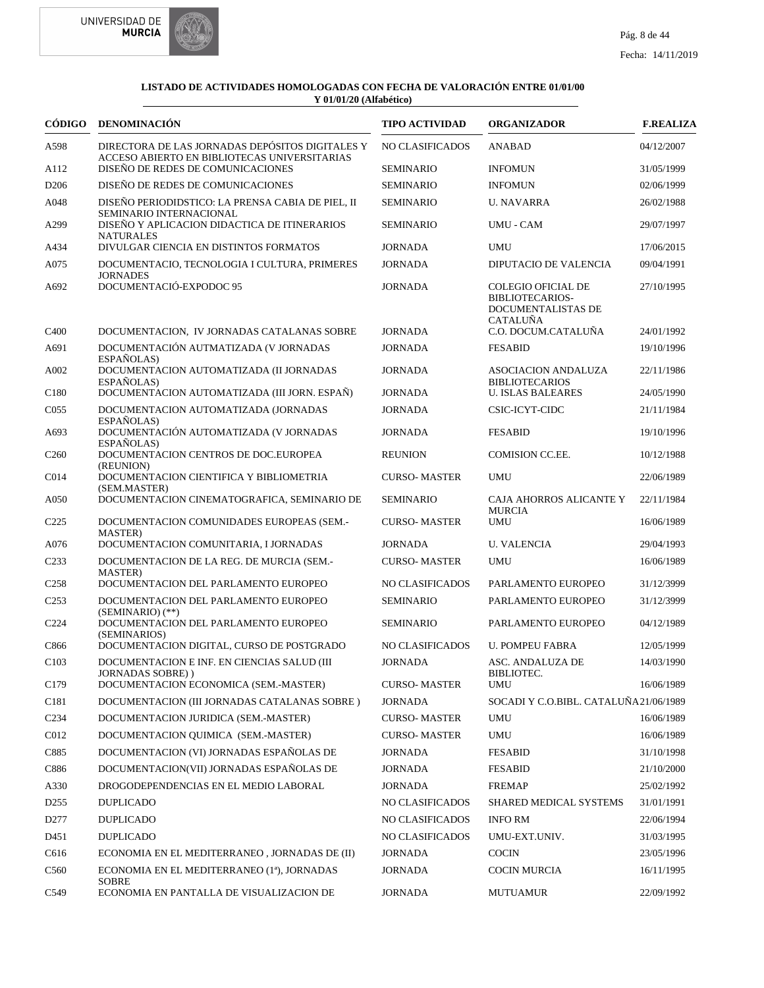



|                  | CÓDIGO DENOMINACIÓN                                                                             | <b>TIPO ACTIVIDAD</b>  | <b>ORGANIZADOR</b>                                                                    | <b>F.REALIZA</b> |
|------------------|-------------------------------------------------------------------------------------------------|------------------------|---------------------------------------------------------------------------------------|------------------|
| A598             | DIRECTORA DE LAS JORNADAS DEPÓSITOS DIGITALES Y<br>ACCESO ABIERTO EN BIBLIOTECAS UNIVERSITARIAS | NO CLASIFICADOS        | <b>ANABAD</b>                                                                         | 04/12/2007       |
| A112             | DISEÑO DE REDES DE COMUNICACIONES                                                               | <b>SEMINARIO</b>       | <b>INFOMUN</b>                                                                        | 31/05/1999       |
| D <sub>206</sub> | DISEÑO DE REDES DE COMUNICACIONES                                                               | <b>SEMINARIO</b>       | <b>INFOMUN</b>                                                                        | 02/06/1999       |
| A048             | DISEÑO PERIODIDSTICO: LA PRENSA CABIA DE PIEL, II                                               | <b>SEMINARIO</b>       | <b>U. NAVARRA</b>                                                                     | 26/02/1988       |
| A299             | SEMINARIO INTERNACIONAL<br>DISEÑO Y APLICACION DIDACTICA DE ITINERARIOS<br><b>NATURALES</b>     | <b>SEMINARIO</b>       | <b>UMU - CAM</b>                                                                      | 29/07/1997       |
| A434             | DIVULGAR CIENCIA EN DISTINTOS FORMATOS                                                          | <b>JORNADA</b>         | <b>UMU</b>                                                                            | 17/06/2015       |
| A075             | DOCUMENTACIO, TECNOLOGIA I CULTURA, PRIMERES                                                    | <b>JORNADA</b>         | <b>DIPUTACIO DE VALENCIA</b>                                                          | 09/04/1991       |
| A692             | <b>JORNADES</b><br>DOCUMENTACIÓ-EXPODOC 95                                                      | <b>JORNADA</b>         | <b>COLEGIO OFICIAL DE</b><br>BIBLIOTECARIOS-<br>DOCUMENTALISTAS DE<br><b>CATALUÑA</b> | 27/10/1995       |
| C <sub>400</sub> | DOCUMENTACION, IV JORNADAS CATALANAS SOBRE                                                      | <b>JORNADA</b>         | C.O. DOCUM.CATALUÑA                                                                   | 24/01/1992       |
| A691             | DOCUMENTACIÓN AUTMATIZADA (V JORNADAS<br>ESPAÑOLAS)                                             | <b>JORNADA</b>         | <b>FESABID</b>                                                                        | 19/10/1996       |
| A002             | DOCUMENTACION AUTOMATIZADA (II JORNADAS<br>ESPAÑOLAS)                                           | <b>JORNADA</b>         | <b>ASOCIACION ANDALUZA</b><br><b>BIBLIOTECARIOS</b>                                   | 22/11/1986       |
| C <sub>180</sub> | DOCUMENTACION AUTOMATIZADA (III JORN. ESPAÑ)                                                    | <b>JORNADA</b>         | <b>U. ISLAS BALEARES</b>                                                              | 24/05/1990       |
| CO <sub>55</sub> | DOCUMENTACION AUTOMATIZADA (JORNADAS<br>ESPAÑOLAS)                                              | <b>JORNADA</b>         | CSIC-ICYT-CIDC                                                                        | 21/11/1984       |
| A693             | DOCUMENTACIÓN AUTOMATIZADA (V JORNADAS<br>ESPAÑOLAS)                                            | <b>JORNADA</b>         | <b>FESABID</b>                                                                        | 19/10/1996       |
| C <sub>260</sub> | DOCUMENTACION CENTROS DE DOC.EUROPEA<br>(REUNION)                                               | <b>REUNION</b>         | COMISION CC.EE.                                                                       | 10/12/1988       |
| C014             | DOCUMENTACION CIENTIFICA Y BIBLIOMETRIA<br>(SEM.MASTER)                                         | <b>CURSO-MASTER</b>    | <b>UMU</b>                                                                            | 22/06/1989       |
| A050             | DOCUMENTACION CINEMATOGRAFICA, SEMINARIO DE                                                     | <b>SEMINARIO</b>       | CAJA AHORROS ALICANTE Y                                                               | 22/11/1984       |
| C <sub>225</sub> | DOCUMENTACION COMUNIDADES EUROPEAS (SEM.-<br><b>MASTER</b> )                                    | <b>CURSO-MASTER</b>    | <b>MURCIA</b><br><b>UMU</b>                                                           | 16/06/1989       |
| A076             | DOCUMENTACION COMUNITARIA, I JORNADAS                                                           | <b>JORNADA</b>         | <b>U. VALENCIA</b>                                                                    | 29/04/1993       |
| C <sub>233</sub> | DOCUMENTACION DE LA REG. DE MURCIA (SEM.-<br><b>MASTER</b> )                                    | <b>CURSO-MASTER</b>    | <b>UMU</b>                                                                            | 16/06/1989       |
| C <sub>258</sub> | DOCUMENTACION DEL PARLAMENTO EUROPEO                                                            | NO CLASIFICADOS        | PARLAMENTO EUROPEO                                                                    | 31/12/3999       |
| C <sub>253</sub> | DOCUMENTACION DEL PARLAMENTO EUROPEO<br>$(SEMINARIO)$ (**)                                      | <b>SEMINARIO</b>       | PARLAMENTO EUROPEO                                                                    | 31/12/3999       |
| C224             | DOCUMENTACION DEL PARLAMENTO EUROPEO<br>(SEMINARIOS)                                            | <b>SEMINARIO</b>       | PARLAMENTO EUROPEO                                                                    | 04/12/1989       |
| C866             | DOCUMENTACION DIGITAL, CURSO DE POSTGRADO                                                       | <b>NO CLASIFICADOS</b> | <b>U. POMPEU FABRA</b>                                                                | 12/05/1999       |
| C103             | DOCUMENTACION E INF. EN CIENCIAS SALUD (III<br>JORNADAS SOBRE))                                 | <b>JORNADA</b>         | <b>ASC. ANDALUZA DE</b><br>BIBLIOTEC.                                                 | 14/03/1990       |
| C179             | DOCUMENTACION ECONOMICA (SEM.-MASTER)                                                           | <b>CURSO-MASTER</b>    | UMU                                                                                   | 16/06/1989       |
| C181             | DOCUMENTACION (III JORNADAS CATALANAS SOBRE)                                                    | <b>JORNADA</b>         | SOCADI Y C.O.BIBL. CATALUÑA21/06/1989                                                 |                  |
| C <sub>234</sub> | DOCUMENTACION JURIDICA (SEM.-MASTER)                                                            | <b>CURSO-MASTER</b>    | UMU                                                                                   | 16/06/1989       |
| C012             | DOCUMENTACION QUIMICA (SEM.-MASTER)                                                             | <b>CURSO-MASTER</b>    | UMU                                                                                   | 16/06/1989       |
| C885             | DOCUMENTACION (VI) JORNADAS ESPAÑOLAS DE                                                        | <b>JORNADA</b>         | <b>FESABID</b>                                                                        | 31/10/1998       |
| C886             | DOCUMENTACION(VII) JORNADAS ESPAÑOLAS DE                                                        | <b>JORNADA</b>         | <b>FESABID</b>                                                                        | 21/10/2000       |
| A330             | DROGODEPENDENCIAS EN EL MEDIO LABORAL                                                           | JORNADA                | <b>FREMAP</b>                                                                         | 25/02/1992       |
| D <sub>255</sub> | <b>DUPLICADO</b>                                                                                | NO CLASIFICADOS        | SHARED MEDICAL SYSTEMS                                                                | 31/01/1991       |
| D277             | <b>DUPLICADO</b>                                                                                | NO CLASIFICADOS        | <b>INFO RM</b>                                                                        | 22/06/1994       |
| D451             | <b>DUPLICADO</b>                                                                                | NO CLASIFICADOS        | UMU-EXT.UNIV.                                                                         | 31/03/1995       |
| C616             | ECONOMIA EN EL MEDITERRANEO, JORNADAS DE (II)                                                   | JORNADA                | <b>COCIN</b>                                                                          | 23/05/1996       |
| C560             | ECONOMIA EN EL MEDITERRANEO (1ª), JORNADAS                                                      | <b>JORNADA</b>         | <b>COCIN MURCIA</b>                                                                   | 16/11/1995       |
| C549             | <b>SOBRE</b><br>ECONOMIA EN PANTALLA DE VISUALIZACION DE                                        | <b>JORNADA</b>         | <b>MUTUAMUR</b>                                                                       | 22/09/1992       |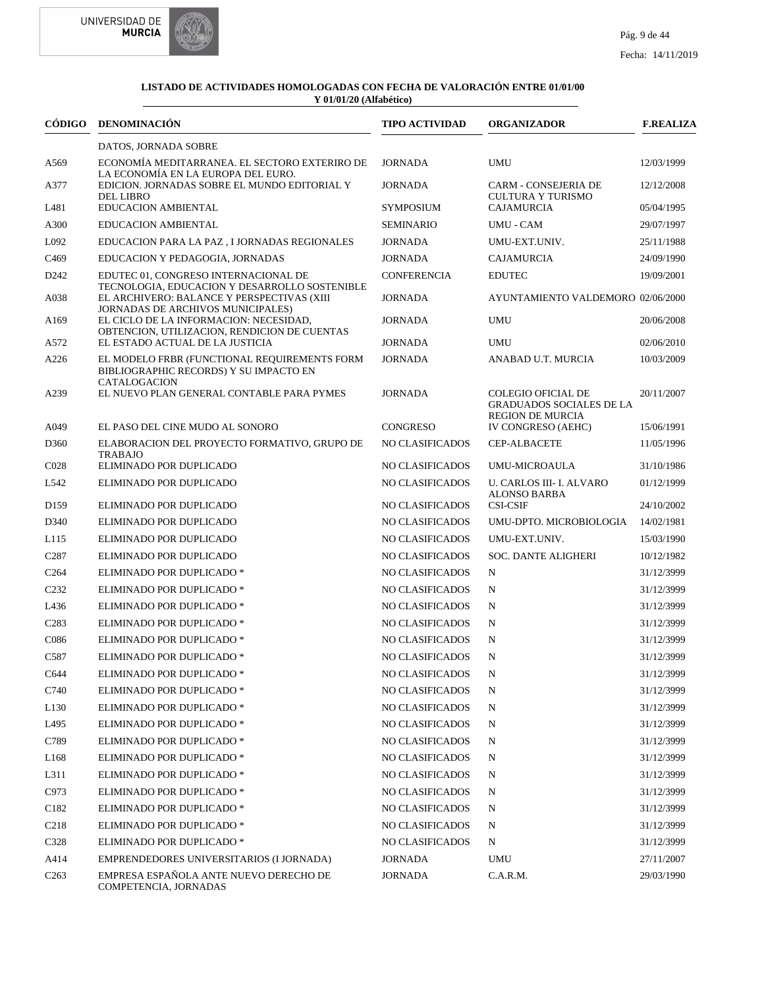



| CÓDIGO            | DENOMINACIÓN                                                                                                                | <b>TIPO ACTIVIDAD</b>  | <b>ORGANIZADOR</b>                                                                      | <b>F.REALIZA</b> |
|-------------------|-----------------------------------------------------------------------------------------------------------------------------|------------------------|-----------------------------------------------------------------------------------------|------------------|
|                   | DATOS, JORNADA SOBRE                                                                                                        |                        |                                                                                         |                  |
| A569              | ECONOMÍA MEDITARRANEA. EL SECTORO EXTERIRO DE<br>LA ECONOMÍA EN LA EUROPA DEL EURO.                                         | JORNADA                | <b>UMU</b>                                                                              | 12/03/1999       |
| A377              | EDICION. JORNADAS SOBRE EL MUNDO EDITORIAL Y<br><b>DEL LIBRO</b>                                                            | <b>JORNADA</b>         | <b>CARM - CONSEJERIA DE</b><br><b>CULTURA Y TURISMO</b>                                 | 12/12/2008       |
| L481              | EDUCACION AMBIENTAL                                                                                                         | <b>SYMPOSIUM</b>       | <b>CAJAMURCIA</b>                                                                       | 05/04/1995       |
| A300              | <b>EDUCACION AMBIENTAL</b>                                                                                                  | <b>SEMINARIO</b>       | <b>UMU - CAM</b>                                                                        | 29/07/1997       |
| L092              | EDUCACION PARA LA PAZ, I JORNADAS REGIONALES                                                                                | <b>JORNADA</b>         | UMU-EXT.UNIV.                                                                           | 25/11/1988       |
| C <sub>469</sub>  | EDUCACION Y PEDAGOGIA, JORNADAS                                                                                             | <b>JORNADA</b>         | CAJAMURCIA                                                                              | 24/09/1990       |
| D <sub>242</sub>  | EDUTEC 01, CONGRESO INTERNACIONAL DE<br>TECNOLOGIA, EDUCACION Y DESARROLLO SOSTENIBLE                                       | <b>CONFERENCIA</b>     | <b>EDUTEC</b>                                                                           | 19/09/2001       |
| A038              | EL ARCHIVERO: BALANCE Y PERSPECTIVAS (XIII                                                                                  | <b>JORNADA</b>         | AYUNTAMIENTO VALDEMORO 02/06/2000                                                       |                  |
| A <sub>169</sub>  | JORNADAS DE ARCHIVOS MUNICIPALES)<br>EL CICLO DE LA INFORMACION: NECESIDAD,<br>OBTENCION, UTILIZACION, RENDICION DE CUENTAS | <b>JORNADA</b>         | <b>UMU</b>                                                                              | 20/06/2008       |
| A572              | EL ESTADO ACTUAL DE LA JUSTICIA                                                                                             | <b>JORNADA</b>         | <b>UMU</b>                                                                              | 02/06/2010       |
| A226              | EL MODELO FRBR (FUNCTIONAL REQUIREMENTS FORM<br>BIBLIOGRAPHIC RECORDS) Y SU IMPACTO EN                                      | <b>JORNADA</b>         | ANABAD U.T. MURCIA                                                                      | 10/03/2009       |
| A239              | <b>CATALOGACION</b><br>EL NUEVO PLAN GENERAL CONTABLE PARA PYMES                                                            | <b>JORNADA</b>         | <b>COLEGIO OFICIAL DE</b><br><b>GRADUADOS SOCIALES DE LA</b><br><b>REGION DE MURCIA</b> | 20/11/2007       |
| A049              | EL PASO DEL CINE MUDO AL SONORO                                                                                             | <b>CONGRESO</b>        | IV CONGRESO (AEHC)                                                                      | 15/06/1991       |
| D360              | ELABORACION DEL PROYECTO FORMATIVO, GRUPO DE<br><b>TRABAJO</b>                                                              | <b>NO CLASIFICADOS</b> | <b>CEP-ALBACETE</b>                                                                     | 11/05/1996       |
| C <sub>028</sub>  | ELIMINADO POR DUPLICADO                                                                                                     | <b>NO CLASIFICADOS</b> | <b>UMU-MICROAULA</b>                                                                    | 31/10/1986       |
| L542              | ELIMINADO POR DUPLICADO                                                                                                     | NO CLASIFICADOS        | U. CARLOS III- I. ALVARO<br><b>ALONSO BARBA</b>                                         | 01/12/1999       |
| D <sub>159</sub>  | ELIMINADO POR DUPLICADO                                                                                                     | NO CLASIFICADOS        | <b>CSI-CSIF</b>                                                                         | 24/10/2002       |
| D340              | ELIMINADO POR DUPLICADO                                                                                                     | NO CLASIFICADOS        | UMU-DPTO. MICROBIOLOGIA                                                                 | 14/02/1981       |
| L115              | ELIMINADO POR DUPLICADO                                                                                                     | NO CLASIFICADOS        | UMU-EXT.UNIV.                                                                           | 15/03/1990       |
| C <sub>287</sub>  | ELIMINADO POR DUPLICADO                                                                                                     | NO CLASIFICADOS        | <b>SOC. DANTE ALIGHERI</b>                                                              | 10/12/1982       |
| C <sub>264</sub>  | ELIMINADO POR DUPLICADO *                                                                                                   | NO CLASIFICADOS        | N                                                                                       | 31/12/3999       |
| C <sub>232</sub>  | ELIMINADO POR DUPLICADO *                                                                                                   | NO CLASIFICADOS        | N                                                                                       | 31/12/3999       |
| L436              | ELIMINADO POR DUPLICADO *                                                                                                   | NO CLASIFICADOS        | N                                                                                       | 31/12/3999       |
| C <sub>2</sub> 83 | ELIMINADO POR DUPLICADO *                                                                                                   | NO CLASIFICADOS        | N                                                                                       | 31/12/3999       |
| C086              | ELIMINADO POR DUPLICADO *                                                                                                   | NO CLASIFICADOS        | N                                                                                       | 31/12/3999       |
| C587              | ELIMINADO POR DUPLICADO *                                                                                                   | NO CLASIFICADOS        | N                                                                                       | 31/12/3999       |
| C644              | ELIMINADO POR DUPLICADO *                                                                                                   | NO CLASIFICADOS        | N                                                                                       | 31/12/3999       |
| C740              | ELIMINADO POR DUPLICADO *                                                                                                   | NO CLASIFICADOS        | N                                                                                       | 31/12/3999       |
| L <sub>130</sub>  | ELIMINADO POR DUPLICADO *                                                                                                   | NO CLASIFICADOS        | N                                                                                       | 31/12/3999       |
| L495              | ELIMINADO POR DUPLICADO *                                                                                                   | NO CLASIFICADOS        | N                                                                                       | 31/12/3999       |
| C789              | ELIMINADO POR DUPLICADO *                                                                                                   | NO CLASIFICADOS        | N                                                                                       | 31/12/3999       |
| L <sub>168</sub>  | ELIMINADO POR DUPLICADO *                                                                                                   | NO CLASIFICADOS        | N                                                                                       | 31/12/3999       |
| L311              | ELIMINADO POR DUPLICADO *                                                                                                   | NO CLASIFICADOS        | N                                                                                       | 31/12/3999       |
| C973              | ELIMINADO POR DUPLICADO *                                                                                                   | NO CLASIFICADOS        | N                                                                                       | 31/12/3999       |
| C <sub>182</sub>  | ELIMINADO POR DUPLICADO *                                                                                                   | NO CLASIFICADOS        | N                                                                                       | 31/12/3999       |
| C <sub>2</sub> 18 | ELIMINADO POR DUPLICADO *                                                                                                   | NO CLASIFICADOS        | N                                                                                       | 31/12/3999       |
| C328              | ELIMINADO POR DUPLICADO *                                                                                                   | <b>NO CLASIFICADOS</b> | N                                                                                       | 31/12/3999       |
| A414              | EMPRENDEDORES UNIVERSITARIOS (I JORNADA)                                                                                    | JORNADA                | <b>UMU</b>                                                                              | 27/11/2007       |
| C <sub>263</sub>  | EMPRESA ESPAÑOLA ANTE NUEVO DERECHO DE<br>COMPETENCIA, JORNADAS                                                             | JORNADA                | C.A.R.M.                                                                                | 29/03/1990       |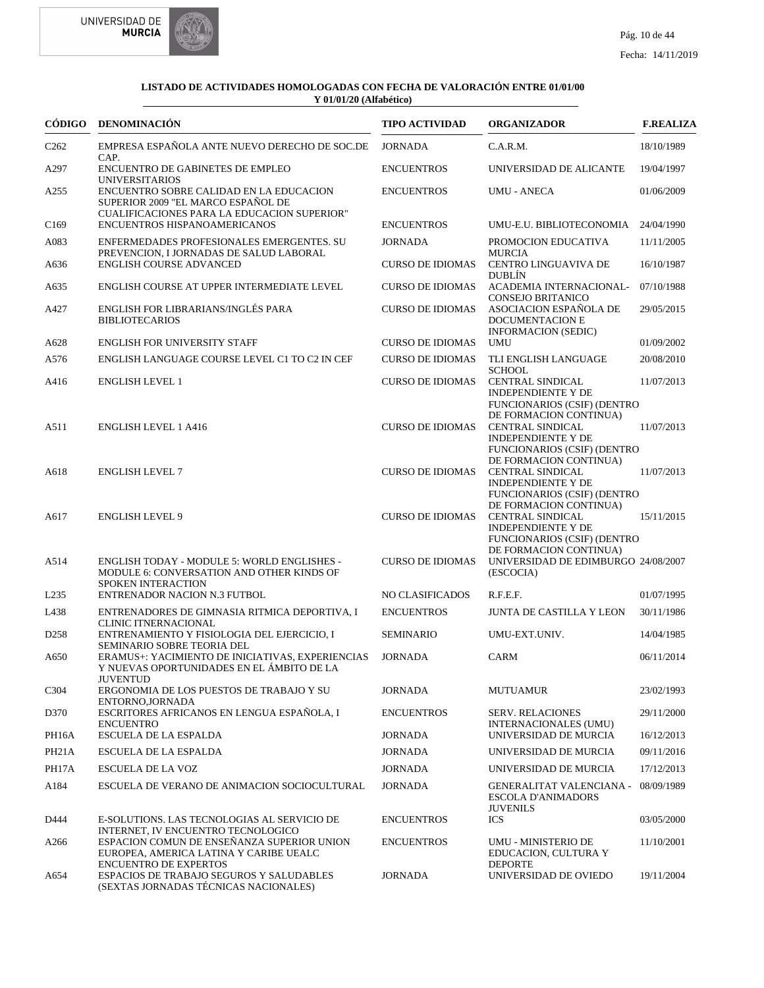



| CÓDIGO             | <b>DENOMINACIÓN</b>                                                                                                                                          | <b>TIPO ACTIVIDAD</b>   | <b>ORGANIZADOR</b>                                                                                                   | <b>F.REALIZA</b> |
|--------------------|--------------------------------------------------------------------------------------------------------------------------------------------------------------|-------------------------|----------------------------------------------------------------------------------------------------------------------|------------------|
| C <sub>262</sub>   | EMPRESA ESPAÑOLA ANTE NUEVO DERECHO DE SOC.DE                                                                                                                | <b>JORNADA</b>          | C.A.R.M.                                                                                                             | 18/10/1989       |
| A297               | CAP.<br>ENCUENTRO DE GABINETES DE EMPLEO                                                                                                                     | <b>ENCUENTROS</b>       | UNIVERSIDAD DE ALICANTE                                                                                              | 19/04/1997       |
| A255               | <b>UNIVERSITARIOS</b><br>ENCUENTRO SOBRE CALIDAD EN LA EDUCACION<br>SUPERIOR 2009 "EL MARCO ESPAÑOL DE<br><b>CUALIFICACIONES PARA LA EDUCACION SUPERIOR"</b> | <b>ENCUENTROS</b>       | <b>UMU - ANECA</b>                                                                                                   | 01/06/2009       |
| C <sub>169</sub>   | ENCUENTROS HISPANOAMERICANOS                                                                                                                                 | <b>ENCUENTROS</b>       | UMU-E.U. BIBLIOTECONOMIA                                                                                             | 24/04/1990       |
| A083               | ENFERMEDADES PROFESIONALES EMERGENTES. SU                                                                                                                    | <b>JORNADA</b>          | PROMOCION EDUCATIVA                                                                                                  | 11/11/2005       |
| A636               | PREVENCION, I JORNADAS DE SALUD LABORAL<br><b>ENGLISH COURSE ADVANCED</b>                                                                                    | <b>CURSO DE IDIOMAS</b> | <b>MURCIA</b><br><b>CENTRO LINGUAVIVA DE</b><br><b>DUBLÍN</b>                                                        | 16/10/1987       |
| A635               | ENGLISH COURSE AT UPPER INTERMEDIATE LEVEL                                                                                                                   | <b>CURSO DE IDIOMAS</b> | ACADEMIA INTERNACIONAL-<br>CONSEJO BRITANICO                                                                         | 07/10/1988       |
| A427               | ENGLISH FOR LIBRARIANS/INGLÉS PARA<br><b>BIBLIOTECARIOS</b>                                                                                                  | <b>CURSO DE IDIOMAS</b> | ASOCIACION ESPAÑOLA DE<br>DOCUMENTACION E<br><b>INFORMACION (SEDIC)</b>                                              | 29/05/2015       |
| A628               | <b>ENGLISH FOR UNIVERSITY STAFF</b>                                                                                                                          | <b>CURSO DE IDIOMAS</b> | <b>UMU</b>                                                                                                           | 01/09/2002       |
| A576               | ENGLISH LANGUAGE COURSE LEVEL C1 TO C2 IN CEF                                                                                                                | <b>CURSO DE IDIOMAS</b> | TLI ENGLISH LANGUAGE                                                                                                 | 20/08/2010       |
| A416               | <b>ENGLISH LEVEL 1</b>                                                                                                                                       | <b>CURSO DE IDIOMAS</b> | <b>SCHOOL</b><br><b>CENTRAL SINDICAL</b><br><b>INDEPENDIENTE Y DE</b><br><b>FUNCIONARIOS (CSIF) (DENTRO</b>          | 11/07/2013       |
| A511               | <b>ENGLISH LEVEL 1 A416</b>                                                                                                                                  | <b>CURSO DE IDIOMAS</b> | DE FORMACION CONTINUA)<br>CENTRAL SINDICAL<br><b>INDEPENDIENTE Y DE</b><br><b>FUNCIONARIOS (CSIF) (DENTRO</b>        | 11/07/2013       |
| A618               | <b>ENGLISH LEVEL 7</b>                                                                                                                                       | <b>CURSO DE IDIOMAS</b> | DE FORMACION CONTINUA)<br><b>CENTRAL SINDICAL</b><br><b>INDEPENDIENTE Y DE</b><br><b>FUNCIONARIOS (CSIF) (DENTRO</b> | 11/07/2013       |
| A617               | <b>ENGLISH LEVEL 9</b>                                                                                                                                       | <b>CURSO DE IDIOMAS</b> | DE FORMACION CONTINUA)<br><b>CENTRAL SINDICAL</b><br><b>INDEPENDIENTE Y DE</b><br><b>FUNCIONARIOS (CSIF) (DENTRO</b> | 15/11/2015       |
| A514               | <b>ENGLISH TODAY - MODULE 5: WORLD ENGLISHES -</b><br>MODULE 6: CONVERSATION AND OTHER KINDS OF<br><b>SPOKEN INTERACTION</b>                                 | <b>CURSO DE IDIOMAS</b> | DE FORMACION CONTINUA)<br>UNIVERSIDAD DE EDIMBURGO 24/08/2007<br>(ESCOCIA)                                           |                  |
| L <sub>235</sub>   | <b>ENTRENADOR NACION N.3 FUTBOL</b>                                                                                                                          | NO CLASIFICADOS         | R.F.E.F.                                                                                                             | 01/07/1995       |
| L438               | ENTRENADORES DE GIMNASIA RITMICA DEPORTIVA, I<br><b>CLINIC ITNERNACIONAL</b>                                                                                 | <b>ENCUENTROS</b>       | <b>JUNTA DE CASTILLA Y LEON</b>                                                                                      | 30/11/1986       |
| D <sub>258</sub>   | ENTRENAMIENTO Y FISIOLOGIA DEL EJERCICIO, I<br>SEMINARIO SOBRE TEORIA DEL                                                                                    | <b>SEMINARIO</b>        | UMU-EXT.UNIV.                                                                                                        | 14/04/1985       |
| A650               | ERAMUS+: YACIMIENTO DE INICIATIVAS, EXPERIENCIAS<br>Y NUEVAS OPORTUNIDADES EN EL ÁMBITO DE LA                                                                | <b>JORNADA</b>          | <b>CARM</b>                                                                                                          | 06/11/2014       |
| C <sub>3</sub> 04  | <b>JUVENTUD</b><br>ERGONOMIA DE LOS PUESTOS DE TRABAJO Y SU<br>ENTORNO, JORNADA                                                                              | <b>JORNADA</b>          | <b>MUTUAMUR</b>                                                                                                      | 23/02/1993       |
| D370               | ESCRITORES AFRICANOS EN LENGUA ESPAÑOLA, I<br><b>ENCUENTRO</b>                                                                                               | <b>ENCUENTROS</b>       | <b>SERV. RELACIONES</b><br><b>INTERNACIONALES (UMU)</b>                                                              | 29/11/2000       |
| PH16A              | ESCUELA DE LA ESPALDA                                                                                                                                        | <b>JORNADA</b>          | UNIVERSIDAD DE MURCIA                                                                                                | 16/12/2013       |
| PH <sub>21</sub> A | <b>ESCUELA DE LA ESPALDA</b>                                                                                                                                 | <b>JORNADA</b>          | UNIVERSIDAD DE MURCIA                                                                                                | 09/11/2016       |
| PH17A              | ESCUELA DE LA VOZ                                                                                                                                            | <b>JORNADA</b>          | UNIVERSIDAD DE MURCIA                                                                                                | 17/12/2013       |
| A184               | ESCUELA DE VERANO DE ANIMACION SOCIOCULTURAL                                                                                                                 | <b>JORNADA</b>          | <b>GENERALITAT VALENCIANA -</b><br><b>ESCOLA D'ANIMADORS</b><br><b>JUVENILS</b>                                      | 08/09/1989       |
| D444               | E-SOLUTIONS. LAS TECNOLOGIAS AL SERVICIO DE<br>INTERNET, IV ENCUENTRO TECNOLOGICO                                                                            | <b>ENCUENTROS</b>       | <b>ICS</b>                                                                                                           | 03/05/2000       |
| A266               | ESPACION COMUN DE ENSEÑANZA SUPERIOR UNION<br>EUROPEA, AMERICA LATINA Y CARIBE UEALC<br><b>ENCUENTRO DE EXPERTOS</b>                                         | <b>ENCUENTROS</b>       | UMU - MINISTERIO DE<br>EDUCACION, CULTURA Y<br><b>DEPORTE</b>                                                        | 11/10/2001       |
| A654               | ESPACIOS DE TRABAJO SEGUROS Y SALUDABLES<br>(SEXTAS JORNADAS TÉCNICAS NACIONALES)                                                                            | <b>JORNADA</b>          | UNIVERSIDAD DE OVIEDO                                                                                                | 19/11/2004       |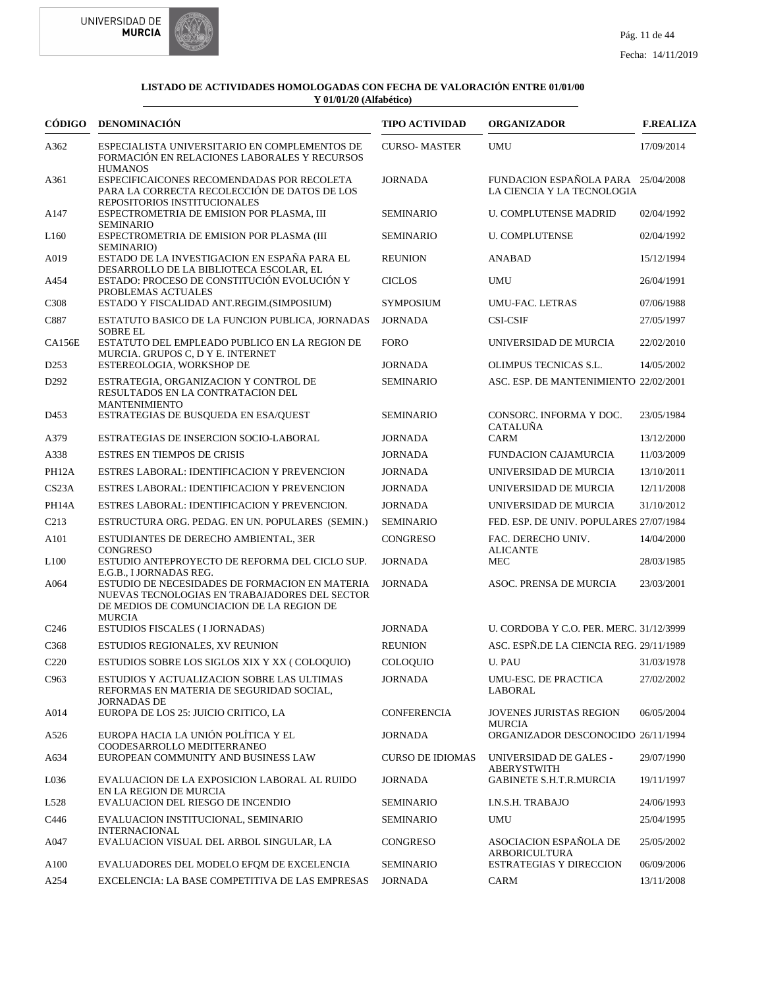



|                   | CÓDIGO DENOMINACIÓN                                                                                                                                           | <b>TIPO ACTIVIDAD</b>   | <b>ORGANIZADOR</b>                                               | <b>F.REALIZA</b> |
|-------------------|---------------------------------------------------------------------------------------------------------------------------------------------------------------|-------------------------|------------------------------------------------------------------|------------------|
| A362              | ESPECIALISTA UNIVERSITARIO EN COMPLEMENTOS DE<br>FORMACIÓN EN RELACIONES LABORALES Y RECURSOS<br><b>HUMANOS</b>                                               | <b>CURSO-MASTER</b>     | <b>UMU</b>                                                       | 17/09/2014       |
| A361              | ESPECIFICAICONES RECOMENDADAS POR RECOLETA<br>PARA LA CORRECTA RECOLECCIÓN DE DATOS DE LOS<br>REPOSITORIOS INSTITUCIONALES                                    | <b>JORNADA</b>          | FUNDACION ESPAÑOLA PARA 25/04/2008<br>LA CIENCIA Y LA TECNOLOGIA |                  |
| A147              | ESPECTROMETRIA DE EMISION POR PLASMA, III                                                                                                                     | <b>SEMINARIO</b>        | <b>U. COMPLUTENSE MADRID</b>                                     | 02/04/1992       |
| L <sub>160</sub>  | <b>SEMINARIO</b><br>ESPECTROMETRIA DE EMISION POR PLASMA (III                                                                                                 | <b>SEMINARIO</b>        | <b>U. COMPLUTENSE</b>                                            | 02/04/1992       |
| A019              | SEMINARIO)<br>ESTADO DE LA INVESTIGACION EN ESPAÑA PARA EL                                                                                                    | <b>REUNION</b>          | <b>ANABAD</b>                                                    | 15/12/1994       |
| A454              | DESARROLLO DE LA BIBLIOTECA ESCOLAR, EL<br>ESTADO: PROCESO DE CONSTITUCIÓN EVOLUCIÓN Y                                                                        | <b>CICLOS</b>           | <b>UMU</b>                                                       | 26/04/1991       |
| C <sub>3</sub> 08 | PROBLEMAS ACTUALES<br>ESTADO Y FISCALIDAD ANT.REGIM.(SIMPOSIUM)                                                                                               | <b>SYMPOSIUM</b>        | UMU-FAC. LETRAS                                                  | 07/06/1988       |
| C887              | ESTATUTO BASICO DE LA FUNCION PUBLICA, JORNADAS<br><b>SOBRE EL</b>                                                                                            | <b>JORNADA</b>          | <b>CSI-CSIF</b>                                                  | 27/05/1997       |
| <b>CA156E</b>     | ESTATUTO DEL EMPLEADO PUBLICO EN LA REGION DE                                                                                                                 | <b>FORO</b>             | UNIVERSIDAD DE MURCIA                                            | 22/02/2010       |
| D <sub>253</sub>  | MURCIA. GRUPOS C, D Y E. INTERNET<br>ESTEREOLOGIA, WORKSHOP DE                                                                                                | <b>JORNADA</b>          | OLIMPUS TECNICAS S.L.                                            | 14/05/2002       |
| D <sub>292</sub>  | ESTRATEGIA, ORGANIZACION Y CONTROL DE<br>RESULTADOS EN LA CONTRATACION DEL                                                                                    | <b>SEMINARIO</b>        | ASC. ESP. DE MANTENIMIENTO 22/02/2001                            |                  |
| D <sub>453</sub>  | <b>MANTENIMIENTO</b><br>ESTRATEGIAS DE BUSQUEDA EN ESA/QUEST                                                                                                  | <b>SEMINARIO</b>        | CONSORC. INFORMA Y DOC.<br><b>CATALUÑA</b>                       | 23/05/1984       |
| A379              | ESTRATEGIAS DE INSERCION SOCIO-LABORAL                                                                                                                        | <b>JORNADA</b>          | CARM                                                             | 13/12/2000       |
| A338              | <b>ESTRES EN TIEMPOS DE CRISIS</b>                                                                                                                            | <b>JORNADA</b>          | <b>FUNDACION CAJAMURCIA</b>                                      | 11/03/2009       |
| PH12A             | ESTRES LABORAL: IDENTIFICACION Y PREVENCION                                                                                                                   | <b>JORNADA</b>          | UNIVERSIDAD DE MURCIA                                            | 13/10/2011       |
| CS <sub>23A</sub> | ESTRES LABORAL: IDENTIFICACION Y PREVENCION                                                                                                                   | <b>JORNADA</b>          | UNIVERSIDAD DE MURCIA                                            | 12/11/2008       |
| PH14A             | ESTRES LABORAL: IDENTIFICACION Y PREVENCION.                                                                                                                  | <b>JORNADA</b>          | UNIVERSIDAD DE MURCIA                                            | 31/10/2012       |
| C <sub>2</sub> 13 | ESTRUCTURA ORG. PEDAG. EN UN. POPULARES (SEMIN.)                                                                                                              | <b>SEMINARIO</b>        | FED. ESP. DE UNIV. POPULARES 27/07/1984                          |                  |
| A101              | ESTUDIANTES DE DERECHO AMBIENTAL, 3ER                                                                                                                         | <b>CONGRESO</b>         | FAC. DERECHO UNIV.                                               | 14/04/2000       |
| L <sub>100</sub>  | <b>CONGRESO</b><br>ESTUDIO ANTEPROYECTO DE REFORMA DEL CICLO SUP.<br>E.G.B., I JORNADAS REG.                                                                  | <b>JORNADA</b>          | <b>ALICANTE</b><br><b>MEC</b>                                    | 28/03/1985       |
| A064              | ESTUDIO DE NECESIDADES DE FORMACION EN MATERIA<br>NUEVAS TECNOLOGIAS EN TRABAJADORES DEL SECTOR<br>DE MEDIOS DE COMUNCIACION DE LA REGION DE<br><b>MURCIA</b> | <b>JORNADA</b>          | ASOC. PRENSA DE MURCIA                                           | 23/03/2001       |
| C <sub>246</sub>  | ESTUDIOS FISCALES (I JORNADAS)                                                                                                                                | <b>JORNADA</b>          | U. CORDOBA Y C.O. PER. MERC. 31/12/3999                          |                  |
| C <sub>368</sub>  | ESTUDIOS REGIONALES, XV REUNION                                                                                                                               | <b>REUNION</b>          | ASC. ESPÑ.DE LA CIENCIA REG. 29/11/1989                          |                  |
| C <sub>220</sub>  | ESTUDIOS SOBRE LOS SIGLOS XIX Y XX (COLOQUIO)                                                                                                                 | COLOQUIO                | U. PAU                                                           | 31/03/1978       |
| C <sub>963</sub>  | ESTUDIOS Y ACTUALIZACION SOBRE LAS ULTIMAS<br>REFORMAS EN MATERIA DE SEGURIDAD SOCIAL.<br><b>JORNADAS DE</b>                                                  | <b>JORNADA</b>          | UMU-ESC. DE PRACTICA<br>LABORAL                                  | 27/02/2002       |
| A014              | EUROPA DE LOS 25: JUICIO CRITICO, LA                                                                                                                          | CONFERENCIA             | JOVENES JURISTAS REGION<br><b>MURCIA</b>                         | 06/05/2004       |
| A526              | EUROPA HACIA LA UNIÓN POLÍTICA Y EL                                                                                                                           | <b>JORNADA</b>          | ORGANIZADOR DESCONOCIDO 26/11/1994                               |                  |
| A634              | COODESARROLLO MEDITERRANEO<br>EUROPEAN COMMUNITY AND BUSINESS LAW                                                                                             | <b>CURSO DE IDIOMAS</b> | UNIVERSIDAD DE GALES -<br><b>ABERYSTWITH</b>                     | 29/07/1990       |
| L036              | EVALUACION DE LA EXPOSICION LABORAL AL RUIDO<br>EN LA REGION DE MURCIA                                                                                        | <b>JORNADA</b>          | <b>GABINETE S.H.T.R.MURCIA</b>                                   | 19/11/1997       |
| L528              | EVALUACION DEL RIESGO DE INCENDIO                                                                                                                             | <b>SEMINARIO</b>        | I.N.S.H. TRABAJO                                                 | 24/06/1993       |
| C446              | EVALUACION INSTITUCIONAL, SEMINARIO<br><b>INTERNACIONAL</b>                                                                                                   | <b>SEMINARIO</b>        | UMU                                                              | 25/04/1995       |
| A047              | EVALUACION VISUAL DEL ARBOL SINGULAR, LA                                                                                                                      | CONGRESO                | ASOCIACION ESPAÑOLA DE<br><b>ARBORICULTURA</b>                   | 25/05/2002       |
| A100              | EVALUADORES DEL MODELO EFOM DE EXCELENCIA                                                                                                                     | <b>SEMINARIO</b>        | <b>ESTRATEGIAS Y DIRECCION</b>                                   | 06/09/2006       |
| A254              | EXCELENCIA: LA BASE COMPETITIVA DE LAS EMPRESAS                                                                                                               | <b>JORNADA</b>          | CARM                                                             | 13/11/2008       |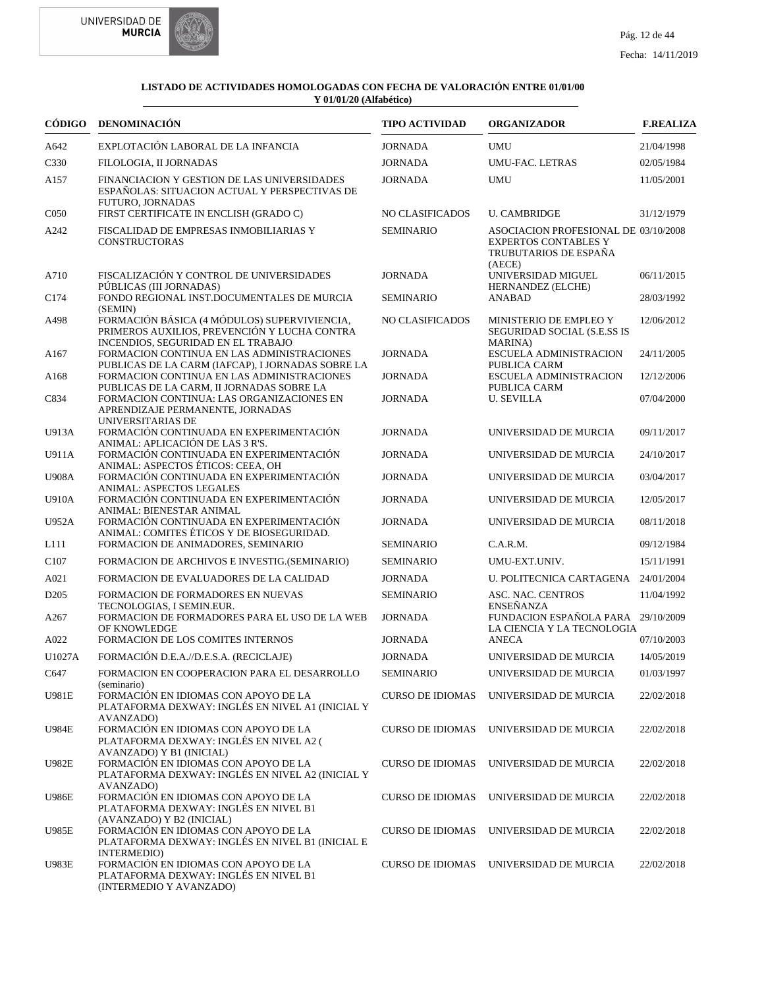



| CÓDIGO           | <b>DENOMINACIÓN</b>                                                                                                                  | <b>TIPO ACTIVIDAD</b>   | <b>ORGANIZADOR</b>                                                                                     | <b>F.REALIZA</b> |
|------------------|--------------------------------------------------------------------------------------------------------------------------------------|-------------------------|--------------------------------------------------------------------------------------------------------|------------------|
| A642             | EXPLOTACIÓN LABORAL DE LA INFANCIA                                                                                                   | <b>JORNADA</b>          | <b>UMU</b>                                                                                             | 21/04/1998       |
| C <sub>330</sub> | FILOLOGIA, II JORNADAS                                                                                                               | <b>JORNADA</b>          | <b>UMU-FAC. LETRAS</b>                                                                                 | 02/05/1984       |
| A157             | FINANCIACION Y GESTION DE LAS UNIVERSIDADES<br>ESPAÑOLAS: SITUACION ACTUAL Y PERSPECTIVAS DE<br><b>FUTURO, JORNADAS</b>              | <b>JORNADA</b>          | <b>UMU</b>                                                                                             | 11/05/2001       |
| C <sub>050</sub> | FIRST CERTIFICATE IN ENCLISH (GRADO C)                                                                                               | NO CLASIFICADOS         | <b>U. CAMBRIDGE</b>                                                                                    | 31/12/1979       |
| A242             | FISCALIDAD DE EMPRESAS INMOBILIARIAS Y<br><b>CONSTRUCTORAS</b>                                                                       | <b>SEMINARIO</b>        | ASOCIACION PROFESIONAL DE 03/10/2008<br><b>EXPERTOS CONTABLES Y</b><br>TRUBUTARIOS DE ESPAÑA<br>(AECE) |                  |
| A710             | FISCALIZACIÓN Y CONTROL DE UNIVERSIDADES<br>PÚBLICAS (III JORNADAS)                                                                  | <b>JORNADA</b>          | UNIVERSIDAD MIGUEL<br>HERNANDEZ (ELCHE)                                                                | 06/11/2015       |
| C <sub>174</sub> | FONDO REGIONAL INST.DOCUMENTALES DE MURCIA<br>(SEMIN)                                                                                | <b>SEMINARIO</b>        | <b>ANABAD</b>                                                                                          | 28/03/1992       |
| A498             | FORMACIÓN BÁSICA (4 MÓDULOS) SUPERVIVIENCIA,<br>PRIMEROS AUXILIOS, PREVENCIÓN Y LUCHA CONTRA<br>INCENDIOS, SEGURIDAD EN EL TRABAJO   | NO CLASIFICADOS         | MINISTERIO DE EMPLEO Y<br>SEGURIDAD SOCIAL (S.E.SS IS<br><b>MARINA</b> )                               | 12/06/2012       |
| A167             | FORMACION CONTINUA EN LAS ADMINISTRACIONES<br>PUBLICAS DE LA CARM (IAFCAP), I JORNADAS SOBRE LA                                      | <b>JORNADA</b>          | ESCUELA ADMINISTRACION<br>PUBLICA CARM                                                                 | 24/11/2005       |
| A <sub>168</sub> | FORMACION CONTINUA EN LAS ADMINISTRACIONES<br>PUBLICAS DE LA CARM, II JORNADAS SOBRE LA                                              | <b>JORNADA</b>          | <b>ESCUELA ADMINISTRACION</b><br>PUBLICA CARM                                                          | 12/12/2006       |
| C834             | FORMACION CONTINUA: LAS ORGANIZACIONES EN<br>APRENDIZAJE PERMANENTE, JORNADAS<br>UNIVERSITARIAS DE                                   | <b>JORNADA</b>          | <b>U. SEVILLA</b>                                                                                      | 07/04/2000       |
| U913A            | FORMACIÓN CONTINUADA EN EXPERIMENTACIÓN<br>ANIMAL: APLICACIÓN DE LAS 3 R'S.                                                          | <b>JORNADA</b>          | UNIVERSIDAD DE MURCIA                                                                                  | 09/11/2017       |
| U911A            | FORMACIÓN CONTINUADA EN EXPERIMENTACIÓN<br>ANIMAL: ASPECTOS ÉTICOS: CEEA, OH                                                         | <b>JORNADA</b>          | UNIVERSIDAD DE MURCIA                                                                                  | 24/10/2017       |
| <b>U908A</b>     | FORMACIÓN CONTINUADA EN EXPERIMENTACIÓN<br>ANIMAL: ASPECTOS LEGALES                                                                  | <b>JORNADA</b>          | UNIVERSIDAD DE MURCIA                                                                                  | 03/04/2017       |
| <b>U910A</b>     | FORMACIÓN CONTINUADA EN EXPERIMENTACIÓN<br>ANIMAL: BIENESTAR ANIMAL                                                                  | <b>JORNADA</b>          | UNIVERSIDAD DE MURCIA                                                                                  | 12/05/2017       |
| U952A            | FORMACIÓN CONTINUADA EN EXPERIMENTACIÓN<br>ANIMAL: COMITES ÉTICOS Y DE BIOSEGURIDAD.                                                 | <b>JORNADA</b>          | UNIVERSIDAD DE MURCIA                                                                                  | 08/11/2018       |
| L111             | FORMACION DE ANIMADORES, SEMINARIO                                                                                                   | <b>SEMINARIO</b>        | C.A.R.M.                                                                                               | 09/12/1984       |
| C <sub>107</sub> | FORMACION DE ARCHIVOS E INVESTIG. (SEMINARIO)                                                                                        | <b>SEMINARIO</b>        | UMU-EXT.UNIV.                                                                                          | 15/11/1991       |
| A021             | FORMACION DE EVALUADORES DE LA CALIDAD                                                                                               | <b>JORNADA</b>          | U. POLITECNICA CARTAGENA 24/01/2004                                                                    |                  |
| D <sub>205</sub> | FORMACION DE FORMADORES EN NUEVAS<br>TECNOLOGIAS, I SEMIN.EUR.                                                                       | <b>SEMINARIO</b>        | ASC. NAC. CENTROS<br><b>ENSENANZA</b>                                                                  | 11/04/1992       |
| A <sub>267</sub> | FORMACION DE FORMADORES PARA EL USO DE LA WEB<br>OF KNOWLEDGE                                                                        | <b>JORNADA</b>          | FUNDACION ESPAÑOLA PARA 29/10/2009<br>LA CIENCIA Y LA TECNOLOGIA                                       |                  |
| A022             | FORMACION DE LOS COMITES INTERNOS                                                                                                    | <b>JORNADA</b>          | <b>ANECA</b>                                                                                           | 07/10/2003       |
| U1027A           | FORMACIÓN D.E.A.//D.E.S.A. (RECICLAJE)                                                                                               | <b>JORNADA</b>          | UNIVERSIDAD DE MURCIA                                                                                  | 14/05/2019       |
| C647             | FORMACION EN COOPERACION PARA EL DESARROLLO<br>(seminario)                                                                           | <b>SEMINARIO</b>        | UNIVERSIDAD DE MURCIA                                                                                  | 01/03/1997       |
| <b>U981E</b>     | FORMACIÓN EN IDIOMAS CON APOYO DE LA<br>PLATAFORMA DEXWAY: INGLÉS EN NIVEL A1 (INICIAL Y<br>AVANZADO)                                | <b>CURSO DE IDIOMAS</b> | UNIVERSIDAD DE MURCIA                                                                                  | 22/02/2018       |
| <b>U984E</b>     | FORMACIÓN EN IDIOMAS CON APOYO DE LA<br>PLATAFORMA DEXWAY: INGLÉS EN NIVEL A2 (<br>AVANZADO) Y B1 (INICIAL)                          | <b>CURSO DE IDIOMAS</b> | UNIVERSIDAD DE MURCIA                                                                                  | 22/02/2018       |
| <b>U982E</b>     | FORMACIÓN EN IDIOMAS CON APOYO DE LA<br>PLATAFORMA DEXWAY: INGLÉS EN NIVEL A2 (INICIAL Y<br>AVANZADO)                                | <b>CURSO DE IDIOMAS</b> | UNIVERSIDAD DE MURCIA                                                                                  | 22/02/2018       |
| <b>U986E</b>     | FORMACIÓN EN IDIOMAS CON APOYO DE LA<br>PLATAFORMA DEXWAY: INGLÉS EN NIVEL B1                                                        | <b>CURSO DE IDIOMAS</b> | UNIVERSIDAD DE MURCIA                                                                                  | 22/02/2018       |
| U985E            | (AVANZADO) Y B2 (INICIAL)<br>FORMACIÓN EN IDIOMAS CON APOYO DE LA<br>PLATAFORMA DEXWAY: INGLÉS EN NIVEL B1 (INICIAL E<br>INTERMEDIO) | <b>CURSO DE IDIOMAS</b> | UNIVERSIDAD DE MURCIA                                                                                  | 22/02/2018       |
| <b>U983E</b>     | FORMACIÓN EN IDIOMAS CON APOYO DE LA<br>PLATAFORMA DEXWAY: INGLÉS EN NIVEL B1<br>(INTERMEDIO Y AVANZADO)                             | <b>CURSO DE IDIOMAS</b> | UNIVERSIDAD DE MURCIA                                                                                  | 22/02/2018       |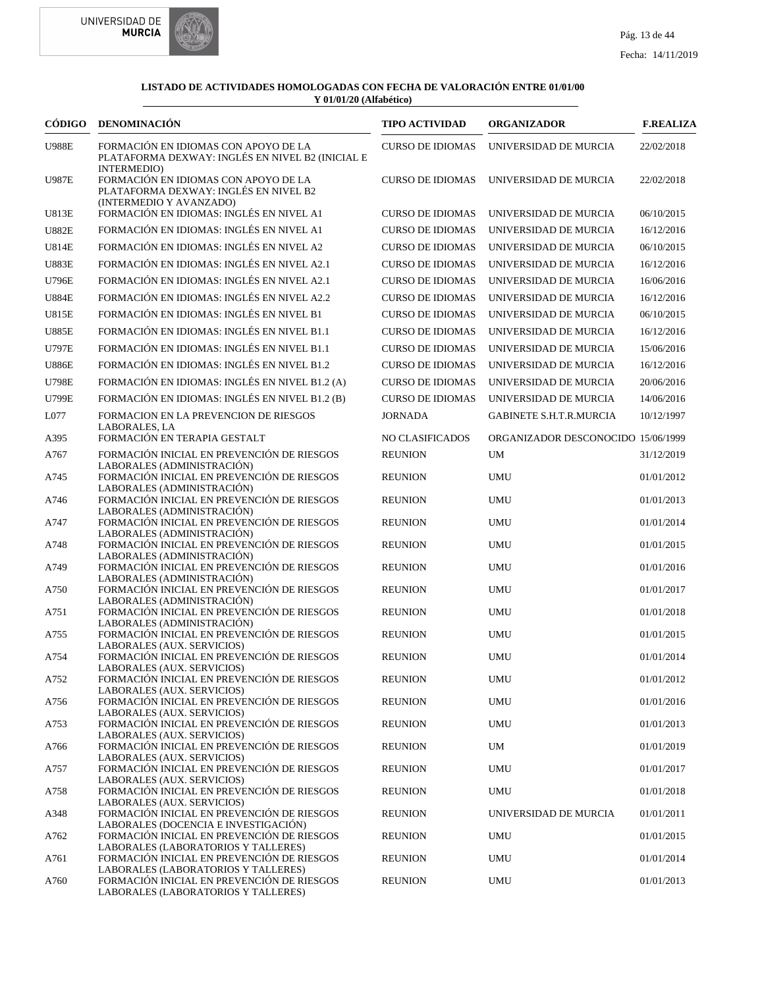



|              | CÓDIGO DENOMINACIÓN                                                                                                     | <b>TIPO ACTIVIDAD</b>   | <b>ORGANIZADOR</b>                 | <b>F.REALIZA</b> |
|--------------|-------------------------------------------------------------------------------------------------------------------------|-------------------------|------------------------------------|------------------|
| <b>U988E</b> | FORMACIÓN EN IDIOMAS CON APOYO DE LA<br>PLATAFORMA DEXWAY: INGLÉS EN NIVEL B2 (INICIAL E                                | <b>CURSO DE IDIOMAS</b> | UNIVERSIDAD DE MURCIA              | 22/02/2018       |
| <b>U987E</b> | INTERMEDIO)<br>FORMACIÓN EN IDIOMAS CON APOYO DE LA<br>PLATAFORMA DEXWAY: INGLÉS EN NIVEL B2<br>(INTERMEDIO Y AVANZADO) | <b>CURSO DE IDIOMAS</b> | UNIVERSIDAD DE MURCIA              | 22/02/2018       |
| U813E        | FORMACIÓN EN IDIOMAS: INGLÉS EN NIVEL A1                                                                                | <b>CURSO DE IDIOMAS</b> | UNIVERSIDAD DE MURCIA              | 06/10/2015       |
| <b>U882E</b> | FORMACIÓN EN IDIOMAS: INGLÉS EN NIVEL A1                                                                                | <b>CURSO DE IDIOMAS</b> | UNIVERSIDAD DE MURCIA              | 16/12/2016       |
| <b>U814E</b> | FORMACIÓN EN IDIOMAS: INGLÉS EN NIVEL A2                                                                                | <b>CURSO DE IDIOMAS</b> | UNIVERSIDAD DE MURCIA              | 06/10/2015       |
| <b>U883E</b> | FORMACIÓN EN IDIOMAS: INGLÉS EN NIVEL A2.1                                                                              | <b>CURSO DE IDIOMAS</b> | UNIVERSIDAD DE MURCIA              | 16/12/2016       |
| <b>U796E</b> | FORMACIÓN EN IDIOMAS: INGLÉS EN NIVEL A2.1                                                                              | <b>CURSO DE IDIOMAS</b> | UNIVERSIDAD DE MURCIA              | 16/06/2016       |
| <b>U884E</b> | FORMACIÓN EN IDIOMAS: INGLÉS EN NIVEL A2.2                                                                              | <b>CURSO DE IDIOMAS</b> | UNIVERSIDAD DE MURCIA              | 16/12/2016       |
| <b>U815E</b> | FORMACIÓN EN IDIOMAS: INGLÉS EN NIVEL B1                                                                                | <b>CURSO DE IDIOMAS</b> | UNIVERSIDAD DE MURCIA              | 06/10/2015       |
| <b>U885E</b> | FORMACIÓN EN IDIOMAS: INGLÉS EN NIVEL B1.1                                                                              | <b>CURSO DE IDIOMAS</b> | UNIVERSIDAD DE MURCIA              | 16/12/2016       |
| <b>U797E</b> | FORMACIÓN EN IDIOMAS: INGLÉS EN NIVEL B1.1                                                                              | <b>CURSO DE IDIOMAS</b> | UNIVERSIDAD DE MURCIA              | 15/06/2016       |
| <b>U886E</b> | FORMACIÓN EN IDIOMAS: INGLÉS EN NIVEL B1.2                                                                              | <b>CURSO DE IDIOMAS</b> | UNIVERSIDAD DE MURCIA              | 16/12/2016       |
| <b>U798E</b> | FORMACIÓN EN IDIOMAS: INGLÉS EN NIVEL B1.2 (A)                                                                          | <b>CURSO DE IDIOMAS</b> | UNIVERSIDAD DE MURCIA              | 20/06/2016       |
| <b>U799E</b> | FORMACIÓN EN IDIOMAS: INGLÉS EN NIVEL B1.2 (B)                                                                          | <b>CURSO DE IDIOMAS</b> | UNIVERSIDAD DE MURCIA              | 14/06/2016       |
| ${\rm L}077$ | FORMACION EN LA PREVENCION DE RIESGOS<br>LABORALES, LA                                                                  | <b>JORNADA</b>          | <b>GABINETE S.H.T.R.MURCIA</b>     | 10/12/1997       |
| A395         | FORMACIÓN EN TERAPIA GESTALT                                                                                            | <b>NO CLASIFICADOS</b>  | ORGANIZADOR DESCONOCIDO 15/06/1999 |                  |
| A767         | FORMACIÓN INICIAL EN PREVENCIÓN DE RIESGOS<br>LABORALES (ADMINISTRACIÓN)                                                | <b>REUNION</b>          | UM                                 | 31/12/2019       |
| A745         | FORMACIÓN INICIAL EN PREVENCIÓN DE RIESGOS<br>LABORALES (ADMINISTRACIÓN)                                                | <b>REUNION</b>          | <b>UMU</b>                         | 01/01/2012       |
| A746         | FORMACIÓN INICIAL EN PREVENCIÓN DE RIESGOS<br>LABORALES (ADMINISTRACIÓN)                                                | <b>REUNION</b>          | <b>UMU</b>                         | 01/01/2013       |
| A747         | FORMACIÓN INICIAL EN PREVENCIÓN DE RIESGOS<br>LABORALES (ADMINISTRACIÓN)                                                | <b>REUNION</b>          | <b>UMU</b>                         | 01/01/2014       |
| A748         | FORMACIÓN INICIAL EN PREVENCIÓN DE RIESGOS<br>LABORALES (ADMINISTRACIÓN)                                                | <b>REUNION</b>          | <b>UMU</b>                         | 01/01/2015       |
| A749         | FORMACIÓN INICIAL EN PREVENCIÓN DE RIESGOS<br>LABORALES (ADMINISTRACIÓN)                                                | <b>REUNION</b>          | <b>UMU</b>                         | 01/01/2016       |
| A750         | FORMACIÓN INICIAL EN PREVENCIÓN DE RIESGOS<br>LABORALES (ADMINISTRACIÓN)                                                | <b>REUNION</b>          | <b>UMU</b>                         | 01/01/2017       |
| A751         | FORMACIÓN INICIAL EN PREVENCIÓN DE RIESGOS<br>LABORALES (ADMINISTRACIÓN)                                                | <b>REUNION</b>          | <b>UMU</b>                         | 01/01/2018       |
| A755         | FORMACIÓN INICIAL EN PREVENCIÓN DE RIESGOS<br>LABORALES (AUX. SERVICIOS)                                                | <b>REUNION</b>          | <b>UMU</b>                         | 01/01/2015       |
| A754         | FORMACIÓN INICIAL EN PREVENCIÓN DE RIESGOS<br>LABORALES (AUX. SERVICIOS)                                                | <b>REUNION</b>          | <b>UMU</b>                         | 01/01/2014       |
| A752         | FORMACIÓN INICIAL EN PREVENCIÓN DE RIESGOS<br>LABORALES (AUX. SERVICIOS)                                                | <b>REUNION</b>          | <b>UMU</b>                         | 01/01/2012       |
| A756         | FORMACIÓN INICIAL EN PREVENCIÓN DE RIESGOS<br>LABORALES (AUX. SERVICIOS)                                                | <b>REUNION</b>          | <b>UMU</b>                         | 01/01/2016       |
| A753         | FORMACIÓN INICIAL EN PREVENCIÓN DE RIESGOS<br>LABORALES (AUX. SERVICIOS)                                                | <b>REUNION</b>          | <b>UMU</b>                         | 01/01/2013       |
| A766         | FORMACIÓN INICIAL EN PREVENCIÓN DE RIESGOS<br>LABORALES (AUX. SERVICIOS)                                                | <b>REUNION</b>          | UM                                 | 01/01/2019       |
| A757         | FORMACIÓN INICIAL EN PREVENCIÓN DE RIESGOS<br>LABORALES (AUX. SERVICIOS)                                                | <b>REUNION</b>          | <b>UMU</b>                         | 01/01/2017       |
| A758         | FORMACIÓN INICIAL EN PREVENCIÓN DE RIESGOS<br>LABORALES (AUX. SERVICIOS)                                                | <b>REUNION</b>          | <b>UMU</b>                         | 01/01/2018       |
| A348         | FORMACIÓN INICIAL EN PREVENCIÓN DE RIESGOS<br>LABORALES (DOCENCIA E INVESTIGACIÓN)                                      | <b>REUNION</b>          | UNIVERSIDAD DE MURCIA              | 01/01/2011       |
| A762         | FORMACIÓN INICIAL EN PREVENCIÓN DE RIESGOS<br>LABORALES (LABORATORIOS Y TALLERES)                                       | <b>REUNION</b>          | <b>UMU</b>                         | 01/01/2015       |
| A761         | FORMACIÓN INICIAL EN PREVENCIÓN DE RIESGOS<br>LABORALES (LABORATORIOS Y TALLERES)                                       | <b>REUNION</b>          | <b>UMU</b>                         | 01/01/2014       |
| A760         | FORMACIÓN INICIAL EN PREVENCIÓN DE RIESGOS<br>LABORALES (LABORATORIOS Y TALLERES)                                       | <b>REUNION</b>          | <b>UMU</b>                         | 01/01/2013       |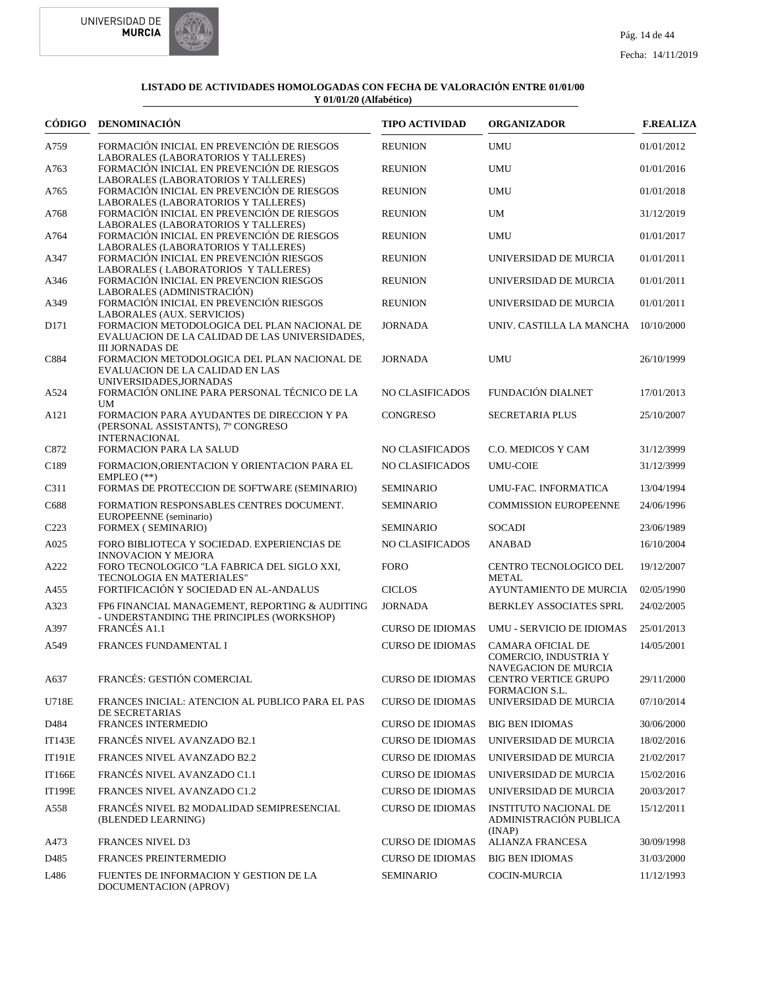



| CÓDIGO           | DENOMINACIÓN                                                                                                                               | <b>TIPO ACTIVIDAD</b>   | <b>ORGANIZADOR</b>                                                        | <b>F.REALIZA</b> |
|------------------|--------------------------------------------------------------------------------------------------------------------------------------------|-------------------------|---------------------------------------------------------------------------|------------------|
| A759             | FORMACIÓN INICIAL EN PREVENCIÓN DE RIESGOS<br>LABORALES (LABORATORIOS Y TALLERES)                                                          | <b>REUNION</b>          | <b>UMU</b>                                                                | 01/01/2012       |
| A763             | FORMACIÓN INICIAL EN PREVENCIÓN DE RIESGOS                                                                                                 | <b>REUNION</b>          | <b>UMU</b>                                                                | 01/01/2016       |
| A765             | LABORALES (LABORATORIOS Y TALLERES)<br>FORMACIÓN INICIAL EN PREVENCIÓN DE RIESGOS<br>LABORALES (LABORATORIOS Y TALLERES)                   | <b>REUNION</b>          | <b>UMU</b>                                                                | 01/01/2018       |
| A768             | FORMACIÓN INICIAL EN PREVENCIÓN DE RIESGOS                                                                                                 | <b>REUNION</b>          | UM                                                                        | 31/12/2019       |
| A764             | LABORALES (LABORATORIOS Y TALLERES)<br>FORMACIÓN INICIAL EN PREVENCIÓN DE RIESGOS                                                          | <b>REUNION</b>          | <b>UMU</b>                                                                | 01/01/2017       |
| A347             | LABORALES (LABORATORIOS Y TALLERES)<br>FORMACIÓN INICIAL EN PREVENCIÓN RIESGOS<br>LABORALES (LABORATORIOS Y TALLERES)                      | <b>REUNION</b>          | UNIVERSIDAD DE MURCIA                                                     | 01/01/2011       |
| A346             | FORMACIÓN INICIAL EN PREVENCION RIESGOS<br>LABORALES (ADMINISTRACIÓN)                                                                      | <b>REUNION</b>          | UNIVERSIDAD DE MURCIA                                                     | 01/01/2011       |
| A349             | FORMACIÓN INICIAL EN PREVENCIÓN RIESGOS                                                                                                    | <b>REUNION</b>          | UNIVERSIDAD DE MURCIA                                                     | 01/01/2011       |
| D <sub>171</sub> | LABORALES (AUX. SERVICIOS)<br>FORMACION METODOLOGICA DEL PLAN NACIONAL DE<br>EVALUACION DE LA CALIDAD DE LAS UNIVERSIDADES,                | <b>JORNADA</b>          | UNIV. CASTILLA LA MANCHA                                                  | 10/10/2000       |
| C884             | <b>III JORNADAS DE</b><br>FORMACION METODOLOGICA DEL PLAN NACIONAL DE<br><b>EVALUACION DE LA CALIDAD EN LAS</b><br>UNIVERSIDADES, JORNADAS | <b>JORNADA</b>          | <b>UMU</b>                                                                | 26/10/1999       |
| A524             | FORMACIÓN ONLINE PARA PERSONAL TÉCNICO DE LA<br><b>UM</b>                                                                                  | NO CLASIFICADOS         | FUNDACIÓN DIALNET                                                         | 17/01/2013       |
| A121             | FORMACION PARA AYUDANTES DE DIRECCION Y PA<br>(PERSONAL ASSISTANTS), 7° CONGRESO<br><b>INTERNACIONAL</b>                                   | <b>CONGRESO</b>         | <b>SECRETARIA PLUS</b>                                                    | 25/10/2007       |
| C872             | FORMACION PARA LA SALUD                                                                                                                    | NO CLASIFICADOS         | C.O. MEDICOS Y CAM                                                        | 31/12/3999       |
| C189             | FORMACION, ORIENTACION Y ORIENTACION PARA EL                                                                                               | <b>NO CLASIFICADOS</b>  | <b>UMU-COIE</b>                                                           | 31/12/3999       |
| C311             | EMPLEO $(**)$<br>FORMAS DE PROTECCION DE SOFTWARE (SEMINARIO)                                                                              | <b>SEMINARIO</b>        | UMU-FAC. INFORMATICA                                                      | 13/04/1994       |
| C688             | FORMATION RESPONSABLES CENTRES DOCUMENT.                                                                                                   | <b>SEMINARIO</b>        | <b>COMMISSION EUROPEENNE</b>                                              | 24/06/1996       |
| C <sub>223</sub> | EUROPEENNE (seminario)<br>FORMEX (SEMINARIO)                                                                                               | <b>SEMINARIO</b>        | <b>SOCADI</b>                                                             | 23/06/1989       |
| A025             | FORO BIBLIOTECA Y SOCIEDAD. EXPERIENCIAS DE                                                                                                | NO CLASIFICADOS         | <b>ANABAD</b>                                                             | 16/10/2004       |
| A222             | <b>INNOVACION Y MEJORA</b><br>FORO TECNOLOGICO "LA FABRICA DEL SIGLO XXI,<br>TECNOLOGIA EN MATERIALES"                                     | <b>FORO</b>             | <b>CENTRO TECNOLOGICO DEL</b><br><b>METAL</b>                             | 19/12/2007       |
| A455             | FORTIFICACIÓN Y SOCIEDAD EN AL-ANDALUS                                                                                                     | <b>CICLOS</b>           | AYUNTAMIENTO DE MURCIA                                                    | 02/05/1990       |
| A323             | FP6 FINANCIAL MANAGEMENT, REPORTING & AUDITING<br>- UNDERSTANDING THE PRINCIPLES (WORKSHOP)                                                | <b>JORNADA</b>          | BERKLEY ASSOCIATES SPRL                                                   | 24/02/2005       |
| A397             | FRANCÉS A1.1                                                                                                                               | <b>CURSO DE IDIOMAS</b> | UMU - SERVICIO DE IDIOMAS                                                 | 25/01/2013       |
| A549             | FRANCES FUNDAMENTAL I                                                                                                                      | <b>CURSO DE IDIOMAS</b> | CAMARA OFICIAL DE<br>COMERCIO, INDUSTRIA Y<br><b>NAVEGACION DE MURCIA</b> | 14/05/2001       |
| A637             | <b>FRANCES: GESTION COMERCIAL</b>                                                                                                          | <b>CURSO DE IDIOMAS</b> | <b>CENTRO VERTICE GRUPO</b><br>FORMACION S.L.                             | 29/11/2000       |
| U718E            | FRANCES INICIAL: ATENCION AL PUBLICO PARA EL PAS<br>DE SECRETARIAS                                                                         | <b>CURSO DE IDIOMAS</b> | UNIVERSIDAD DE MURCIA                                                     | 07/10/2014       |
| D484             | FRANCES INTERMEDIO                                                                                                                         | <b>CURSO DE IDIOMAS</b> | <b>BIG BEN IDIOMAS</b>                                                    | 30/06/2000       |
| <b>IT143E</b>    | FRANCÉS NIVEL AVANZADO B2.1                                                                                                                | <b>CURSO DE IDIOMAS</b> | UNIVERSIDAD DE MURCIA                                                     | 18/02/2016       |
| <b>IT191E</b>    | FRANCES NIVEL AVANZADO B2.2                                                                                                                | <b>CURSO DE IDIOMAS</b> | UNIVERSIDAD DE MURCIA                                                     | 21/02/2017       |
| IT166E           | FRANCÉS NIVEL AVANZADO C1.1                                                                                                                | <b>CURSO DE IDIOMAS</b> | UNIVERSIDAD DE MURCIA                                                     | 15/02/2016       |
| <b>IT199E</b>    | FRANCES NIVEL AVANZADO C1.2                                                                                                                | <b>CURSO DE IDIOMAS</b> | UNIVERSIDAD DE MURCIA                                                     | 20/03/2017       |
| A558             | FRANCÉS NIVEL B2 MODALIDAD SEMIPRESENCIAL<br>(BLENDED LEARNING)                                                                            | <b>CURSO DE IDIOMAS</b> | <b>INSTITUTO NACIONAL DE</b><br>ADMINISTRACIÓN PUBLICA<br>(INAP)          | 15/12/2011       |
| A473             | FRANCES NIVEL D3                                                                                                                           | <b>CURSO DE IDIOMAS</b> | ALIANZA FRANCESA                                                          | 30/09/1998       |
| D485             | FRANCES PREINTERMEDIO                                                                                                                      | <b>CURSO DE IDIOMAS</b> | <b>BIG BEN IDIOMAS</b>                                                    | 31/03/2000       |
| L486             | FUENTES DE INFORMACION Y GESTION DE LA<br>DOCUMENTACION (APROV)                                                                            | <b>SEMINARIO</b>        | COCIN-MURCIA                                                              | 11/12/1993       |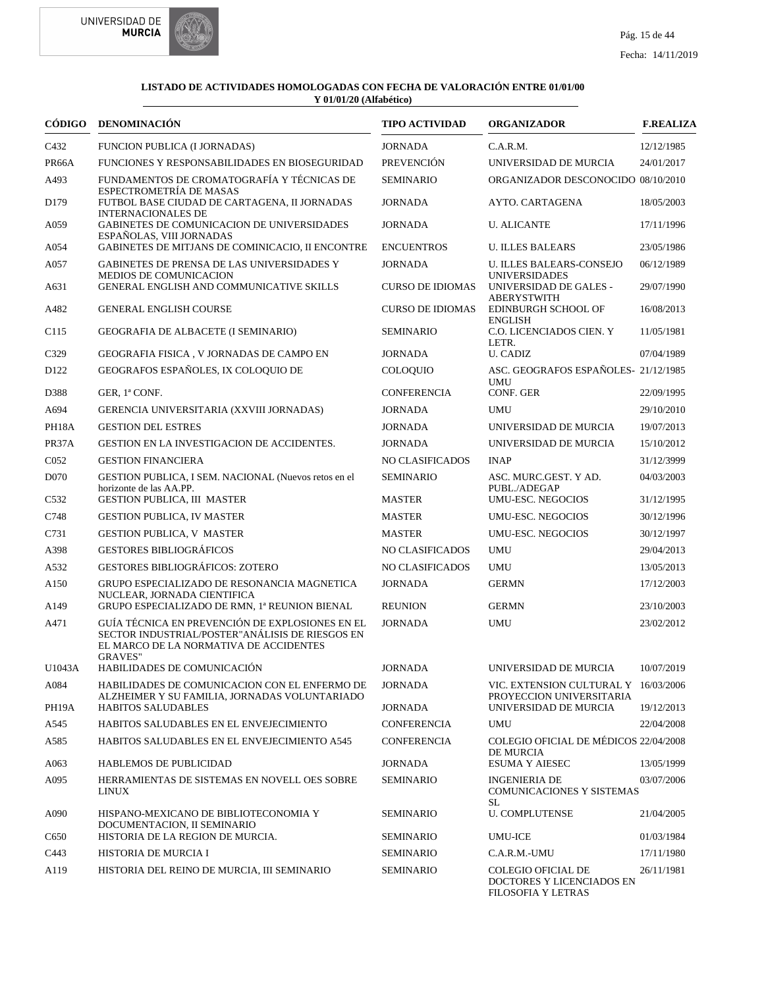



|                  | CÓDIGO DENOMINACIÓN                                                                                                                                             | <b>TIPO ACTIVIDAD</b>   | <b>ORGANIZADOR</b>                                                    | <b>F.REALIZA</b> |
|------------------|-----------------------------------------------------------------------------------------------------------------------------------------------------------------|-------------------------|-----------------------------------------------------------------------|------------------|
| C432             | FUNCION PUBLICA (I JORNADAS)                                                                                                                                    | <b>JORNADA</b>          | C.A.R.M.                                                              | 12/12/1985       |
| PR66A            | FUNCIONES Y RESPONSABILIDADES EN BIOSEGURIDAD                                                                                                                   | <b>PREVENCIÓN</b>       | UNIVERSIDAD DE MURCIA                                                 | 24/01/2017       |
| A493             | FUNDAMENTOS DE CROMATOGRAFÍA Y TÉCNICAS DE<br>ESPECTROMETRÍA DE MASAS                                                                                           | <b>SEMINARIO</b>        | ORGANIZADOR DESCONOCIDO 08/10/2010                                    |                  |
| D <sub>179</sub> | FUTBOL BASE CIUDAD DE CARTAGENA, II JORNADAS<br><b>INTERNACIONALES DE</b>                                                                                       | <b>JORNADA</b>          | AYTO. CARTAGENA                                                       | 18/05/2003       |
| A059             | GABINETES DE COMUNICACION DE UNIVERSIDADES<br>ESPAÑOLAS, VIII JORNADAS                                                                                          | <b>JORNADA</b>          | <b>U. ALICANTE</b>                                                    | 17/11/1996       |
| A054             | GABINETES DE MITJANS DE COMINICACIO, II ENCONTRE                                                                                                                | <b>ENCUENTROS</b>       | <b>U. ILLES BALEARS</b>                                               | 23/05/1986       |
| A057             | GABINETES DE PRENSA DE LAS UNIVERSIDADES Y<br>MEDIOS DE COMUNICACION                                                                                            | <b>JORNADA</b>          | <b>U. ILLES BALEARS-CONSEJO</b><br><b>UNIVERSIDADES</b>               | 06/12/1989       |
| A631             | GENERAL ENGLISH AND COMMUNICATIVE SKILLS                                                                                                                        | <b>CURSO DE IDIOMAS</b> | UNIVERSIDAD DE GALES -<br><b>ABERYSTWITH</b>                          | 29/07/1990       |
| A482             | <b>GENERAL ENGLISH COURSE</b>                                                                                                                                   | <b>CURSO DE IDIOMAS</b> | EDINBURGH SCHOOL OF<br><b>ENGLISH</b>                                 | 16/08/2013       |
| C <sub>115</sub> | GEOGRAFIA DE ALBACETE (I SEMINARIO)                                                                                                                             | <b>SEMINARIO</b>        | C.O. LICENCIADOS CIEN. Y<br>LETR.                                     | 11/05/1981       |
| C329             | GEOGRAFIA FISICA, V JORNADAS DE CAMPO EN                                                                                                                        | <b>JORNADA</b>          | <b>U. CADIZ</b>                                                       | 07/04/1989       |
| D <sub>122</sub> | GEOGRAFOS ESPAÑOLES, IX COLOQUIO DE                                                                                                                             | COLOQUIO                | ASC. GEOGRAFOS ESPAÑOLES-21/12/1985<br><b>UMU</b>                     |                  |
| D388             | GER, 1ª CONF.                                                                                                                                                   | <b>CONFERENCIA</b>      | CONF. GER                                                             | 22/09/1995       |
| A694             | GERENCIA UNIVERSITARIA (XXVIII JORNADAS)                                                                                                                        | <b>JORNADA</b>          | UMU                                                                   | 29/10/2010       |
| PH18A            | <b>GESTION DEL ESTRES</b>                                                                                                                                       | <b>JORNADA</b>          | UNIVERSIDAD DE MURCIA                                                 | 19/07/2013       |
| PR37A            | GESTION EN LA INVESTIGACION DE ACCIDENTES.                                                                                                                      | <b>JORNADA</b>          | UNIVERSIDAD DE MURCIA                                                 | 15/10/2012       |
| C <sub>052</sub> | <b>GESTION FINANCIERA</b>                                                                                                                                       | <b>NO CLASIFICADOS</b>  | <b>INAP</b>                                                           | 31/12/3999       |
| D <sub>070</sub> | GESTION PUBLICA, I SEM. NACIONAL (Nuevos retos en el<br>horizonte de las AA.PP.                                                                                 | <b>SEMINARIO</b>        | ASC. MURC.GEST. Y AD.<br>PUBL./ADEGAP                                 | 04/03/2003       |
| C <sub>532</sub> | GESTION PUBLICA, III MASTER                                                                                                                                     | <b>MASTER</b>           | <b>UMU-ESC. NEGOCIOS</b>                                              | 31/12/1995       |
| C748             | <b>GESTION PUBLICA, IV MASTER</b>                                                                                                                               | <b>MASTER</b>           | UMU-ESC. NEGOCIOS                                                     | 30/12/1996       |
| C731             | <b>GESTION PUBLICA, V MASTER</b>                                                                                                                                | <b>MASTER</b>           | <b>UMU-ESC. NEGOCIOS</b>                                              | 30/12/1997       |
| A398             | <b>GESTORES BIBLIOGRÁFICOS</b>                                                                                                                                  | NO CLASIFICADOS         | <b>UMU</b>                                                            | 29/04/2013       |
| A532             | <b>GESTORES BIBLIOGRÁFICOS: ZOTERO</b>                                                                                                                          | <b>NO CLASIFICADOS</b>  | <b>UMU</b>                                                            | 13/05/2013       |
| A150             | GRUPO ESPECIALIZADO DE RESONANCIA MAGNETICA<br>NUCLEAR, JORNADA CIENTIFICA                                                                                      | <b>JORNADA</b>          | <b>GERMN</b>                                                          | 17/12/2003       |
| A <sub>149</sub> | GRUPO ESPECIALIZADO DE RMN, 1ª REUNION BIENAL                                                                                                                   | <b>REUNION</b>          | <b>GERMN</b>                                                          | 23/10/2003       |
| A471             | GUÍA TÉCNICA EN PREVENCIÓN DE EXPLOSIONES EN EL<br>SECTOR INDUSTRIAL/POSTER" ANÁLISIS DE RIESGOS EN<br>EL MARCO DE LA NORMATIVA DE ACCIDENTES<br><b>GRAVES"</b> | <b>JORNADA</b>          | <b>UMU</b>                                                            | 23/02/2012       |
| U1043A           | HABILIDADES DE COMUNICACIÓN                                                                                                                                     | <b>JORNADA</b>          | UNIVERSIDAD DE MURCIA                                                 | 10/07/2019       |
| A084             | HABILIDADES DE COMUNICACION CON EL ENFERMO DE<br>ALZHEIMER Y SU FAMILIA, JORNADAS VOLUNTARIADO                                                                  | <b>JORNADA</b>          | VIC. EXTENSION CULTURAL Y 16/03/2006<br>PROYECCION UNIVERSITARIA      |                  |
| PH19A            | <b>HABITOS SALUDABLES</b>                                                                                                                                       | <b>JORNADA</b>          | UNIVERSIDAD DE MURCIA                                                 | 19/12/2013       |
| A545             | HABITOS SALUDABLES EN EL ENVEJECIMIENTO                                                                                                                         | <b>CONFERENCIA</b>      | UMU                                                                   | 22/04/2008       |
| A585             | HABITOS SALUDABLES EN EL ENVEJECIMIENTO A545                                                                                                                    | <b>CONFERENCIA</b>      | COLEGIO OFICIAL DE MÉDICOS 22/04/2008<br>DE MURCIA                    |                  |
| A063             | HABLEMOS DE PUBLICIDAD                                                                                                                                          | <b>JORNADA</b>          | <b>ESUMA Y AIESEC</b>                                                 | 13/05/1999       |
| A095             | HERRAMIENTAS DE SISTEMAS EN NOVELL OES SOBRE<br><b>LINUX</b>                                                                                                    | <b>SEMINARIO</b>        | <b>INGENIERIA DE</b><br><b>COMUNICACIONES Y SISTEMAS</b>              | 03/07/2006       |
| A090             | HISPANO-MEXICANO DE BIBLIOTECONOMIA Y<br>DOCUMENTACION, II SEMINARIO                                                                                            | SEMINARIO               | <b>SL</b><br><b>U. COMPLUTENSE</b>                                    | 21/04/2005       |
| C650             | HISTORIA DE LA REGION DE MURCIA.                                                                                                                                | SEMINARIO               | <b>UMU-ICE</b>                                                        | 01/03/1984       |
| C443             | HISTORIA DE MURCIA I                                                                                                                                            | <b>SEMINARIO</b>        | C.A.R.M.-UMU                                                          | 17/11/1980       |
| A119             | HISTORIA DEL REINO DE MURCIA, III SEMINARIO                                                                                                                     | <b>SEMINARIO</b>        | COLEGIO OFICIAL DE<br>DOCTORES Y LICENCIADOS EN<br>FILOSOFIA Y LETRAS | 26/11/1981       |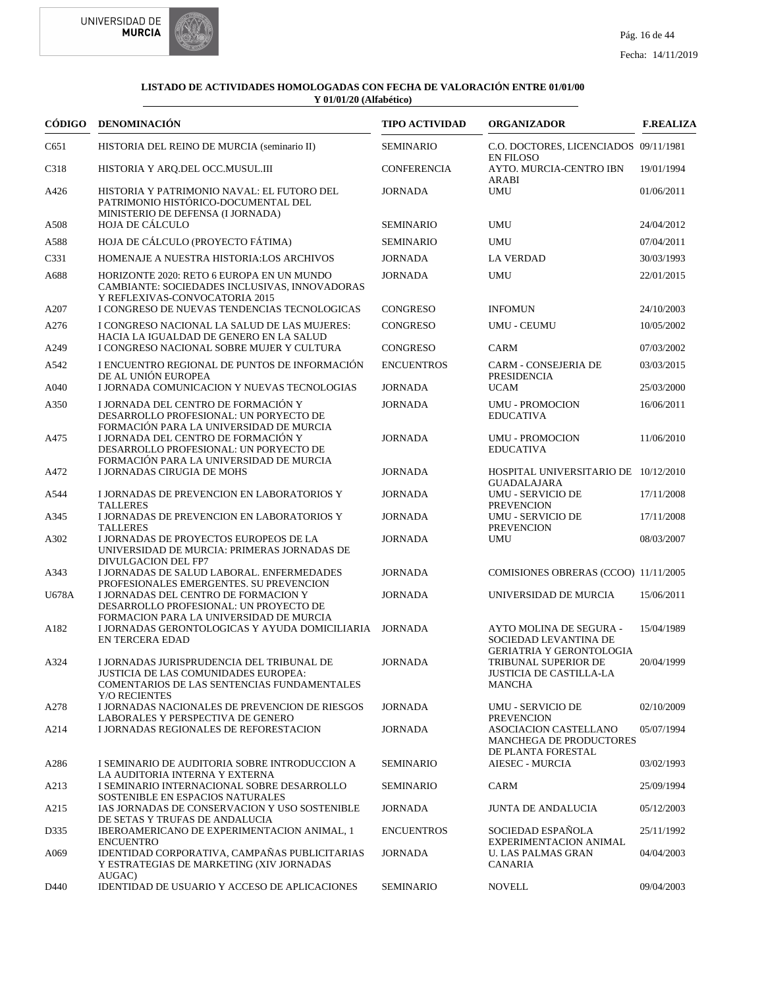



|              | CÓDIGO DENOMINACIÓN                                                                                                                               | <b>TIPO ACTIVIDAD</b>               | <b>ORGANIZADOR</b>                                                                  | <b>F.REALIZA</b>         |
|--------------|---------------------------------------------------------------------------------------------------------------------------------------------------|-------------------------------------|-------------------------------------------------------------------------------------|--------------------------|
| C651         | HISTORIA DEL REINO DE MURCIA (seminario II)                                                                                                       | <b>SEMINARIO</b>                    | C.O. DOCTORES, LICENCIADOS 09/11/1981<br><b>EN FILOSO</b>                           |                          |
| C318         | HISTORIA Y ARQ.DEL OCC.MUSUL.III                                                                                                                  | <b>CONFERENCIA</b>                  | AYTO. MURCIA-CENTRO IBN                                                             | 19/01/1994               |
| A426         | HISTORIA Y PATRIMONIO NAVAL: EL FUTORO DEL<br>PATRIMONIO HISTÓRICO-DOCUMENTAL DEL<br>MINISTERIO DE DEFENSA (I JORNADA)                            | <b>JORNADA</b>                      | ARABI<br><b>UMU</b>                                                                 | 01/06/2011               |
| A508         | HOJA DE CÁLCULO                                                                                                                                   | <b>SEMINARIO</b>                    | <b>UMU</b>                                                                          | 24/04/2012               |
| A588         | HOJA DE CÁLCULO (PROYECTO FÁTIMA)                                                                                                                 | <b>SEMINARIO</b>                    | <b>UMU</b>                                                                          | 07/04/2011               |
| C331         | HOMENAJE A NUESTRA HISTORIA:LOS ARCHIVOS                                                                                                          | <b>JORNADA</b>                      | <b>LA VERDAD</b>                                                                    | 30/03/1993               |
| A688         | HORIZONTE 2020: RETO 6 EUROPA EN UN MUNDO<br>CAMBIANTE: SOCIEDADES INCLUSIVAS, INNOVADORAS<br>Y REFLEXIVAS-CONVOCATORIA 2015                      | <b>JORNADA</b>                      | <b>UMU</b>                                                                          | 22/01/2015               |
| A207         | I CONGRESO DE NUEVAS TENDENCIAS TECNOLOGICAS                                                                                                      | CONGRESO                            | <b>INFOMUN</b>                                                                      | 24/10/2003               |
| A276         | I CONGRESO NACIONAL LA SALUD DE LAS MUJERES:<br>HACIA LA IGUALDAD DE GENERO EN LA SALUD                                                           | <b>CONGRESO</b>                     | <b>UMU - CEUMU</b>                                                                  | 10/05/2002               |
| A249         | I CONGRESO NACIONAL SOBRE MUJER Y CULTURA                                                                                                         | <b>CONGRESO</b>                     | CARM                                                                                | 07/03/2002               |
| A542<br>A040 | I ENCUENTRO REGIONAL DE PUNTOS DE INFORMACIÓN<br>DE AL UNIÓN EUROPEA<br>I JORNADA COMUNICACION Y NUEVAS TECNOLOGIAS                               | <b>ENCUENTROS</b><br><b>JORNADA</b> | <b>CARM - CONSEJERIA DE</b><br><b>PRESIDENCIA</b><br><b>UCAM</b>                    | 03/03/2015<br>25/03/2000 |
|              | I JORNADA DEL CENTRO DE FORMACIÓN Y                                                                                                               | <b>JORNADA</b>                      |                                                                                     |                          |
| A350         | DESARROLLO PROFESIONAL: UN PORYECTO DE<br>FORMACIÓN PARA LA UNIVERSIDAD DE MURCIA                                                                 |                                     | <b>UMU - PROMOCION</b><br><b>EDUCATIVA</b>                                          | 16/06/2011               |
| A475         | I JORNADA DEL CENTRO DE FORMACIÓN Y<br>DESARROLLO PROFESIONAL: UN PORYECTO DE<br>FORMACIÓN PARA LA UNIVERSIDAD DE MURCIA                          | <b>JORNADA</b>                      | <b>UMU - PROMOCION</b><br><b>EDUCATIVA</b>                                          | 11/06/2010               |
| A472         | <b>I JORNADAS CIRUGIA DE MOHS</b>                                                                                                                 | <b>JORNADA</b>                      | HOSPITAL UNIVERSITARIO DE 10/12/2010<br><b>GUADALAJARA</b>                          |                          |
| A544         | I JORNADAS DE PREVENCION EN LABORATORIOS Y<br><b>TALLERES</b>                                                                                     | <b>JORNADA</b>                      | <b>UMU - SERVICIO DE</b><br><b>PREVENCION</b>                                       | 17/11/2008               |
| A345         | I JORNADAS DE PREVENCION EN LABORATORIOS Y<br><b>TALLERES</b>                                                                                     | <b>JORNADA</b>                      | <b>UMU - SERVICIO DE</b><br><b>PREVENCION</b>                                       | 17/11/2008               |
| A302         | I JORNADAS DE PROYECTOS EUROPEOS DE LA<br>UNIVERSIDAD DE MURCIA: PRIMERAS JORNADAS DE<br>DIVULGACION DEL FP7                                      | <b>JORNADA</b>                      | <b>UMU</b>                                                                          | 08/03/2007               |
| A343         | I JORNADAS DE SALUD LABORAL. ENFERMEDADES<br>PROFESIONALES EMERGENTES. SU PREVENCION                                                              | <b>JORNADA</b>                      | COMISIONES OBRERAS (CCOO) 11/11/2005                                                |                          |
| U678A        | I JORNADAS DEL CENTRO DE FORMACION Y<br>DESARROLLO PROFESIONAL: UN PROYECTO DE<br>FORMACION PARA LA UNIVERSIDAD DE MURCIA                         | <b>JORNADA</b>                      | UNIVERSIDAD DE MURCIA                                                               | 15/06/2011               |
| A182         | I JORNADAS GERONTOLOGICAS Y AYUDA DOMICILIARIA<br><b>EN TERCERA EDAD</b>                                                                          | <b>JORNADA</b>                      | AYTO MOLINA DE SEGURA -<br>SOCIEDAD LEVANTINA DE<br><b>GERIATRIA Y GERONTOLOGIA</b> | 15/04/1989               |
| A324         | I JORNADAS JURISPRUDENCIA DEL TRIBUNAL DE<br>JUSTICIA DE LAS COMUNIDADES EUROPEA:<br>COMENTARIOS DE LAS SENTENCIAS FUNDAMENTALES<br>Y/O RECIENTES | <b>JORNADA</b>                      | TRIBUNAL SUPERIOR DE<br>JUSTICIA DE CASTILLA-LA<br><b>MANCHA</b>                    | 20/04/1999               |
| A278         | I JORNADAS NACIONALES DE PREVENCION DE RIESGOS<br>LABORALES Y PERSPECTIVA DE GENERO                                                               | <b>JORNADA</b>                      | <b>UMU - SERVICIO DE</b><br><b>PREVENCION</b>                                       | 02/10/2009               |
| A214         | I JORNADAS REGIONALES DE REFORESTACION                                                                                                            | <b>JORNADA</b>                      | ASOCIACION CASTELLANO<br>MANCHEGA DE PRODUCTORES<br>DE PLANTA FORESTAL              | 05/07/1994               |
| A286         | I SEMINARIO DE AUDITORIA SOBRE INTRODUCCION A<br>LA AUDITORIA INTERNA Y EXTERNA                                                                   | <b>SEMINARIO</b>                    | <b>AIESEC - MURCIA</b>                                                              | 03/02/1993               |
| A213         | I SEMINARIO INTERNACIONAL SOBRE DESARROLLO<br>SOSTENIBLE EN ESPACIOS NATURALES                                                                    | <b>SEMINARIO</b>                    | <b>CARM</b>                                                                         | 25/09/1994               |
| A215         | IAS JORNADAS DE CONSERVACION Y USO SOSTENIBLE<br>DE SETAS Y TRUFAS DE ANDALUCIA                                                                   | <b>JORNADA</b>                      | <b>JUNTA DE ANDALUCIA</b>                                                           | 05/12/2003               |
| D335         | IBEROAMERICANO DE EXPERIMENTACION ANIMAL, 1<br><b>ENCUENTRO</b>                                                                                   | <b>ENCUENTROS</b>                   | SOCIEDAD ESPAÑOLA<br>EXPERIMENTACION ANIMAL                                         | 25/11/1992               |
| A069         | IDENTIDAD CORPORATIVA, CAMPAÑAS PUBLICITARIAS<br>Y ESTRATEGIAS DE MARKETING (XIV JORNADAS<br>AUGAC)                                               | <b>JORNADA</b>                      | <b>U. LAS PALMAS GRAN</b><br>CANARIA                                                | 04/04/2003               |
| D440         | IDENTIDAD DE USUARIO Y ACCESO DE APLICACIONES                                                                                                     | <b>SEMINARIO</b>                    | <b>NOVELL</b>                                                                       | 09/04/2003               |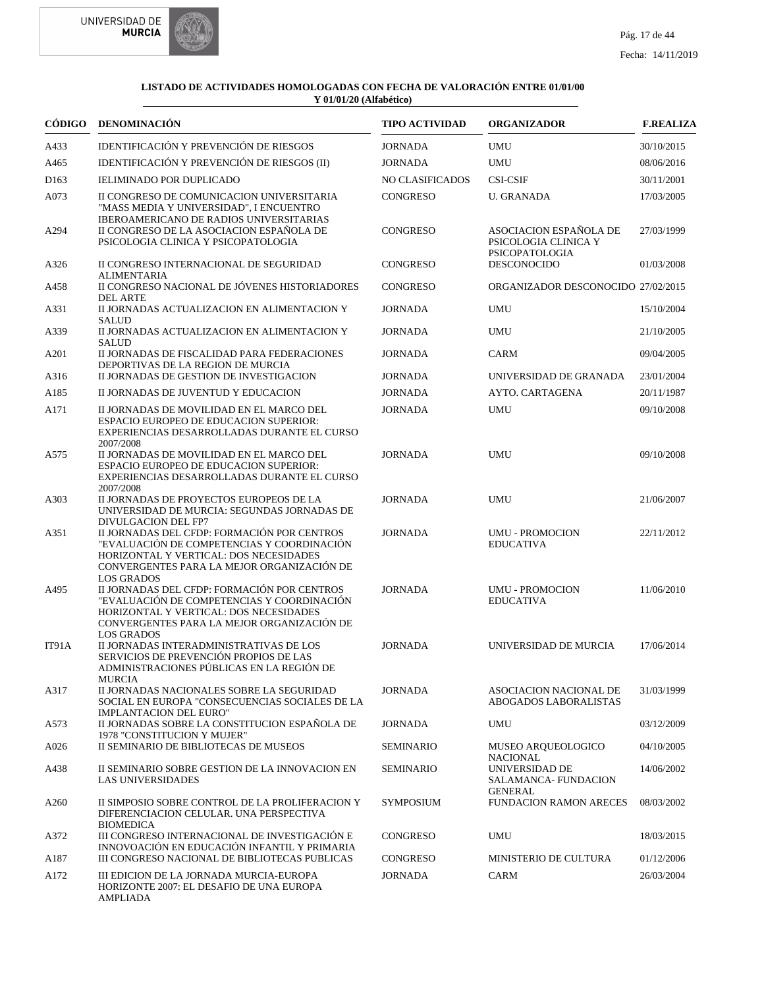



|                  | CÓDIGO DENOMINACIÓN                                                                                                                                                                                      | <b>TIPO ACTIVIDAD</b>  | <b>ORGANIZADOR</b>                                              | <b>F.REALIZA</b> |
|------------------|----------------------------------------------------------------------------------------------------------------------------------------------------------------------------------------------------------|------------------------|-----------------------------------------------------------------|------------------|
| A433             | IDENTIFICACIÓN Y PREVENCIÓN DE RIESGOS                                                                                                                                                                   | <b>JORNADA</b>         | <b>UMU</b>                                                      | 30/10/2015       |
| A465             | IDENTIFICACIÓN Y PREVENCIÓN DE RIESGOS (II)                                                                                                                                                              | <b>JORNADA</b>         | <b>UMU</b>                                                      | 08/06/2016       |
| D <sub>163</sub> | <b>IELIMINADO POR DUPLICADO</b>                                                                                                                                                                          | <b>NO CLASIFICADOS</b> | <b>CSI-CSIF</b>                                                 | 30/11/2001       |
| A073             | II CONGRESO DE COMUNICACION UNIVERSITARIA<br>"MASS MEDIA Y UNIVERSIDAD", I ENCUENTRO                                                                                                                     | <b>CONGRESO</b>        | <b>U. GRANADA</b>                                               | 17/03/2005       |
| A294             | IBEROAMERICANO DE RADIOS UNIVERSITARIAS<br>II CONGRESO DE LA ASOCIACION ESPAÑOLA DE<br>PSICOLOGIA CLINICA Y PSICOPATOLOGIA                                                                               | <b>CONGRESO</b>        | ASOCIACION ESPAÑOLA DE<br>PSICOLOGIA CLINICA Y                  | 27/03/1999       |
| A326             | II CONGRESO INTERNACIONAL DE SEGURIDAD<br><b>ALIMENTARIA</b>                                                                                                                                             | <b>CONGRESO</b>        | PSICOPATOLOGIA<br><b>DESCONOCIDO</b>                            | 01/03/2008       |
| A458             | II CONGRESO NACIONAL DE JÓVENES HISTORIADORES<br><b>DEL ARTE</b>                                                                                                                                         | <b>CONGRESO</b>        | ORGANIZADOR DESCONOCIDO 27/02/2015                              |                  |
| A331             | II JORNADAS ACTUALIZACION EN ALIMENTACION Y<br><b>SALUD</b>                                                                                                                                              | <b>JORNADA</b>         | <b>UMU</b>                                                      | 15/10/2004       |
| A339             | II JORNADAS ACTUALIZACION EN ALIMENTACION Y<br><b>SALUD</b>                                                                                                                                              | <b>JORNADA</b>         | UMU                                                             | 21/10/2005       |
| A201             | II JORNADAS DE FISCALIDAD PARA FEDERACIONES<br>DEPORTIVAS DE LA REGION DE MURCIA                                                                                                                         | <b>JORNADA</b>         | <b>CARM</b>                                                     | 09/04/2005       |
| A316             | II JORNADAS DE GESTION DE INVESTIGACION                                                                                                                                                                  | <b>JORNADA</b>         | UNIVERSIDAD DE GRANADA                                          | 23/01/2004       |
| A185             | II JORNADAS DE JUVENTUD Y EDUCACION                                                                                                                                                                      | <b>JORNADA</b>         | AYTO. CARTAGENA                                                 | 20/11/1987       |
| A171             | II JORNADAS DE MOVILIDAD EN EL MARCO DEL<br><b>ESPACIO EUROPEO DE EDUCACION SUPERIOR:</b><br>EXPERIENCIAS DESARROLLADAS DURANTE EL CURSO<br>2007/2008                                                    | <b>JORNADA</b>         | <b>UMU</b>                                                      | 09/10/2008       |
| A575             | II JORNADAS DE MOVILIDAD EN EL MARCO DEL<br><b>ESPACIO EUROPEO DE EDUCACION SUPERIOR:</b><br>EXPERIENCIAS DESARROLLADAS DURANTE EL CURSO<br>2007/2008                                                    | <b>JORNADA</b>         | <b>UMU</b>                                                      | 09/10/2008       |
| A303             | II JORNADAS DE PROYECTOS EUROPEOS DE LA<br>UNIVERSIDAD DE MURCIA: SEGUNDAS JORNADAS DE                                                                                                                   | <b>JORNADA</b>         | <b>UMU</b>                                                      | 21/06/2007       |
| A351             | DIVULGACION DEL FP7<br>II JORNADAS DEL CFDP: FORMACIÓN POR CENTROS<br>"EVALUACIÓN DE COMPETENCIAS Y COORDINACIÓN<br>HORIZONTAL Y VERTICAL: DOS NECESIDADES<br>CONVERGENTES PARA LA MEJOR ORGANIZACIÓN DE | <b>JORNADA</b>         | <b>UMU - PROMOCION</b><br><b>EDUCATIVA</b>                      | 22/11/2012       |
| A495             | <b>LOS GRADOS</b><br>II JORNADAS DEL CFDP: FORMACIÓN POR CENTROS<br>"EVALUACIÓN DE COMPETENCIAS Y COORDINACIÓN<br>HORIZONTAL Y VERTICAL: DOS NECESIDADES<br>CONVERGENTES PARA LA MEJOR ORGANIZACIÓN DE   | <b>JORNADA</b>         | <b>UMU - PROMOCION</b><br><b>EDUCATIVA</b>                      | 11/06/2010       |
| IT91A            | <b>LOS GRADOS</b><br>II JORNADAS INTERADMINISTRATIVAS DE LOS<br>SERVICIOS DE PREVENCIÓN PROPIOS DE LAS<br>ADMINISTRACIONES PÚBLICAS EN LA REGIÓN DE<br><b>MURCIA</b>                                     | <b>JORNADA</b>         | UNIVERSIDAD DE MURCIA                                           | 17/06/2014       |
| A317             | II JORNADAS NACIONALES SOBRE LA SEGURIDAD<br>SOCIAL EN EUROPA "CONSECUENCIAS SOCIALES DE LA<br><b>IMPLANTACION DEL EURO"</b>                                                                             | <b>JORNADA</b>         | ASOCIACION NACIONAL DE<br>ABOGADOS LABORALISTAS                 | 31/03/1999       |
| A573             | II JORNADAS SOBRE LA CONSTITUCION ESPAÑOLA DE<br>1978 "CONSTITUCION Y MUJER"                                                                                                                             | <b>JORNADA</b>         | UMU                                                             | 03/12/2009       |
| A026             | II SEMINARIO DE BIBLIOTECAS DE MUSEOS                                                                                                                                                                    | <b>SEMINARIO</b>       | MUSEO ARQUEOLOGICO<br><b>NACIONAL</b>                           | 04/10/2005       |
| A438             | II SEMINARIO SOBRE GESTION DE LA INNOVACION EN<br><b>LAS UNIVERSIDADES</b>                                                                                                                               | <b>SEMINARIO</b>       | UNIVERSIDAD DE<br><b>SALAMANCA- FUNDACION</b><br><b>GENERAL</b> | 14/06/2002       |
| A260             | II SIMPOSIO SOBRE CONTROL DE LA PROLIFERACION Y<br>DIFERENCIACION CELULAR. UNA PERSPECTIVA<br><b>BIOMEDICA</b>                                                                                           | <b>SYMPOSIUM</b>       | <b>FUNDACION RAMON ARECES</b>                                   | 08/03/2002       |
| A372             | III CONGRESO INTERNACIONAL DE INVESTIGACIÓN E<br>INNOVOACIÓN EN EDUCACIÓN INFANTIL Y PRIMARIA                                                                                                            | CONGRESO               | UMU                                                             | 18/03/2015       |
| A187             | III CONGRESO NACIONAL DE BIBLIOTECAS PUBLICAS                                                                                                                                                            | CONGRESO               | <b>MINISTERIO DE CULTURA</b>                                    | 01/12/2006       |
| A172             | III EDICION DE LA JORNADA MURCIA-EUROPA<br>HORIZONTE 2007: EL DESAFIO DE UNA EUROPA<br><b>AMPLIADA</b>                                                                                                   | <b>JORNADA</b>         | CARM                                                            | 26/03/2004       |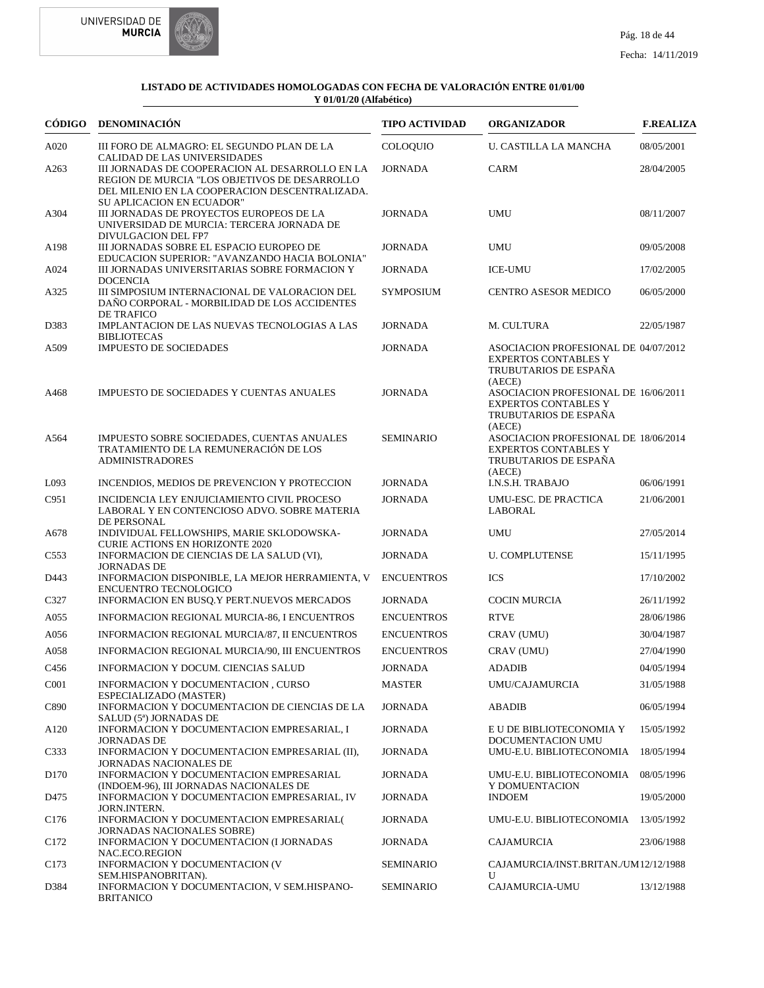



| CÓDIGO           | <b>DENOMINACIÓN</b>                                                                                                                                                                       | <b>TIPO ACTIVIDAD</b> | <b>ORGANIZADOR</b>                                                                                     | <b>F.REALIZA</b> |
|------------------|-------------------------------------------------------------------------------------------------------------------------------------------------------------------------------------------|-----------------------|--------------------------------------------------------------------------------------------------------|------------------|
| A020             | III FORO DE ALMAGRO: EL SEGUNDO PLAN DE LA                                                                                                                                                | <b>COLOQUIO</b>       | <b>U. CASTILLA LA MANCHA</b>                                                                           | 08/05/2001       |
| A263             | <b>CALIDAD DE LAS UNIVERSIDADES</b><br>III JORNADAS DE COOPERACION AL DESARROLLO EN LA<br>REGION DE MURCIA "LOS OBJETIVOS DE DESARROLLO<br>DEL MILENIO EN LA COOPERACION DESCENTRALIZADA. | <b>JORNADA</b>        | CARM                                                                                                   | 28/04/2005       |
| A304             | <b>SU APLICACION EN ECUADOR"</b><br>III JORNADAS DE PROYECTOS EUROPEOS DE LA<br>UNIVERSIDAD DE MURCIA: TERCERA JORNADA DE<br>DIVULGACION DEL FP7                                          | <b>JORNADA</b>        | <b>UMU</b>                                                                                             | 08/11/2007       |
| A198             | III JORNADAS SOBRE EL ESPACIO EUROPEO DE<br>EDUCACION SUPERIOR: "AVANZANDO HACIA BOLONIA"                                                                                                 | <b>JORNADA</b>        | <b>UMU</b>                                                                                             | 09/05/2008       |
| A024             | III JORNADAS UNIVERSITARIAS SOBRE FORMACION Y<br><b>DOCENCIA</b>                                                                                                                          | <b>JORNADA</b>        | <b>ICE-UMU</b>                                                                                         | 17/02/2005       |
| A325             | III SIMPOSIUM INTERNACIONAL DE VALORACION DEL<br>DAÑO CORPORAL - MORBILIDAD DE LOS ACCIDENTES<br><b>DE TRAFICO</b>                                                                        | <b>SYMPOSIUM</b>      | <b>CENTRO ASESOR MEDICO</b>                                                                            | 06/05/2000       |
| D383             | IMPLANTACION DE LAS NUEVAS TECNOLOGIAS A LAS<br><b>BIBLIOTECAS</b>                                                                                                                        | <b>JORNADA</b>        | M. CULTURA                                                                                             | 22/05/1987       |
| A509             | <b>IMPUESTO DE SOCIEDADES</b>                                                                                                                                                             | <b>JORNADA</b>        | ASOCIACION PROFESIONAL DE 04/07/2012<br><b>EXPERTOS CONTABLES Y</b><br>TRUBUTARIOS DE ESPAÑA<br>(AECE) |                  |
| A468             | <b>IMPUESTO DE SOCIEDADES Y CUENTAS ANUALES</b>                                                                                                                                           | <b>JORNADA</b>        | ASOCIACION PROFESIONAL DE 16/06/2011<br><b>EXPERTOS CONTABLES Y</b><br>TRUBUTARIOS DE ESPAÑA<br>(AECE) |                  |
| A564             | IMPUESTO SOBRE SOCIEDADES, CUENTAS ANUALES<br>TRATAMIENTO DE LA REMUNERACIÓN DE LOS<br><b>ADMINISTRADORES</b>                                                                             | <b>SEMINARIO</b>      | ASOCIACION PROFESIONAL DE 18/06/2014<br><b>EXPERTOS CONTABLES Y</b><br>TRUBUTARIOS DE ESPAÑA<br>(AECE) |                  |
| L093             | INCENDIOS, MEDIOS DE PREVENCION Y PROTECCION                                                                                                                                              | <b>JORNADA</b>        | I.N.S.H. TRABAJO                                                                                       | 06/06/1991       |
| C951             | INCIDENCIA LEY ENJUICIAMIENTO CIVIL PROCESO<br>LABORAL Y EN CONTENCIOSO ADVO. SOBRE MATERIA<br>DE PERSONAL                                                                                | <b>JORNADA</b>        | UMU-ESC. DE PRACTICA<br>LABORAL                                                                        | 21/06/2001       |
| A678             | INDIVIDUAL FELLOWSHIPS, MARIE SKLODOWSKA-<br><b>CURIE ACTIONS EN HORIZONTE 2020</b>                                                                                                       | <b>JORNADA</b>        | <b>UMU</b>                                                                                             | 27/05/2014       |
| C <sub>553</sub> | INFORMACION DE CIENCIAS DE LA SALUD (VI),<br><b>JORNADAS DE</b>                                                                                                                           | <b>JORNADA</b>        | <b>U. COMPLUTENSE</b>                                                                                  | 15/11/1995       |
| D443             | INFORMACION DISPONIBLE, LA MEJOR HERRAMIENTA, V<br><b>ENCUENTRO TECNOLOGICO</b>                                                                                                           | <b>ENCUENTROS</b>     | <b>ICS</b>                                                                                             | 17/10/2002       |
| C327             | INFORMACION EN BUSQ.Y PERT.NUEVOS MERCADOS                                                                                                                                                | <b>JORNADA</b>        | <b>COCIN MURCIA</b>                                                                                    | 26/11/1992       |
| A055             | INFORMACION REGIONAL MURCIA-86, I ENCUENTROS                                                                                                                                              | <b>ENCUENTROS</b>     | <b>RTVE</b>                                                                                            | 28/06/1986       |
| A056             | INFORMACION REGIONAL MURCIA/87, II ENCUENTROS                                                                                                                                             | <b>ENCUENTROS</b>     | CRAV (UMU)                                                                                             | 30/04/1987       |
| A058             | INFORMACION REGIONAL MURCIA/90, III ENCUENTROS                                                                                                                                            | <b>ENCUENTROS</b>     | CRAV (UMU)                                                                                             | 27/04/1990       |
| C <sub>456</sub> | INFORMACION Y DOCUM. CIENCIAS SALUD                                                                                                                                                       | <b>JORNADA</b>        | <b>ADADIB</b>                                                                                          | 04/05/1994       |
| C <sub>001</sub> | INFORMACION Y DOCUMENTACION, CURSO<br>ESPECIALIZADO (MASTER)                                                                                                                              | <b>MASTER</b>         | UMU/CAJAMURCIA                                                                                         | 31/05/1988       |
| C890             | INFORMACION Y DOCUMENTACION DE CIENCIAS DE LA<br>SALUD (5ª) JORNADAS DE                                                                                                                   | <b>JORNADA</b>        | <b>ABADIB</b>                                                                                          | 06/05/1994       |
| A <sub>120</sub> | INFORMACION Y DOCUMENTACION EMPRESARIAL, I                                                                                                                                                | <b>JORNADA</b>        | E U DE BIBLIOTECONOMIA Y<br>DOCUMENTACION UMU                                                          | 15/05/1992       |
| C <sub>333</sub> | <b>JORNADAS DE</b><br>INFORMACION Y DOCUMENTACION EMPRESARIAL (II),<br>JORNADAS NACIONALES DE                                                                                             | <b>JORNADA</b>        | UMU-E.U. BIBLIOTECONOMIA                                                                               | 18/05/1994       |
| D <sub>170</sub> | INFORMACION Y DOCUMENTACION EMPRESARIAL                                                                                                                                                   | <b>JORNADA</b>        | UMU-E.U. BIBLIOTECONOMIA                                                                               | 08/05/1996       |
| D475             | (INDOEM-96), III JORNADAS NACIONALES DE<br>INFORMACION Y DOCUMENTACION EMPRESARIAL, IV<br>JORN.INTERN.                                                                                    | <b>JORNADA</b>        | Y DOMUENTACION<br><b>INDOEM</b>                                                                        | 19/05/2000       |
| C <sub>176</sub> | INFORMACION Y DOCUMENTACION EMPRESARIAL(<br>JORNADAS NACIONALES SOBRE)                                                                                                                    | <b>JORNADA</b>        | UMU-E.U. BIBLIOTECONOMIA                                                                               | 13/05/1992       |
| C <sub>172</sub> | INFORMACION Y DOCUMENTACION (I JORNADAS<br>NAC.ECO.REGION                                                                                                                                 | <b>JORNADA</b>        | CAJAMURCIA                                                                                             | 23/06/1988       |
| C <sub>173</sub> | INFORMACION Y DOCUMENTACION (V                                                                                                                                                            | SEMINARIO             | CAJAMURCIA/INST.BRITAN./UM12/12/1988                                                                   |                  |
| D384             | SEM.HISPANOBRITAN).<br>INFORMACION Y DOCUMENTACION, V SEM.HISPANO-<br><b>BRITANICO</b>                                                                                                    | <b>SEMINARIO</b>      | $\mathbf{U}$<br>CAJAMURCIA-UMU                                                                         | 13/12/1988       |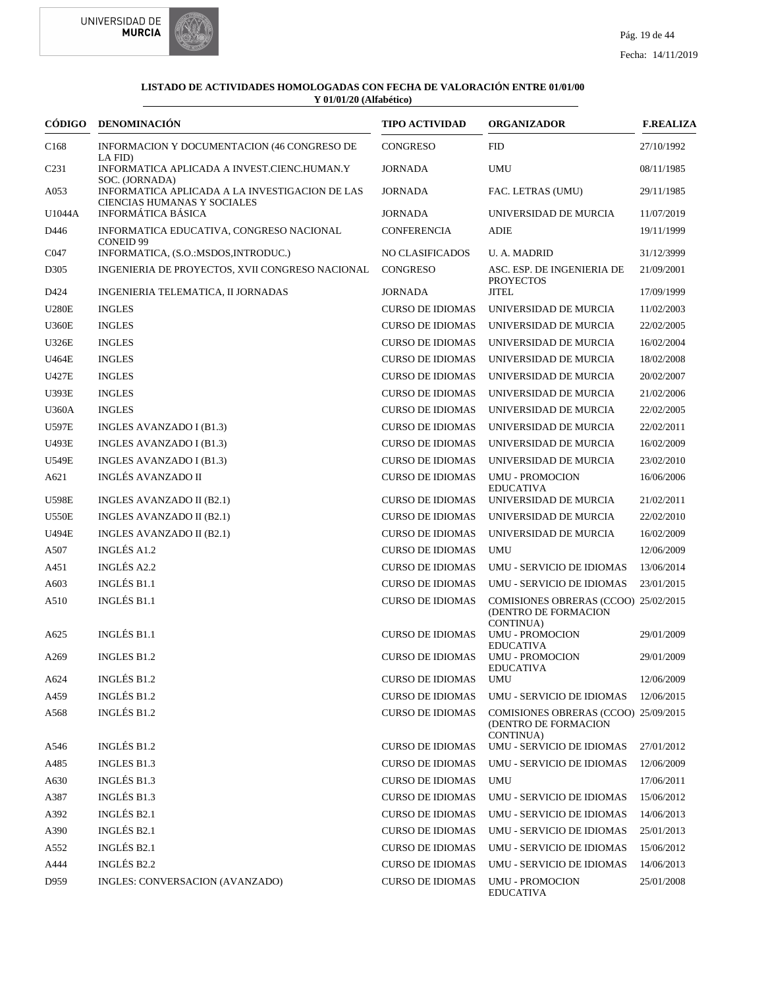



| CÓDIGO           | DENOMINACIÓN                                                                                    | <b>TIPO ACTIVIDAD</b>   | <b>ORGANIZADOR</b>                                           | <b>F.REALIZA</b> |
|------------------|-------------------------------------------------------------------------------------------------|-------------------------|--------------------------------------------------------------|------------------|
| C <sub>168</sub> | INFORMACION Y DOCUMENTACION (46 CONGRESO DE<br>LA FID)                                          | <b>CONGRESO</b>         | <b>FID</b>                                                   | 27/10/1992       |
| C <sub>231</sub> | INFORMATICA APLICADA A INVEST.CIENC.HUMAN.Y                                                     | <b>JORNADA</b>          | <b>UMU</b>                                                   | 08/11/1985       |
| A053             | SOC. (JORNADA)<br>INFORMATICA APLICADA A LA INVESTIGACION DE LAS<br>CIENCIAS HUMANAS Y SOCIALES | <b>JORNADA</b>          | FAC. LETRAS (UMU)                                            | 29/11/1985       |
| U1044A           | <b>INFORMÁTICA BÁSICA</b>                                                                       | <b>JORNADA</b>          | UNIVERSIDAD DE MURCIA                                        | 11/07/2019       |
| D446             | INFORMATICA EDUCATIVA, CONGRESO NACIONAL<br><b>CONEID 99</b>                                    | CONFERENCIA             | ADIE                                                         | 19/11/1999       |
| C047             | INFORMATICA, (S.O.:MSDOS, INTRODUC.)                                                            | <b>NO CLASIFICADOS</b>  | <b>U.A. MADRID</b>                                           | 31/12/3999       |
| D305             | INGENIERIA DE PROYECTOS, XVII CONGRESO NACIONAL                                                 | CONGRESO                | ASC. ESP. DE INGENIERIA DE<br><b>PROYECTOS</b>               | 21/09/2001       |
| D424             | INGENIERIA TELEMATICA, II JORNADAS                                                              | <b>JORNADA</b>          | <b>JITEL</b>                                                 | 17/09/1999       |
| <b>U280E</b>     | <b>INGLES</b>                                                                                   | <b>CURSO DE IDIOMAS</b> | UNIVERSIDAD DE MURCIA                                        | 11/02/2003       |
| <b>U360E</b>     | <b>INGLES</b>                                                                                   | <b>CURSO DE IDIOMAS</b> | UNIVERSIDAD DE MURCIA                                        | 22/02/2005       |
| <b>U326E</b>     | <b>INGLES</b>                                                                                   | <b>CURSO DE IDIOMAS</b> | UNIVERSIDAD DE MURCIA                                        | 16/02/2004       |
| U464E            | <b>INGLES</b>                                                                                   | <b>CURSO DE IDIOMAS</b> | UNIVERSIDAD DE MURCIA                                        | 18/02/2008       |
| U427E            | <b>INGLES</b>                                                                                   | <b>CURSO DE IDIOMAS</b> | UNIVERSIDAD DE MURCIA                                        | 20/02/2007       |
| <b>U393E</b>     | <b>INGLES</b>                                                                                   | <b>CURSO DE IDIOMAS</b> | UNIVERSIDAD DE MURCIA                                        | 21/02/2006       |
| <b>U360A</b>     | <b>INGLES</b>                                                                                   | <b>CURSO DE IDIOMAS</b> | UNIVERSIDAD DE MURCIA                                        | 22/02/2005       |
| <b>U597E</b>     | INGLES AVANZADO I (B1.3)                                                                        | <b>CURSO DE IDIOMAS</b> | UNIVERSIDAD DE MURCIA                                        | 22/02/2011       |
| <b>U493E</b>     | INGLES AVANZADO I (B1.3)                                                                        | <b>CURSO DE IDIOMAS</b> | UNIVERSIDAD DE MURCIA                                        | 16/02/2009       |
| <b>U549E</b>     | INGLES AVANZADO I (B1.3)                                                                        | <b>CURSO DE IDIOMAS</b> | UNIVERSIDAD DE MURCIA                                        | 23/02/2010       |
| A621             | <b>INGLÉS AVANZADO II</b>                                                                       | <b>CURSO DE IDIOMAS</b> | <b>UMU - PROMOCION</b>                                       | 16/06/2006       |
| <b>U598E</b>     | INGLES AVANZADO II (B2.1)                                                                       | <b>CURSO DE IDIOMAS</b> | <b>EDUCATIVA</b><br>UNIVERSIDAD DE MURCIA                    | 21/02/2011       |
| <b>U550E</b>     | INGLES AVANZADO II (B2.1)                                                                       | <b>CURSO DE IDIOMAS</b> | UNIVERSIDAD DE MURCIA                                        | 22/02/2010       |
| U494E            | INGLES AVANZADO II (B2.1)                                                                       | <b>CURSO DE IDIOMAS</b> | UNIVERSIDAD DE MURCIA                                        | 16/02/2009       |
| A507             | INGLÉS A1.2                                                                                     | <b>CURSO DE IDIOMAS</b> | <b>UMU</b>                                                   | 12/06/2009       |
| A451             | <b>INGLÉS A2.2</b>                                                                              | <b>CURSO DE IDIOMAS</b> | UMU - SERVICIO DE IDIOMAS                                    | 13/06/2014       |
| A603             | <b>INGLÉS B1.1</b>                                                                              | <b>CURSO DE IDIOMAS</b> | UMU - SERVICIO DE IDIOMAS                                    | 23/01/2015       |
| A510             | <b>INGLÉS B1.1</b>                                                                              | <b>CURSO DE IDIOMAS</b> | COMISIONES OBRERAS (CCOO) 25/02/2015<br>(DENTRO DE FORMACION |                  |
| A625             | <b>INGLÉS B1.1</b>                                                                              | <b>CURSO DE IDIOMAS</b> | CONTINUA)<br><b>UMU - PROMOCION</b><br><b>EDUCATIVA</b>      | 29/01/2009       |
| A <sub>269</sub> | <b>INGLES B1.2</b>                                                                              | <b>CURSO DE IDIOMAS</b> | <b>UMU - PROMOCION</b><br><b>EDUCATIVA</b>                   | 29/01/2009       |
| A624             | INGLÉS B1.2                                                                                     | <b>CURSO DE IDIOMAS</b> | UMU                                                          | 12/06/2009       |
| A459             | INGLÉS B1.2                                                                                     | <b>CURSO DE IDIOMAS</b> | UMU - SERVICIO DE IDIOMAS                                    | 12/06/2015       |
| A568             | INGLÉS B1.2                                                                                     | <b>CURSO DE IDIOMAS</b> | COMISIONES OBRERAS (CCOO) 25/09/2015<br>(DENTRO DE FORMACION |                  |
| A546             | INGLÉS B1.2                                                                                     | <b>CURSO DE IDIOMAS</b> | CONTINUA)<br>UMU - SERVICIO DE IDIOMAS                       | 27/01/2012       |
| A485             | <b>INGLES B1.3</b>                                                                              | <b>CURSO DE IDIOMAS</b> | <b>UMU - SERVICIO DE IDIOMAS</b>                             | 12/06/2009       |
| A630             | INGLÉS B1.3                                                                                     | <b>CURSO DE IDIOMAS</b> | <b>UMU</b>                                                   | 17/06/2011       |
| A387             | INGLÉS B1.3                                                                                     | <b>CURSO DE IDIOMAS</b> | UMU - SERVICIO DE IDIOMAS                                    | 15/06/2012       |
| A392             | <b>INGLÉS B2.1</b>                                                                              | <b>CURSO DE IDIOMAS</b> | UMU - SERVICIO DE IDIOMAS                                    | 14/06/2013       |
| A390             | INGLÉS B2.1                                                                                     | <b>CURSO DE IDIOMAS</b> | UMU - SERVICIO DE IDIOMAS                                    | 25/01/2013       |
| A552             | INGLÉS B2.1                                                                                     | <b>CURSO DE IDIOMAS</b> | UMU - SERVICIO DE IDIOMAS                                    | 15/06/2012       |
| A444             | INGLÉS B2.2                                                                                     | <b>CURSO DE IDIOMAS</b> | UMU - SERVICIO DE IDIOMAS                                    | 14/06/2013       |
| D959             | INGLES: CONVERSACION (AVANZADO)                                                                 | <b>CURSO DE IDIOMAS</b> | <b>UMU - PROMOCION</b>                                       | 25/01/2008       |
|                  |                                                                                                 |                         | <b>EDUCATIVA</b>                                             |                  |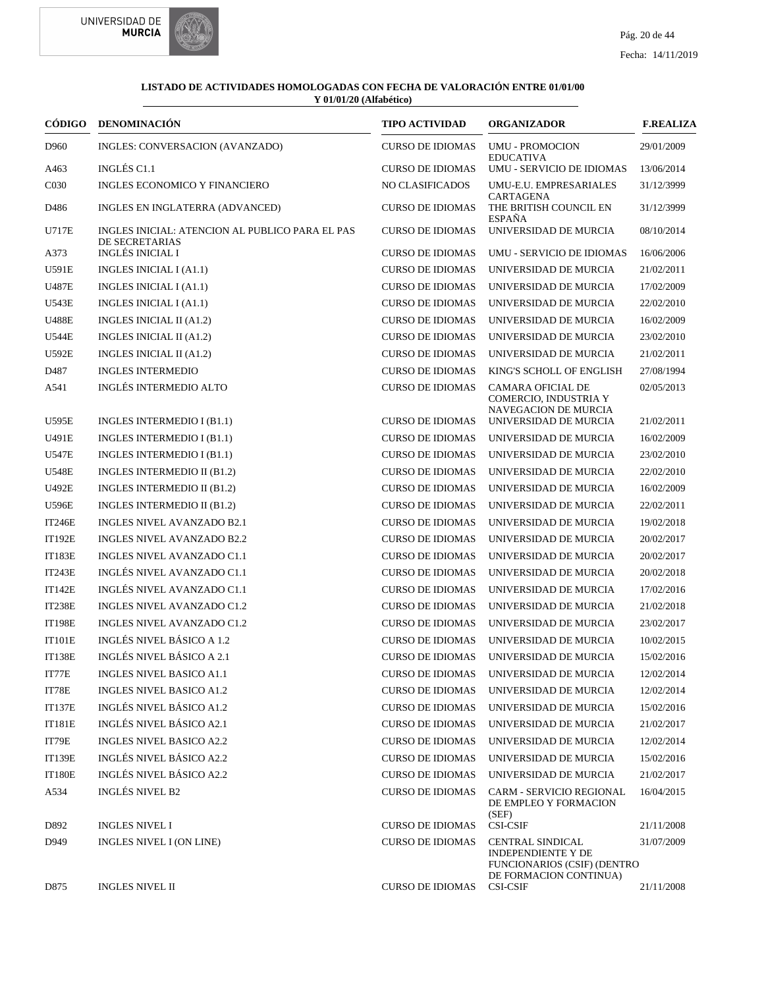



| <b>CÓDIGO</b>    | <b>DENOMINACIÓN</b>                                               | <b>TIPO ACTIVIDAD</b>   | <b>ORGANIZADOR</b>                                                                                                   | <b>F.REALIZA</b> |
|------------------|-------------------------------------------------------------------|-------------------------|----------------------------------------------------------------------------------------------------------------------|------------------|
| D960             | INGLES: CONVERSACION (AVANZADO)                                   | <b>CURSO DE IDIOMAS</b> | <b>UMU - PROMOCION</b><br><b>EDUCATIVA</b>                                                                           | 29/01/2009       |
| A463             | INGLÉS C1.1                                                       | <b>CURSO DE IDIOMAS</b> | UMU - SERVICIO DE IDIOMAS                                                                                            | 13/06/2014       |
| C <sub>030</sub> | INGLES ECONOMICO Y FINANCIERO                                     | <b>NO CLASIFICADOS</b>  | UMU-E.U. EMPRESARIALES                                                                                               | 31/12/3999       |
| D486             | INGLES EN INGLATERRA (ADVANCED)                                   | <b>CURSO DE IDIOMAS</b> | CARTAGENA<br>THE BRITISH COUNCIL EN<br><b>ESPAÑA</b>                                                                 | 31/12/3999       |
| <b>U717E</b>     | INGLES INICIAL: ATENCION AL PUBLICO PARA EL PAS<br>DE SECRETARIAS | <b>CURSO DE IDIOMAS</b> | UNIVERSIDAD DE MURCIA                                                                                                | 08/10/2014       |
| A373             | <b>INGLÉS INICIAL I</b>                                           | <b>CURSO DE IDIOMAS</b> | UMU - SERVICIO DE IDIOMAS                                                                                            | 16/06/2006       |
| U591E            | INGLES INICIAL I (A1.1)                                           | <b>CURSO DE IDIOMAS</b> | UNIVERSIDAD DE MURCIA                                                                                                | 21/02/2011       |
| <b>U487E</b>     | INGLES INICIAL I (A1.1)                                           | <b>CURSO DE IDIOMAS</b> | UNIVERSIDAD DE MURCIA                                                                                                | 17/02/2009       |
| U543E            | INGLES INICIAL I (A1.1)                                           | <b>CURSO DE IDIOMAS</b> | UNIVERSIDAD DE MURCIA                                                                                                | 22/02/2010       |
| <b>U488E</b>     | INGLES INICIAL II (A1.2)                                          | <b>CURSO DE IDIOMAS</b> | UNIVERSIDAD DE MURCIA                                                                                                | 16/02/2009       |
| <b>U544E</b>     | INGLES INICIAL II (A1.2)                                          | <b>CURSO DE IDIOMAS</b> | UNIVERSIDAD DE MURCIA                                                                                                | 23/02/2010       |
| <b>U592E</b>     | <b>INGLES INICIAL II (A1.2)</b>                                   | <b>CURSO DE IDIOMAS</b> | UNIVERSIDAD DE MURCIA                                                                                                | 21/02/2011       |
| D487             | <b>INGLES INTERMEDIO</b>                                          | <b>CURSO DE IDIOMAS</b> | KING'S SCHOLL OF ENGLISH                                                                                             | 27/08/1994       |
| A541             | <b>INGLÉS INTERMEDIO ALTO</b>                                     | <b>CURSO DE IDIOMAS</b> | <b>CAMARA OFICIAL DE</b><br>COMERCIO, INDUSTRIA Y<br><b>NAVEGACION DE MURCIA</b>                                     | 02/05/2013       |
| <b>U595E</b>     | INGLES INTERMEDIO I (B1.1)                                        | <b>CURSO DE IDIOMAS</b> | UNIVERSIDAD DE MURCIA                                                                                                | 21/02/2011       |
| U491E            | INGLES INTERMEDIO I (B1.1)                                        | <b>CURSO DE IDIOMAS</b> | UNIVERSIDAD DE MURCIA                                                                                                | 16/02/2009       |
| U547E            | INGLES INTERMEDIO I (B1.1)                                        | <b>CURSO DE IDIOMAS</b> | UNIVERSIDAD DE MURCIA                                                                                                | 23/02/2010       |
| <b>U548E</b>     | INGLES INTERMEDIO II (B1.2)                                       | <b>CURSO DE IDIOMAS</b> | UNIVERSIDAD DE MURCIA                                                                                                | 22/02/2010       |
| U492E            | INGLES INTERMEDIO II (B1.2)                                       | <b>CURSO DE IDIOMAS</b> | UNIVERSIDAD DE MURCIA                                                                                                | 16/02/2009       |
| U596E            | INGLES INTERMEDIO II (B1.2)                                       | <b>CURSO DE IDIOMAS</b> | UNIVERSIDAD DE MURCIA                                                                                                | 22/02/2011       |
| <b>IT246E</b>    | INGLES NIVEL AVANZADO B2.1                                        | <b>CURSO DE IDIOMAS</b> | UNIVERSIDAD DE MURCIA                                                                                                | 19/02/2018       |
| <b>IT192E</b>    | INGLES NIVEL AVANZADO B2.2                                        | <b>CURSO DE IDIOMAS</b> | UNIVERSIDAD DE MURCIA                                                                                                | 20/02/2017       |
| <b>IT183E</b>    | INGLES NIVEL AVANZADO C1.1                                        | <b>CURSO DE IDIOMAS</b> | UNIVERSIDAD DE MURCIA                                                                                                | 20/02/2017       |
| <b>IT243E</b>    | INGLÉS NIVEL AVANZADO C1.1                                        | <b>CURSO DE IDIOMAS</b> | UNIVERSIDAD DE MURCIA                                                                                                | 20/02/2018       |
| IT142E           | INGLÉS NIVEL AVANZADO C1.1                                        | <b>CURSO DE IDIOMAS</b> | UNIVERSIDAD DE MURCIA                                                                                                | 17/02/2016       |
| <b>IT238E</b>    | INGLES NIVEL AVANZADO C1.2                                        | <b>CURSO DE IDIOMAS</b> | UNIVERSIDAD DE MURCIA                                                                                                | 21/02/2018       |
| <b>IT198E</b>    | INGLES NIVEL AVANZADO C1.2                                        | <b>CURSO DE IDIOMAS</b> | UNIVERSIDAD DE MURCIA                                                                                                | 23/02/2017       |
| <b>IT101E</b>    | INGLÉS NIVEL BÁSICO A 1.2                                         | <b>CURSO DE IDIOMAS</b> | UNIVERSIDAD DE MURCIA                                                                                                | 10/02/2015       |
| <b>IT138E</b>    | INGLÉS NIVEL BÁSICO A 2.1                                         | <b>CURSO DE IDIOMAS</b> | UNIVERSIDAD DE MURCIA                                                                                                | 15/02/2016       |
| IT77E            | <b>INGLES NIVEL BASICO A1.1</b>                                   | <b>CURSO DE IDIOMAS</b> | UNIVERSIDAD DE MURCIA                                                                                                | 12/02/2014       |
| IT78E            | <b>INGLES NIVEL BASICO A1.2</b>                                   | <b>CURSO DE IDIOMAS</b> | UNIVERSIDAD DE MURCIA                                                                                                | 12/02/2014       |
| <b>IT137E</b>    | INGLÉS NIVEL BÁSICO A1.2                                          | <b>CURSO DE IDIOMAS</b> | UNIVERSIDAD DE MURCIA                                                                                                | 15/02/2016       |
| <b>IT181E</b>    | INGLÉS NIVEL BÁSICO A2.1                                          | <b>CURSO DE IDIOMAS</b> | UNIVERSIDAD DE MURCIA                                                                                                | 21/02/2017       |
| IT79E            | <b>INGLES NIVEL BASICO A2.2</b>                                   | <b>CURSO DE IDIOMAS</b> | UNIVERSIDAD DE MURCIA                                                                                                | 12/02/2014       |
| <b>IT139E</b>    | INGLÉS NIVEL BÁSICO A2.2                                          | <b>CURSO DE IDIOMAS</b> | UNIVERSIDAD DE MURCIA                                                                                                | 15/02/2016       |
| <b>IT180E</b>    | INGLÉS NIVEL BÁSICO A2.2                                          | <b>CURSO DE IDIOMAS</b> | UNIVERSIDAD DE MURCIA                                                                                                | 21/02/2017       |
| A534             | <b>INGLÉS NIVEL B2</b>                                            | <b>CURSO DE IDIOMAS</b> | <b>CARM - SERVICIO REGIONAL</b><br>DE EMPLEO Y FORMACION                                                             | 16/04/2015       |
| D892             | <b>INGLES NIVEL I</b>                                             | <b>CURSO DE IDIOMAS</b> | (SEF)<br><b>CSI-CSIF</b>                                                                                             | 21/11/2008       |
| D949             | INGLES NIVEL I (ON LINE)                                          | <b>CURSO DE IDIOMAS</b> | <b>CENTRAL SINDICAL</b><br><b>INDEPENDIENTE Y DE</b><br><b>FUNCIONARIOS (CSIF) (DENTRO</b><br>DE FORMACION CONTINUA) | 31/07/2009       |
| D875             | <b>INGLES NIVEL II</b>                                            | <b>CURSO DE IDIOMAS</b> | <b>CSI-CSIF</b>                                                                                                      | 21/11/2008       |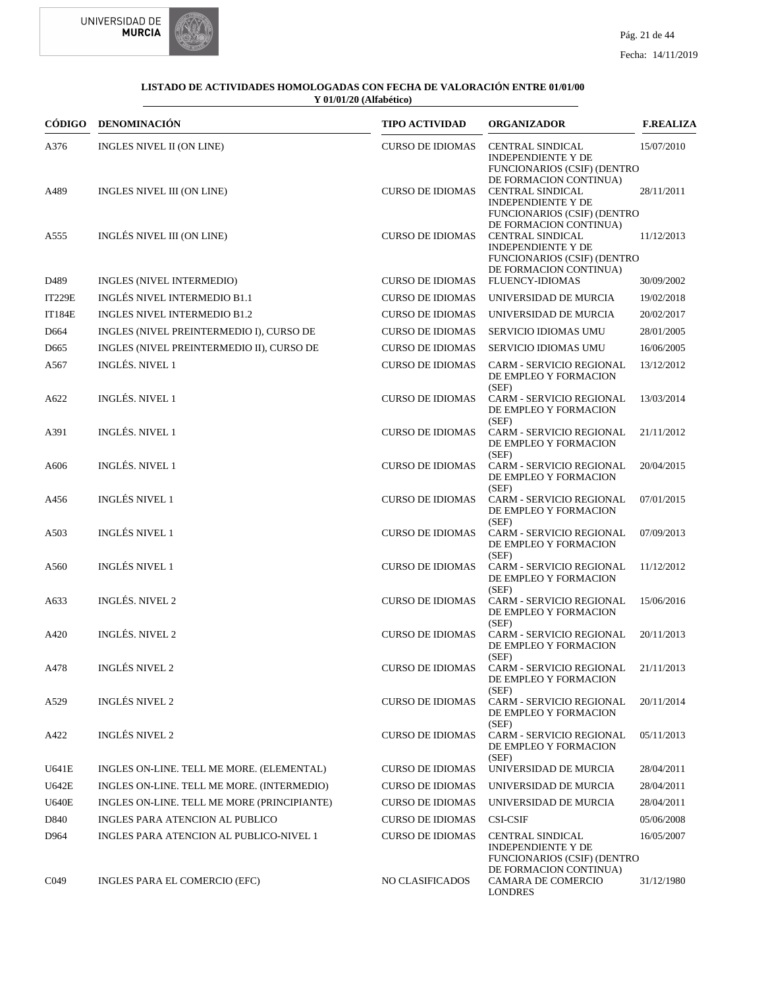

|                  | CÓDIGO DENOMINACIÓN                         | TIPO ACTIVIDAD          | <b>ORGANIZADOR</b>                                                                                                                             | <b>F.REALIZA</b> |
|------------------|---------------------------------------------|-------------------------|------------------------------------------------------------------------------------------------------------------------------------------------|------------------|
| A376             | INGLES NIVEL II (ON LINE)                   | <b>CURSO DE IDIOMAS</b> | <b>CENTRAL SINDICAL</b><br><b>INDEPENDIENTE Y DE</b><br><b>FUNCIONARIOS (CSIF) (DENTRO</b>                                                     | 15/07/2010       |
| A489             | INGLES NIVEL III (ON LINE)                  | <b>CURSO DE IDIOMAS</b> | DE FORMACION CONTINUA)<br><b>CENTRAL SINDICAL</b><br><b>INDEPENDIENTE Y DE</b><br><b>FUNCIONARIOS (CSIF) (DENTRO</b>                           | 28/11/2011       |
| A555             | INGLÉS NIVEL III (ON LINE)                  | <b>CURSO DE IDIOMAS</b> | DE FORMACION CONTINUA)<br><b>CENTRAL SINDICAL</b><br><b>INDEPENDIENTE Y DE</b><br><b>FUNCIONARIOS (CSIF) (DENTRO</b><br>DE FORMACION CONTINUA) | 11/12/2013       |
| D489             | INGLES (NIVEL INTERMEDIO)                   | <b>CURSO DE IDIOMAS</b> | <b>FLUENCY-IDIOMAS</b>                                                                                                                         | 30/09/2002       |
| <b>IT229E</b>    | <b>INGLÉS NIVEL INTERMEDIO B1.1</b>         | <b>CURSO DE IDIOMAS</b> | UNIVERSIDAD DE MURCIA                                                                                                                          | 19/02/2018       |
| <b>IT184E</b>    | INGLES NIVEL INTERMEDIO B1.2                | <b>CURSO DE IDIOMAS</b> | UNIVERSIDAD DE MURCIA                                                                                                                          | 20/02/2017       |
| D <sub>664</sub> | INGLES (NIVEL PREINTERMEDIO I), CURSO DE    | <b>CURSO DE IDIOMAS</b> | SERVICIO IDIOMAS UMU                                                                                                                           | 28/01/2005       |
| D <sub>665</sub> | INGLES (NIVEL PREINTERMEDIO II), CURSO DE   | <b>CURSO DE IDIOMAS</b> | <b>SERVICIO IDIOMAS UMU</b>                                                                                                                    | 16/06/2005       |
| A567             | <b>INGLÉS. NIVEL 1</b>                      | <b>CURSO DE IDIOMAS</b> | <b>CARM - SERVICIO REGIONAL</b><br>DE EMPLEO Y FORMACION<br>(SEF)                                                                              | 13/12/2012       |
| A622             | <b>INGLÉS. NIVEL 1</b>                      | <b>CURSO DE IDIOMAS</b> | CARM - SERVICIO REGIONAL<br>DE EMPLEO Y FORMACION                                                                                              | 13/03/2014       |
| A391             | <b>INGLÉS. NIVEL 1</b>                      | <b>CURSO DE IDIOMAS</b> | (SEF)<br>CARM - SERVICIO REGIONAL<br>DE EMPLEO Y FORMACION                                                                                     | 21/11/2012       |
| A606             | <b>INGLÉS. NIVEL 1</b>                      | <b>CURSO DE IDIOMAS</b> | (SEF)<br>CARM - SERVICIO REGIONAL<br>DE EMPLEO Y FORMACION                                                                                     | 20/04/2015       |
| A456             | <b>INGLÉS NIVEL 1</b>                       | <b>CURSO DE IDIOMAS</b> | (SEF)<br>CARM - SERVICIO REGIONAL<br>DE EMPLEO Y FORMACION                                                                                     | 07/01/2015       |
| A503             | <b>INGLÉS NIVEL 1</b>                       | <b>CURSO DE IDIOMAS</b> | (SEF)<br>CARM - SERVICIO REGIONAL<br>DE EMPLEO Y FORMACION                                                                                     | 07/09/2013       |
| A560             | <b>INGLÉS NIVEL 1</b>                       | <b>CURSO DE IDIOMAS</b> | (SEF)<br>CARM - SERVICIO REGIONAL<br>DE EMPLEO Y FORMACION                                                                                     | 11/12/2012       |
| A633             | <b>INGLÉS. NIVEL 2</b>                      | <b>CURSO DE IDIOMAS</b> | (SEF)<br>CARM - SERVICIO REGIONAL<br>DE EMPLEO Y FORMACION                                                                                     | 15/06/2016       |
| A420             | <b>INGLÉS. NIVEL 2</b>                      | <b>CURSO DE IDIOMAS</b> | (SEF)<br>CARM - SERVICIO REGIONAL<br>DE EMPLEO Y FORMACION<br>(SEF)                                                                            | 20/11/2013       |
| A478             | <b>INGLÉS NIVEL 2</b>                       | <b>CURSO DE IDIOMAS</b> | CARM - SERVICIO REGIONAL<br>DE EMPLEO Y FORMACION<br>(SEF)                                                                                     | 21/11/2013       |
| A529             | <b>INGLÉS NIVEL 2</b>                       | <b>CURSO DE IDIOMAS</b> | <b>CARM - SERVICIO REGIONAL</b><br>DE EMPLEO Y FORMACION<br>(SEF)                                                                              | 20/11/2014       |
| A422             | <b>INGLÉS NIVEL 2</b>                       | <b>CURSO DE IDIOMAS</b> | CARM - SERVICIO REGIONAL<br>DE EMPLEO Y FORMACION                                                                                              | 05/11/2013       |
| U641E            | INGLES ON-LINE. TELL ME MORE. (ELEMENTAL)   | <b>CURSO DE IDIOMAS</b> | (SEF)<br>UNIVERSIDAD DE MURCIA                                                                                                                 | 28/04/2011       |
| <b>U642E</b>     | INGLES ON-LINE. TELL ME MORE. (INTERMEDIO)  | <b>CURSO DE IDIOMAS</b> | UNIVERSIDAD DE MURCIA                                                                                                                          | 28/04/2011       |
| <b>U640E</b>     | INGLES ON-LINE. TELL ME MORE (PRINCIPIANTE) | <b>CURSO DE IDIOMAS</b> | UNIVERSIDAD DE MURCIA                                                                                                                          | 28/04/2011       |
| D840             | INGLES PARA ATENCION AL PUBLICO             | <b>CURSO DE IDIOMAS</b> | <b>CSI-CSIF</b>                                                                                                                                | 05/06/2008       |
| D964             | INGLES PARA ATENCION AL PUBLICO-NIVEL 1     | <b>CURSO DE IDIOMAS</b> | CENTRAL SINDICAL                                                                                                                               | 16/05/2007       |
| C <sub>049</sub> | INGLES PARA EL COMERCIO (EFC)               | <b>NO CLASIFICADOS</b>  | <b>INDEPENDIENTE Y DE</b><br><b>FUNCIONARIOS (CSIF) (DENTRO</b><br>DE FORMACION CONTINUA)<br>CAMARA DE COMERCIO<br><b>LONDRES</b>              | 31/12/1980       |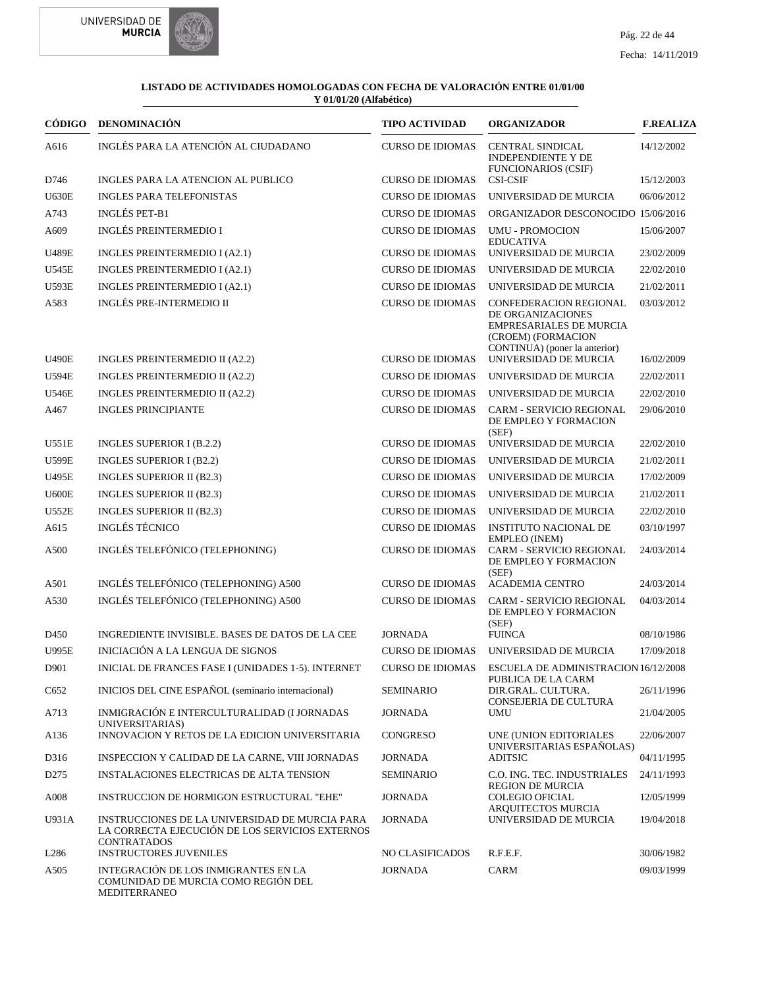



| CÓDIGO           | <b>DENOMINACIÓN</b>                                                                                                     | <b>TIPO ACTIVIDAD</b>   | <b>ORGANIZADOR</b>                                                                                                                   | <b>F.REALIZA</b> |
|------------------|-------------------------------------------------------------------------------------------------------------------------|-------------------------|--------------------------------------------------------------------------------------------------------------------------------------|------------------|
| A616             | INGLÉS PARA LA ATENCIÓN AL CIUDADANO                                                                                    | <b>CURSO DE IDIOMAS</b> | <b>CENTRAL SINDICAL</b><br><b>INDEPENDIENTE Y DE</b><br><b>FUNCIONARIOS (CSIF)</b>                                                   | 14/12/2002       |
| D746             | INGLES PARA LA ATENCION AL PUBLICO                                                                                      | <b>CURSO DE IDIOMAS</b> | <b>CSI-CSIF</b>                                                                                                                      | 15/12/2003       |
| <b>U630E</b>     | <b>INGLES PARA TELEFONISTAS</b>                                                                                         | <b>CURSO DE IDIOMAS</b> | UNIVERSIDAD DE MURCIA                                                                                                                | 06/06/2012       |
| A743             | <b>INGLÉS PET-B1</b>                                                                                                    | <b>CURSO DE IDIOMAS</b> | ORGANIZADOR DESCONOCIDO 15/06/2016                                                                                                   |                  |
| A609             | <b>INGLÉS PREINTERMEDIO I</b>                                                                                           | <b>CURSO DE IDIOMAS</b> | <b>UMU - PROMOCION</b><br><b>EDUCATIVA</b>                                                                                           | 15/06/2007       |
| <b>U489E</b>     | INGLES PREINTERMEDIO I (A2.1)                                                                                           | <b>CURSO DE IDIOMAS</b> | UNIVERSIDAD DE MURCIA                                                                                                                | 23/02/2009       |
| <b>U545E</b>     | INGLES PREINTERMEDIO I (A2.1)                                                                                           | <b>CURSO DE IDIOMAS</b> | UNIVERSIDAD DE MURCIA                                                                                                                | 22/02/2010       |
| <b>U593E</b>     | INGLES PREINTERMEDIO I (A2.1)                                                                                           | <b>CURSO DE IDIOMAS</b> | UNIVERSIDAD DE MURCIA                                                                                                                | 21/02/2011       |
| A583             | <b>INGLÉS PRE-INTERMEDIO II</b>                                                                                         | <b>CURSO DE IDIOMAS</b> | CONFEDERACION REGIONAL<br>DE ORGANIZACIONES<br><b>EMPRESARIALES DE MURCIA</b><br>(CROEM) (FORMACION<br>CONTINUA) (poner la anterior) | 03/03/2012       |
| <b>U490E</b>     | INGLES PREINTERMEDIO II (A2.2)                                                                                          | CURSO DE IDIOMAS        | UNIVERSIDAD DE MURCIA                                                                                                                | 16/02/2009       |
| <b>U594E</b>     | INGLES PREINTERMEDIO II (A2.2)                                                                                          | <b>CURSO DE IDIOMAS</b> | UNIVERSIDAD DE MURCIA                                                                                                                | 22/02/2011       |
| U546E            | INGLES PREINTERMEDIO II (A2.2)                                                                                          | <b>CURSO DE IDIOMAS</b> | UNIVERSIDAD DE MURCIA                                                                                                                | 22/02/2010       |
| A467             | <b>INGLES PRINCIPIANTE</b>                                                                                              | <b>CURSO DE IDIOMAS</b> | <b>CARM - SERVICIO REGIONAL</b><br>DE EMPLEO Y FORMACION<br>(SEF)                                                                    | 29/06/2010       |
| U551E            | INGLES SUPERIOR I (B.2.2)                                                                                               | <b>CURSO DE IDIOMAS</b> | UNIVERSIDAD DE MURCIA                                                                                                                | 22/02/2010       |
| <b>U599E</b>     | INGLES SUPERIOR I (B2.2)                                                                                                | <b>CURSO DE IDIOMAS</b> | UNIVERSIDAD DE MURCIA                                                                                                                | 21/02/2011       |
| U495E            | INGLES SUPERIOR II (B2.3)                                                                                               | <b>CURSO DE IDIOMAS</b> | UNIVERSIDAD DE MURCIA                                                                                                                | 17/02/2009       |
| <b>U600E</b>     | INGLES SUPERIOR II (B2.3)                                                                                               | <b>CURSO DE IDIOMAS</b> | UNIVERSIDAD DE MURCIA                                                                                                                | 21/02/2011       |
| <b>U552E</b>     | INGLES SUPERIOR II (B2.3)                                                                                               | <b>CURSO DE IDIOMAS</b> | UNIVERSIDAD DE MURCIA                                                                                                                | 22/02/2010       |
| A615             | <b>INGLÉS TÉCNICO</b>                                                                                                   | <b>CURSO DE IDIOMAS</b> | <b>INSTITUTO NACIONAL DE</b>                                                                                                         | 03/10/1997       |
| A500             | INGLÉS TELEFÓNICO (TELEPHONING)                                                                                         | <b>CURSO DE IDIOMAS</b> | <b>EMPLEO</b> (INEM)<br>CARM - SERVICIO REGIONAL<br>DE EMPLEO Y FORMACION<br>(SEF)                                                   | 24/03/2014       |
| A501             | INGLÉS TELEFÓNICO (TELEPHONING) A500                                                                                    | <b>CURSO DE IDIOMAS</b> | <b>ACADEMIA CENTRO</b>                                                                                                               | 24/03/2014       |
| A530             | INGLÉS TELEFÓNICO (TELEPHONING) A500                                                                                    | <b>CURSO DE IDIOMAS</b> | CARM - SERVICIO REGIONAL<br>DE EMPLEO Y FORMACION<br>(SEF)                                                                           | 04/03/2014       |
| D <sub>450</sub> | INGREDIENTE INVISIBLE. BASES DE DATOS DE LA CEE                                                                         | <b>JORNADA</b>          | <b>FUINCA</b>                                                                                                                        | 08/10/1986       |
| <b>U995E</b>     | INICIACIÓN A LA LENGUA DE SIGNOS                                                                                        | <b>CURSO DE IDIOMAS</b> | UNIVERSIDAD DE MURCIA                                                                                                                | 17/09/2018       |
| D901             | INICIAL DE FRANCES FASE I (UNIDADES 1-5). INTERNET                                                                      |                         | CURSO DE IDIOMAS ESCUELA DE ADMINISTRACION 16/12/2008<br>PUBLICA DE LA CARM                                                          |                  |
| C652             | INICIOS DEL CINE ESPAÑOL (seminario internacional)                                                                      | <b>SEMINARIO</b>        | DIR.GRAL. CULTURA.<br>CONSEJERIA DE CULTURA                                                                                          | 26/11/1996       |
| A713             | INMIGRACIÓN E INTERCULTURALIDAD (I JORNADAS<br>UNIVERSITARIAS)                                                          | <b>JORNADA</b>          | <b>UMU</b>                                                                                                                           | 21/04/2005       |
| A136             | INNOVACION Y RETOS DE LA EDICION UNIVERSITARIA                                                                          | CONGRESO                | UNE (UNION EDITORIALES<br>UNIVERSITARIAS ESPAÑOLAS)                                                                                  | 22/06/2007       |
| D316             | INSPECCION Y CALIDAD DE LA CARNE, VIII JORNADAS                                                                         | <b>JORNADA</b>          | <b>ADITSIC</b>                                                                                                                       | 04/11/1995       |
| D <sub>275</sub> | INSTALACIONES ELECTRICAS DE ALTA TENSION                                                                                | <b>SEMINARIO</b>        | C.O. ING. TEC. INDUSTRIALES                                                                                                          | 24/11/1993       |
| A008             | INSTRUCCION DE HORMIGON ESTRUCTURAL "EHE"                                                                               | <b>JORNADA</b>          | <b>REGION DE MURCIA</b><br><b>COLEGIO OFICIAL</b><br>ARQUITECTOS MURCIA                                                              | 12/05/1999       |
| U931A            | INSTRUCCIONES DE LA UNIVERSIDAD DE MURCIA PARA<br>LA CORRECTA EJECUCIÓN DE LOS SERVICIOS EXTERNOS<br><b>CONTRATADOS</b> | <b>JORNADA</b>          | UNIVERSIDAD DE MURCIA                                                                                                                | 19/04/2018       |
| L286             | <b>INSTRUCTORES JUVENILES</b>                                                                                           | NO CLASIFICADOS         | R.F.E.F.                                                                                                                             | 30/06/1982       |
| A505             | INTEGRACIÓN DE LOS INMIGRANTES EN LA<br>COMUNIDAD DE MURCIA COMO REGIÓN DEL<br>MEDITERRANEO                             | <b>JORNADA</b>          | CARM                                                                                                                                 | 09/03/1999       |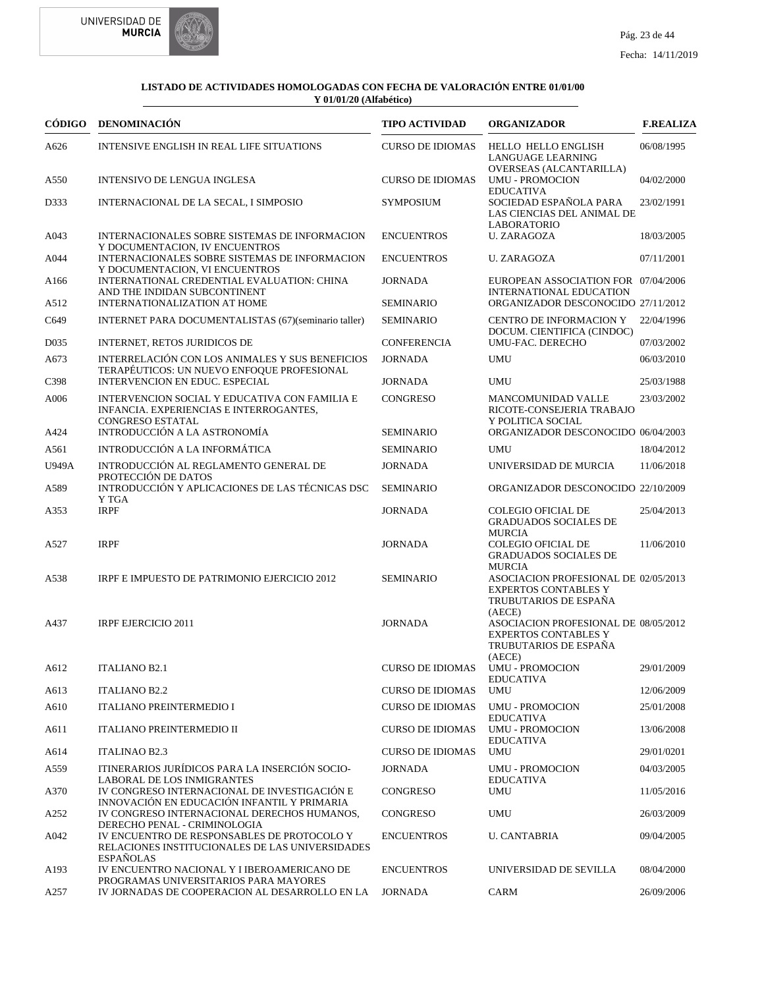



|                   | CÓDIGO DENOMINACIÓN                                                                                                 | <b>TIPO ACTIVIDAD</b>   | <b>ORGANIZADOR</b>                                                                                     | <b>F.REALIZA</b> |
|-------------------|---------------------------------------------------------------------------------------------------------------------|-------------------------|--------------------------------------------------------------------------------------------------------|------------------|
| A626              | INTENSIVE ENGLISH IN REAL LIFE SITUATIONS                                                                           | <b>CURSO DE IDIOMAS</b> | HELLO HELLO ENGLISH<br>LANGUAGE LEARNING<br>OVERSEAS (ALCANTARILLA)                                    | 06/08/1995       |
| A550              | <b>INTENSIVO DE LENGUA INGLESA</b>                                                                                  | <b>CURSO DE IDIOMAS</b> | <b>UMU - PROMOCION</b><br><b>EDUCATIVA</b>                                                             | 04/02/2000       |
| D333              | INTERNACIONAL DE LA SECAL, I SIMPOSIO                                                                               | <b>SYMPOSIUM</b>        | SOCIEDAD ESPAÑOLA PARA<br>LAS CIENCIAS DEL ANIMAL DE<br><b>LABORATORIO</b>                             | 23/02/1991       |
| A043              | INTERNACIONALES SOBRE SISTEMAS DE INFORMACION<br>Y DOCUMENTACION, IV ENCUENTROS                                     | <b>ENCUENTROS</b>       | <b>U. ZARAGOZA</b>                                                                                     | 18/03/2005       |
| A044              | INTERNACIONALES SOBRE SISTEMAS DE INFORMACION<br>Y DOCUMENTACION, VI ENCUENTROS                                     | <b>ENCUENTROS</b>       | U. ZARAGOZA                                                                                            | 07/11/2001       |
| A <sub>166</sub>  | INTERNATIONAL CREDENTIAL EVALUATION: CHINA<br>AND THE INDIDAN SUBCONTINENT                                          | <b>JORNADA</b>          | EUROPEAN ASSOCIATION FOR 07/04/2006<br><b>INTERNATIONAL EDUCATION</b>                                  |                  |
| A512              | INTERNATIONALIZATION AT HOME                                                                                        | <b>SEMINARIO</b>        | ORGANIZADOR DESCONOCIDO 27/11/2012                                                                     |                  |
| C649              | INTERNET PARA DOCUMENTALISTAS (67)(seminario taller)                                                                | <b>SEMINARIO</b>        | <b>CENTRO DE INFORMACION Y</b><br>DOCUM. CIENTIFICA (CINDOC)                                           | 22/04/1996       |
| D <sub>0</sub> 35 | INTERNET, RETOS JURIDICOS DE                                                                                        | <b>CONFERENCIA</b>      | UMU-FAC. DERECHO                                                                                       | 07/03/2002       |
| A673              | INTERRELACIÓN CON LOS ANIMALES Y SUS BENEFICIOS<br>TERAPÉUTICOS: UN NUEVO ENFOQUE PROFESIONAL                       | <b>JORNADA</b>          | <b>UMU</b>                                                                                             | 06/03/2010       |
| C398              | INTERVENCION EN EDUC. ESPECIAL                                                                                      | <b>JORNADA</b>          | <b>UMU</b>                                                                                             | 25/03/1988       |
| A006              | INTERVENCION SOCIAL Y EDUCATIVA CON FAMILIA E<br>INFANCIA. EXPERIENCIAS E INTERROGANTES,<br><b>CONGRESO ESTATAL</b> | <b>CONGRESO</b>         | <b>MANCOMUNIDAD VALLE</b><br>RICOTE-CONSEJERIA TRABAJO<br>Y POLITICA SOCIAL                            | 23/03/2002       |
| A424              | INTRODUCCIÓN A LA ASTRONOMÍA                                                                                        | SEMINARIO               | ORGANIZADOR DESCONOCIDO 06/04/2003                                                                     |                  |
| A561              | INTRODUCCIÓN A LA INFORMÁTICA                                                                                       | <b>SEMINARIO</b>        | <b>UMU</b>                                                                                             | 18/04/2012       |
| U949A             | INTRODUCCIÓN AL REGLAMENTO GENERAL DE<br>PROTECCIÓN DE DATOS                                                        | <b>JORNADA</b>          | UNIVERSIDAD DE MURCIA                                                                                  | 11/06/2018       |
| A589              | INTRODUCCIÓN Y APLICACIONES DE LAS TÉCNICAS DSC<br>Y TGA                                                            | <b>SEMINARIO</b>        | ORGANIZADOR DESCONOCIDO 22/10/2009                                                                     |                  |
| A353              | <b>IRPF</b>                                                                                                         | <b>JORNADA</b>          | <b>COLEGIO OFICIAL DE</b><br><b>GRADUADOS SOCIALES DE</b><br><b>MURCIA</b>                             | 25/04/2013       |
| A527              | <b>IRPF</b>                                                                                                         | <b>JORNADA</b>          | <b>COLEGIO OFICIAL DE</b><br><b>GRADUADOS SOCIALES DE</b><br><b>MURCIA</b>                             | 11/06/2010       |
| A538              | IRPF E IMPUESTO DE PATRIMONIO EJERCICIO 2012                                                                        | <b>SEMINARIO</b>        | ASOCIACION PROFESIONAL DE 02/05/2013<br><b>EXPERTOS CONTABLES Y</b><br>TRUBUTARIOS DE ESPAÑA<br>(AECE) |                  |
| A437              | <b>IRPF EJERCICIO 2011</b>                                                                                          | <b>JORNADA</b>          | ASOCIACION PROFESIONAL DE 08/05/2012<br><b>EXPERTOS CONTABLES Y</b><br>TRUBUTARIOS DE ESPAÑA<br>(AECE) |                  |
| A612              | <b>ITALIANO B2.1</b>                                                                                                | <b>CURSO DE IDIOMAS</b> | <b>UMU - PROMOCION</b><br><b>EDUCATIVA</b>                                                             | 29/01/2009       |
| A613              | <b>ITALIANO B2.2</b>                                                                                                | <b>CURSO DE IDIOMAS</b> | <b>UMU</b>                                                                                             | 12/06/2009       |
| A610              | <b>ITALIANO PREINTERMEDIO I</b>                                                                                     | <b>CURSO DE IDIOMAS</b> | <b>UMU - PROMOCION</b><br><b>EDUCATIVA</b>                                                             | 25/01/2008       |
| A611              | <b>ITALIANO PREINTERMEDIO II</b>                                                                                    | <b>CURSO DE IDIOMAS</b> | <b>UMU - PROMOCION</b><br><b>EDUCATIVA</b>                                                             | 13/06/2008       |
| A614              | <b>ITALINAO B2.3</b>                                                                                                | <b>CURSO DE IDIOMAS</b> | <b>UMU</b>                                                                                             | 29/01/0201       |
| A559              | ITINERARIOS JURÍDICOS PARA LA INSERCIÓN SOCIO-<br><b>LABORAL DE LOS INMIGRANTES</b>                                 | <b>JORNADA</b>          | <b>UMU - PROMOCION</b><br><b>EDUCATIVA</b>                                                             | 04/03/2005       |
| A370              | IV CONGRESO INTERNACIONAL DE INVESTIGACIÓN E<br>INNOVACIÓN EN EDUCACIÓN INFANTIL Y PRIMARIA                         | CONGRESO                | <b>UMU</b>                                                                                             | 11/05/2016       |
| A252              | IV CONGRESO INTERNACIONAL DERECHOS HUMANOS,<br>DERECHO PENAL - CRIMINOLOGIA                                         | CONGRESO                | <b>UMU</b>                                                                                             | 26/03/2009       |
| A042              | IV ENCUENTRO DE RESPONSABLES DE PROTOCOLO Y<br>RELACIONES INSTITUCIONALES DE LAS UNIVERSIDADES<br><b>ESPAÑOLAS</b>  | <b>ENCUENTROS</b>       | <b>U. CANTABRIA</b>                                                                                    | 09/04/2005       |
| A193              | IV ENCUENTRO NACIONAL Y I IBEROAMERICANO DE<br>PROGRAMAS UNIVERSITARIOS PARA MAYORES                                | <b>ENCUENTROS</b>       | UNIVERSIDAD DE SEVILLA                                                                                 | 08/04/2000       |
| A257              | IV JORNADAS DE COOPERACION AL DESARROLLO EN LA                                                                      | <b>JORNADA</b>          | <b>CARM</b>                                                                                            | 26/09/2006       |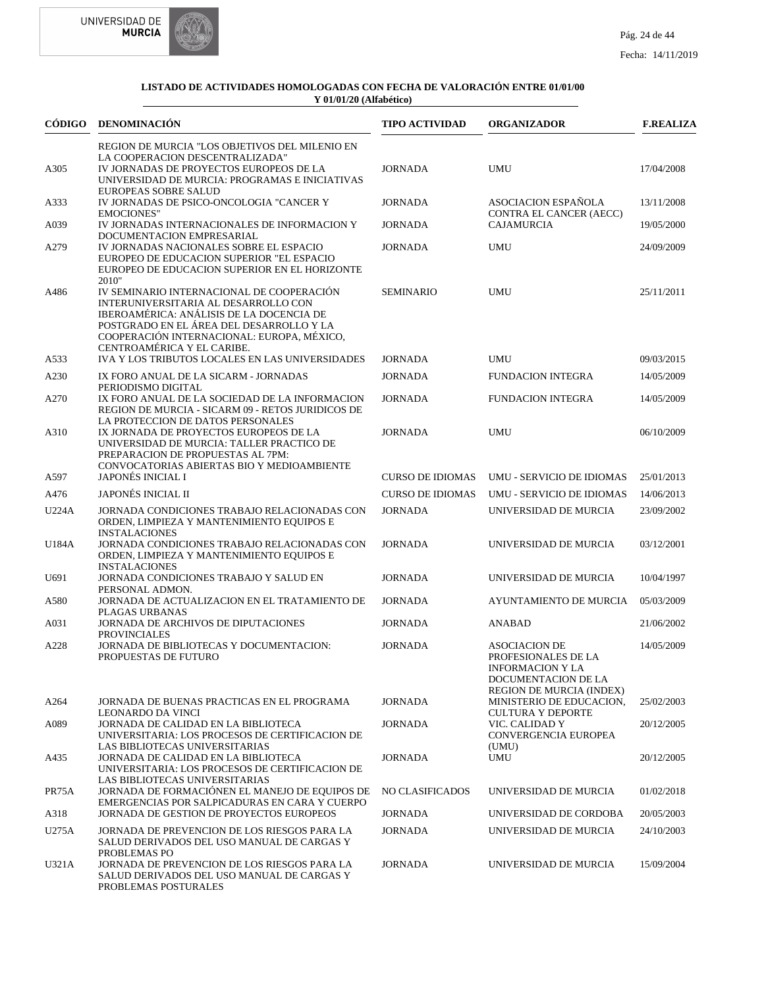



| CÓDIGO | <b>DENOMINACIÓN</b>                                                                                                                                                                                                                                   | <b>TIPO ACTIVIDAD</b>   | <b>ORGANIZADOR</b>                                                                                                               | <b>F.REALIZA</b> |
|--------|-------------------------------------------------------------------------------------------------------------------------------------------------------------------------------------------------------------------------------------------------------|-------------------------|----------------------------------------------------------------------------------------------------------------------------------|------------------|
|        | REGION DE MURCIA "LOS OBJETIVOS DEL MILENIO EN<br>LA COOPERACION DESCENTRALIZADA"                                                                                                                                                                     |                         |                                                                                                                                  |                  |
| A305   | IV JORNADAS DE PROYECTOS EUROPEOS DE LA<br>UNIVERSIDAD DE MURCIA: PROGRAMAS E INICIATIVAS<br><b>EUROPEAS SOBRE SALUD</b>                                                                                                                              | <b>JORNADA</b>          | <b>UMU</b>                                                                                                                       | 17/04/2008       |
| A333   | IV JORNADAS DE PSICO-ONCOLOGIA "CANCER Y                                                                                                                                                                                                              | <b>JORNADA</b>          | ASOCIACION ESPAÑOLA                                                                                                              | 13/11/2008       |
| A039   | <b>EMOCIONES"</b><br>IV JORNADAS INTERNACIONALES DE INFORMACION Y<br>DOCUMENTACION EMPRESARIAL                                                                                                                                                        | <b>JORNADA</b>          | CONTRA EL CANCER (AECC)<br><b>CAJAMURCIA</b>                                                                                     | 19/05/2000       |
| A279   | IV JORNADAS NACIONALES SOBRE EL ESPACIO<br>EUROPEO DE EDUCACION SUPERIOR "EL ESPACIO<br>EUROPEO DE EDUCACION SUPERIOR EN EL HORIZONTE<br>2010"                                                                                                        | <b>JORNADA</b>          | <b>UMU</b>                                                                                                                       | 24/09/2009       |
| A486   | IV SEMINARIO INTERNACIONAL DE COOPERACIÓN<br>INTERUNIVERSITARIA AL DESARROLLO CON<br>IBEROAMÉRICA: ANÁLISIS DE LA DOCENCIA DE<br>POSTGRADO EN EL ÁREA DEL DESARROLLO Y LA<br>COOPERACIÓN INTERNACIONAL: EUROPA, MÉXICO,<br>CENTROAMÉRICA Y EL CARIBE. | <b>SEMINARIO</b>        | <b>UMU</b>                                                                                                                       | 25/11/2011       |
| A533   | IVA Y LOS TRIBUTOS LOCALES EN LAS UNIVERSIDADES                                                                                                                                                                                                       | <b>JORNADA</b>          | <b>UMU</b>                                                                                                                       | 09/03/2015       |
| A230   | IX FORO ANUAL DE LA SICARM - JORNADAS<br>PERIODISMO DIGITAL                                                                                                                                                                                           | <b>JORNADA</b>          | <b>FUNDACION INTEGRA</b>                                                                                                         | 14/05/2009       |
| A270   | IX FORO ANUAL DE LA SOCIEDAD DE LA INFORMACION<br>REGION DE MURCIA - SICARM 09 - RETOS JURIDICOS DE<br>LA PROTECCION DE DATOS PERSONALES                                                                                                              | <b>JORNADA</b>          | <b>FUNDACION INTEGRA</b>                                                                                                         | 14/05/2009       |
| A310   | IX JORNADA DE PROYECTOS EUROPEOS DE LA<br>UNIVERSIDAD DE MURCIA: TALLER PRACTICO DE<br>PREPARACION DE PROPUESTAS AL 7PM:<br>CONVOCATORIAS ABIERTAS BIO Y MEDIOAMBIENTE                                                                                | <b>JORNADA</b>          | <b>UMU</b>                                                                                                                       | 06/10/2009       |
| A597   | <b>JAPONÉS INICIAL I</b>                                                                                                                                                                                                                              | <b>CURSO DE IDIOMAS</b> | UMU - SERVICIO DE IDIOMAS                                                                                                        | 25/01/2013       |
| A476   | JAPONÉS INICIAL II                                                                                                                                                                                                                                    | <b>CURSO DE IDIOMAS</b> | UMU - SERVICIO DE IDIOMAS                                                                                                        | 14/06/2013       |
| U224A  | JORNADA CONDICIONES TRABAJO RELACIONADAS CON<br>ORDEN, LIMPIEZA Y MANTENIMIENTO EQUIPOS E<br><b>INSTALACIONES</b>                                                                                                                                     | <b>JORNADA</b>          | UNIVERSIDAD DE MURCIA                                                                                                            | 23/09/2002       |
| U184A  | JORNADA CONDICIONES TRABAJO RELACIONADAS CON<br>ORDEN, LIMPIEZA Y MANTENIMIENTO EQUIPOS E<br><b>INSTALACIONES</b>                                                                                                                                     | <b>JORNADA</b>          | UNIVERSIDAD DE MURCIA                                                                                                            | 03/12/2001       |
| U691   | JORNADA CONDICIONES TRABAJO Y SALUD EN<br>PERSONAL ADMON.                                                                                                                                                                                             | <b>JORNADA</b>          | UNIVERSIDAD DE MURCIA                                                                                                            | 10/04/1997       |
| A580   | JORNADA DE ACTUALIZACION EN EL TRATAMIENTO DE<br>PLAGAS URBANAS                                                                                                                                                                                       | <b>JORNADA</b>          | AYUNTAMIENTO DE MURCIA                                                                                                           | 05/03/2009       |
| A031   | JORNADA DE ARCHIVOS DE DIPUTACIONES<br><b>PROVINCIALES</b>                                                                                                                                                                                            | <b>JORNADA</b>          | <b>ANABAD</b>                                                                                                                    | 21/06/2002       |
| A228   | JORNADA DE BIBLIOTECAS Y DOCUMENTACION:<br>PROPUESTAS DE FUTURO                                                                                                                                                                                       | <b>JORNADA</b>          | <b>ASOCIACION DE</b><br>PROFESIONALES DE LA<br><b>INFORMACION Y LA</b><br>DOCUMENTACION DE LA<br><b>REGION DE MURCIA (INDEX)</b> | 14/05/2009       |
| A264   | JORNADA DE BUENAS PRACTICAS EN EL PROGRAMA<br><b>LEONARDO DA VINCI</b>                                                                                                                                                                                | <b>JORNADA</b>          | MINISTERIO DE EDUCACION,<br><b>CULTURA Y DEPORTE</b>                                                                             | 25/02/2003       |
| A089   | JORNADA DE CALIDAD EN LA BIBLIOTECA<br>UNIVERSITARIA: LOS PROCESOS DE CERTIFICACION DE<br>LAS BIBLIOTECAS UNIVERSITARIAS                                                                                                                              | <b>JORNADA</b>          | VIC. CALIDAD Y<br>CONVERGENCIA EUROPEA<br>(UMU)                                                                                  | 20/12/2005       |
| A435   | JORNADA DE CALIDAD EN LA BIBLIOTECA<br>UNIVERSITARIA: LOS PROCESOS DE CERTIFICACION DE<br>LAS BIBLIOTECAS UNIVERSITARIAS                                                                                                                              | <b>JORNADA</b>          | <b>UMU</b>                                                                                                                       | 20/12/2005       |
| PR75A  | JORNADA DE FORMACIÓNEN EL MANEJO DE EQUIPOS DE<br>EMERGENCIAS POR SALPICADURAS EN CARA Y CUERPO                                                                                                                                                       | <b>NO CLASIFICADOS</b>  | UNIVERSIDAD DE MURCIA                                                                                                            | 01/02/2018       |
| A318   | JORNADA DE GESTION DE PROYECTOS EUROPEOS                                                                                                                                                                                                              | <b>JORNADA</b>          | UNIVERSIDAD DE CORDOBA                                                                                                           | 20/05/2003       |
| U275A  | JORNADA DE PREVENCION DE LOS RIESGOS PARA LA<br>SALUD DERIVADOS DEL USO MANUAL DE CARGAS Y<br>PROBLEMAS PO                                                                                                                                            | <b>JORNADA</b>          | UNIVERSIDAD DE MURCIA                                                                                                            | 24/10/2003       |
| U321A  | JORNADA DE PREVENCION DE LOS RIESGOS PARA LA<br>SALUD DERIVADOS DEL USO MANUAL DE CARGAS Y<br>PROBLEMAS POSTURALES                                                                                                                                    | <b>JORNADA</b>          | UNIVERSIDAD DE MURCIA                                                                                                            | 15/09/2004       |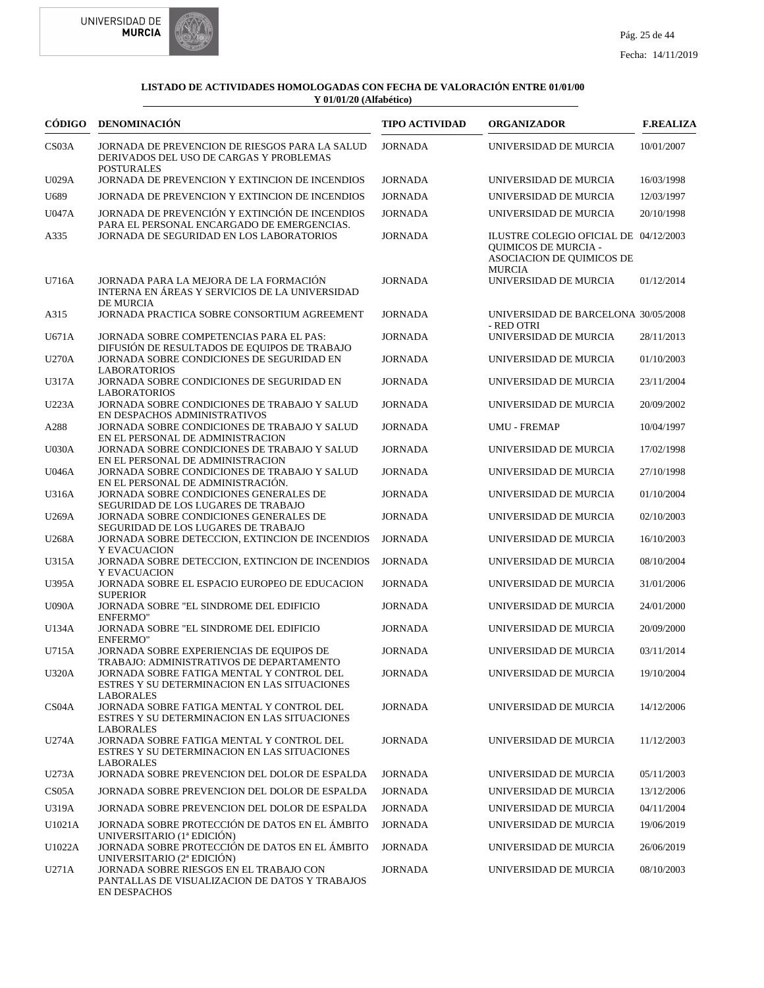



| CÓDIGO             | <b>DENOMINACIÓN</b>                                                                                              | <b>TIPO ACTIVIDAD</b> | <b>ORGANIZADOR</b>                                                                                                 | <b>F.REALIZA</b> |
|--------------------|------------------------------------------------------------------------------------------------------------------|-----------------------|--------------------------------------------------------------------------------------------------------------------|------------------|
| CS <sub>03</sub> A | JORNADA DE PREVENCION DE RIESGOS PARA LA SALUD<br>DERIVADOS DEL USO DE CARGAS Y PROBLEMAS<br><b>POSTURALES</b>   | <b>JORNADA</b>        | UNIVERSIDAD DE MURCIA                                                                                              | 10/01/2007       |
| U029A              | JORNADA DE PREVENCION Y EXTINCION DE INCENDIOS                                                                   | <b>JORNADA</b>        | UNIVERSIDAD DE MURCIA                                                                                              | 16/03/1998       |
| U689               | JORNADA DE PREVENCION Y EXTINCION DE INCENDIOS                                                                   | <b>JORNADA</b>        | UNIVERSIDAD DE MURCIA                                                                                              | 12/03/1997       |
| U047A              | JORNADA DE PREVENCIÓN Y EXTINCIÓN DE INCENDIOS                                                                   | <b>JORNADA</b>        | UNIVERSIDAD DE MURCIA                                                                                              | 20/10/1998       |
| A335               | PARA EL PERSONAL ENCARGADO DE EMERGENCIAS.<br>JORNADA DE SEGURIDAD EN LOS LABORATORIOS                           | <b>JORNADA</b>        | ILUSTRE COLEGIO OFICIAL DE 04/12/2003<br><b>QUIMICOS DE MURCIA -</b><br>ASOCIACION DE QUIMICOS DE<br><b>MURCIA</b> |                  |
| U716A              | JORNADA PARA LA MEJORA DE LA FORMACIÓN<br>INTERNA EN ÁREAS Y SERVICIOS DE LA UNIVERSIDAD<br><b>DE MURCIA</b>     | <b>JORNADA</b>        | UNIVERSIDAD DE MURCIA                                                                                              | 01/12/2014       |
| A315               | JORNADA PRACTICA SOBRE CONSORTIUM AGREEMENT                                                                      | <b>JORNADA</b>        | UNIVERSIDAD DE BARCELONA 30/05/2008<br>- RED OTRI                                                                  |                  |
| U671A              | JORNADA SOBRE COMPETENCIAS PARA EL PAS:<br>DIFUSIÓN DE RESULTADOS DE EQUIPOS DE TRABAJO                          | <b>JORNADA</b>        | UNIVERSIDAD DE MURCIA                                                                                              | 28/11/2013       |
| <b>U270A</b>       | JORNADA SOBRE CONDICIONES DE SEGURIDAD EN<br><b>LABORATORIOS</b>                                                 | <b>JORNADA</b>        | UNIVERSIDAD DE MURCIA                                                                                              | 01/10/2003       |
| U317A              | JORNADA SOBRE CONDICIONES DE SEGURIDAD EN<br><b>LABORATORIOS</b>                                                 | <b>JORNADA</b>        | UNIVERSIDAD DE MURCIA                                                                                              | 23/11/2004       |
| U223A              | JORNADA SOBRE CONDICIONES DE TRABAJO Y SALUD<br>EN DESPACHOS ADMINISTRATIVOS                                     | <b>JORNADA</b>        | UNIVERSIDAD DE MURCIA                                                                                              | 20/09/2002       |
| A288               | JORNADA SOBRE CONDICIONES DE TRABAJO Y SALUD<br>EN EL PERSONAL DE ADMINISTRACION                                 | <b>JORNADA</b>        | <b>UMU - FREMAP</b>                                                                                                | 10/04/1997       |
| <b>U030A</b>       | JORNADA SOBRE CONDICIONES DE TRABAJO Y SALUD<br>EN EL PERSONAL DE ADMINISTRACION                                 | <b>JORNADA</b>        | UNIVERSIDAD DE MURCIA                                                                                              | 17/02/1998       |
| <b>U046A</b>       | JORNADA SOBRE CONDICIONES DE TRABAJO Y SALUD<br>EN EL PERSONAL DE ADMINISTRACIÓN.                                | <b>JORNADA</b>        | UNIVERSIDAD DE MURCIA                                                                                              | 27/10/1998       |
| U316A              | JORNADA SOBRE CONDICIONES GENERALES DE<br>SEGURIDAD DE LOS LUGARES DE TRABAJO                                    | <b>JORNADA</b>        | UNIVERSIDAD DE MURCIA                                                                                              | 01/10/2004       |
| U269A              | JORNADA SOBRE CONDICIONES GENERALES DE<br>SEGURIDAD DE LOS LUGARES DE TRABAJO                                    | <b>JORNADA</b>        | UNIVERSIDAD DE MURCIA                                                                                              | 02/10/2003       |
| U268A              | JORNADA SOBRE DETECCION, EXTINCION DE INCENDIOS<br>Y EVACUACION                                                  | <b>JORNADA</b>        | UNIVERSIDAD DE MURCIA                                                                                              | 16/10/2003       |
| U315A              | JORNADA SOBRE DETECCION, EXTINCION DE INCENDIOS<br>Y EVACUACION                                                  | <b>JORNADA</b>        | UNIVERSIDAD DE MURCIA                                                                                              | 08/10/2004       |
| U395A              | JORNADA SOBRE EL ESPACIO EUROPEO DE EDUCACION<br><b>SUPERIOR</b>                                                 | <b>JORNADA</b>        | UNIVERSIDAD DE MURCIA                                                                                              | 31/01/2006       |
| <b>U090A</b>       | JORNADA SOBRE "EL SINDROME DEL EDIFICIO<br><b>ENFERMO"</b>                                                       | <b>JORNADA</b>        | UNIVERSIDAD DE MURCIA                                                                                              | 24/01/2000       |
| U134A              | JORNADA SOBRE "EL SINDROME DEL EDIFICIO<br><b>ENFERMO"</b>                                                       | <b>JORNADA</b>        | UNIVERSIDAD DE MURCIA                                                                                              | 20/09/2000       |
| U715A              | JORNADA SOBRE EXPERIENCIAS DE EQUIPOS DE<br>TRABAJO: ADMINISTRATIVOS DE DEPARTAMENTO                             | <b>JORNADA</b>        | UNIVERSIDAD DE MURCIA                                                                                              | 03/11/2014       |
| U320A              | JORNADA SOBRE FATIGA MENTAL Y CONTROL DEL<br>ESTRES Y SU DETERMINACION EN LAS SITUACIONES<br><b>LABORALES</b>    | JORNADA               | UNIVERSIDAD DE MURCIA                                                                                              | 19/10/2004       |
| CS <sub>04</sub> A | JORNADA SOBRE FATIGA MENTAL Y CONTROL DEL<br>ESTRES Y SU DETERMINACION EN LAS SITUACIONES<br><b>LABORALES</b>    | <b>JORNADA</b>        | UNIVERSIDAD DE MURCIA                                                                                              | 14/12/2006       |
| U274A              | JORNADA SOBRE FATIGA MENTAL Y CONTROL DEL<br>ESTRES Y SU DETERMINACION EN LAS SITUACIONES<br><b>LABORALES</b>    | <b>JORNADA</b>        | UNIVERSIDAD DE MURCIA                                                                                              | 11/12/2003       |
| U273A              | JORNADA SOBRE PREVENCION DEL DOLOR DE ESPALDA                                                                    | <b>JORNADA</b>        | UNIVERSIDAD DE MURCIA                                                                                              | 05/11/2003       |
| CS <sub>05</sub> A | JORNADA SOBRE PREVENCION DEL DOLOR DE ESPALDA                                                                    | JORNADA               | UNIVERSIDAD DE MURCIA                                                                                              | 13/12/2006       |
| U319A              | JORNADA SOBRE PREVENCION DEL DOLOR DE ESPALDA                                                                    | <b>JORNADA</b>        | UNIVERSIDAD DE MURCIA                                                                                              | 04/11/2004       |
| U1021A             | JORNADA SOBRE PROTECCIÓN DE DATOS EN EL ÁMBITO<br>UNIVERSITARIO (1ª EDICIÓN)                                     | <b>JORNADA</b>        | UNIVERSIDAD DE MURCIA                                                                                              | 19/06/2019       |
| U1022A             | JORNADA SOBRE PROTECCIÓN DE DATOS EN EL ÁMBITO<br>UNIVERSITARIO (2ª EDICIÓN)                                     | <b>JORNADA</b>        | UNIVERSIDAD DE MURCIA                                                                                              | 26/06/2019       |
| U271A              | JORNADA SOBRE RIESGOS EN EL TRABAJO CON<br>PANTALLAS DE VISUALIZACION DE DATOS Y TRABAJOS<br><b>EN DESPACHOS</b> | <b>JORNADA</b>        | UNIVERSIDAD DE MURCIA                                                                                              | 08/10/2003       |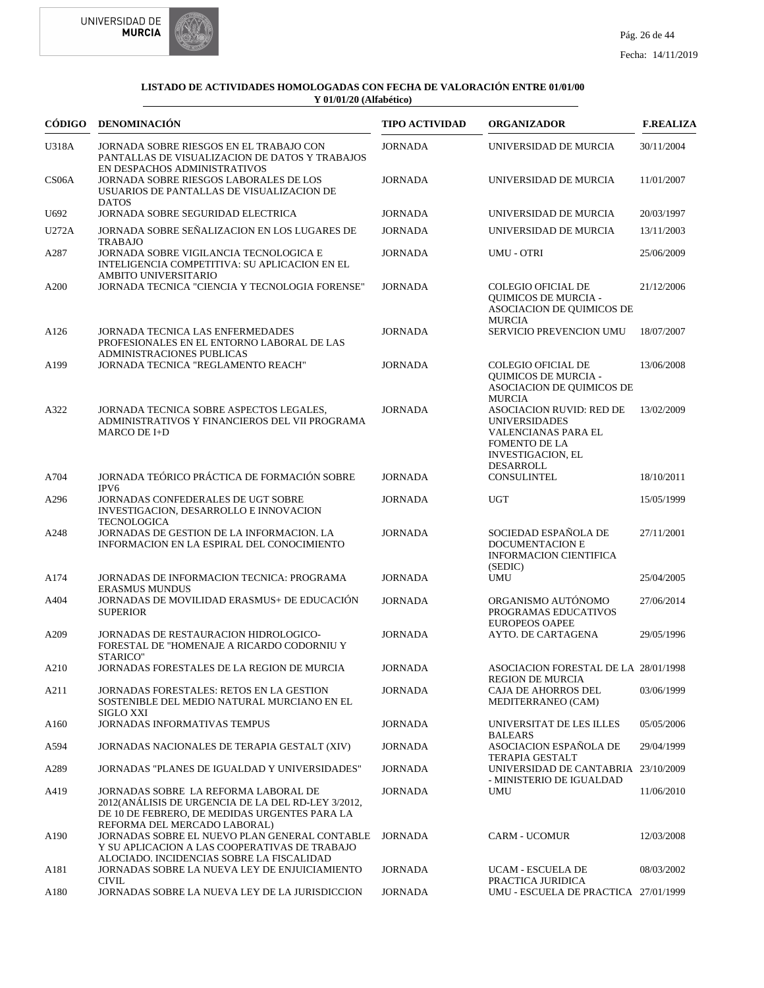



|                    | CÓDIGO DENOMINACIÓN                                                                                                                                                         | <b>TIPO ACTIVIDAD</b> | <b>ORGANIZADOR</b>                                                                                                                              | <b>F.REALIZA</b> |
|--------------------|-----------------------------------------------------------------------------------------------------------------------------------------------------------------------------|-----------------------|-------------------------------------------------------------------------------------------------------------------------------------------------|------------------|
| U318A              | JORNADA SOBRE RIESGOS EN EL TRABAJO CON<br>PANTALLAS DE VISUALIZACION DE DATOS Y TRABAJOS<br>EN DESPACHOS ADMINISTRATIVOS                                                   | <b>JORNADA</b>        | UNIVERSIDAD DE MURCIA                                                                                                                           | 30/11/2004       |
| CS <sub>06</sub> A | <b>JORNADA SOBRE RIESGOS LABORALES DE LOS</b><br>USUARIOS DE PANTALLAS DE VISUALIZACION DE<br><b>DATOS</b>                                                                  | <b>JORNADA</b>        | UNIVERSIDAD DE MURCIA                                                                                                                           | 11/01/2007       |
| U692               | JORNADA SOBRE SEGURIDAD ELECTRICA                                                                                                                                           | <b>JORNADA</b>        | UNIVERSIDAD DE MURCIA                                                                                                                           | 20/03/1997       |
| <b>U272A</b>       | JORNADA SOBRE SEÑALIZACION EN LOS LUGARES DE<br><b>TRABAJO</b>                                                                                                              | <b>JORNADA</b>        | UNIVERSIDAD DE MURCIA                                                                                                                           | 13/11/2003       |
| A287               | JORNADA SOBRE VIGILANCIA TECNOLOGICA E<br>INTELIGENCIA COMPETITIVA: SU APLICACION EN EL<br>AMBITO UNIVERSITARIO                                                             | <b>JORNADA</b>        | <b>UMU - OTRI</b>                                                                                                                               | 25/06/2009       |
| A200               | JORNADA TECNICA "CIENCIA Y TECNOLOGIA FORENSE"                                                                                                                              | <b>JORNADA</b>        | <b>COLEGIO OFICIAL DE</b><br><b>OUIMICOS DE MURCIA -</b><br>ASOCIACION DE QUIMICOS DE<br><b>MURCIA</b>                                          | 21/12/2006       |
| A <sub>126</sub>   | JORNADA TECNICA LAS ENFERMEDADES<br>PROFESIONALES EN EL ENTORNO LABORAL DE LAS<br>ADMINISTRACIONES PUBLICAS                                                                 | <b>JORNADA</b>        | SERVICIO PREVENCION UMU                                                                                                                         | 18/07/2007       |
| A199               | JORNADA TECNICA "REGLAMENTO REACH"                                                                                                                                          | <b>JORNADA</b>        | <b>COLEGIO OFICIAL DE</b><br><b>OUIMICOS DE MURCIA -</b><br>ASOCIACION DE QUIMICOS DE<br><b>MURCIA</b>                                          | 13/06/2008       |
| A322               | JORNADA TECNICA SOBRE ASPECTOS LEGALES,<br>ADMINISTRATIVOS Y FINANCIEROS DEL VII PROGRAMA<br><b>MARCO DE I+D</b>                                                            | <b>JORNADA</b>        | <b>ASOCIACION RUVID: RED DE</b><br><b>UNIVERSIDADES</b><br>VALENCIANAS PARA EL<br><b>FOMENTO DE LA</b><br><b>INVESTIGACION, EL</b><br>DESARROLL | 13/02/2009       |
| A704               | JORNADA TEÓRICO PRÁCTICA DE FORMACIÓN SOBRE<br>IPV <sub>6</sub>                                                                                                             | <b>JORNADA</b>        | CONSULINTEL                                                                                                                                     | 18/10/2011       |
| A296               | JORNADAS CONFEDERALES DE UGT SOBRE<br>INVESTIGACION, DESARROLLO E INNOVACION<br><b>TECNOLOGICA</b>                                                                          | <b>JORNADA</b>        | <b>UGT</b>                                                                                                                                      | 15/05/1999       |
| A248               | JORNADAS DE GESTION DE LA INFORMACION. LA<br>INFORMACION EN LA ESPIRAL DEL CONOCIMIENTO                                                                                     | <b>JORNADA</b>        | SOCIEDAD ESPAÑOLA DE<br><b>DOCUMENTACION E</b><br><b>INFORMACION CIENTIFICA</b><br>(SEDIC)                                                      | 27/11/2001       |
| A174               | JORNADAS DE INFORMACION TECNICA: PROGRAMA<br><b>ERASMUS MUNDUS</b>                                                                                                          | <b>JORNADA</b>        | <b>UMU</b>                                                                                                                                      | 25/04/2005       |
| A404               | JORNADAS DE MOVILIDAD ERASMUS+ DE EDUCACIÓN<br><b>SUPERIOR</b>                                                                                                              | <b>JORNADA</b>        | ORGANISMO AUTÓNOMO<br>PROGRAMAS EDUCATIVOS<br><b>EUROPEOS OAPEE</b>                                                                             | 27/06/2014       |
| A209               | JORNADAS DE RESTAURACION HIDROLOGICO-<br>FORESTAL DE "HOMENAJE A RICARDO CODORNIU Y<br>STARICO"                                                                             | <b>JORNADA</b>        | AYTO. DE CARTAGENA                                                                                                                              | 29/05/1996       |
| A210               | JORNADAS FORESTALES DE LA REGION DE MURCIA                                                                                                                                  | <b>JORNADA</b>        | ASOCIACION FORESTAL DE LA 28/01/1998<br><b>REGION DE MURCIA</b>                                                                                 |                  |
| A211               | JORNADAS FORESTALES: RETOS EN LA GESTION<br>SOSTENIBLE DEL MEDIO NATURAL MURCIANO EN EL<br>SIGLO XXI                                                                        | <b>JORNADA</b>        | CAJA DE AHORROS DEL<br>MEDITERRANEO (CAM)                                                                                                       | 03/06/1999       |
| A <sub>160</sub>   | JORNADAS INFORMATIVAS TEMPUS                                                                                                                                                | <b>JORNADA</b>        | UNIVERSITAT DE LES ILLES<br><b>BALEARS</b>                                                                                                      | 05/05/2006       |
| A594               | JORNADAS NACIONALES DE TERAPIA GESTALT (XIV)                                                                                                                                | <b>JORNADA</b>        | ASOCIACION ESPAÑOLA DE<br><b>TERAPIA GESTALT</b>                                                                                                | 29/04/1999       |
| A289               | JORNADAS "PLANES DE IGUALDAD Y UNIVERSIDADES"                                                                                                                               | <b>JORNADA</b>        | UNIVERSIDAD DE CANTABRIA 23/10/2009<br>- MINISTERIO DE IGUALDAD                                                                                 |                  |
| A419               | JORNADAS SOBRE LA REFORMA LABORAL DE<br>2012(ANÁLISIS DE URGENCIA DE LA DEL RD-LEY 3/2012.<br>DE 10 DE FEBRERO, DE MEDIDAS URGENTES PARA LA<br>REFORMA DEL MERCADO LABORAL) | <b>JORNADA</b>        | UMU                                                                                                                                             | 11/06/2010       |
| A190               | JORNADAS SOBRE EL NUEVO PLAN GENERAL CONTABLE<br>Y SU APLICACION A LAS COOPERATIVAS DE TRABAJO<br>ALOCIADO. INCIDENCIAS SOBRE LA FISCALIDAD                                 | <b>JORNADA</b>        | <b>CARM - UCOMUR</b>                                                                                                                            | 12/03/2008       |
| A181               | JORNADAS SOBRE LA NUEVA LEY DE ENJUICIAMIENTO<br>CIVIL                                                                                                                      | <b>JORNADA</b>        | <b>UCAM - ESCUELA DE</b><br>PRACTICA JURIDICA                                                                                                   | 08/03/2002       |
| A180               | JORNADAS SOBRE LA NUEVA LEY DE LA JURISDICCION                                                                                                                              | <b>JORNADA</b>        | UMU - ESCUELA DE PRACTICA 27/01/1999                                                                                                            |                  |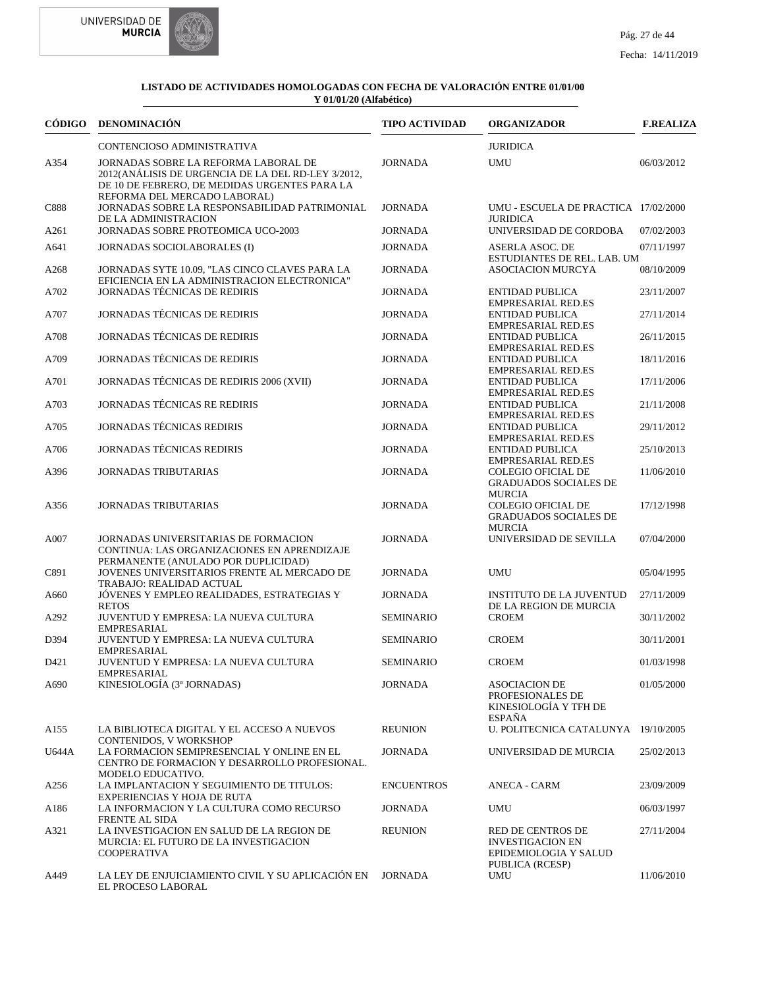



| CÓDIGO | <b>DENOMINACIÓN</b>                                                                                                                                                         | <b>TIPO ACTIVIDAD</b> | <b>ORGANIZADOR</b>                                                                       | <b>F.REALIZA</b> |
|--------|-----------------------------------------------------------------------------------------------------------------------------------------------------------------------------|-----------------------|------------------------------------------------------------------------------------------|------------------|
|        | CONTENCIOSO ADMINISTRATIVA                                                                                                                                                  |                       | <b>JURIDICA</b>                                                                          |                  |
| A354   | JORNADAS SOBRE LA REFORMA LABORAL DE<br>2012(ANÁLISIS DE URGENCIA DE LA DEL RD-LEY 3/2012,<br>DE 10 DE FEBRERO, DE MEDIDAS URGENTES PARA LA<br>REFORMA DEL MERCADO LABORAL) | <b>JORNADA</b>        | <b>UMU</b>                                                                               | 06/03/2012       |
| C888   | JORNADAS SOBRE LA RESPONSABILIDAD PATRIMONIAL<br>DE LA ADMINISTRACION                                                                                                       | <b>JORNADA</b>        | UMU - ESCUELA DE PRACTICA 17/02/2000<br><b>JURIDICA</b>                                  |                  |
| A261   | JORNADAS SOBRE PROTEOMICA UCO-2003                                                                                                                                          | <b>JORNADA</b>        | UNIVERSIDAD DE CORDOBA                                                                   | 07/02/2003       |
| A641   | JORNADAS SOCIOLABORALES (I)                                                                                                                                                 | <b>JORNADA</b>        | ASERLA ASOC. DE<br>ESTUDIANTES DE REL. LAB. UM                                           | 07/11/1997       |
| A268   | JORNADAS SYTE 10.09, "LAS CINCO CLAVES PARA LA<br>EFICIENCIA EN LA ADMINISTRACION ELECTRONICA"                                                                              | <b>JORNADA</b>        | <b>ASOCIACION MURCYA</b>                                                                 | 08/10/2009       |
| A702   | <b>JORNADAS TÉCNICAS DE REDIRIS</b>                                                                                                                                         | <b>JORNADA</b>        | ENTIDAD PUBLICA<br><b>EMPRESARIAL RED.ES</b>                                             | 23/11/2007       |
| A707   | <b>JORNADAS TÉCNICAS DE REDIRIS</b>                                                                                                                                         | <b>JORNADA</b>        | ENTIDAD PUBLICA<br><b>EMPRESARIAL RED.ES</b>                                             | 27/11/2014       |
| A708   | JORNADAS TÉCNICAS DE REDIRIS                                                                                                                                                | <b>JORNADA</b>        | ENTIDAD PUBLICA<br><b>EMPRESARIAL RED.ES</b>                                             | 26/11/2015       |
| A709   | JORNADAS TÉCNICAS DE REDIRIS                                                                                                                                                | <b>JORNADA</b>        | ENTIDAD PUBLICA<br><b>EMPRESARIAL RED.ES</b>                                             | 18/11/2016       |
| A701   | JORNADAS TÉCNICAS DE REDIRIS 2006 (XVII)                                                                                                                                    | JORNADA               | ENTIDAD PUBLICA<br><b>EMPRESARIAL RED.ES</b>                                             | 17/11/2006       |
| A703   | JORNADAS TÉCNICAS RE REDIRIS                                                                                                                                                | <b>JORNADA</b>        | <b>ENTIDAD PUBLICA</b><br><b>EMPRESARIAL RED.ES</b>                                      | 21/11/2008       |
| A705   | <b>JORNADAS TÉCNICAS REDIRIS</b>                                                                                                                                            | <b>JORNADA</b>        | ENTIDAD PUBLICA<br><b>EMPRESARIAL RED.ES</b>                                             | 29/11/2012       |
| A706   | <b>JORNADAS TÉCNICAS REDIRIS</b>                                                                                                                                            | <b>JORNADA</b>        | ENTIDAD PUBLICA<br><b>EMPRESARIAL RED.ES</b>                                             | 25/10/2013       |
| A396   | <b>JORNADAS TRIBUTARIAS</b>                                                                                                                                                 | <b>JORNADA</b>        | <b>COLEGIO OFICIAL DE</b><br><b>GRADUADOS SOCIALES DE</b><br><b>MURCIA</b>               | 11/06/2010       |
| A356   | <b>JORNADAS TRIBUTARIAS</b>                                                                                                                                                 | <b>JORNADA</b>        | <b>COLEGIO OFICIAL DE</b><br><b>GRADUADOS SOCIALES DE</b><br><b>MURCIA</b>               | 17/12/1998       |
| A007   | JORNADAS UNIVERSITARIAS DE FORMACION<br>CONTINUA: LAS ORGANIZACIONES EN APRENDIZAJE<br>PERMANENTE (ANULADO POR DUPLICIDAD)                                                  | <b>JORNADA</b>        | UNIVERSIDAD DE SEVILLA                                                                   | 07/04/2000       |
| C891   | JOVENES UNIVERSITARIOS FRENTE AL MERCADO DE<br>TRABAJO: REALIDAD ACTUAL                                                                                                     | <b>JORNADA</b>        | <b>UMU</b>                                                                               | 05/04/1995       |
| A660   | JÓVENES Y EMPLEO REALIDADES, ESTRATEGIAS Y<br><b>RETOS</b>                                                                                                                  | <b>JORNADA</b>        | <b>INSTITUTO DE LA JUVENTUD</b><br>DE LA REGION DE MURCIA                                | 27/11/2009       |
| A292   | JUVENTUD Y EMPRESA: LA NUEVA CULTURA<br><b>EMPRESARIAL</b>                                                                                                                  | <b>SEMINARIO</b>      | <b>CROEM</b>                                                                             | 30/11/2002       |
| D394   | JUVENTUD Y EMPRESA: LA NUEVA CULTURA<br><b>EMPRESARIAL</b>                                                                                                                  | <b>SEMINARIO</b>      | <b>CROEM</b>                                                                             | 30/11/2001       |
| D421   | JUVENTUD Y EMPRESA: LA NUEVA CULTURA<br>EMPRESARIAL                                                                                                                         | <b>SEMINARIO</b>      | <b>CROEM</b>                                                                             | 01/03/1998       |
| A690   | KINESIOLOGÍA (3ª JORNADAS)                                                                                                                                                  | JORNADA               | <b>ASOCIACION DE</b><br>PROFESIONALES DE<br>KINESIOLOGÍA Y TFH DE<br><b>ESPAÑA</b>       | 01/05/2000       |
| A155   | LA BIBLIOTECA DIGITAL Y EL ACCESO A NUEVOS<br><b>CONTENIDOS, V WORKSHOP</b>                                                                                                 | <b>REUNION</b>        | U. POLITECNICA CATALUNYA 19/10/2005                                                      |                  |
| U644A  | LA FORMACION SEMIPRESENCIAL Y ONLINE EN EL<br>CENTRO DE FORMACION Y DESARROLLO PROFESIONAL.<br>MODELO EDUCATIVO.                                                            | <b>JORNADA</b>        | UNIVERSIDAD DE MURCIA                                                                    | 25/02/2013       |
| A256   | LA IMPLANTACION Y SEGUIMIENTO DE TITULOS:<br><b>EXPERIENCIAS Y HOJA DE RUTA</b>                                                                                             | <b>ENCUENTROS</b>     | <b>ANECA - CARM</b>                                                                      | 23/09/2009       |
| A186   | LA INFORMACION Y LA CULTURA COMO RECURSO<br><b>FRENTE AL SIDA</b>                                                                                                           | <b>JORNADA</b>        | UMU                                                                                      | 06/03/1997       |
| A321   | LA INVESTIGACION EN SALUD DE LA REGION DE<br>MURCIA: EL FUTURO DE LA INVESTIGACION<br><b>COOPERATIVA</b>                                                                    | <b>REUNION</b>        | RED DE CENTROS DE<br><b>INVESTIGACION EN</b><br>EPIDEMIOLOGIA Y SALUD<br>PUBLICA (RCESP) | 27/11/2004       |
| A449   | LA LEY DE ENJUICIAMIENTO CIVIL Y SU APLICACIÓN EN<br>EL PROCESO LABORAL                                                                                                     | <b>JORNADA</b>        | UMU                                                                                      | 11/06/2010       |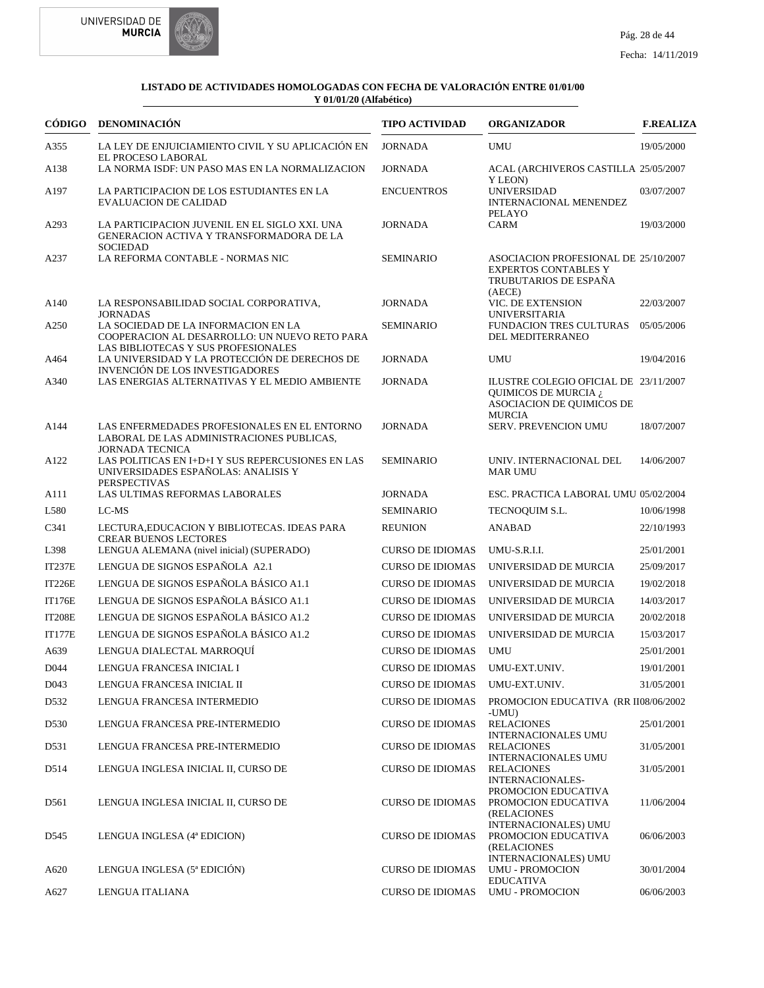



|                  | CÓDIGO DENOMINACIÓN                                                                                                         | <b>TIPO ACTIVIDAD</b>   | <b>ORGANIZADOR</b>                                                                                          | <b>F.REALIZA</b> |
|------------------|-----------------------------------------------------------------------------------------------------------------------------|-------------------------|-------------------------------------------------------------------------------------------------------------|------------------|
| A355             | LA LEY DE ENJUICIAMIENTO CIVIL Y SU APLICACIÓN EN<br>EL PROCESO LABORAL                                                     | <b>JORNADA</b>          | <b>UMU</b>                                                                                                  | 19/05/2000       |
| A138             | LA NORMA ISDF: UN PASO MAS EN LA NORMALIZACION                                                                              | <b>JORNADA</b>          | ACAL (ARCHIVEROS CASTILLA 25/05/2007                                                                        |                  |
| A197             | LA PARTICIPACION DE LOS ESTUDIANTES EN LA<br><b>EVALUACION DE CALIDAD</b>                                                   | <b>ENCUENTROS</b>       | Y LEON)<br><b>UNIVERSIDAD</b><br><b>INTERNACIONAL MENENDEZ</b>                                              | 03/07/2007       |
| A293             | LA PARTICIPACION JUVENIL EN EL SIGLO XXI. UNA<br>GENERACION ACTIVA Y TRANSFORMADORA DE LA<br><b>SOCIEDAD</b>                | <b>JORNADA</b>          | PELAYO<br><b>CARM</b>                                                                                       | 19/03/2000       |
| A237             | LA REFORMA CONTABLE - NORMAS NIC                                                                                            | <b>SEMINARIO</b>        | ASOCIACION PROFESIONAL DE 25/10/2007<br><b>EXPERTOS CONTABLES Y</b><br>TRUBUTARIOS DE ESPAÑA<br>(AECE)      |                  |
| A <sub>140</sub> | LA RESPONSABILIDAD SOCIAL CORPORATIVA,<br><b>JORNADAS</b>                                                                   | <b>JORNADA</b>          | VIC. DE EXTENSION<br><b>UNIVERSITARIA</b>                                                                   | 22/03/2007       |
| A250             | LA SOCIEDAD DE LA INFORMACION EN LA<br>COOPERACION AL DESARROLLO: UN NUEVO RETO PARA<br>LAS BIBLIOTECAS Y SUS PROFESIONALES | <b>SEMINARIO</b>        | <b>FUNDACION TRES CULTURAS</b><br>DEL MEDITERRANEO                                                          | 05/05/2006       |
| A464             | LA UNIVERSIDAD Y LA PROTECCIÓN DE DERECHOS DE<br><b>INVENCIÓN DE LOS INVESTIGADORES</b>                                     | <b>JORNADA</b>          | <b>UMU</b>                                                                                                  | 19/04/2016       |
| A340             | LAS ENERGIAS ALTERNATIVAS Y EL MEDIO AMBIENTE                                                                               | <b>JORNADA</b>          | ILUSTRE COLEGIO OFICIAL DE 23/11/2007<br>QUIMICOS DE MURCIA ¿<br>ASOCIACION DE QUIMICOS DE<br><b>MURCIA</b> |                  |
| A144             | LAS ENFERMEDADES PROFESIONALES EN EL ENTORNO<br>LABORAL DE LAS ADMINISTRACIONES PUBLICAS,<br><b>JORNADA TECNICA</b>         | <b>JORNADA</b>          | SERV. PREVENCION UMU                                                                                        | 18/07/2007       |
| A122             | LAS POLITICAS EN I+D+I Y SUS REPERCUSIONES EN LAS<br>UNIVERSIDADES ESPAÑOLAS: ANALISIS Y<br><b>PERSPECTIVAS</b>             | <b>SEMINARIO</b>        | UNIV. INTERNACIONAL DEL<br><b>MAR UMU</b>                                                                   | 14/06/2007       |
| A111             | LAS ULTIMAS REFORMAS LABORALES                                                                                              | <b>JORNADA</b>          | ESC. PRACTICA LABORAL UMU 05/02/2004                                                                        |                  |
| L580             | LC-MS                                                                                                                       | <b>SEMINARIO</b>        | TECNOQUIM S.L.                                                                                              | 10/06/1998       |
| C341             | LECTURA, EDUCACION Y BIBLIOTECAS. IDEAS PARA<br><b>CREAR BUENOS LECTORES</b>                                                | <b>REUNION</b>          | <b>ANABAD</b>                                                                                               | 22/10/1993       |
| L398             | LENGUA ALEMANA (nivel inicial) (SUPERADO)                                                                                   | <b>CURSO DE IDIOMAS</b> | UMU-S.R.I.I.                                                                                                | 25/01/2001       |
| <b>IT237E</b>    | LENGUA DE SIGNOS ESPAÑOLA A2.1                                                                                              | <b>CURSO DE IDIOMAS</b> | UNIVERSIDAD DE MURCIA                                                                                       | 25/09/2017       |
| <b>IT226E</b>    | LENGUA DE SIGNOS ESPAÑOLA BÁSICO A1.1                                                                                       | <b>CURSO DE IDIOMAS</b> | UNIVERSIDAD DE MURCIA                                                                                       | 19/02/2018       |
| <b>IT176E</b>    | LENGUA DE SIGNOS ESPAÑOLA BÁSICO A1.1                                                                                       | <b>CURSO DE IDIOMAS</b> | UNIVERSIDAD DE MURCIA                                                                                       | 14/03/2017       |
| <b>IT208E</b>    | LENGUA DE SIGNOS ESPAÑOLA BÁSICO A1.2                                                                                       | <b>CURSO DE IDIOMAS</b> | UNIVERSIDAD DE MURCIA                                                                                       | 20/02/2018       |
| <b>IT177E</b>    | LENGUA DE SIGNOS ESPAÑOLA BÁSICO A1.2                                                                                       | <b>CURSO DE IDIOMAS</b> | UNIVERSIDAD DE MURCIA                                                                                       | 15/03/2017       |
| A639             | LENGUA DIALECTAL MARROQUÍ                                                                                                   | <b>CURSO DE IDIOMAS</b> | <b>UMU</b>                                                                                                  | 25/01/2001       |
| D <sub>044</sub> | LENGUA FRANCESA INICIAL I                                                                                                   | <b>CURSO DE IDIOMAS</b> | UMU-EXT.UNIV.                                                                                               | 19/01/2001       |
| D <sub>043</sub> | LENGUA FRANCESA INICIAL II                                                                                                  | <b>CURSO DE IDIOMAS</b> | UMU-EXT.UNIV.                                                                                               | 31/05/2001       |
| D <sub>532</sub> | LENGUA FRANCESA INTERMEDIO                                                                                                  | <b>CURSO DE IDIOMAS</b> | PROMOCION EDUCATIVA (RR II08/06/2002<br>-UMU)                                                               |                  |
| D530             | LENGUA FRANCESA PRE-INTERMEDIO                                                                                              | <b>CURSO DE IDIOMAS</b> | <b>RELACIONES</b><br><b>INTERNACIONALES UMU</b>                                                             | 25/01/2001       |
| D531             | LENGUA FRANCESA PRE-INTERMEDIO                                                                                              | <b>CURSO DE IDIOMAS</b> | <b>RELACIONES</b>                                                                                           | 31/05/2001       |
| D514             | LENGUA INGLESA INICIAL II, CURSO DE                                                                                         | <b>CURSO DE IDIOMAS</b> | <b>INTERNACIONALES UMU</b><br><b>RELACIONES</b><br>INTERNACIONALES-                                         | 31/05/2001       |
| D561             | LENGUA INGLESA INICIAL II, CURSO DE                                                                                         | <b>CURSO DE IDIOMAS</b> | PROMOCION EDUCATIVA<br>PROMOCION EDUCATIVA<br>(RELACIONES                                                   | 11/06/2004       |
| D545             | LENGUA INGLESA (4ª EDICION)                                                                                                 | <b>CURSO DE IDIOMAS</b> | <b>INTERNACIONALES) UMU</b><br>PROMOCION EDUCATIVA<br>(RELACIONES                                           | 06/06/2003       |
| A620             | LENGUA INGLESA (5ª EDICIÓN)                                                                                                 | <b>CURSO DE IDIOMAS</b> | <b>INTERNACIONALES) UMU</b><br><b>UMU - PROMOCION</b><br><b>EDUCATIVA</b>                                   | 30/01/2004       |
| A627             | LENGUA ITALIANA                                                                                                             | <b>CURSO DE IDIOMAS</b> | <b>UMU - PROMOCION</b>                                                                                      | 06/06/2003       |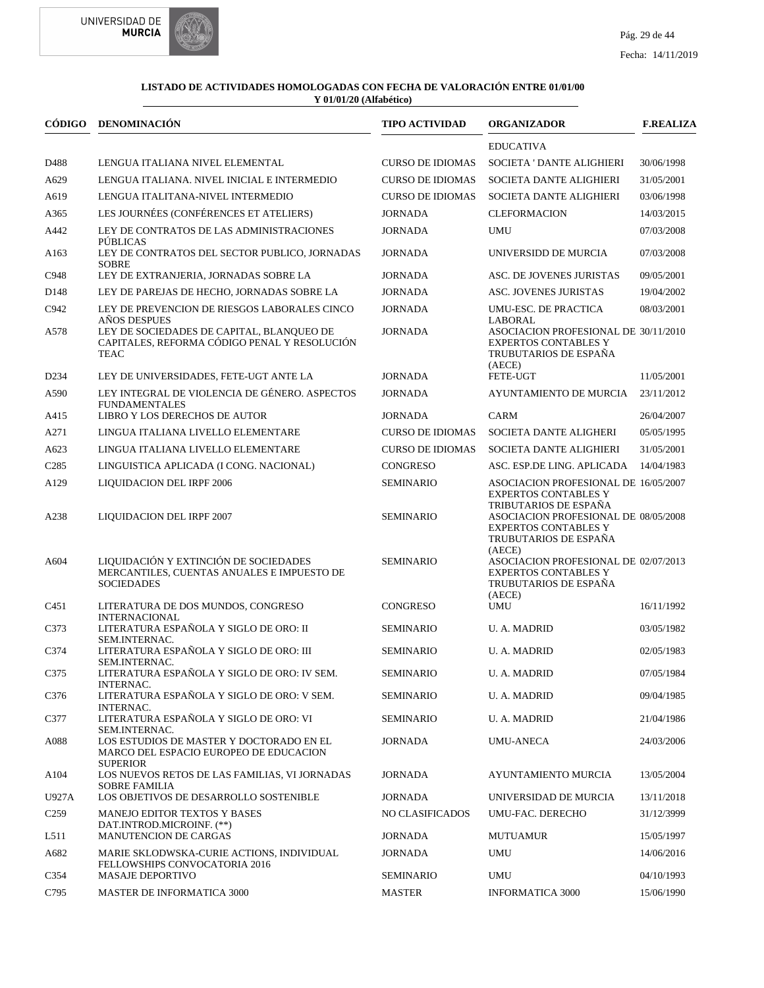

|                   | CÓDIGO DENOMINACIÓN                                                                                      | <b>TIPO ACTIVIDAD</b>   | <b>ORGANIZADOR</b>                                                                                     | <b>F.REALIZA</b> |
|-------------------|----------------------------------------------------------------------------------------------------------|-------------------------|--------------------------------------------------------------------------------------------------------|------------------|
|                   |                                                                                                          |                         | <b>EDUCATIVA</b>                                                                                       |                  |
| D488              | LENGUA ITALIANA NIVEL ELEMENTAL                                                                          | <b>CURSO DE IDIOMAS</b> | <b>SOCIETA ' DANTE ALIGHIERI</b>                                                                       | 30/06/1998       |
| A629              | LENGUA ITALIANA. NIVEL INICIAL E INTERMEDIO                                                              | <b>CURSO DE IDIOMAS</b> | SOCIETA DANTE ALIGHIERI                                                                                | 31/05/2001       |
| A619              | LENGUA ITALITANA-NIVEL INTERMEDIO                                                                        | <b>CURSO DE IDIOMAS</b> | SOCIETA DANTE ALIGHIERI                                                                                | 03/06/1998       |
| A365              | LES JOURNÉES (CONFÉRENCES ET ATELIERS)                                                                   | <b>JORNADA</b>          | <b>CLEFORMACION</b>                                                                                    | 14/03/2015       |
| A442              | LEY DE CONTRATOS DE LAS ADMINISTRACIONES<br>PÚBLICAS                                                     | <b>JORNADA</b>          | <b>UMU</b>                                                                                             | 07/03/2008       |
| A163              | LEY DE CONTRATOS DEL SECTOR PUBLICO, JORNADAS<br><b>SOBRE</b>                                            | <b>JORNADA</b>          | UNIVERSIDD DE MURCIA                                                                                   | 07/03/2008       |
| C948              | LEY DE EXTRANJERIA, JORNADAS SOBRE LA                                                                    | <b>JORNADA</b>          | ASC. DE JOVENES JURISTAS                                                                               | 09/05/2001       |
| D <sub>148</sub>  | LEY DE PAREJAS DE HECHO, JORNADAS SOBRE LA                                                               | <b>JORNADA</b>          | ASC. JOVENES JURISTAS                                                                                  | 19/04/2002       |
| C942              | LEY DE PREVENCION DE RIESGOS LABORALES CINCO<br>AÑOS DESPUES                                             | <b>JORNADA</b>          | UMU-ESC. DE PRACTICA<br>LABORAL                                                                        | 08/03/2001       |
| A578              | LEY DE SOCIEDADES DE CAPITAL, BLANQUEO DE<br>CAPITALES, REFORMA CÓDIGO PENAL Y RESOLUCIÓN<br><b>TEAC</b> | <b>JORNADA</b>          | ASOCIACION PROFESIONAL DE 30/11/2010<br><b>EXPERTOS CONTABLES Y</b><br>TRUBUTARIOS DE ESPAÑA<br>(AECE) |                  |
| D <sub>2</sub> 34 | LEY DE UNIVERSIDADES, FETE-UGT ANTE LA                                                                   | <b>JORNADA</b>          | FETE-UGT                                                                                               | 11/05/2001       |
| A590              | LEY INTEGRAL DE VIOLENCIA DE GÉNERO. ASPECTOS<br><b>FUNDAMENTALES</b>                                    | <b>JORNADA</b>          | AYUNTAMIENTO DE MURCIA                                                                                 | 23/11/2012       |
| A415              | LIBRO Y LOS DERECHOS DE AUTOR                                                                            | <b>JORNADA</b>          | <b>CARM</b>                                                                                            | 26/04/2007       |
| A271              | LINGUA ITALIANA LIVELLO ELEMENTARE                                                                       | <b>CURSO DE IDIOMAS</b> | SOCIETA DANTE ALIGHERI                                                                                 | 05/05/1995       |
| A623              | LINGUA ITALIANA LIVELLO ELEMENTARE                                                                       | <b>CURSO DE IDIOMAS</b> | SOCIETA DANTE ALIGHIERI                                                                                | 31/05/2001       |
| C <sub>2</sub> 85 | LINGUISTICA APLICADA (I CONG. NACIONAL)                                                                  | <b>CONGRESO</b>         | ASC. ESP.DE LING. APLICADA                                                                             | 14/04/1983       |
| A129              | <b>LIQUIDACION DEL IRPF 2006</b>                                                                         | <b>SEMINARIO</b>        | ASOCIACION PROFESIONAL DE 16/05/2007<br><b>EXPERTOS CONTABLES Y</b><br>TRIBUTARIOS DE ESPAÑA           |                  |
| A238              | LIQUIDACION DEL IRPF 2007                                                                                | <b>SEMINARIO</b>        | ASOCIACION PROFESIONAL DE 08/05/2008<br><b>EXPERTOS CONTABLES Y</b><br>TRUBUTARIOS DE ESPAÑA<br>(AECE) |                  |
| A604              | LIQUIDACIÓN Y EXTINCIÓN DE SOCIEDADES<br>MERCANTILES, CUENTAS ANUALES E IMPUESTO DE<br><b>SOCIEDADES</b> | <b>SEMINARIO</b>        | ASOCIACION PROFESIONAL DE 02/07/2013<br><b>EXPERTOS CONTABLES Y</b><br>TRUBUTARIOS DE ESPAÑA<br>(AECE) |                  |
| C451              | LITERATURA DE DOS MUNDOS, CONGRESO<br><b>INTERNACIONAL</b>                                               | CONGRESO                | <b>UMU</b>                                                                                             | 16/11/1992       |
| C373              | LITERATURA ESPAÑOLA Y SIGLO DE ORO: II                                                                   | <b>SEMINARIO</b>        | <b>U.A. MADRID</b>                                                                                     | 03/05/1982       |
| C374              | SEM.INTERNAC.<br>LITERATURA ESPAÑOLA Y SIGLO DE ORO: III<br>SEM.INTERNAC.                                | <b>SEMINARIO</b>        | <b>U.A. MADRID</b>                                                                                     | 02/05/1983       |
| C375              | LITERATURA ESPAÑOLA Y SIGLO DE ORO: IV SEM.<br>INTERNAC.                                                 | SEMINARIO               | U. A. MADRID                                                                                           | 07/05/1984       |
| C376              | LITERATURA ESPAÑOLA Y SIGLO DE ORO: V SEM.<br>INTERNAC.                                                  | <b>SEMINARIO</b>        | U. A. MADRID                                                                                           | 09/04/1985       |
| C377              | LITERATURA ESPAÑOLA Y SIGLO DE ORO: VI<br>SEM.INTERNAC.                                                  | <b>SEMINARIO</b>        | <b>U. A. MADRID</b>                                                                                    | 21/04/1986       |
| A088              | LOS ESTUDIOS DE MASTER Y DOCTORADO EN EL<br>MARCO DEL ESPACIO EUROPEO DE EDUCACION<br><b>SUPERIOR</b>    | <b>JORNADA</b>          | UMU-ANECA                                                                                              | 24/03/2006       |
| A104              | LOS NUEVOS RETOS DE LAS FAMILIAS, VI JORNADAS<br><b>SOBRE FAMILIA</b>                                    | JORNADA                 | AYUNTAMIENTO MURCIA                                                                                    | 13/05/2004       |
| U927A             | LOS OBJETIVOS DE DESARROLLO SOSTENIBLE                                                                   | JORNADA                 | UNIVERSIDAD DE MURCIA                                                                                  | 13/11/2018       |
| C <sub>259</sub>  | <b>MANEJO EDITOR TEXTOS Y BASES</b><br>DAT.INTROD.MICROINF. (**)                                         | NO CLASIFICADOS         | UMU-FAC. DERECHO                                                                                       | 31/12/3999       |
| L511              | MANUTENCION DE CARGAS                                                                                    | JORNADA                 | <b>MUTUAMUR</b>                                                                                        | 15/05/1997       |
| A682              | MARIE SKLODWSKA-CURIE ACTIONS, INDIVIDUAL<br>FELLOWSHIPS CONVOCATORIA 2016                               | JORNADA                 | <b>UMU</b>                                                                                             | 14/06/2016       |
| C354              | MASAJE DEPORTIVO                                                                                         | <b>SEMINARIO</b>        | <b>UMU</b>                                                                                             | 04/10/1993       |
| C795              | MASTER DE INFORMATICA 3000                                                                               | <b>MASTER</b>           | <b>INFORMATICA 3000</b>                                                                                | 15/06/1990       |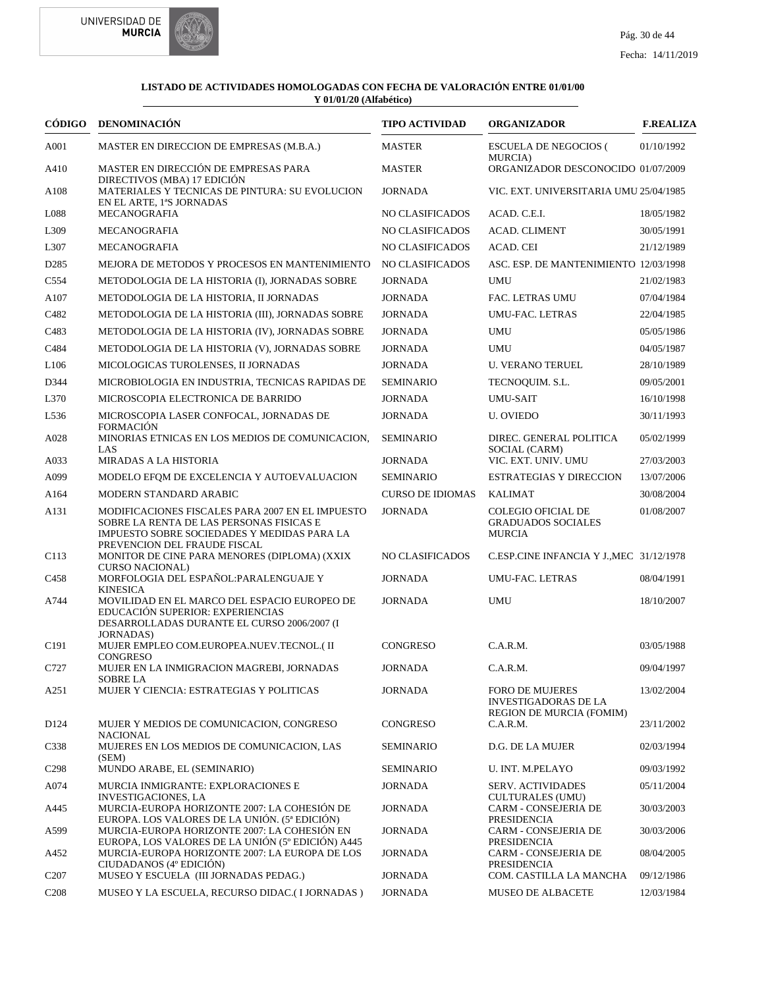



|                   | CÓDIGO DENOMINACIÓN                                                                                                                                                         | <b>TIPO ACTIVIDAD</b>   | <b>ORGANIZADOR</b>                                                                       | <b>F.REALIZA</b> |
|-------------------|-----------------------------------------------------------------------------------------------------------------------------------------------------------------------------|-------------------------|------------------------------------------------------------------------------------------|------------------|
| A001              | MASTER EN DIRECCION DE EMPRESAS (M.B.A.)                                                                                                                                    | <b>MASTER</b>           | <b>ESCUELA DE NEGOCIOS (</b><br><b>MURCIA</b> )                                          | 01/10/1992       |
| A410              | MASTER EN DIRECCIÓN DE EMPRESAS PARA                                                                                                                                        | <b>MASTER</b>           | ORGANIZADOR DESCONOCIDO 01/07/2009                                                       |                  |
| A108              | DIRECTIVOS (MBA) 17 EDICIÓN<br>MATERIALES Y TECNICAS DE PINTURA: SU EVOLUCION<br>EN EL ARTE, 1ªS JORNADAS                                                                   | <b>JORNADA</b>          | VIC. EXT. UNIVERSITARIA UMU 25/04/1985                                                   |                  |
| L088              | <b>MECANOGRAFIA</b>                                                                                                                                                         | NO CLASIFICADOS         | ACAD. C.E.I.                                                                             | 18/05/1982       |
| L309              | <b>MECANOGRAFIA</b>                                                                                                                                                         | NO CLASIFICADOS         | <b>ACAD. CLIMENT</b>                                                                     | 30/05/1991       |
| L307              | <b>MECANOGRAFIA</b>                                                                                                                                                         | NO CLASIFICADOS         | ACAD. CEI                                                                                | 21/12/1989       |
| D <sub>2</sub> 85 | MEJORA DE METODOS Y PROCESOS EN MANTENIMIENTO                                                                                                                               | NO CLASIFICADOS         | ASC. ESP. DE MANTENIMIENTO 12/03/1998                                                    |                  |
| C <sub>554</sub>  | METODOLOGIA DE LA HISTORIA (I), JORNADAS SOBRE                                                                                                                              | <b>JORNADA</b>          | UMU                                                                                      | 21/02/1983       |
| A107              | METODOLOGIA DE LA HISTORIA, II JORNADAS                                                                                                                                     | <b>JORNADA</b>          | FAC. LETRAS UMU                                                                          | 07/04/1984       |
| C482              | METODOLOGIA DE LA HISTORIA (III), JORNADAS SOBRE                                                                                                                            | <b>JORNADA</b>          | <b>UMU-FAC. LETRAS</b>                                                                   | 22/04/1985       |
| C <sub>4</sub> 83 | METODOLOGIA DE LA HISTORIA (IV), JORNADAS SOBRE                                                                                                                             | <b>JORNADA</b>          | UMU                                                                                      | 05/05/1986       |
| C484              | METODOLOGIA DE LA HISTORIA (V), JORNADAS SOBRE                                                                                                                              | <b>JORNADA</b>          | <b>UMU</b>                                                                               | 04/05/1987       |
| L <sub>106</sub>  | MICOLOGICAS TUROLENSES, II JORNADAS                                                                                                                                         | <b>JORNADA</b>          | <b>U. VERANO TERUEL</b>                                                                  | 28/10/1989       |
| D344              | MICROBIOLOGIA EN INDUSTRIA, TECNICAS RAPIDAS DE                                                                                                                             | <b>SEMINARIO</b>        | TECNOQUIM. S.L.                                                                          | 09/05/2001       |
| L370              | MICROSCOPIA ELECTRONICA DE BARRIDO                                                                                                                                          | <b>JORNADA</b>          | <b>UMU-SAIT</b>                                                                          | 16/10/1998       |
| L536              | MICROSCOPIA LASER CONFOCAL, JORNADAS DE<br><b>FORMACIÓN</b>                                                                                                                 | <b>JORNADA</b>          | <b>U. OVIEDO</b>                                                                         | 30/11/1993       |
| A028              | MINORIAS ETNICAS EN LOS MEDIOS DE COMUNICACION,<br>LAS.                                                                                                                     | <b>SEMINARIO</b>        | DIREC. GENERAL POLITICA<br>SOCIAL (CARM)                                                 | 05/02/1999       |
| A033              | MIRADAS A LA HISTORIA                                                                                                                                                       | <b>JORNADA</b>          | VIC. EXT. UNIV. UMU                                                                      | 27/03/2003       |
| A099              | MODELO EFOM DE EXCELENCIA Y AUTOEVALUACION                                                                                                                                  | <b>SEMINARIO</b>        | <b>ESTRATEGIAS Y DIRECCION</b>                                                           | 13/07/2006       |
| A <sub>164</sub>  | MODERN STANDARD ARABIC                                                                                                                                                      | <b>CURSO DE IDIOMAS</b> | <b>KALIMAT</b>                                                                           | 30/08/2004       |
| A131              | MODIFICACIONES FISCALES PARA 2007 EN EL IMPUESTO<br>SOBRE LA RENTA DE LAS PERSONAS FISICAS E<br>IMPUESTO SOBRE SOCIEDADES Y MEDIDAS PARA LA<br>PREVENCION DEL FRAUDE FISCAL | <b>JORNADA</b>          | <b>COLEGIO OFICIAL DE</b><br><b>GRADUADOS SOCIALES</b><br>MURCIA                         | 01/08/2007       |
| C <sub>113</sub>  | MONITOR DE CINE PARA MENORES (DIPLOMA) (XXIX<br><b>CURSO NACIONAL)</b>                                                                                                      | <b>NO CLASIFICADOS</b>  | C.ESP.CINE INFANCIA Y J., MEC 31/12/1978                                                 |                  |
| C <sub>458</sub>  | MORFOLOGIA DEL ESPAÑOL:PARALENGUAJE Y                                                                                                                                       | <b>JORNADA</b>          | UMU-FAC. LETRAS                                                                          | 08/04/1991       |
| A744              | <b>KINESICA</b><br>MOVILIDAD EN EL MARCO DEL ESPACIO EUROPEO DE<br>EDUCACIÓN SUPERIOR: EXPERIENCIAS<br>DESARROLLADAS DURANTE EL CURSO 2006/2007 (I                          | <b>JORNADA</b>          | UMU                                                                                      | 18/10/2007       |
| C <sub>191</sub>  | <b>JORNADAS</b> )<br>MUJER EMPLEO COM.EUROPEA.NUEV.TECNOL.(II<br><b>CONGRESO</b>                                                                                            | <b>CONGRESO</b>         | C.A.R.M.                                                                                 | 03/05/1988       |
| C727              | MUJER EN LA INMIGRACION MAGREBI, JORNADAS<br><b>SOBRE LA</b>                                                                                                                | <b>JORNADA</b>          | C.A.R.M.                                                                                 | 09/04/1997       |
| A251              | MUJER Y CIENCIA: ESTRATEGIAS Y POLITICAS                                                                                                                                    | <b>JORNADA</b>          | <b>FORO DE MUJERES</b><br><b>INVESTIGADORAS DE LA</b><br><b>REGION DE MURCIA (FOMIM)</b> | 13/02/2004       |
| D <sub>124</sub>  | MUJER Y MEDIOS DE COMUNICACION, CONGRESO<br><b>NACIONAL</b>                                                                                                                 | CONGRESO                | C.A.R.M.                                                                                 | 23/11/2002       |
| C338              | MUJERES EN LOS MEDIOS DE COMUNICACION, LAS<br>(SEM)                                                                                                                         | <b>SEMINARIO</b>        | D.G. DE LA MUJER                                                                         | 02/03/1994       |
| C <sub>298</sub>  | MUNDO ARABE, EL (SEMINARIO)                                                                                                                                                 | <b>SEMINARIO</b>        | <b>U. INT. M.PELAYO</b>                                                                  | 09/03/1992       |
| A074              | MURCIA INMIGRANTE: EXPLORACIONES E<br><b>INVESTIGACIONES, LA</b>                                                                                                            | <b>JORNADA</b>          | <b>SERV. ACTIVIDADES</b><br><b>CULTURALES (UMU)</b>                                      | 05/11/2004       |
| A445              | MURCIA-EUROPA HORIZONTE 2007: LA COHESIÓN DE<br>EUROPA. LOS VALORES DE LA UNIÓN. (5ª EDICIÓN)                                                                               | <b>JORNADA</b>          | <b>CARM - CONSEJERIA DE</b><br>PRESIDENCIA                                               | 30/03/2003       |
| A599              | MURCIA-EUROPA HORIZONTE 2007: LA COHESIÓN EN<br>EUROPA, LOS VALORES DE LA UNIÓN (5 <sup>°</sup> EDICIÓN) A445                                                               | <b>JORNADA</b>          | CARM - CONSEJERIA DE<br>PRESIDENCIA                                                      | 30/03/2006       |
| A452              | MURCIA-EUROPA HORIZONTE 2007: LA EUROPA DE LOS<br>CIUDADANOS (4º EDICIÓN)                                                                                                   | <b>JORNADA</b>          | CARM - CONSEJERIA DE<br>PRESIDENCIA                                                      | 08/04/2005       |
| C <sub>2</sub> 07 | MUSEO Y ESCUELA (III JORNADAS PEDAG.)                                                                                                                                       | <b>JORNADA</b>          | COM. CASTILLA LA MANCHA                                                                  | 09/12/1986       |
| C <sub>208</sub>  | MUSEO Y LA ESCUELA, RECURSO DIDAC.(I JORNADAS)                                                                                                                              | <b>JORNADA</b>          | MUSEO DE ALBACETE                                                                        | 12/03/1984       |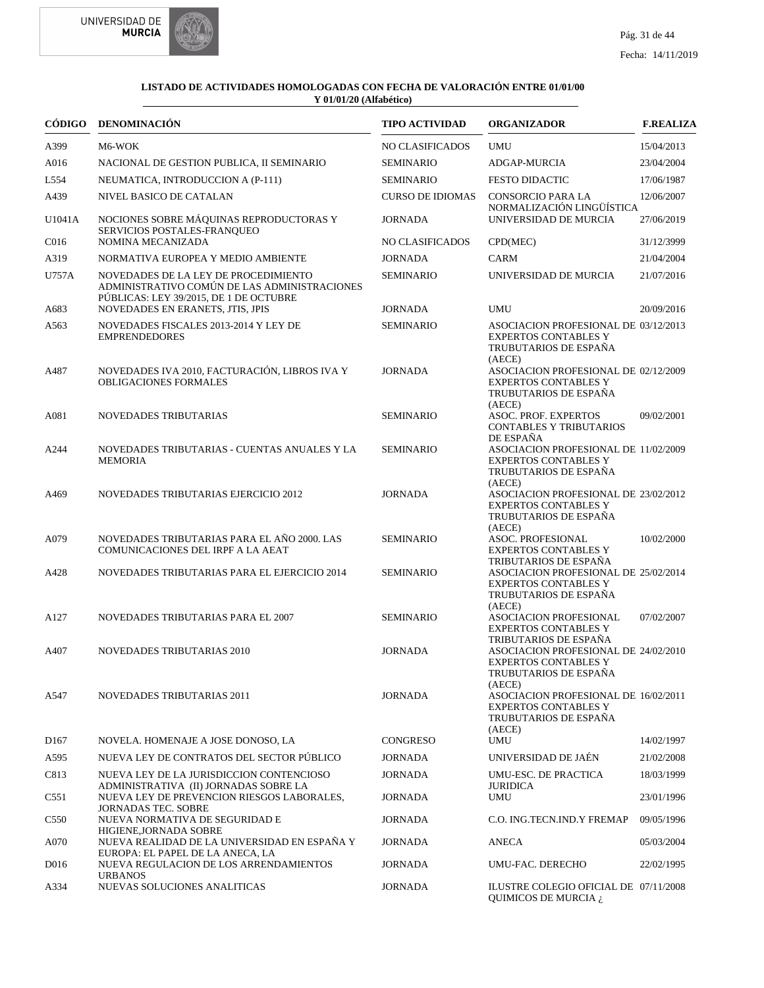



| CÓDIGO           | <b>DENOMINACIÓN</b>                                                                                                                                                | <b>TIPO ACTIVIDAD</b>              | <b>ORGANIZADOR</b>                                                                                                              | <b>F.REALIZA</b>         |
|------------------|--------------------------------------------------------------------------------------------------------------------------------------------------------------------|------------------------------------|---------------------------------------------------------------------------------------------------------------------------------|--------------------------|
| A399             | M6-WOK                                                                                                                                                             | <b>NO CLASIFICADOS</b>             | <b>UMU</b>                                                                                                                      | 15/04/2013               |
| A016             | NACIONAL DE GESTION PUBLICA, II SEMINARIO                                                                                                                          | <b>SEMINARIO</b>                   | ADGAP-MURCIA                                                                                                                    | 23/04/2004               |
| L554             | NEUMATICA, INTRODUCCION A (P-111)                                                                                                                                  | <b>SEMINARIO</b>                   | <b>FESTO DIDACTIC</b>                                                                                                           | 17/06/1987               |
| A439             | NIVEL BASICO DE CATALAN                                                                                                                                            | <b>CURSO DE IDIOMAS</b>            | CONSORCIO PARA LA<br>NORMALIZACIÓN LINGÜÍSTICA                                                                                  | 12/06/2007               |
| U1041A           | NOCIONES SOBRE MÁQUINAS REPRODUCTORAS Y<br>SERVICIOS POSTALES-FRANQUEO                                                                                             | <b>JORNADA</b>                     | UNIVERSIDAD DE MURCIA                                                                                                           | 27/06/2019               |
| C016             | NOMINA MECANIZADA                                                                                                                                                  | <b>NO CLASIFICADOS</b>             | CPD(MEC)                                                                                                                        | 31/12/3999               |
| A319             | NORMATIVA EUROPEA Y MEDIO AMBIENTE                                                                                                                                 | <b>JORNADA</b>                     | <b>CARM</b>                                                                                                                     | 21/04/2004               |
| U757A            | NOVEDADES DE LA LEY DE PROCEDIMIENTO<br>ADMINISTRATIVO COMÚN DE LAS ADMINISTRACIONES<br>PÚBLICAS: LEY 39/2015, DE 1 DE OCTUBRE<br>NOVEDADES EN ERANETS, JTIS, JPIS | <b>SEMINARIO</b><br><b>JORNADA</b> | UNIVERSIDAD DE MURCIA<br><b>UMU</b>                                                                                             | 21/07/2016<br>20/09/2016 |
| A683<br>A563     | NOVEDADES FISCALES 2013-2014 Y LEY DE                                                                                                                              | <b>SEMINARIO</b>                   | ASOCIACION PROFESIONAL DE 03/12/2013                                                                                            |                          |
|                  | <b>EMPRENDEDORES</b>                                                                                                                                               |                                    | <b>EXPERTOS CONTABLES Y</b><br>TRUBUTARIOS DE ESPAÑA<br>(AECE)                                                                  |                          |
| A487             | NOVEDADES IVA 2010, FACTURACIÓN, LIBROS IVA Y<br><b>OBLIGACIONES FORMALES</b>                                                                                      | <b>JORNADA</b>                     | ASOCIACION PROFESIONAL DE 02/12/2009<br><b>EXPERTOS CONTABLES Y</b><br>TRUBUTARIOS DE ESPAÑA<br>(AECE)                          |                          |
| A081             | NOVEDADES TRIBUTARIAS                                                                                                                                              | <b>SEMINARIO</b>                   | ASOC. PROF. EXPERTOS<br><b>CONTABLES Y TRIBUTARIOS</b><br>DE ESPAÑA                                                             | 09/02/2001               |
| A244             | NOVEDADES TRIBUTARIAS - CUENTAS ANUALES Y LA<br><b>MEMORIA</b>                                                                                                     | <b>SEMINARIO</b>                   | ASOCIACION PROFESIONAL DE 11/02/2009<br><b>EXPERTOS CONTABLES Y</b><br>TRUBUTARIOS DE ESPAÑA<br>(AECE)                          |                          |
| A469             | NOVEDADES TRIBUTARIAS EJERCICIO 2012                                                                                                                               | <b>JORNADA</b>                     | ASOCIACION PROFESIONAL DE 23/02/2012<br><b>EXPERTOS CONTABLES Y</b><br>TRUBUTARIOS DE ESPAÑA<br>(AECE)                          |                          |
| A079             | NOVEDADES TRIBUTARIAS PARA EL AÑO 2000. LAS<br>COMUNICACIONES DEL IRPF A LA AEAT                                                                                   | <b>SEMINARIO</b>                   | <b>ASOC. PROFESIONAL</b><br><b>EXPERTOS CONTABLES Y</b><br>TRIBUTARIOS DE ESPAÑA                                                | 10/02/2000               |
| A428             | NOVEDADES TRIBUTARIAS PARA EL EJERCICIO 2014                                                                                                                       | <b>SEMINARIO</b>                   | ASOCIACION PROFESIONAL DE 25/02/2014<br><b>EXPERTOS CONTABLES Y</b><br>TRUBUTARIOS DE ESPAÑA<br>(AECE)                          |                          |
| A127             | NOVEDADES TRIBUTARIAS PARA EL 2007                                                                                                                                 | <b>SEMINARIO</b>                   | ASOCIACION PROFESIONAL<br><b>EXPERTOS CONTABLES Y</b>                                                                           | 07/02/2007               |
| A407             | <b>NOVEDADES TRIBUTARIAS 2010</b>                                                                                                                                  | <b>JORNADA</b>                     | TRIBUTARIOS DE ESPAÑA<br>ASOCIACION PROFESIONAL DE 24/02/2010<br><b>EXPERTOS CONTABLES Y</b><br>TRUBUTARIOS DE ESPAÑA<br>(AECE) |                          |
| A547             | <b>NOVEDADES TRIBUTARIAS 2011</b>                                                                                                                                  | <b>JORNADA</b>                     | ASOCIACION PROFESIONAL DE 16/02/2011<br><b>EXPERTOS CONTABLES Y</b><br>TRUBUTARIOS DE ESPAÑA<br>(AECE)                          |                          |
| D <sub>167</sub> | NOVELA. HOMENAJE A JOSE DONOSO, LA                                                                                                                                 | CONGRESO                           | <b>UMU</b>                                                                                                                      | 14/02/1997               |
| A595             | NUEVA LEY DE CONTRATOS DEL SECTOR PÚBLICO                                                                                                                          | <b>JORNADA</b>                     | UNIVERSIDAD DE JAÉN                                                                                                             | 21/02/2008               |
| C813             | NUEVA LEY DE LA JURISDICCION CONTENCIOSO<br>ADMINISTRATIVA (II) JORNADAS SOBRE LA                                                                                  | <b>JORNADA</b>                     | UMU-ESC. DE PRACTICA<br><b>JURIDICA</b>                                                                                         | 18/03/1999               |
| C551             | NUEVA LEY DE PREVENCION RIESGOS LABORALES,<br><b>JORNADAS TEC. SOBRE</b>                                                                                           | <b>JORNADA</b>                     | <b>UMU</b>                                                                                                                      | 23/01/1996               |
| C <sub>550</sub> | NUEVA NORMATIVA DE SEGURIDAD E<br>HIGIENE, JORNADA SOBRE                                                                                                           | <b>JORNADA</b>                     | C.O. ING.TECN.IND.Y FREMAP                                                                                                      | 09/05/1996               |
| A070             | NUEVA REALIDAD DE LA UNIVERSIDAD EN ESPAÑA Y<br>EUROPA: EL PAPEL DE LA ANECA, LA                                                                                   | <b>JORNADA</b>                     | ANECA                                                                                                                           | 05/03/2004               |
| D016             | NUEVA REGULACION DE LOS ARRENDAMIENTOS                                                                                                                             | <b>JORNADA</b>                     | UMU-FAC. DERECHO                                                                                                                | 22/02/1995               |
| A334             | <b>URBANOS</b><br>NUEVAS SOLUCIONES ANALITICAS                                                                                                                     | <b>JORNADA</b>                     | ILUSTRE COLEGIO OFICIAL DE 07/11/2008<br>QUIMICOS DE MURCIA ¿                                                                   |                          |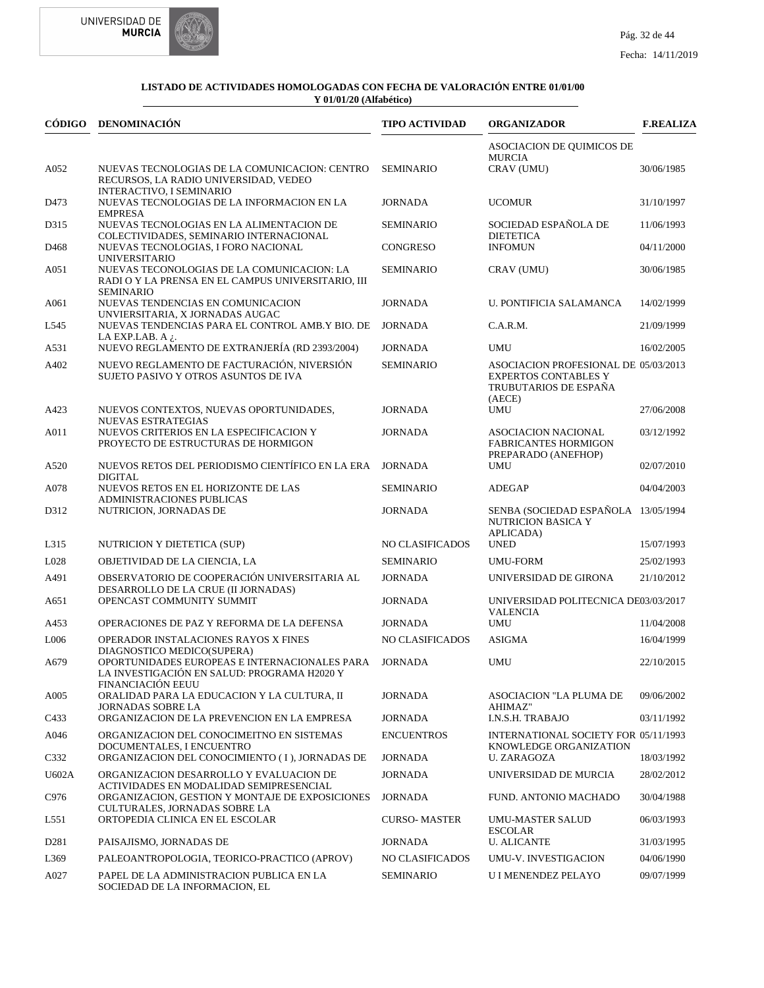



|                  | CÓDIGO DENOMINACIÓN                                                                                                | <b>TIPO ACTIVIDAD</b> | <b>ORGANIZADOR</b>                                                                                     | <b>F.REALIZA</b> |
|------------------|--------------------------------------------------------------------------------------------------------------------|-----------------------|--------------------------------------------------------------------------------------------------------|------------------|
|                  |                                                                                                                    |                       | ASOCIACION DE QUIMICOS DE<br><b>MURCIA</b>                                                             |                  |
| A052             | NUEVAS TECNOLOGIAS DE LA COMUNICACION: CENTRO<br>RECURSOS, LA RADIO UNIVERSIDAD, VEDEO<br>INTERACTIVO, I SEMINARIO | <b>SEMINARIO</b>      | CRAV (UMU)                                                                                             | 30/06/1985       |
| D473             | NUEVAS TECNOLOGIAS DE LA INFORMACION EN LA                                                                         | <b>JORNADA</b>        | <b>UCOMUR</b>                                                                                          | 31/10/1997       |
| D315             | <b>EMPRESA</b><br>NUEVAS TECNOLOGIAS EN LA ALIMENTACION DE<br>COLECTIVIDADES, SEMINARIO INTERNACIONAL              | <b>SEMINARIO</b>      | SOCIEDAD ESPAÑOLA DE<br><b>DIETETICA</b>                                                               | 11/06/1993       |
| D <sub>468</sub> | NUEVAS TECNOLOGIAS, I FORO NACIONAL<br><b>UNIVERSITARIO</b>                                                        | <b>CONGRESO</b>       | <b>INFOMUN</b>                                                                                         | 04/11/2000       |
| A051             | NUEVAS TECONOLOGIAS DE LA COMUNICACION: LA<br>RADI O Y LA PRENSA EN EL CAMPUS UNIVERSITARIO, III                   | <b>SEMINARIO</b>      | CRAV (UMU)                                                                                             | 30/06/1985       |
| A061             | <b>SEMINARIO</b><br>NUEVAS TENDENCIAS EN COMUNICACION<br>UNVIERSITARIA, X JORNADAS AUGAC                           | <b>JORNADA</b>        | U. PONTIFICIA SALAMANCA                                                                                | 14/02/1999       |
| L545             | NUEVAS TENDENCIAS PARA EL CONTROL AMB.Y BIO. DE<br>LA EXP.LAB. A $\lambda$ .                                       | <b>JORNADA</b>        | C.A.R.M.                                                                                               | 21/09/1999       |
| A531             | NUEVO REGLAMENTO DE EXTRANJERÍA (RD 2393/2004)                                                                     | <b>JORNADA</b>        | <b>UMU</b>                                                                                             | 16/02/2005       |
| A402             | NUEVO REGLAMENTO DE FACTURACIÓN, NIVERSIÓN<br>SUJETO PASIVO Y OTROS ASUNTOS DE IVA                                 | <b>SEMINARIO</b>      | ASOCIACION PROFESIONAL DE 05/03/2013<br><b>EXPERTOS CONTABLES Y</b><br>TRUBUTARIOS DE ESPAÑA<br>(AECE) |                  |
| A423             | NUEVOS CONTEXTOS, NUEVAS OPORTUNIDADES,<br><b>NUEVAS ESTRATEGIAS</b>                                               | <b>JORNADA</b>        | UMU                                                                                                    | 27/06/2008       |
| A011             | NUEVOS CRITERIOS EN LA ESPECIFICACION Y<br>PROYECTO DE ESTRUCTURAS DE HORMIGON                                     | <b>JORNADA</b>        | <b>ASOCIACION NACIONAL</b><br><b>FABRICANTES HORMIGON</b>                                              | 03/12/1992       |
| A520             | NUEVOS RETOS DEL PERIODISMO CIENTÍFICO EN LA ERA<br><b>DIGITAL</b>                                                 | <b>JORNADA</b>        | PREPARADO (ANEFHOP)<br>UMU                                                                             | 02/07/2010       |
| A078             | NUEVOS RETOS EN EL HORIZONTE DE LAS<br>ADMINISTRACIONES PUBLICAS                                                   | <b>SEMINARIO</b>      | <b>ADEGAP</b>                                                                                          | 04/04/2003       |
| D312             | NUTRICION, JORNADAS DE                                                                                             | <b>JORNADA</b>        | SENBA (SOCIEDAD ESPAÑOLA 13/05/1994<br>NUTRICION BASICA Y                                              |                  |
| L315             | NUTRICION Y DIETETICA (SUP)                                                                                        | NO CLASIFICADOS       | APLICADA)<br><b>UNED</b>                                                                               | 15/07/1993       |
| L028             | OBJETIVIDAD DE LA CIENCIA, LA                                                                                      | <b>SEMINARIO</b>      | <b>UMU-FORM</b>                                                                                        | 25/02/1993       |
| A491             | OBSERVATORIO DE COOPERACIÓN UNIVERSITARIA AL                                                                       | <b>JORNADA</b>        | UNIVERSIDAD DE GIRONA                                                                                  | 21/10/2012       |
| A651             | DESARROLLO DE LA CRUE (II JORNADAS)<br>OPENCAST COMMUNITY SUMMIT                                                   | <b>JORNADA</b>        | UNIVERSIDAD POLITECNICA DE03/03/2017<br><b>VALENCIA</b>                                                |                  |
| A453             | OPERACIONES DE PAZ Y REFORMA DE LA DEFENSA                                                                         | <b>JORNADA</b>        | <b>UMU</b>                                                                                             | 11/04/2008       |
| L006             | OPERADOR INSTALACIONES RAYOS X FINES<br>DIAGNOSTICO MEDICO(SUPERA)                                                 | NO CLASIFICADOS       | <b>ASIGMA</b>                                                                                          | 16/04/1999       |
| A679             | OPORTUNIDADES EUROPEAS E INTERNACIONALES PARA<br>LA INVESTIGACIÓN EN SALUD: PROGRAMA H2020 Y                       | <b>JORNADA</b>        | <b>UMU</b>                                                                                             | 22/10/2015       |
| A005             | <b>FINANCIACIÓN EEUU</b><br>ORALIDAD PARA LA EDUCACION Y LA CULTURA, II<br><b>JORNADAS SOBRE LA</b>                | <b>JORNADA</b>        | ASOCIACION "LA PLUMA DE<br>AHIMAZ"                                                                     | 09/06/2002       |
| C433             | ORGANIZACION DE LA PREVENCION EN LA EMPRESA                                                                        | <b>JORNADA</b>        | I.N.S.H. TRABAJO                                                                                       | 03/11/1992       |
| A046             | ORGANIZACION DEL CONOCIMEITNO EN SISTEMAS<br>DOCUMENTALES, I ENCUENTRO                                             | <b>ENCUENTROS</b>     | INTERNATIONAL SOCIETY FOR 05/11/1993<br>KNOWLEDGE ORGANIZATION                                         |                  |
| C332             | ORGANIZACION DEL CONOCIMIENTO (I), JORNADAS DE                                                                     | <b>JORNADA</b>        | <b>U. ZARAGOZA</b>                                                                                     | 18/03/1992       |
| U602A            | ORGANIZACION DESARROLLO Y EVALUACION DE<br>ACTIVIDADES EN MODALIDAD SEMIPRESENCIAL                                 | <b>JORNADA</b>        | UNIVERSIDAD DE MURCIA                                                                                  | 28/02/2012       |
| C976             | ORGANIZACION. GESTION Y MONTAJE DE EXPOSICIONES<br>CULTURALES, JORNADAS SOBRE LA                                   | <b>JORNADA</b>        | FUND. ANTONIO MACHADO                                                                                  | 30/04/1988       |
| L551             | ORTOPEDIA CLINICA EN EL ESCOLAR                                                                                    | <b>CURSO-MASTER</b>   | <b>UMU-MASTER SALUD</b><br><b>ESCOLAR</b>                                                              | 06/03/1993       |
| D <sub>281</sub> | PAISAJISMO, JORNADAS DE                                                                                            | <b>JORNADA</b>        | <b>U. ALICANTE</b>                                                                                     | 31/03/1995       |
| L369             | PALEOANTROPOLOGIA, TEORICO-PRACTICO (APROV)                                                                        | NO CLASIFICADOS       | UMU-V. INVESTIGACION                                                                                   | 04/06/1990       |
| A027             | PAPEL DE LA ADMINISTRACION PUBLICA EN LA<br>SOCIEDAD DE LA INFORMACION, EL                                         | <b>SEMINARIO</b>      | U I MENENDEZ PELAYO                                                                                    | 09/07/1999       |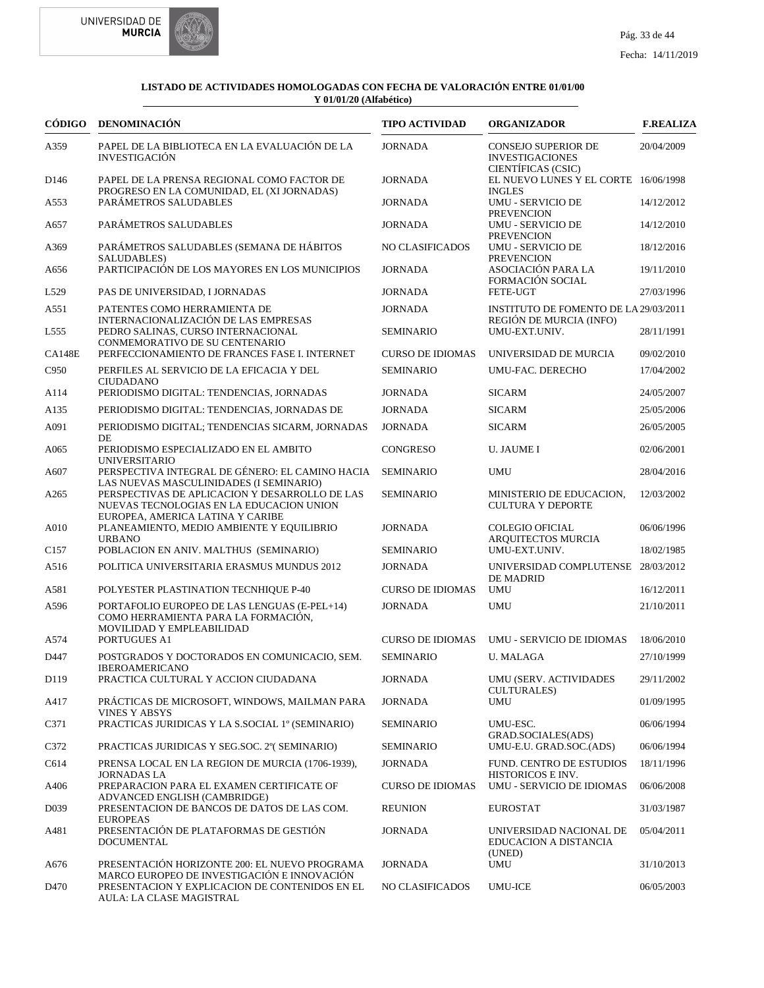



| <b>CÓDIGO</b>     | DENOMINACIÓN                                                                                                                   | <b>TIPO ACTIVIDAD</b>   | <b>ORGANIZADOR</b>                                                          | <b>F.REALIZA</b> |
|-------------------|--------------------------------------------------------------------------------------------------------------------------------|-------------------------|-----------------------------------------------------------------------------|------------------|
| A359              | PAPEL DE LA BIBLIOTECA EN LA EVALUACIÓN DE LA<br><b>INVESTIGACIÓN</b>                                                          | <b>JORNADA</b>          | <b>CONSEJO SUPERIOR DE</b><br><b>INVESTIGACIONES</b>                        | 20/04/2009       |
| D <sub>146</sub>  | PAPEL DE LA PRENSA REGIONAL COMO FACTOR DE<br>PROGRESO EN LA COMUNIDAD, EL (XI JORNADAS)                                       | <b>JORNADA</b>          | CIENTÍFICAS (CSIC)<br>EL NUEVO LUNES Y EL CORTE 16/06/1998<br><b>INGLES</b> |                  |
| A553              | PARÁMETROS SALUDABLES                                                                                                          | <b>JORNADA</b>          | <b>UMU - SERVICIO DE</b><br><b>PREVENCION</b>                               | 14/12/2012       |
| A657              | PARÁMETROS SALUDABLES                                                                                                          | <b>JORNADA</b>          | <b>UMU - SERVICIO DE</b><br><b>PREVENCION</b>                               | 14/12/2010       |
| A369              | PARÁMETROS SALUDABLES (SEMANA DE HÁBITOS<br>SALUDABLES)                                                                        | NO CLASIFICADOS         | <b>UMU - SERVICIO DE</b><br><b>PREVENCION</b>                               | 18/12/2016       |
| A656              | PARTICIPACIÓN DE LOS MAYORES EN LOS MUNICIPIOS                                                                                 | <b>JORNADA</b>          | ASOCIACIÓN PARA LA<br><b>FORMACIÓN SOCIAL</b>                               | 19/11/2010       |
| L <sub>529</sub>  | PAS DE UNIVERSIDAD. I JORNADAS                                                                                                 | <b>JORNADA</b>          | FETE-UGT                                                                    | 27/03/1996       |
| A551              | PATENTES COMO HERRAMIENTA DE                                                                                                   | <b>JORNADA</b>          | INSTITUTO DE FOMENTO DE LA 29/03/2011                                       |                  |
| L <sub>555</sub>  | INTERNACIONALIZACIÓN DE LAS EMPRESAS<br>PEDRO SALINAS, CURSO INTERNACIONAL<br>CONMEMORATIVO DE SU CENTENARIO                   | <b>SEMINARIO</b>        | REGIÓN DE MURCIA (INFO)<br>UMU-EXT.UNIV.                                    | 28/11/1991       |
| <b>CA148E</b>     | PERFECCIONAMIENTO DE FRANCES FASE I. INTERNET                                                                                  | <b>CURSO DE IDIOMAS</b> | UNIVERSIDAD DE MURCIA                                                       | 09/02/2010       |
| C950              | PERFILES AL SERVICIO DE LA EFICACIA Y DEL<br><b>CIUDADANO</b>                                                                  | <b>SEMINARIO</b>        | UMU-FAC. DERECHO                                                            | 17/04/2002       |
| A114              | PERIODISMO DIGITAL: TENDENCIAS, JORNADAS                                                                                       | <b>JORNADA</b>          | <b>SICARM</b>                                                               | 24/05/2007       |
| A135              | PERIODISMO DIGITAL: TENDENCIAS, JORNADAS DE                                                                                    | <b>JORNADA</b>          | <b>SICARM</b>                                                               | 25/05/2006       |
| A091              | PERIODISMO DIGITAL; TENDENCIAS SICARM, JORNADAS<br>DE                                                                          | <b>JORNADA</b>          | <b>SICARM</b>                                                               | 26/05/2005       |
| A065              | PERIODISMO ESPECIALIZADO EN EL AMBITO<br><b>UNIVERSITARIO</b>                                                                  | CONGRESO                | <b>U. JAUME I</b>                                                           | 02/06/2001       |
| A607              | PERSPECTIVA INTEGRAL DE GÉNERO: EL CAMINO HACIA<br>LAS NUEVAS MASCULINIDADES (I SEMINARIO)                                     | <b>SEMINARIO</b>        | <b>UMU</b>                                                                  | 28/04/2016       |
| A265              | PERSPECTIVAS DE APLICACION Y DESARROLLO DE LAS<br>NUEVAS TECNOLOGIAS EN LA EDUCACION UNION<br>EUROPEA, AMERICA LATINA Y CARIBE | <b>SEMINARIO</b>        | MINISTERIO DE EDUCACION,<br><b>CULTURA Y DEPORTE</b>                        | 12/03/2002       |
| A010              | PLANEAMIENTO, MEDIO AMBIENTE Y EQUILIBRIO<br><b>URBANO</b>                                                                     | <b>JORNADA</b>          | <b>COLEGIO OFICIAL</b><br>ARQUITECTOS MURCIA                                | 06/06/1996       |
| C <sub>157</sub>  | POBLACION EN ANIV. MALTHUS (SEMINARIO)                                                                                         | <b>SEMINARIO</b>        | UMU-EXT.UNIV.                                                               | 18/02/1985       |
| A516              | POLITICA UNIVERSITARIA ERASMUS MUNDUS 2012                                                                                     | <b>JORNADA</b>          | UNIVERSIDAD COMPLUTENSE 28/03/2012<br>DE MADRID                             |                  |
| A581              | POLYESTER PLASTINATION TECNHIQUE P-40                                                                                          | <b>CURSO DE IDIOMAS</b> | <b>UMU</b>                                                                  | 16/12/2011       |
| A596              | PORTAFOLIO EUROPEO DE LAS LENGUAS (E-PEL+14)<br>COMO HERRAMIENTA PARA LA FORMACIÓN,<br>MOVILIDAD Y EMPLEABILIDAD               | <b>JORNADA</b>          | <b>UMU</b>                                                                  | 21/10/2011       |
| A574              | PORTUGUES A1                                                                                                                   | <b>CURSO DE IDIOMAS</b> | UMU - SERVICIO DE IDIOMAS                                                   | 18/06/2010       |
| D447              | POSTGRADOS Y DOCTORADOS EN COMUNICACIO. SEM.<br>IBEROAMERICANO                                                                 | <b>SEMINARIO</b>        | <b>U. MALAGA</b>                                                            | 27/10/1999       |
| D119              | PRACTICA CULTURAL Y ACCION CIUDADANA                                                                                           | <b>JORNADA</b>          | UMU (SERV. ACTIVIDADES<br><b>CULTURALES</b> )                               | 29/11/2002       |
| A417              | PRÁCTICAS DE MICROSOFT, WINDOWS, MAILMAN PARA<br><b>VINES Y ABSYS</b>                                                          | <b>JORNADA</b>          | UMU                                                                         | 01/09/1995       |
| C371              | PRACTICAS JURIDICAS Y LA S.SOCIAL 1º (SEMINARIO)                                                                               | SEMINARIO               | UMU-ESC.<br>GRAD.SOCIALES(ADS)                                              | 06/06/1994       |
| C372              | PRACTICAS JURIDICAS Y SEG.SOC. 2° (SEMINARIO)                                                                                  | SEMINARIO               | UMU-E.U. GRAD.SOC.(ADS)                                                     | 06/06/1994       |
| C614              | PRENSA LOCAL EN LA REGION DE MURCIA (1706-1939),                                                                               | <b>JORNADA</b>          | <b>FUND. CENTRO DE ESTUDIOS</b>                                             | 18/11/1996       |
| A406              | JORNADAS LA<br>PREPARACION PARA EL EXAMEN CERTIFICATE OF<br>ADVANCED ENGLISH (CAMBRIDGE)                                       | <b>CURSO DE IDIOMAS</b> | HISTORICOS E INV.<br>UMU - SERVICIO DE IDIOMAS                              | 06/06/2008       |
| D <sub>0</sub> 39 | PRESENTACION DE BANCOS DE DATOS DE LAS COM.<br><b>EUROPEAS</b>                                                                 | <b>REUNION</b>          | <b>EUROSTAT</b>                                                             | 31/03/1987       |
| A481              | PRESENTACIÓN DE PLATAFORMAS DE GESTIÓN<br><b>DOCUMENTAL</b>                                                                    | <b>JORNADA</b>          | UNIVERSIDAD NACIONAL DE<br>EDUCACION A DISTANCIA                            | 05/04/2011       |
| A676              | PRESENTACIÓN HORIZONTE 200: EL NUEVO PROGRAMA                                                                                  | <b>JORNADA</b>          | (UNED)<br>UMU                                                               | 31/10/2013       |
| D470              | MARCO EUROPEO DE INVESTIGACIÓN E INNOVACIÓN<br>PRESENTACION Y EXPLICACION DE CONTENIDOS EN EL<br>AULA: LA CLASE MAGISTRAL      | NO CLASIFICADOS         | <b>UMU-ICE</b>                                                              | 06/05/2003       |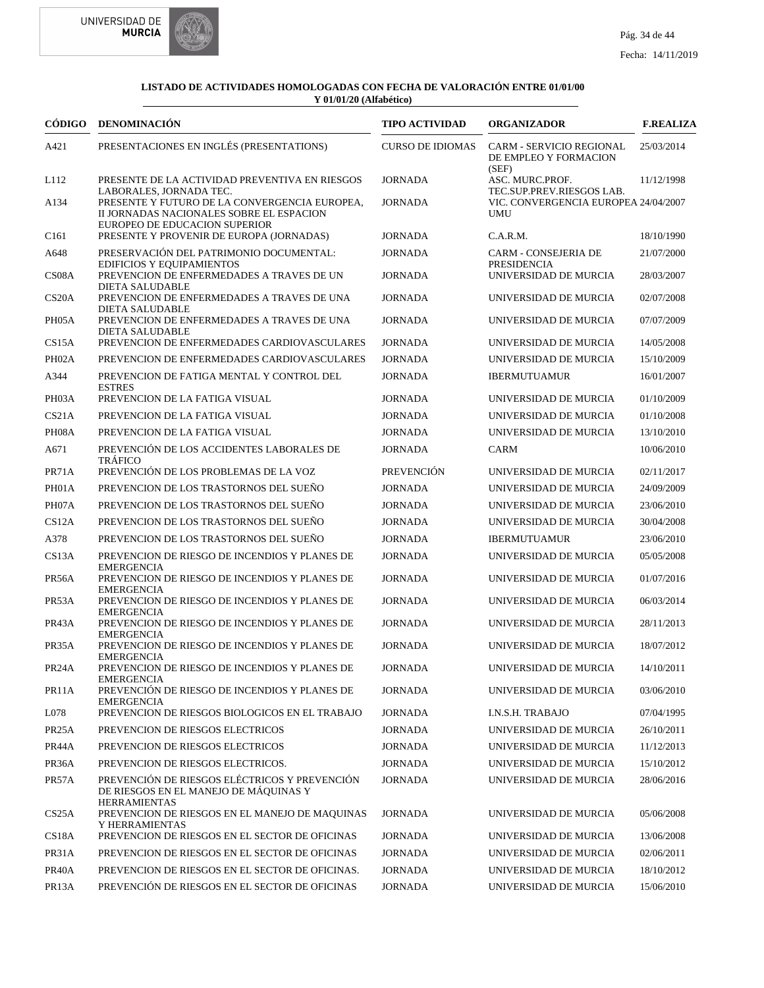



| CÓDIGO             | DENOMINACIÓN                                                                                                                                          | <b>TIPO ACTIVIDAD</b>   | <b>ORGANIZADOR</b>                                                | <b>F.REALIZA</b> |
|--------------------|-------------------------------------------------------------------------------------------------------------------------------------------------------|-------------------------|-------------------------------------------------------------------|------------------|
| A421               | PRESENTACIONES EN INGLÉS (PRESENTATIONS)                                                                                                              | <b>CURSO DE IDIOMAS</b> | <b>CARM - SERVICIO REGIONAL</b><br>DE EMPLEO Y FORMACION<br>(SEF) | 25/03/2014       |
| L112               | PRESENTE DE LA ACTIVIDAD PREVENTIVA EN RIESGOS                                                                                                        | <b>JORNADA</b>          | ASC. MURC.PROF.<br>TEC.SUP.PREV.RIESGOS LAB.                      | 11/12/1998       |
| A134               | LABORALES, JORNADA TEC.<br>PRESENTE Y FUTURO DE LA CONVERGENCIA EUROPEA,<br>II JORNADAS NACIONALES SOBRE EL ESPACION<br>EUROPEO DE EDUCACION SUPERIOR | <b>JORNADA</b>          | VIC. CONVERGENCIA EUROPEA 24/04/2007<br><b>UMU</b>                |                  |
| C <sub>161</sub>   | PRESENTE Y PROVENIR DE EUROPA (JORNADAS)                                                                                                              | <b>JORNADA</b>          | C.A.R.M.                                                          | 18/10/1990       |
| A648               | PRESERVACIÓN DEL PATRIMONIO DOCUMENTAL:                                                                                                               | <b>JORNADA</b>          | CARM - CONSEJERIA DE                                              | 21/07/2000       |
| CS <sub>08</sub> A | <b>EDIFICIOS Y EQUIPAMIENTOS</b><br>PREVENCION DE ENFERMEDADES A TRAVES DE UN<br><b>DIETA SALUDABLE</b>                                               | <b>JORNADA</b>          | <b>PRESIDENCIA</b><br>UNIVERSIDAD DE MURCIA                       | 28/03/2007       |
| CS <sub>20</sub> A | PREVENCION DE ENFERMEDADES A TRAVES DE UNA                                                                                                            | <b>JORNADA</b>          | UNIVERSIDAD DE MURCIA                                             | 02/07/2008       |
| PH05A              | <b>DIETA SALUDABLE</b><br>PREVENCION DE ENFERMEDADES A TRAVES DE UNA<br><b>DIETA SALUDABLE</b>                                                        | <b>JORNADA</b>          | UNIVERSIDAD DE MURCIA                                             | 07/07/2009       |
| CS15A              | PREVENCION DE ENFERMEDADES CARDIOVASCULARES                                                                                                           | <b>JORNADA</b>          | UNIVERSIDAD DE MURCIA                                             | 14/05/2008       |
| PH <sub>02</sub> A | PREVENCION DE ENFERMEDADES CARDIOVASCULARES                                                                                                           | <b>JORNADA</b>          | UNIVERSIDAD DE MURCIA                                             | 15/10/2009       |
| A344               | PREVENCION DE FATIGA MENTAL Y CONTROL DEL<br><b>ESTRES</b>                                                                                            | <b>JORNADA</b>          | <b>IBERMUTUAMUR</b>                                               | 16/01/2007       |
| PH03A              | PREVENCION DE LA FATIGA VISUAL                                                                                                                        | <b>JORNADA</b>          | UNIVERSIDAD DE MURCIA                                             | 01/10/2009       |
| CS21A              | PREVENCION DE LA FATIGA VISUAL                                                                                                                        | <b>JORNADA</b>          | UNIVERSIDAD DE MURCIA                                             | 01/10/2008       |
| PH08A              | PREVENCION DE LA FATIGA VISUAL                                                                                                                        | <b>JORNADA</b>          | UNIVERSIDAD DE MURCIA                                             | 13/10/2010       |
| A671               | PREVENCIÓN DE LOS ACCIDENTES LABORALES DE<br><b>TRÁFICO</b>                                                                                           | <b>JORNADA</b>          | <b>CARM</b>                                                       | 10/06/2010       |
| PR71A              | PREVENCIÓN DE LOS PROBLEMAS DE LA VOZ                                                                                                                 | <b>PREVENCIÓN</b>       | UNIVERSIDAD DE MURCIA                                             | 02/11/2017       |
| PH01A              | PREVENCION DE LOS TRASTORNOS DEL SUEÑO                                                                                                                | <b>JORNADA</b>          | UNIVERSIDAD DE MURCIA                                             | 24/09/2009       |
| PH07A              | PREVENCION DE LOS TRASTORNOS DEL SUEÑO                                                                                                                | <b>JORNADA</b>          | UNIVERSIDAD DE MURCIA                                             | 23/06/2010       |
| CS12A              | PREVENCION DE LOS TRASTORNOS DEL SUEÑO                                                                                                                | <b>JORNADA</b>          | UNIVERSIDAD DE MURCIA                                             | 30/04/2008       |
| A378               | PREVENCION DE LOS TRASTORNOS DEL SUEÑO                                                                                                                | <b>JORNADA</b>          | <b>IBERMUTUAMUR</b>                                               | 23/06/2010       |
| CS13A              | PREVENCION DE RIESGO DE INCENDIOS Y PLANES DE<br><b>EMERGENCIA</b>                                                                                    | <b>JORNADA</b>          | UNIVERSIDAD DE MURCIA                                             | 05/05/2008       |
| PR56A              | PREVENCION DE RIESGO DE INCENDIOS Y PLANES DE<br><b>EMERGENCIA</b>                                                                                    | <b>JORNADA</b>          | UNIVERSIDAD DE MURCIA                                             | 01/07/2016       |
| PR53A              | PREVENCION DE RIESGO DE INCENDIOS Y PLANES DE<br><b>EMERGENCIA</b>                                                                                    | <b>JORNADA</b>          | UNIVERSIDAD DE MURCIA                                             | 06/03/2014       |
| PR43A              | PREVENCION DE RIESGO DE INCENDIOS Y PLANES DE<br><b>EMERGENCIA</b>                                                                                    | <b>JORNADA</b>          | UNIVERSIDAD DE MURCIA                                             | 28/11/2013       |
| PR35A              | PREVENCION DE RIESGO DE INCENDIOS Y PLANES DE                                                                                                         | <b>JORNADA</b>          | UNIVERSIDAD DE MURCIA                                             | 18/07/2012       |
| PR <sub>24</sub> A | <b>EMERGENCIA</b><br>PREVENCION DE RIESGO DE INCENDIOS Y PLANES DE<br><b>EMERGENCIA</b>                                                               | <b>JORNADA</b>          | UNIVERSIDAD DE MURCIA                                             | 14/10/2011       |
| PR11A              | PREVENCIÓN DE RIESGO DE INCENDIOS Y PLANES DE<br><b>EMERGENCIA</b>                                                                                    | <b>JORNADA</b>          | UNIVERSIDAD DE MURCIA                                             | 03/06/2010       |
| L078               | PREVENCION DE RIESGOS BIOLOGICOS EN EL TRABAJO                                                                                                        | <b>JORNADA</b>          | I.N.S.H. TRABAJO                                                  | 07/04/1995       |
| PR <sub>25</sub> A | PREVENCION DE RIESGOS ELECTRICOS                                                                                                                      | <b>JORNADA</b>          | UNIVERSIDAD DE MURCIA                                             | 26/10/2011       |
| PR44A              | PREVENCION DE RIESGOS ELECTRICOS                                                                                                                      | <b>JORNADA</b>          | UNIVERSIDAD DE MURCIA                                             | 11/12/2013       |
| PR36A              | PREVENCION DE RIESGOS ELECTRICOS.                                                                                                                     | <b>JORNADA</b>          | UNIVERSIDAD DE MURCIA                                             | 15/10/2012       |
| PR57A              | PREVENCIÓN DE RIESGOS ELÉCTRICOS Y PREVENCIÓN<br>DE RIESGOS EN EL MANEJO DE MÁQUINAS Y<br><b>HERRAMIENTAS</b>                                         | <b>JORNADA</b>          | UNIVERSIDAD DE MURCIA                                             | 28/06/2016       |
| CS25A              | PREVENCION DE RIESGOS EN EL MANEJO DE MAQUINAS<br>Y HERRAMIENTAS                                                                                      | <b>JORNADA</b>          | UNIVERSIDAD DE MURCIA                                             | 05/06/2008       |
| CS <sub>18</sub> A | PREVENCION DE RIESGOS EN EL SECTOR DE OFICINAS                                                                                                        | <b>JORNADA</b>          | UNIVERSIDAD DE MURCIA                                             | 13/06/2008       |
| PR31A              | PREVENCION DE RIESGOS EN EL SECTOR DE OFICINAS                                                                                                        | <b>JORNADA</b>          | UNIVERSIDAD DE MURCIA                                             | 02/06/2011       |
| PR <sub>40</sub> A | PREVENCION DE RIESGOS EN EL SECTOR DE OFICINAS.                                                                                                       | <b>JORNADA</b>          | UNIVERSIDAD DE MURCIA                                             | 18/10/2012       |
| PR13A              | PREVENCIÓN DE RIESGOS EN EL SECTOR DE OFICINAS                                                                                                        | <b>JORNADA</b>          | UNIVERSIDAD DE MURCIA                                             | 15/06/2010       |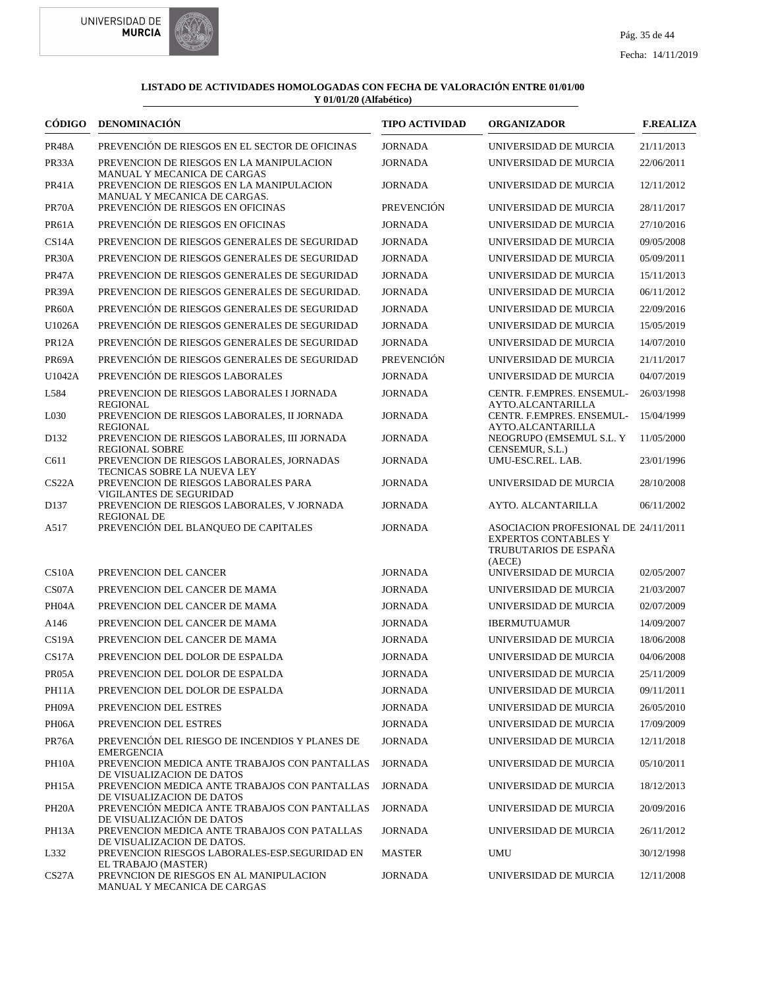



| CÓDIGO             | <b>DENOMINACIÓN</b>                                                                                     | <b>TIPO ACTIVIDAD</b> | <b>ORGANIZADOR</b>                                                                                     | <b>F.REALIZA</b> |
|--------------------|---------------------------------------------------------------------------------------------------------|-----------------------|--------------------------------------------------------------------------------------------------------|------------------|
| PR48A              | PREVENCIÓN DE RIESGOS EN EL SECTOR DE OFICINAS                                                          | <b>JORNADA</b>        | UNIVERSIDAD DE MURCIA                                                                                  | 21/11/2013       |
| PR33A              | PREVENCION DE RIESGOS EN LA MANIPULACION                                                                | <b>JORNADA</b>        | UNIVERSIDAD DE MURCIA                                                                                  | 22/06/2011       |
| PR41A              | MANUAL Y MECANICA DE CARGAS<br>PREVENCION DE RIESGOS EN LA MANIPULACION<br>MANUAL Y MECANICA DE CARGAS. | <b>JORNADA</b>        | UNIVERSIDAD DE MURCIA                                                                                  | 12/11/2012       |
| PR70A              | PREVENCIÓN DE RIESGOS EN OFICINAS                                                                       | <b>PREVENCIÓN</b>     | UNIVERSIDAD DE MURCIA                                                                                  | 28/11/2017       |
| PR61A              | PREVENCIÓN DE RIESGOS EN OFICINAS                                                                       | <b>JORNADA</b>        | UNIVERSIDAD DE MURCIA                                                                                  | 27/10/2016       |
| CS14A              | PREVENCION DE RIESGOS GENERALES DE SEGURIDAD                                                            | <b>JORNADA</b>        | UNIVERSIDAD DE MURCIA                                                                                  | 09/05/2008       |
| PR <sub>30</sub> A | PREVENCION DE RIESGOS GENERALES DE SEGURIDAD                                                            | <b>JORNADA</b>        | UNIVERSIDAD DE MURCIA                                                                                  | 05/09/2011       |
| PR47A              | PREVENCION DE RIESGOS GENERALES DE SEGURIDAD                                                            | <b>JORNADA</b>        | UNIVERSIDAD DE MURCIA                                                                                  | 15/11/2013       |
| PR39A              | PREVENCION DE RIESGOS GENERALES DE SEGURIDAD.                                                           | <b>JORNADA</b>        | UNIVERSIDAD DE MURCIA                                                                                  | 06/11/2012       |
| PR60A              | PREVENCIÓN DE RIESGOS GENERALES DE SEGURIDAD                                                            | <b>JORNADA</b>        | UNIVERSIDAD DE MURCIA                                                                                  | 22/09/2016       |
| U1026A             | PREVENCIÓN DE RIESGOS GENERALES DE SEGURIDAD                                                            | <b>JORNADA</b>        | UNIVERSIDAD DE MURCIA                                                                                  | 15/05/2019       |
| PR12A              | PREVENCIÓN DE RIESGOS GENERALES DE SEGURIDAD                                                            | <b>JORNADA</b>        | UNIVERSIDAD DE MURCIA                                                                                  | 14/07/2010       |
| PR69A              | PREVENCIÓN DE RIESGOS GENERALES DE SEGURIDAD                                                            | <b>PREVENCIÓN</b>     | UNIVERSIDAD DE MURCIA                                                                                  | 21/11/2017       |
| U1042A             | PREVENCIÓN DE RIESGOS LABORALES                                                                         | <b>JORNADA</b>        | UNIVERSIDAD DE MURCIA                                                                                  | 04/07/2019       |
| L584               | PREVENCION DE RIESGOS LABORALES I JORNADA<br><b>REGIONAL</b>                                            | <b>JORNADA</b>        | CENTR. F.EMPRES. ENSEMUL-<br>AYTO.ALCANTARILLA                                                         | 26/03/1998       |
| L030               | PREVENCION DE RIESGOS LABORALES, II JORNADA<br><b>REGIONAL</b>                                          | <b>JORNADA</b>        | CENTR. F.EMPRES. ENSEMUL-<br>AYTO.ALCANTARILLA                                                         | 15/04/1999       |
| D <sub>132</sub>   | PREVENCION DE RIESGOS LABORALES, III JORNADA<br><b>REGIONAL SOBRE</b>                                   | <b>JORNADA</b>        | NEOGRUPO (EMSEMUL S.L. Y<br>CENSEMUR, S.L.)                                                            | 11/05/2000       |
| C611               | PREVENCION DE RIESGOS LABORALES, JORNADAS<br>TECNICAS SOBRE LA NUEVA LEY                                | <b>JORNADA</b>        | UMU-ESC.REL. LAB.                                                                                      | 23/01/1996       |
| CS22A              | PREVENCION DE RIESGOS LABORALES PARA<br>VIGILANTES DE SEGURIDAD                                         | <b>JORNADA</b>        | UNIVERSIDAD DE MURCIA                                                                                  | 28/10/2008       |
| D <sub>137</sub>   | PREVENCION DE RIESGOS LABORALES, V JORNADA<br><b>REGIONAL DE</b>                                        | <b>JORNADA</b>        | AYTO. ALCANTARILLA                                                                                     | 06/11/2002       |
| A517               | PREVENCIÓN DEL BLANQUEO DE CAPITALES                                                                    | <b>JORNADA</b>        | ASOCIACION PROFESIONAL DE 24/11/2011<br><b>EXPERTOS CONTABLES Y</b><br>TRUBUTARIOS DE ESPAÑA<br>(AECE) |                  |
| CS10A              | PREVENCION DEL CANCER                                                                                   | <b>JORNADA</b>        | UNIVERSIDAD DE MURCIA                                                                                  | 02/05/2007       |
| CS07A              | PREVENCION DEL CANCER DE MAMA                                                                           | <b>JORNADA</b>        | UNIVERSIDAD DE MURCIA                                                                                  | 21/03/2007       |
| PH04A              | PREVENCION DEL CANCER DE MAMA                                                                           | <b>JORNADA</b>        | UNIVERSIDAD DE MURCIA                                                                                  | 02/07/2009       |
| A <sub>146</sub>   | PREVENCION DEL CANCER DE MAMA                                                                           | <b>JORNADA</b>        | <b>IBERMUTUAMUR</b>                                                                                    | 14/09/2007       |
| CS <sub>19</sub> A | PREVENCION DEL CANCER DE MAMA                                                                           | <b>JORNADA</b>        | UNIVERSIDAD DE MURCIA                                                                                  | 18/06/2008       |
| CS17A              | PREVENCION DEL DOLOR DE ESPALDA                                                                         | <b>JORNADA</b>        | UNIVERSIDAD DE MURCIA                                                                                  | 04/06/2008       |
| PR <sub>05</sub> A | PREVENCION DEL DOLOR DE ESPALDA                                                                         | <b>JORNADA</b>        | UNIVERSIDAD DE MURCIA                                                                                  | 25/11/2009       |
| PH11A              | PREVENCION DEL DOLOR DE ESPALDA                                                                         | JORNADA               | UNIVERSIDAD DE MURCIA                                                                                  | 09/11/2011       |
| PH09A              | PREVENCION DEL ESTRES                                                                                   | <b>JORNADA</b>        | UNIVERSIDAD DE MURCIA                                                                                  | 26/05/2010       |
| PH <sub>06</sub> A | PREVENCION DEL ESTRES                                                                                   | <b>JORNADA</b>        | UNIVERSIDAD DE MURCIA                                                                                  | 17/09/2009       |
| PR76A              | PREVENCIÓN DEL RIESGO DE INCENDIOS Y PLANES DE<br><b>EMERGENCIA</b>                                     | <b>JORNADA</b>        | UNIVERSIDAD DE MURCIA                                                                                  | 12/11/2018       |
| PH <sub>10</sub> A | PREVENCION MEDICA ANTE TRABAJOS CON PANTALLAS<br>DE VISUALIZACION DE DATOS                              | <b>JORNADA</b>        | UNIVERSIDAD DE MURCIA                                                                                  | 05/10/2011       |
| PH15A              | PREVENCION MEDICA ANTE TRABAJOS CON PANTALLAS<br>DE VISUALIZACION DE DATOS                              | <b>JORNADA</b>        | UNIVERSIDAD DE MURCIA                                                                                  | 18/12/2013       |
| PH <sub>20</sub> A | PREVENCIÓN MEDICA ANTE TRABAJOS CON PANTALLAS<br>DE VISUALIZACIÓN DE DATOS                              | <b>JORNADA</b>        | UNIVERSIDAD DE MURCIA                                                                                  | 20/09/2016       |
| PH13A              | PREVENCION MEDICA ANTE TRABAJOS CON PATALLAS<br>DE VISUALIZACION DE DATOS.                              | <b>JORNADA</b>        | UNIVERSIDAD DE MURCIA                                                                                  | 26/11/2012       |
| L332               | PREVENCION RIESGOS LABORALES-ESP.SEGURIDAD EN<br>EL TRABAJO (MASTER)                                    | MASTER                | UMU                                                                                                    | 30/12/1998       |
| CS27A              | PREVNCION DE RIESGOS EN AL MANIPULACION<br>MANUAL Y MECANICA DE CARGAS                                  | <b>JORNADA</b>        | UNIVERSIDAD DE MURCIA                                                                                  | 12/11/2008       |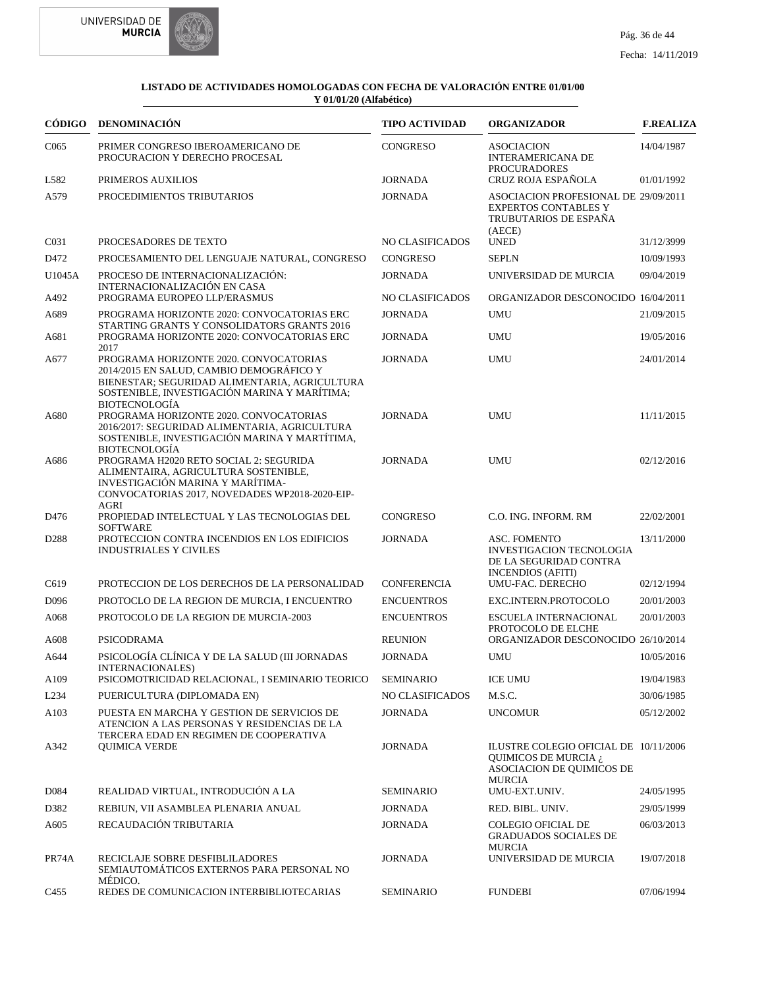



|                  | CÓDIGO DENOMINACIÓN                                                                                                                                                                                  | <b>TIPO ACTIVIDAD</b>  | <b>ORGANIZADOR</b>                                                                                          | <b>F.REALIZA</b> |
|------------------|------------------------------------------------------------------------------------------------------------------------------------------------------------------------------------------------------|------------------------|-------------------------------------------------------------------------------------------------------------|------------------|
| C <sub>065</sub> | PRIMER CONGRESO IBEROAMERICANO DE<br>PROCURACION Y DERECHO PROCESAL                                                                                                                                  | <b>CONGRESO</b>        | <b>ASOCIACION</b><br><b>INTERAMERICANA DE</b><br><b>PROCURADORES</b>                                        | 14/04/1987       |
| L582             | PRIMEROS AUXILIOS                                                                                                                                                                                    | <b>JORNADA</b>         | CRUZ ROJA ESPAÑOLA                                                                                          | 01/01/1992       |
| A579             | PROCEDIMIENTOS TRIBUTARIOS                                                                                                                                                                           | <b>JORNADA</b>         | ASOCIACION PROFESIONAL DE 29/09/2011<br><b>EXPERTOS CONTABLES Y</b><br>TRUBUTARIOS DE ESPAÑA<br>(AECE)      |                  |
| C <sub>031</sub> | PROCESADORES DE TEXTO                                                                                                                                                                                | NO CLASIFICADOS        | <b>UNED</b>                                                                                                 | 31/12/3999       |
| D472             | PROCESAMIENTO DEL LENGUAJE NATURAL, CONGRESO                                                                                                                                                         | <b>CONGRESO</b>        | <b>SEPLN</b>                                                                                                | 10/09/1993       |
| U1045A           | PROCESO DE INTERNACIONALIZACIÓN:<br>INTERNACIONALIZACIÓN EN CASA                                                                                                                                     | <b>JORNADA</b>         | UNIVERSIDAD DE MURCIA                                                                                       | 09/04/2019       |
| A492             | PROGRAMA EUROPEO LLP/ERASMUS                                                                                                                                                                         | NO CLASIFICADOS        | ORGANIZADOR DESCONOCIDO 16/04/2011                                                                          |                  |
| A689             | PROGRAMA HORIZONTE 2020: CONVOCATORIAS ERC<br>STARTING GRANTS Y CONSOLIDATORS GRANTS 2016                                                                                                            | <b>JORNADA</b>         | <b>UMU</b>                                                                                                  | 21/09/2015       |
| A681             | PROGRAMA HORIZONTE 2020: CONVOCATORIAS ERC<br>2017                                                                                                                                                   | <b>JORNADA</b>         | <b>UMU</b>                                                                                                  | 19/05/2016       |
| A677             | PROGRAMA HORIZONTE 2020. CONVOCATORIAS<br>2014/2015 EN SALUD, CAMBIO DEMOGRÁFICO Y<br>BIENESTAR; SEGURIDAD ALIMENTARIA, AGRICULTURA<br>SOSTENIBLE. INVESTIGACIÓN MARINA Y MARÍTIMA:<br>BIOTECNOLOGÍA | <b>JORNADA</b>         | <b>UMU</b>                                                                                                  | 24/01/2014       |
| A680             | PROGRAMA HORIZONTE 2020. CONVOCATORIAS<br>2016/2017: SEGURIDAD ALIMENTARIA, AGRICULTURA<br>SOSTENIBLE, INVESTIGACIÓN MARINA Y MARTÍTIMA,<br><b>BIOTECNOLOGÍA</b>                                     | <b>JORNADA</b>         | <b>UMU</b>                                                                                                  | 11/11/2015       |
| A686             | PROGRAMA H2020 RETO SOCIAL 2: SEGURIDA<br>ALIMENTAIRA, AGRICULTURA SOSTENIBLE,<br>INVESTIGACIÓN MARINA Y MARÍTIMA-<br>CONVOCATORIAS 2017, NOVEDADES WP2018-2020-EIP-<br><b>AGRI</b>                  | <b>JORNADA</b>         | <b>UMU</b>                                                                                                  | 02/12/2016       |
| D476             | PROPIEDAD INTELECTUAL Y LAS TECNOLOGIAS DEL<br><b>SOFTWARE</b>                                                                                                                                       | CONGRESO               | C.O. ING. INFORM. RM                                                                                        | 22/02/2001       |
| D <sub>288</sub> | PROTECCION CONTRA INCENDIOS EN LOS EDIFICIOS<br><b>INDUSTRIALES Y CIVILES</b>                                                                                                                        | <b>JORNADA</b>         | ASC. FOMENTO<br><b>INVESTIGACION TECNOLOGIA</b><br>DE LA SEGURIDAD CONTRA<br><b>INCENDIOS (AFITI)</b>       | 13/11/2000       |
| C <sub>619</sub> | PROTECCION DE LOS DERECHOS DE LA PERSONALIDAD                                                                                                                                                        | <b>CONFERENCIA</b>     | UMU-FAC. DERECHO                                                                                            | 02/12/1994       |
| D <sub>096</sub> | PROTOCLO DE LA REGION DE MURCIA, I ENCUENTRO                                                                                                                                                         | <b>ENCUENTROS</b>      | EXC.INTERN.PROTOCOLO                                                                                        | 20/01/2003       |
| A068             | PROTOCOLO DE LA REGION DE MURCIA-2003                                                                                                                                                                | <b>ENCUENTROS</b>      | ESCUELA INTERNACIONAL<br>PROTOCOLO DE ELCHE                                                                 | 20/01/2003       |
| A608             | <b>PSICODRAMA</b>                                                                                                                                                                                    | <b>REUNION</b>         | ORGANIZADOR DESCONOCIDO 26/10/2014                                                                          |                  |
| A644             | PSICOLOGÍA CLÍNICA Y DE LA SALUD (III JORNADAS<br>INTERNACIONALES)                                                                                                                                   | <b>JORNADA</b>         | <b>UMU</b>                                                                                                  | 10/05/2016       |
| A109             | PSICOMOTRICIDAD RELACIONAL, I SEMINARIO TEORICO                                                                                                                                                      | <b>SEMINARIO</b>       | <b>ICE UMU</b>                                                                                              | 19/04/1983       |
| L <sub>234</sub> | PUERICULTURA (DIPLOMADA EN)                                                                                                                                                                          | <b>NO CLASIFICADOS</b> | M.S.C.                                                                                                      | 30/06/1985       |
| A103             | PUESTA EN MARCHA Y GESTION DE SERVICIOS DE<br>ATENCION A LAS PERSONAS Y RESIDENCIAS DE LA<br>TERCERA EDAD EN REGIMEN DE COOPERATIVA                                                                  | <b>JORNADA</b>         | <b>UNCOMUR</b>                                                                                              | 05/12/2002       |
| A342             | <b>QUIMICA VERDE</b>                                                                                                                                                                                 | <b>JORNADA</b>         | ILUSTRE COLEGIO OFICIAL DE 10/11/2006<br>QUIMICOS DE MURCIA ¿<br>ASOCIACION DE QUIMICOS DE<br><b>MURCIA</b> |                  |
| D084             | REALIDAD VIRTUAL, INTRODUCIÓN A LA                                                                                                                                                                   | <b>SEMINARIO</b>       | UMU-EXT.UNIV.                                                                                               | 24/05/1995       |
| D382             | REBIUN, VII ASAMBLEA PLENARIA ANUAL                                                                                                                                                                  | <b>JORNADA</b>         | RED. BIBL. UNIV.                                                                                            | 29/05/1999       |
| A605             | RECAUDACIÓN TRIBUTARIA                                                                                                                                                                               | <b>JORNADA</b>         | <b>COLEGIO OFICIAL DE</b><br><b>GRADUADOS SOCIALES DE</b>                                                   | 06/03/2013       |
| PR74A            | RECICLAJE SOBRE DESFIBLILADORES<br>SEMIAUTOMATICOS EXTERNOS PARA PERSONAL NO                                                                                                                         | <b>JORNADA</b>         | <b>MURCIA</b><br>UNIVERSIDAD DE MURCIA                                                                      | 19/07/2018       |
| C455             | MÉDICO.<br>REDES DE COMUNICACION INTERBIBLIOTECARIAS                                                                                                                                                 | <b>SEMINARIO</b>       | <b>FUNDEBI</b>                                                                                              | 07/06/1994       |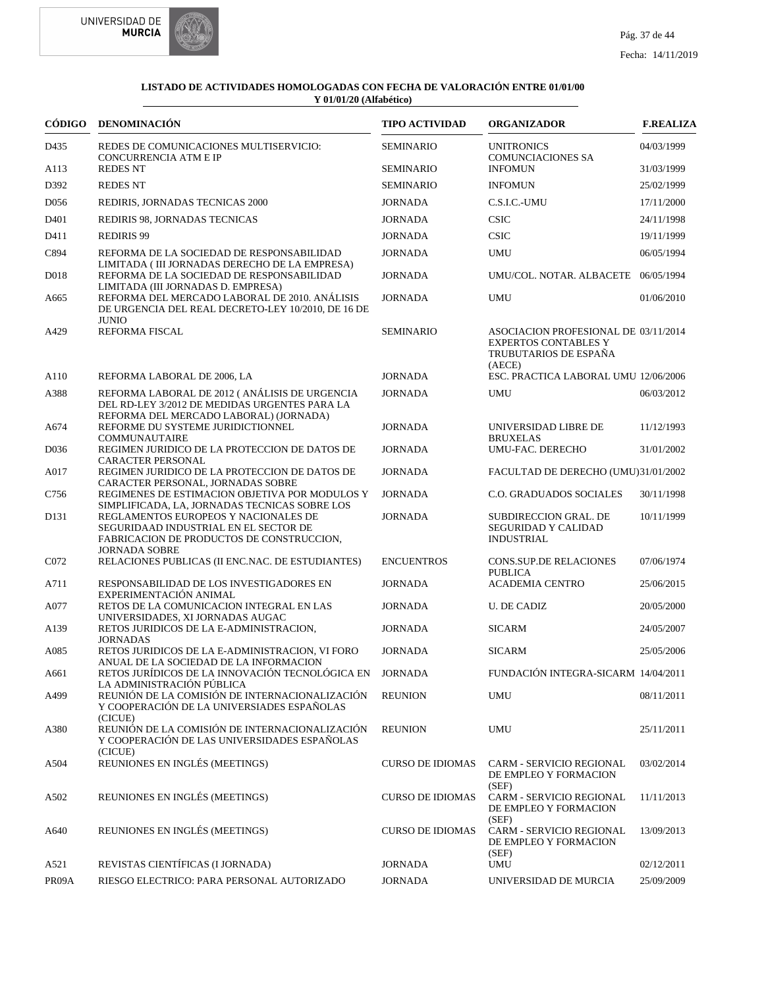



|                   | CÓDIGO DENOMINACIÓN                                                                                                                      | <b>TIPO ACTIVIDAD</b>   | <b>ORGANIZADOR</b>                                                                                     | <b>F.REALIZA</b> |
|-------------------|------------------------------------------------------------------------------------------------------------------------------------------|-------------------------|--------------------------------------------------------------------------------------------------------|------------------|
| D435              | REDES DE COMUNICACIONES MULTISERVICIO:<br>CONCURRENCIA ATM E IP                                                                          | <b>SEMINARIO</b>        | <b>UNITRONICS</b><br><b>COMUNCIACIONES SA</b>                                                          | 04/03/1999       |
| A113              | <b>REDES NT</b>                                                                                                                          | <b>SEMINARIO</b>        | <b>INFOMUN</b>                                                                                         | 31/03/1999       |
| D392              | <b>REDES NT</b>                                                                                                                          | <b>SEMINARIO</b>        | <b>INFOMUN</b>                                                                                         | 25/02/1999       |
| D <sub>056</sub>  | REDIRIS, JORNADAS TECNICAS 2000                                                                                                          | <b>JORNADA</b>          | C.S.I.C.-UMU                                                                                           | 17/11/2000       |
| D <sub>401</sub>  | REDIRIS 98, JORNADAS TECNICAS                                                                                                            | <b>JORNADA</b>          | <b>CSIC</b>                                                                                            | 24/11/1998       |
| D411              | <b>REDIRIS 99</b>                                                                                                                        | <b>JORNADA</b>          | <b>CSIC</b>                                                                                            | 19/11/1999       |
| C894              | REFORMA DE LA SOCIEDAD DE RESPONSABILIDAD                                                                                                | <b>JORNADA</b>          | UMU                                                                                                    | 06/05/1994       |
| D <sub>018</sub>  | LIMITADA (III JORNADAS DERECHO DE LA EMPRESA)<br>REFORMA DE LA SOCIEDAD DE RESPONSABILIDAD<br>LIMITADA (III JORNADAS D. EMPRESA)         | <b>JORNADA</b>          | UMU/COL. NOTAR. ALBACETE 06/05/1994                                                                    |                  |
| A665              | REFORMA DEL MERCADO LABORAL DE 2010. ANÁLISIS<br>DE URGENCIA DEL REAL DECRETO-LEY 10/2010, DE 16 DE<br><b>JUNIO</b>                      | <b>JORNADA</b>          | <b>UMU</b>                                                                                             | 01/06/2010       |
| A429              | REFORMA FISCAL                                                                                                                           | <b>SEMINARIO</b>        | ASOCIACION PROFESIONAL DE 03/11/2014<br><b>EXPERTOS CONTABLES Y</b><br>TRUBUTARIOS DE ESPAÑA<br>(AECE) |                  |
| A110              | REFORMA LABORAL DE 2006, LA                                                                                                              | <b>JORNADA</b>          | ESC. PRACTICA LABORAL UMU 12/06/2006                                                                   |                  |
| A388              | REFORMA LABORAL DE 2012 (ANÁLISIS DE URGENCIA<br>DEL RD-LEY 3/2012 DE MEDIDAS URGENTES PARA LA<br>REFORMA DEL MERCADO LABORAL) (JORNADA) | <b>JORNADA</b>          | <b>UMU</b>                                                                                             | 06/03/2012       |
| A674              | REFORME DU SYSTEME JURIDICTIONNEL<br><b>COMMUNAUTAIRE</b>                                                                                | <b>JORNADA</b>          | UNIVERSIDAD LIBRE DE<br><b>BRUXELAS</b>                                                                | 11/12/1993       |
| D <sub>0</sub> 36 | REGIMEN JURIDICO DE LA PROTECCION DE DATOS DE<br>CARACTER PERSONAL                                                                       | <b>JORNADA</b>          | UMU-FAC. DERECHO                                                                                       | 31/01/2002       |
| A017              | REGIMEN JURIDICO DE LA PROTECCION DE DATOS DE<br>CARACTER PERSONAL, JORNADAS SOBRE                                                       | <b>JORNADA</b>          | FACULTAD DE DERECHO (UMU)31/01/2002                                                                    |                  |
| C756              | REGIMENES DE ESTIMACION OBJETIVA POR MODULOS Y<br>SIMPLIFICADA, LA, JORNADAS TECNICAS SOBRE LOS                                          | <b>JORNADA</b>          | <b>C.O. GRADUADOS SOCIALES</b>                                                                         | 30/11/1998       |
| D <sub>131</sub>  | REGLAMENTOS EUROPEOS Y NACIONALES DE<br>SEGURIDAAD INDUSTRIAL EN EL SECTOR DE<br>FABRICACION DE PRODUCTOS DE CONSTRUCCION,               | <b>JORNADA</b>          | <b>SUBDIRECCION GRAL. DE</b><br>SEGURIDAD Y CALIDAD<br><b>INDUSTRIAL</b>                               | 10/11/1999       |
| C <sub>072</sub>  | <b>JORNADA SOBRE</b><br>RELACIONES PUBLICAS (II ENC.NAC. DE ESTUDIANTES)                                                                 | <b>ENCUENTROS</b>       | <b>CONS.SUP.DE RELACIONES</b><br><b>PUBLICA</b>                                                        | 07/06/1974       |
| A711              | RESPONSABILIDAD DE LOS INVESTIGADORES EN<br>EXPERIMENTACIÓN ANIMAL                                                                       | <b>JORNADA</b>          | <b>ACADEMIA CENTRO</b>                                                                                 | 25/06/2015       |
| A077              | RETOS DE LA COMUNICACION INTEGRAL EN LAS<br>UNIVERSIDADES, XI JORNADAS AUGAC                                                             | <b>JORNADA</b>          | <b>U. DE CADIZ</b>                                                                                     | 20/05/2000       |
| A <sub>139</sub>  | RETOS JURIDICOS DE LA E-ADMINISTRACION,<br><b>JORNADAS</b>                                                                               | <b>JORNADA</b>          | <b>SICARM</b>                                                                                          | 24/05/2007       |
| A085              | RETOS JURIDICOS DE LA E-ADMINISTRACION, VI FORO<br>ANUAL DE LA SOCIEDAD DE LA INFORMACION                                                | <b>JORNADA</b>          | <b>SICARM</b>                                                                                          | 25/05/2006       |
| A661              | RETOS JURÍDICOS DE LA INNOVACIÓN TECNOLÓGICA EN JORNADA<br>LA ADMINISTRACIÓN PÚBLICA                                                     |                         | FUNDACIÓN INTEGRA-SICARM 14/04/2011                                                                    |                  |
| A499              | REUNIÓN DE LA COMISIÓN DE INTERNACIONALIZACIÓN<br>Y COOPERACIÓN DE LA UNIVERSIADES ESPAÑOLAS<br>(CICUE)                                  | <b>REUNION</b>          | <b>UMU</b>                                                                                             | 08/11/2011       |
| A380              | REUNIÓN DE LA COMISIÓN DE INTERNACIONALIZACIÓN<br>Y COOPERACIÓN DE LAS UNIVERSIDADES ESPAÑOLAS<br>(CICUE)                                | <b>REUNION</b>          | UMU                                                                                                    | 25/11/2011       |
| A504              | REUNIONES EN INGLÉS (MEETINGS)                                                                                                           | <b>CURSO DE IDIOMAS</b> | <b>CARM - SERVICIO REGIONAL</b><br>DE EMPLEO Y FORMACION<br>(SEF)                                      | 03/02/2014       |
| A502              | REUNIONES EN INGLÉS (MEETINGS)                                                                                                           | <b>CURSO DE IDIOMAS</b> | CARM - SERVICIO REGIONAL<br>DE EMPLEO Y FORMACION<br>(SEF)                                             | 11/11/2013       |
| A640              | REUNIONES EN INGLÉS (MEETINGS)                                                                                                           | <b>CURSO DE IDIOMAS</b> | CARM - SERVICIO REGIONAL<br>DE EMPLEO Y FORMACION<br>(SEF)                                             | 13/09/2013       |
| A521              | REVISTAS CIENTÍFICAS (I JORNADA)                                                                                                         | <b>JORNADA</b>          | <b>UMU</b>                                                                                             | 02/12/2011       |
| PR09A             | RIESGO ELECTRICO: PARA PERSONAL AUTORIZADO                                                                                               | <b>JORNADA</b>          | UNIVERSIDAD DE MURCIA                                                                                  | 25/09/2009       |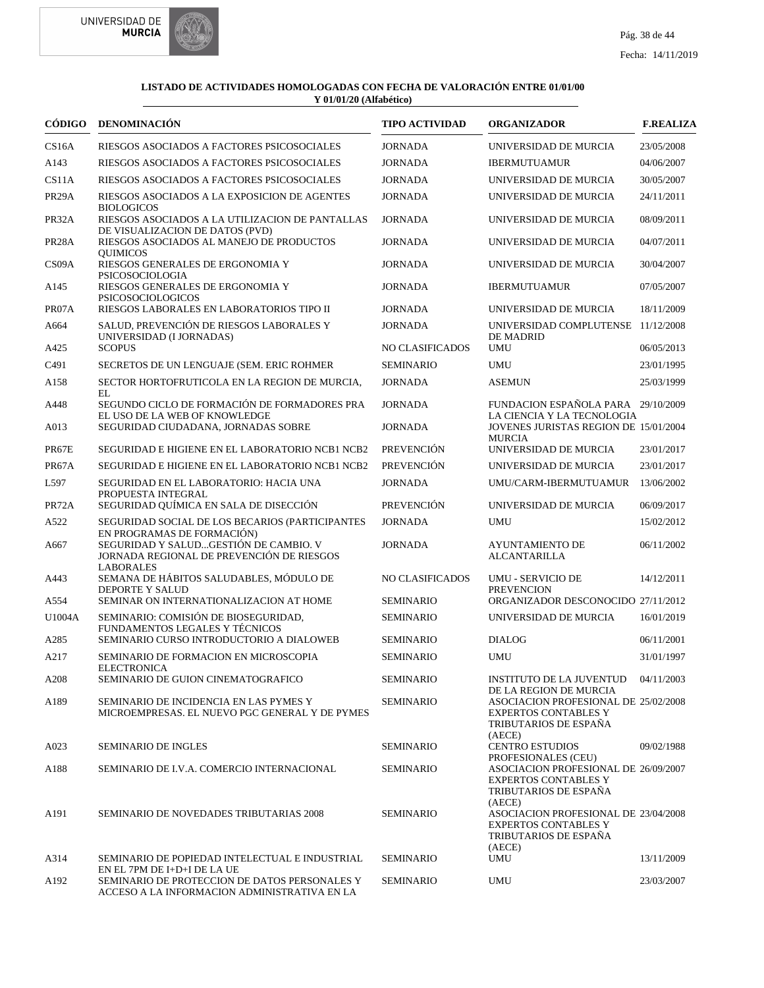



|                    | CÓDIGO DENOMINACIÓN                                                                                    | <b>TIPO ACTIVIDAD</b> | <b>ORGANIZADOR</b>                                                                                     | <b>F.REALIZA</b> |
|--------------------|--------------------------------------------------------------------------------------------------------|-----------------------|--------------------------------------------------------------------------------------------------------|------------------|
| CS <sub>16</sub> A | RIESGOS ASOCIADOS A FACTORES PSICOSOCIALES                                                             | <b>JORNADA</b>        | UNIVERSIDAD DE MURCIA                                                                                  | 23/05/2008       |
| A143               | RIESGOS ASOCIADOS A FACTORES PSICOSOCIALES                                                             | <b>JORNADA</b>        | <b>IBERMUTUAMUR</b>                                                                                    | 04/06/2007       |
| CS11A              | RIESGOS ASOCIADOS A FACTORES PSICOSOCIALES                                                             | <b>JORNADA</b>        | UNIVERSIDAD DE MURCIA                                                                                  | 30/05/2007       |
| PR <sub>29</sub> A | RIESGOS ASOCIADOS A LA EXPOSICION DE AGENTES<br><b>BIOLOGICOS</b>                                      | <b>JORNADA</b>        | UNIVERSIDAD DE MURCIA                                                                                  | 24/11/2011       |
| PR32A              | RIESGOS ASOCIADOS A LA UTILIZACION DE PANTALLAS<br>DE VISUALIZACION DE DATOS (PVD)                     | <b>JORNADA</b>        | UNIVERSIDAD DE MURCIA                                                                                  | 08/09/2011       |
| PR <sub>28</sub> A | RIESGOS ASOCIADOS AL MANEJO DE PRODUCTOS<br><b>OUIMICOS</b>                                            | <b>JORNADA</b>        | UNIVERSIDAD DE MURCIA                                                                                  | 04/07/2011       |
| CS09A              | RIESGOS GENERALES DE ERGONOMIA Y<br>PSICOSOCIOLOGIA                                                    | <b>JORNADA</b>        | UNIVERSIDAD DE MURCIA                                                                                  | 30/04/2007       |
| A145               | RIESGOS GENERALES DE ERGONOMIA Y<br>PSICOSOCIOLOGICOS                                                  | <b>JORNADA</b>        | <b>IBERMUTUAMUR</b>                                                                                    | 07/05/2007       |
| PR07A              | RIESGOS LABORALES EN LABORATORIOS TIPO II                                                              | <b>JORNADA</b>        | UNIVERSIDAD DE MURCIA                                                                                  | 18/11/2009       |
| A664               | SALUD, PREVENCIÓN DE RIESGOS LABORALES Y<br>UNIVERSIDAD (I JORNADAS)                                   | <b>JORNADA</b>        | UNIVERSIDAD COMPLUTENSE 11/12/2008<br>DE MADRID                                                        |                  |
| A425               | <b>SCOPUS</b>                                                                                          | NO CLASIFICADOS       | <b>UMU</b>                                                                                             | 06/05/2013       |
| C <sub>491</sub>   | SECRETOS DE UN LENGUAJE (SEM. ERIC ROHMER                                                              | <b>SEMINARIO</b>      | <b>UMU</b>                                                                                             | 23/01/1995       |
| A158               | SECTOR HORTOFRUTICOLA EN LA REGION DE MURCIA,<br>EL                                                    | <b>JORNADA</b>        | <b>ASEMUN</b>                                                                                          | 25/03/1999       |
| A448               | SEGUNDO CICLO DE FORMACIÓN DE FORMADORES PRA<br>EL USO DE LA WEB OF KNOWLEDGE                          | <b>JORNADA</b>        | FUNDACION ESPAÑOLA PARA 29/10/2009<br>LA CIENCIA Y LA TECNOLOGIA                                       |                  |
| A013               | SEGURIDAD CIUDADANA, JORNADAS SOBRE                                                                    | <b>JORNADA</b>        | JOVENES JURISTAS REGION DE 15/01/2004<br><b>MURCIA</b>                                                 |                  |
| PR67E              | SEGURIDAD E HIGIENE EN EL LABORATORIO NCB1 NCB2                                                        | <b>PREVENCIÓN</b>     | UNIVERSIDAD DE MURCIA                                                                                  | 23/01/2017       |
| PR67A              | SEGURIDAD E HIGIENE EN EL LABORATORIO NCB1 NCB2                                                        | <b>PREVENCIÓN</b>     | UNIVERSIDAD DE MURCIA                                                                                  | 23/01/2017       |
| L597               | SEGURIDAD EN EL LABORATORIO: HACIA UNA<br>PROPUESTA INTEGRAL                                           | <b>JORNADA</b>        | UMU/CARM-IBERMUTUAMUR                                                                                  | 13/06/2002       |
| PR72A              | SEGURIDAD QUÍMICA EN SALA DE DISECCIÓN                                                                 | <b>PREVENCIÓN</b>     | UNIVERSIDAD DE MURCIA                                                                                  | 06/09/2017       |
| A522               | SEGURIDAD SOCIAL DE LOS BECARIOS (PARTICIPANTES<br>EN PROGRAMAS DE FORMACIÓN)                          | <b>JORNADA</b>        | <b>UMU</b>                                                                                             | 15/02/2012       |
| A667               | SEGURIDAD Y SALUDGESTIÓN DE CAMBIO. V<br>JORNADA REGIONAL DE PREVENCIÓN DE RIESGOS<br><b>LABORALES</b> | <b>JORNADA</b>        | <b>AYUNTAMIENTO DE</b><br><b>ALCANTARILLA</b>                                                          | 06/11/2002       |
| A443               | SEMANA DE HÁBITOS SALUDABLES, MÓDULO DE<br>DEPORTE Y SALUD                                             | NO CLASIFICADOS       | <b>UMU - SERVICIO DE</b><br><b>PREVENCION</b>                                                          | 14/12/2011       |
| A554               | SEMINAR ON INTERNATIONALIZACION AT HOME                                                                | <b>SEMINARIO</b>      | ORGANIZADOR DESCONOCIDO 27/11/2012                                                                     |                  |
| U1004A             | SEMINARIO: COMISIÓN DE BIOSEGURIDAD,<br>FUNDAMENTOS LEGALES Y TÉCNICOS                                 | <b>SEMINARIO</b>      | UNIVERSIDAD DE MURCIA                                                                                  | 16/01/2019       |
| A285               | SEMINARIO CURSO INTRODUCTORIO A DIALOWEB                                                               | <b>SEMINARIO</b>      | <b>DIALOG</b>                                                                                          | 06/11/2001       |
| A217               | SEMINARIO DE FORMACION EN MICROSCOPIA<br><b>ELECTRONICA</b>                                            | <b>SEMINARIO</b>      | <b>UMU</b>                                                                                             | 31/01/1997       |
| A208               | SEMINARIO DE GUION CINEMATOGRAFICO                                                                     | <b>SEMINARIO</b>      | <b>INSTITUTO DE LA JUVENTUD</b><br>DE LA REGION DE MURCIA                                              | 04/11/2003       |
| A189               | SEMINARIO DE INCIDENCIA EN LAS PYMES Y<br>MICROEMPRESAS. EL NUEVO PGC GENERAL Y DE PYMES               | <b>SEMINARIO</b>      | ASOCIACION PROFESIONAL DE 25/02/2008<br><b>EXPERTOS CONTABLES Y</b><br>TRIBUTARIOS DE ESPAÑA<br>(AECE) |                  |
| A023               | <b>SEMINARIO DE INGLES</b>                                                                             | <b>SEMINARIO</b>      | <b>CENTRO ESTUDIOS</b><br>PROFESIONALES (CEU)                                                          | 09/02/1988       |
| A188               | SEMINARIO DE I.V.A. COMERCIO INTERNACIONAL                                                             | <b>SEMINARIO</b>      | ASOCIACION PROFESIONAL DE 26/09/2007<br><b>EXPERTOS CONTABLES Y</b><br>TRIBUTARIOS DE ESPANA<br>(AECE) |                  |
| A191               | <b>SEMINARIO DE NOVEDADES TRIBUTARIAS 2008</b>                                                         | <b>SEMINARIO</b>      | ASOCIACION PROFESIONAL DE 23/04/2008<br><b>EXPERTOS CONTABLES Y</b><br>TRIBUTARIOS DE ESPAÑA<br>(AECE) |                  |
| A314               | SEMINARIO DE POPIEDAD INTELECTUAL E INDUSTRIAL<br>EN EL 7PM DE I+D+I DE LA UE                          | <b>SEMINARIO</b>      | <b>UMU</b>                                                                                             | 13/11/2009       |
| A192               | SEMINARIO DE PROTECCION DE DATOS PERSONALES Y<br>ACCESO A LA INFORMACION ADMINISTRATIVA EN LA          | SEMINARIO             | <b>UMU</b>                                                                                             | 23/03/2007       |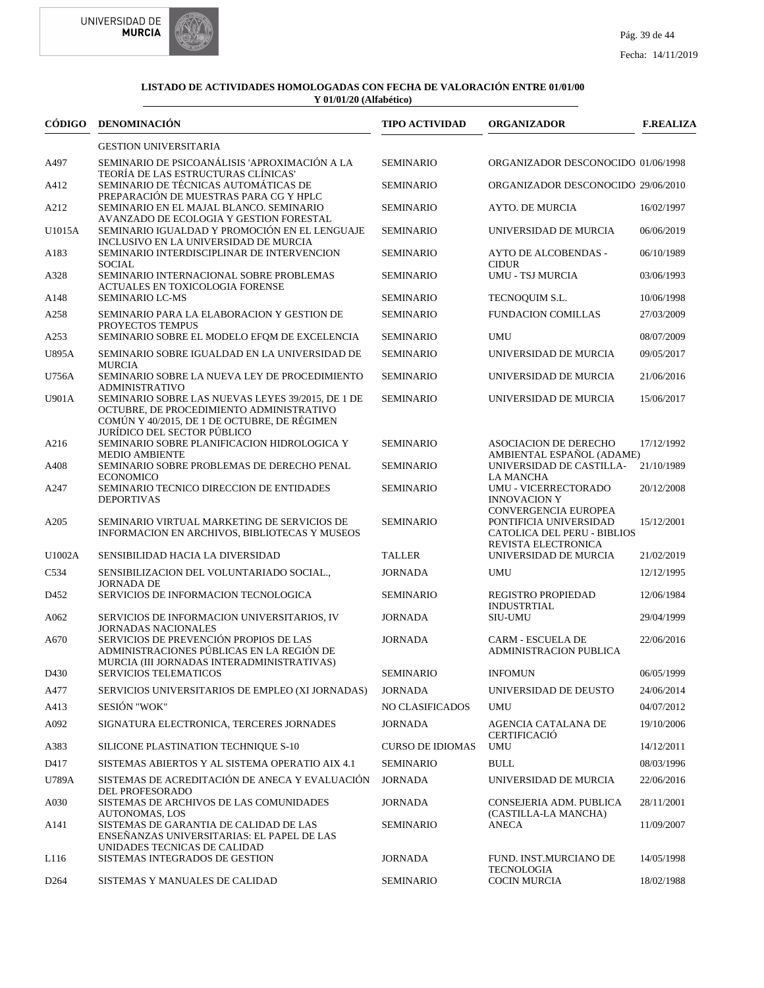



| CÓDIGO           | <b>DENOMINACIÓN</b>                                                                                                                                                                                   | <b>TIPO ACTIVIDAD</b>   | <b>ORGANIZADOR</b>                                                                                   | <b>F.REALIZA</b> |
|------------------|-------------------------------------------------------------------------------------------------------------------------------------------------------------------------------------------------------|-------------------------|------------------------------------------------------------------------------------------------------|------------------|
|                  | <b>GESTION UNIVERSITARIA</b>                                                                                                                                                                          |                         |                                                                                                      |                  |
| A497             | SEMINARIO DE PSICOANÁLISIS 'APROXIMACIÓN A LA<br>TEORÍA DE LAS ESTRUCTURAS CLÍNICAS'                                                                                                                  | <b>SEMINARIO</b>        | ORGANIZADOR DESCONOCIDO 01/06/1998                                                                   |                  |
| A412             | SEMINARIO DE TÉCNICAS AUTOMÁTICAS DE<br>PREPARACIÓN DE MUESTRAS PARA CG Y HPLC                                                                                                                        | <b>SEMINARIO</b>        | ORGANIZADOR DESCONOCIDO 29/06/2010                                                                   |                  |
| A212             | SEMINARIO EN EL MAJAL BLANCO. SEMINARIO                                                                                                                                                               | <b>SEMINARIO</b>        | AYTO. DE MURCIA                                                                                      | 16/02/1997       |
| U1015A           | AVANZADO DE ECOLOGIA Y GESTION FORESTAL<br>SEMINARIO IGUALDAD Y PROMOCIÓN EN EL LENGUAJE                                                                                                              | <b>SEMINARIO</b>        | UNIVERSIDAD DE MURCIA                                                                                | 06/06/2019       |
| A183             | INCLUSIVO EN LA UNIVERSIDAD DE MURCIA<br>SEMINARIO INTERDISCIPLINAR DE INTERVENCION                                                                                                                   | <b>SEMINARIO</b>        | AYTO DE ALCOBENDAS -                                                                                 | 06/10/1989       |
| A328             | <b>SOCIAL</b><br>SEMINARIO INTERNACIONAL SOBRE PROBLEMAS                                                                                                                                              | <b>SEMINARIO</b>        | <b>CIDUR</b><br><b>UMU - TSJ MURCIA</b>                                                              | 03/06/1993       |
| A148             | <b>ACTUALES EN TOXICOLOGIA FORENSE</b><br>SEMINARIO LC-MS                                                                                                                                             | <b>SEMINARIO</b>        | TECNOQUIM S.L.                                                                                       | 10/06/1998       |
| A258             | SEMINARIO PARA LA ELABORACION Y GESTION DE                                                                                                                                                            | <b>SEMINARIO</b>        | <b>FUNDACION COMILLAS</b>                                                                            | 27/03/2009       |
| A253             | PROYECTOS TEMPUS<br>SEMINARIO SOBRE EL MODELO EFOM DE EXCELENCIA                                                                                                                                      | <b>SEMINARIO</b>        | <b>UMU</b>                                                                                           | 08/07/2009       |
| <b>U895A</b>     | SEMINARIO SOBRE IGUALDAD EN LA UNIVERSIDAD DE<br><b>MURCIA</b>                                                                                                                                        | <b>SEMINARIO</b>        | UNIVERSIDAD DE MURCIA                                                                                | 09/05/2017       |
| U756A            | SEMINARIO SOBRE LA NUEVA LEY DE PROCEDIMIENTO                                                                                                                                                         | <b>SEMINARIO</b>        | UNIVERSIDAD DE MURCIA                                                                                | 21/06/2016       |
| U901A            | <b>ADMINISTRATIVO</b><br>SEMINARIO SOBRE LAS NUEVAS LEYES 39/2015, DE 1 DE<br>OCTUBRE, DE PROCEDIMIENTO ADMINISTRATIVO<br>COMÚN Y 40/2015. DE 1 DE OCTUBRE. DE RÉGIMEN<br>JURÍDICO DEL SECTOR PÚBLICO | <b>SEMINARIO</b>        | UNIVERSIDAD DE MURCIA                                                                                | 15/06/2017       |
| A216             | SEMINARIO SOBRE PLANIFICACION HIDROLOGICA Y<br><b>MEDIO AMBIENTE</b>                                                                                                                                  | <b>SEMINARIO</b>        | <b>ASOCIACION DE DERECHO</b><br>AMBIENTAL ESPAÑOL (ADAME)                                            | 17/12/1992       |
| A408             | SEMINARIO SOBRE PROBLEMAS DE DERECHO PENAL                                                                                                                                                            | <b>SEMINARIO</b>        | UNIVERSIDAD DE CASTILLA-                                                                             | 21/10/1989       |
| A247             | <b>ECONOMICO</b><br>SEMINARIO TECNICO DIRECCION DE ENTIDADES<br><b>DEPORTIVAS</b>                                                                                                                     | <b>SEMINARIO</b>        | <b>LA MANCHA</b><br>UMU - VICERRECTORADO<br><b>INNOVACION Y</b>                                      | 20/12/2008       |
| A205             | SEMINARIO VIRTUAL MARKETING DE SERVICIOS DE<br>INFORMACION EN ARCHIVOS, BIBLIOTECAS Y MUSEOS                                                                                                          | <b>SEMINARIO</b>        | CONVERGENCIA EUROPEA<br>PONTIFICIA UNIVERSIDAD<br>CATOLICA DEL PERU - BIBLIOS<br>REVISTA ELECTRONICA | 15/12/2001       |
| U1002A           | SENSIBILIDAD HACIA LA DIVERSIDAD                                                                                                                                                                      | <b>TALLER</b>           | UNIVERSIDAD DE MURCIA                                                                                | 21/02/2019       |
| C534             | SENSIBILIZACION DEL VOLUNTARIADO SOCIAL.,<br>JORNADA DE                                                                                                                                               | <b>JORNADA</b>          | <b>UMU</b>                                                                                           | 12/12/1995       |
| D452             | SERVICIOS DE INFORMACION TECNOLOGICA                                                                                                                                                                  | <b>SEMINARIO</b>        | REGISTRO PROPIEDAD<br><b>INDUSTRTIAL</b>                                                             | 12/06/1984       |
| A062             | SERVICIOS DE INFORMACION UNIVERSITARIOS, IV                                                                                                                                                           | <b>JORNADA</b>          | SIU-UMU                                                                                              | 29/04/1999       |
| A670             | <b>JORNADAS NACIONALES</b><br>SERVICIOS DE PREVENCIÓN PROPIOS DE LAS<br>ADMINISTRACIONES PÚBLICAS EN LA REGIÓN DE<br>MURCIA (III JORNADAS INTERADMINISTRATIVAS)                                       | <b>JORNADA</b>          | <b>CARM - ESCUELA DE</b><br><b>ADMINISTRACION PUBLICA</b>                                            | 22/06/2016       |
| D430             | <b>SERVICIOS TELEMATICOS</b>                                                                                                                                                                          | <b>SEMINARIO</b>        | <b>INFOMUN</b>                                                                                       | 06/05/1999       |
| A477             | SERVICIOS UNIVERSITARIOS DE EMPLEO (XI JORNADAS)                                                                                                                                                      | <b>JORNADA</b>          | UNIVERSIDAD DE DEUSTO                                                                                | 24/06/2014       |
| A413             | SESIÓN "WOK"                                                                                                                                                                                          | NO CLASIFICADOS         | <b>UMU</b>                                                                                           | 04/07/2012       |
| A092             | SIGNATURA ELECTRONICA, TERCERES JORNADES                                                                                                                                                              | <b>JORNADA</b>          | AGENCIA CATALANA DE<br><b>CERTIFICACIÓ</b>                                                           | 19/10/2006       |
| A383             | SILICONE PLASTINATION TECHNIQUE S-10                                                                                                                                                                  | <b>CURSO DE IDIOMAS</b> | UMU                                                                                                  | 14/12/2011       |
| D417             | SISTEMAS ABIERTOS Y AL SISTEMA OPERATIO AIX 4.1                                                                                                                                                       | <b>SEMINARIO</b>        | <b>BULL</b>                                                                                          | 08/03/1996       |
| U789A            | SISTEMAS DE ACREDITACIÓN DE ANECA Y EVALUACIÓN<br><b>DEL PROFESORADO</b>                                                                                                                              | <b>JORNADA</b>          | UNIVERSIDAD DE MURCIA                                                                                | 22/06/2016       |
| A030             | SISTEMAS DE ARCHIVOS DE LAS COMUNIDADES<br><b>AUTONOMAS, LOS</b>                                                                                                                                      | JORNADA                 | CONSEJERIA ADM. PUBLICA<br>(CASTILLA-LA MANCHA)                                                      | 28/11/2001       |
| A141             | SISTEMAS DE GARANTIA DE CALIDAD DE LAS<br>ENSEÑANZAS UNIVERSITARIAS: EL PAPEL DE LAS<br>UNIDADES TECNICAS DE CALIDAD                                                                                  | <b>SEMINARIO</b>        | <b>ANECA</b>                                                                                         | 11/09/2007       |
| L116             | SISTEMAS INTEGRADOS DE GESTION                                                                                                                                                                        | <b>JORNADA</b>          | FUND. INST.MURCIANO DE<br><b>TECNOLOGIA</b>                                                          | 14/05/1998       |
| D <sub>264</sub> | SISTEMAS Y MANUALES DE CALIDAD                                                                                                                                                                        | <b>SEMINARIO</b>        | <b>COCIN MURCIA</b>                                                                                  | 18/02/1988       |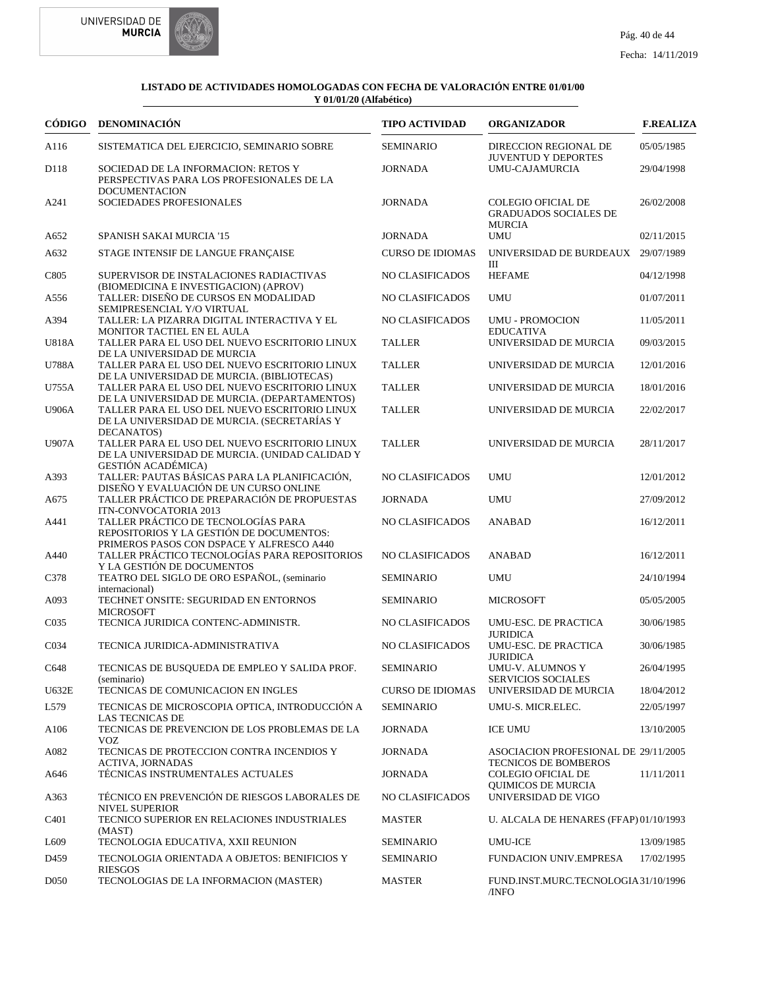



|                   | CÓDIGO DENOMINACIÓN                                                                                                          | <b>TIPO ACTIVIDAD</b>   | <b>ORGANIZADOR</b>                                                  | <b>F.REALIZA</b> |
|-------------------|------------------------------------------------------------------------------------------------------------------------------|-------------------------|---------------------------------------------------------------------|------------------|
| A116              | SISTEMATICA DEL EJERCICIO, SEMINARIO SOBRE                                                                                   | <b>SEMINARIO</b>        | DIRECCION REGIONAL DE<br><b>JUVENTUD Y DEPORTES</b>                 | 05/05/1985       |
| D118              | SOCIEDAD DE LA INFORMACION: RETOS Y<br>PERSPECTIVAS PARA LOS PROFESIONALES DE LA<br><b>DOCUMENTACION</b>                     | <b>JORNADA</b>          | UMU-CAJAMURCIA                                                      | 29/04/1998       |
| A241              | SOCIEDADES PROFESIONALES                                                                                                     | <b>JORNADA</b>          | COLEGIO OFICIAL DE<br><b>GRADUADOS SOCIALES DE</b><br>MURCIA        | 26/02/2008       |
| A652              | <b>SPANISH SAKAI MURCIA '15</b>                                                                                              | <b>JORNADA</b>          | <b>UMU</b>                                                          | 02/11/2015       |
| A632              | STAGE INTENSIF DE LANGUE FRANÇAISE                                                                                           | <b>CURSO DE IDIOMAS</b> | UNIVERSIDAD DE BURDEAUX<br>Ш                                        | 29/07/1989       |
| C805              | SUPERVISOR DE INSTALACIONES RADIACTIVAS<br>(BIOMEDICINA E INVESTIGACION) (APROV)                                             | NO CLASIFICADOS         | <b>HEFAME</b>                                                       | 04/12/1998       |
| A556              | TALLER: DISEÑO DE CURSOS EN MODALIDAD<br>SEMIPRESENCIAL Y/O VIRTUAL                                                          | NO CLASIFICADOS         | <b>UMU</b>                                                          | 01/07/2011       |
| A394              | TALLER: LA PIZARRA DIGITAL INTERACTIVA Y EL<br>MONITOR TACTIEL EN EL AULA                                                    | NO CLASIFICADOS         | <b>UMU - PROMOCION</b><br><b>EDUCATIVA</b>                          | 11/05/2011       |
| U818A             | TALLER PARA EL USO DEL NUEVO ESCRITORIO LINUX<br>DE LA UNIVERSIDAD DE MURCIA                                                 | <b>TALLER</b>           | UNIVERSIDAD DE MURCIA                                               | 09/03/2015       |
| U788A             | TALLER PARA EL USO DEL NUEVO ESCRITORIO LINUX<br>DE LA UNIVERSIDAD DE MURCIA. (BIBLIOTECAS)                                  | <b>TALLER</b>           | UNIVERSIDAD DE MURCIA                                               | 12/01/2016       |
| U755A             | TALLER PARA EL USO DEL NUEVO ESCRITORIO LINUX<br>DE LA UNIVERSIDAD DE MURCIA. (DEPARTAMENTOS)                                | <b>TALLER</b>           | UNIVERSIDAD DE MURCIA                                               | 18/01/2016       |
| <b>U906A</b>      | TALLER PARA EL USO DEL NUEVO ESCRITORIO LINUX<br>DE LA UNIVERSIDAD DE MURCIA. (SECRETARÍAS Y<br>DECANATOS)                   | <b>TALLER</b>           | UNIVERSIDAD DE MURCIA                                               | 22/02/2017       |
| <b>U907A</b>      | TALLER PARA EL USO DEL NUEVO ESCRITORIO LINUX<br>DE LA UNIVERSIDAD DE MURCIA. (UNIDAD CALIDAD Y<br><b>GESTIÓN ACADÉMICA)</b> | <b>TALLER</b>           | UNIVERSIDAD DE MURCIA                                               | 28/11/2017       |
| A393              | TALLER: PAUTAS BÁSICAS PARA LA PLANIFICACIÓN,<br>DISEÑO Y EVALUACIÓN DE UN CURSO ONLINE                                      | NO CLASIFICADOS         | <b>UMU</b>                                                          | 12/01/2012       |
| A675              | TALLER PRÁCTICO DE PREPARACIÓN DE PROPUESTAS<br>ITN-CONVOCATORIA 2013                                                        | <b>JORNADA</b>          | <b>UMU</b>                                                          | 27/09/2012       |
| A441              | TALLER PRÁCTICO DE TECNOLOGÍAS PARA<br>REPOSITORIOS Y LA GESTIÓN DE DOCUMENTOS:                                              | NO CLASIFICADOS         | <b>ANABAD</b>                                                       | 16/12/2011       |
| A440              | PRIMEROS PASOS CON DSPACE Y ALFRESCO A440<br>TALLER PRÁCTICO TECNOLOGÍAS PARA REPOSITORIOS<br>Y LA GESTIÓN DE DOCUMENTOS     | NO CLASIFICADOS         | <b>ANABAD</b>                                                       | 16/12/2011       |
| C378              | TEATRO DEL SIGLO DE ORO ESPAÑOL, (seminario<br>internacional)                                                                | <b>SEMINARIO</b>        | <b>UMU</b>                                                          | 24/10/1994       |
| A093              | TECHNET ONSITE: SEGURIDAD EN ENTORNOS<br><b>MICROSOFT</b>                                                                    | <b>SEMINARIO</b>        | <b>MICROSOFT</b>                                                    | 05/05/2005       |
| C <sub>0</sub> 35 | TECNICA JURIDICA CONTENC-ADMINISTR.                                                                                          | NO CLASIFICADOS         | UMU-ESC. DE PRACTICA<br><b>JURIDICA</b>                             | 30/06/1985       |
| C <sub>0</sub> 34 | TECNICA JURIDICA-ADMINISTRATIVA                                                                                              | NO CLASIFICADOS         | UMU-ESC. DE PRACTICA<br><b>JURIDICA</b>                             | 30/06/1985       |
| C648              | TECNICAS DE BUSQUEDA DE EMPLEO Y SALIDA PROF.<br>(seminario)                                                                 | <b>SEMINARIO</b>        | UMU-V. ALUMNOS Y<br>SERVICIOS SOCIALES                              | 26/04/1995       |
| U632E             | TECNICAS DE COMUNICACION EN INGLES                                                                                           | <b>CURSO DE IDIOMAS</b> | UNIVERSIDAD DE MURCIA                                               | 18/04/2012       |
| L579              | TECNICAS DE MICROSCOPIA OPTICA, INTRODUCCIÓN A<br>LAS TECNICAS DE                                                            | <b>SEMINARIO</b>        | UMU-S. MICR.ELEC.                                                   | 22/05/1997       |
| A <sub>106</sub>  | TECNICAS DE PREVENCION DE LOS PROBLEMAS DE LA<br><b>VOZ</b>                                                                  | <b>JORNADA</b>          | <b>ICE UMU</b>                                                      | 13/10/2005       |
| A082              | TECNICAS DE PROTECCION CONTRA INCENDIOS Y<br><b>ACTIVA, JORNADAS</b>                                                         | <b>JORNADA</b>          | ASOCIACION PROFESIONAL DE 29/11/2005<br><b>TECNICOS DE BOMBEROS</b> |                  |
| A646              | TÉCNICAS INSTRUMENTALES ACTUALES                                                                                             | <b>JORNADA</b>          | <b>COLEGIO OFICIAL DE</b><br><b>OUIMICOS DE MURCIA</b>              | 11/11/2011       |
| A363              | TÉCNICO EN PREVENCIÓN DE RIESGOS LABORALES DE<br><b>NIVEL SUPERIOR</b>                                                       | <b>NO CLASIFICADOS</b>  | UNIVERSIDAD DE VIGO                                                 |                  |
| C <sub>401</sub>  | TECNICO SUPERIOR EN RELACIONES INDUSTRIALES<br>(MAST)                                                                        | <b>MASTER</b>           | U. ALCALA DE HENARES (FFAP) 01/10/1993                              |                  |
| L609              | TECNOLOGIA EDUCATIVA, XXII REUNION                                                                                           | <b>SEMINARIO</b>        | <b>UMU-ICE</b>                                                      | 13/09/1985       |
| D <sub>459</sub>  | TECNOLOGIA ORIENTADA A OBJETOS: BENIFICIOS Y<br><b>RIESGOS</b>                                                               | <b>SEMINARIO</b>        | FUNDACION UNIV.EMPRESA                                              | 17/02/1995       |
| D <sub>050</sub>  | TECNOLOGIAS DE LA INFORMACION (MASTER)                                                                                       | <b>MASTER</b>           | FUND.INST.MURC.TECNOLOGIA31/10/1996<br>/INFO                        |                  |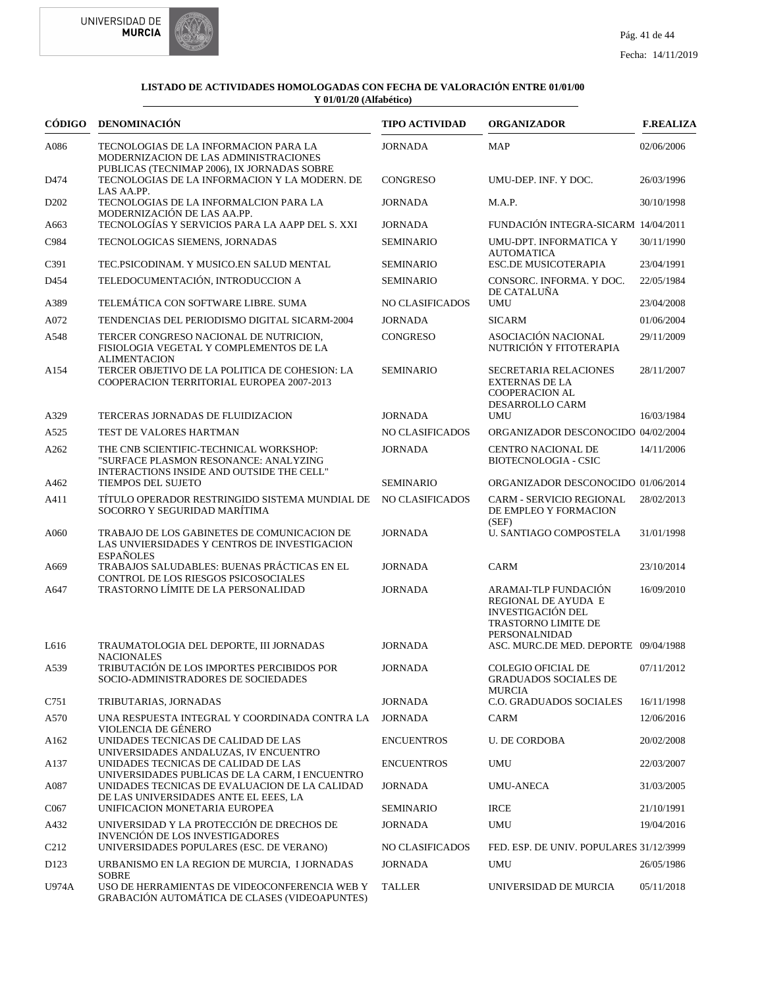



| CÓDIGO            | <b>DENOMINACIÓN</b>                                                                                                                      | <b>TIPO ACTIVIDAD</b>  | <b>ORGANIZADOR</b>                                                                                                     | <b>F.REALIZA</b> |
|-------------------|------------------------------------------------------------------------------------------------------------------------------------------|------------------------|------------------------------------------------------------------------------------------------------------------------|------------------|
| A086              | TECNOLOGIAS DE LA INFORMACION PARA LA<br>MODERNIZACION DE LAS ADMINISTRACIONES<br>PUBLICAS (TECNIMAP 2006), IX JORNADAS SOBRE            | <b>JORNADA</b>         | <b>MAP</b>                                                                                                             | 02/06/2006       |
| D474              | TECNOLOGIAS DE LA INFORMACION Y LA MODERN. DE<br>LAS AA.PP.                                                                              | <b>CONGRESO</b>        | UMU-DEP. INF. Y DOC.                                                                                                   | 26/03/1996       |
| D <sub>202</sub>  | TECNOLOGIAS DE LA INFORMALCION PARA LA<br>MODERNIZACIÓN DE LAS AA.PP.                                                                    | <b>JORNADA</b>         | M.A.P.                                                                                                                 | 30/10/1998       |
| A663              | TECNOLOGÍAS Y SERVICIOS PARA LA AAPP DEL S. XXI                                                                                          | <b>JORNADA</b>         | FUNDACIÓN INTEGRA-SICARM 14/04/2011                                                                                    |                  |
| C984              | TECNOLOGICAS SIEMENS, JORNADAS                                                                                                           | <b>SEMINARIO</b>       | UMU-DPT. INFORMATICA Y<br><b>AUTOMATICA</b>                                                                            | 30/11/1990       |
| C391              | TEC.PSICODINAM. Y MUSICO.EN SALUD MENTAL                                                                                                 | <b>SEMINARIO</b>       | <b>ESC.DE MUSICOTERAPIA</b>                                                                                            | 23/04/1991       |
| D454              | TELEDOCUMENTACIÓN, INTRODUCCION A                                                                                                        | <b>SEMINARIO</b>       | CONSORC. INFORMA. Y DOC.<br>DE CATALUÑA                                                                                | 22/05/1984       |
| A389              | TELEMÁTICA CON SOFTWARE LIBRE. SUMA                                                                                                      | NO CLASIFICADOS        | UMU                                                                                                                    | 23/04/2008       |
| A072              | TENDENCIAS DEL PERIODISMO DIGITAL SICARM-2004                                                                                            | <b>JORNADA</b>         | <b>SICARM</b>                                                                                                          | 01/06/2004       |
| A548              | TERCER CONGRESO NACIONAL DE NUTRICION,<br>FISIOLOGIA VEGETAL Y COMPLEMENTOS DE LA<br><b>ALIMENTACION</b>                                 | <b>CONGRESO</b>        | ASOCIACIÓN NACIONAL<br>NUTRICIÓN Y FITOTERAPIA                                                                         | 29/11/2009       |
| A154              | TERCER OBJETIVO DE LA POLITICA DE COHESION: LA<br>COOPERACION TERRITORIAL EUROPEA 2007-2013                                              | <b>SEMINARIO</b>       | <b>SECRETARIA RELACIONES</b><br><b>EXTERNAS DE LA</b><br><b>COOPERACION AL</b><br>DESARROLLO CARM                      | 28/11/2007       |
| A329              | TERCERAS JORNADAS DE FLUIDIZACION                                                                                                        | <b>JORNADA</b>         | UMU                                                                                                                    | 16/03/1984       |
| A525              | TEST DE VALORES HARTMAN                                                                                                                  | <b>NO CLASIFICADOS</b> | ORGANIZADOR DESCONOCIDO 04/02/2004                                                                                     |                  |
| A262              | THE CNB SCIENTIFIC-TECHNICAL WORKSHOP:<br>"SURFACE PLASMON RESONANCE: ANALYZING<br>INTERACTIONS INSIDE AND OUTSIDE THE CELL"             | <b>JORNADA</b>         | <b>CENTRO NACIONAL DE</b><br><b>BIOTECNOLOGIA - CSIC</b>                                                               | 14/11/2006       |
| A462              | TIEMPOS DEL SUJETO                                                                                                                       | <b>SEMINARIO</b>       | ORGANIZADOR DESCONOCIDO 01/06/2014                                                                                     |                  |
| A411              | TÍTULO OPERADOR RESTRINGIDO SISTEMA MUNDIAL DE<br>SOCORRO Y SEGURIDAD MARÍTIMA                                                           | NO CLASIFICADOS        | <b>CARM - SERVICIO REGIONAL</b><br>DE EMPLEO Y FORMACION<br>(SEF)                                                      | 28/02/2013       |
| A060              | TRABAJO DE LOS GABINETES DE COMUNICACION DE<br>LAS UNVIERSIDADES Y CENTROS DE INVESTIGACION<br><b>ESPAÑOLES</b>                          | <b>JORNADA</b>         | U. SANTIAGO COMPOSTELA                                                                                                 | 31/01/1998       |
| A669              | TRABAJOS SALUDABLES: BUENAS PRÁCTICAS EN EL<br>CONTROL DE LOS RIESGOS PSICOSOCIALES                                                      | <b>JORNADA</b>         | <b>CARM</b>                                                                                                            | 23/10/2014       |
| A647              | TRASTORNO LÍMITE DE LA PERSONALIDAD                                                                                                      | <b>JORNADA</b>         | ARAMAI-TLP FUNDACIÓN<br>REGIONAL DE AYUDA E<br><b>INVESTIGACIÓN DEL</b><br><b>TRASTORNO LIMITE DE</b><br>PERSONALNIDAD | 16/09/2010       |
| L616              | TRAUMATOLOGIA DEL DEPORTE, III JORNADAS                                                                                                  | <b>JORNADA</b>         | ASC. MURC.DE MED. DEPORTE 09/04/1988                                                                                   |                  |
| A539              | <b>NACIONALES</b><br>TRIBUTACIÓN DE LOS IMPORTES PERCIBIDOS POR<br>SOCIO-ADMINISTRADORES DE SOCIEDADES                                   | <b>JORNADA</b>         | COLEGIO OFICIAL DE<br><b>GRADUADOS SOCIALES DE</b>                                                                     | 07/11/2012       |
| C751              | TRIBUTARIAS, JORNADAS                                                                                                                    | <b>JORNADA</b>         | MURCIA<br>C.O. GRADUADOS SOCIALES                                                                                      | 16/11/1998       |
| A570              | UNA RESPUESTA INTEGRAL Y COORDINADA CONTRA LA<br>VIOLENCIA DE GÉNERO                                                                     | <b>JORNADA</b>         | CARM                                                                                                                   | 12/06/2016       |
| A <sub>162</sub>  | UNIDADES TECNICAS DE CALIDAD DE LAS<br>UNIVERSIDADES ANDALUZAS, IV ENCUENTRO                                                             | <b>ENCUENTROS</b>      | <b>U. DE CORDOBA</b>                                                                                                   | 20/02/2008       |
| A137              | UNIDADES TECNICAS DE CALIDAD DE LAS                                                                                                      | <b>ENCUENTROS</b>      | UMU                                                                                                                    | 22/03/2007       |
| A087              | UNIVERSIDADES PUBLICAS DE LA CARM, I ENCUENTRO<br>UNIDADES TECNICAS DE EVALUACION DE LA CALIDAD<br>DE LAS UNIVERSIDADES ANTE EL EEES, LA | <b>JORNADA</b>         | UMU-ANECA                                                                                                              | 31/03/2005       |
| C <sub>067</sub>  | UNIFICACION MONETARIA EUROPEA                                                                                                            | <b>SEMINARIO</b>       | <b>IRCE</b>                                                                                                            | 21/10/1991       |
| A432              | UNIVERSIDAD Y LA PROTECCIÓN DE DRECHOS DE<br><b>INVENCIÓN DE LOS INVESTIGADORES</b>                                                      | <b>JORNADA</b>         | UMU                                                                                                                    | 19/04/2016       |
| C <sub>2</sub> 12 | UNIVERSIDADES POPULARES (ESC. DE VERANO)                                                                                                 | NO CLASIFICADOS        | FED. ESP. DE UNIV. POPULARES 31/12/3999                                                                                |                  |
| D <sub>123</sub>  | URBANISMO EN LA REGION DE MURCIA, I JORNADAS<br><b>SOBRE</b>                                                                             | JORNADA                | UMU                                                                                                                    | 26/05/1986       |
| U974A             | USO DE HERRAMIENTAS DE VIDEOCONFERENCIA WEB Y<br>GRABACIÓN AUTOMÁTICA DE CLASES (VIDEOAPUNTES)                                           | <b>TALLER</b>          | UNIVERSIDAD DE MURCIA                                                                                                  | 05/11/2018       |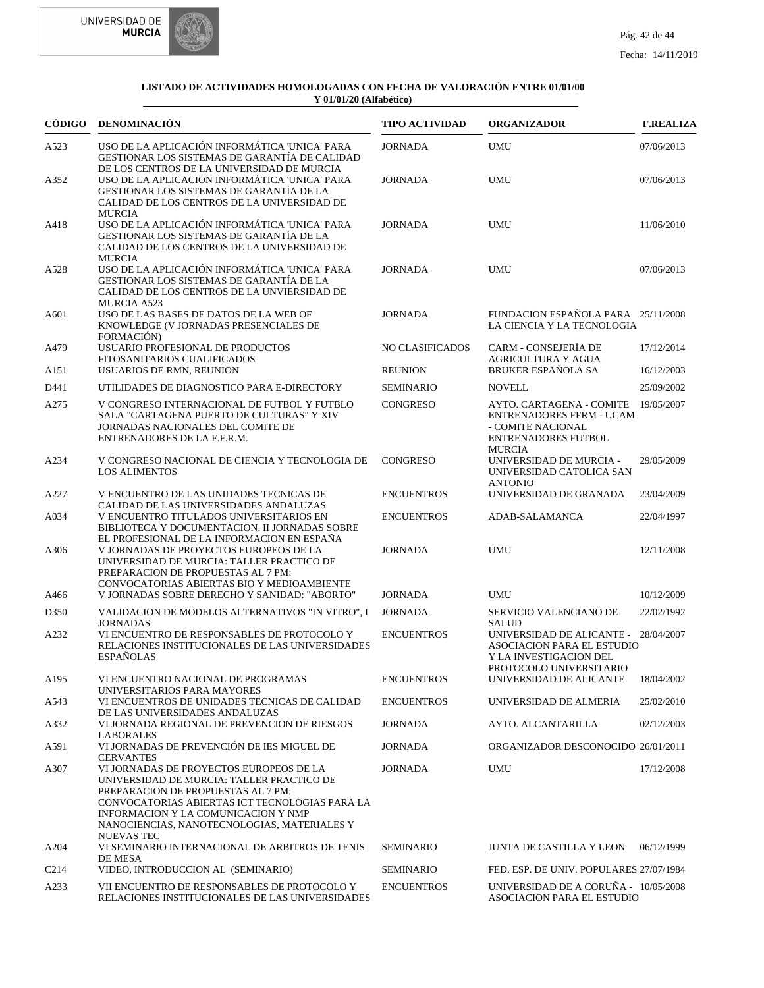



|                  | CÓDIGO DENOMINACIÓN                                                                                                                                                                                                                                                                     | <b>TIPO ACTIVIDAD</b> | <b>ORGANIZADOR</b>                                                                                                              | <b>F.REALIZA</b> |
|------------------|-----------------------------------------------------------------------------------------------------------------------------------------------------------------------------------------------------------------------------------------------------------------------------------------|-----------------------|---------------------------------------------------------------------------------------------------------------------------------|------------------|
| A523             | USO DE LA APLICACIÓN INFORMÁTICA 'UNICA' PARA<br>GESTIONAR LOS SISTEMAS DE GARANTÍA DE CALIDAD                                                                                                                                                                                          | <b>JORNADA</b>        | <b>UMU</b>                                                                                                                      | 07/06/2013       |
| A352             | DE LOS CENTROS DE LA UNIVERSIDAD DE MURCIA<br>USO DE LA APLICACIÓN INFORMÁTICA 'UNICA' PARA<br>GESTIONAR LOS SISTEMAS DE GARANTÍA DE LA<br>CALIDAD DE LOS CENTROS DE LA UNIVERSIDAD DE                                                                                                  | <b>JORNADA</b>        | <b>UMU</b>                                                                                                                      | 07/06/2013       |
| A418             | <b>MURCIA</b><br>USO DE LA APLICACIÓN INFORMÁTICA 'UNICA' PARA<br>GESTIONAR LOS SISTEMAS DE GARANTÍA DE LA<br>CALIDAD DE LOS CENTROS DE LA UNIVERSIDAD DE<br><b>MURCIA</b>                                                                                                              | <b>JORNADA</b>        | <b>UMU</b>                                                                                                                      | 11/06/2010       |
| A528             | USO DE LA APLICACIÓN INFORMÁTICA 'UNICA' PARA<br>GESTIONAR LOS SISTEMAS DE GARANTÍA DE LA<br>CALIDAD DE LOS CENTROS DE LA UNVIERSIDAD DE<br>MURCIA A523                                                                                                                                 | <b>JORNADA</b>        | <b>UMU</b>                                                                                                                      | 07/06/2013       |
| A601             | USO DE LAS BASES DE DATOS DE LA WEB OF<br>KNOWLEDGE (V JORNADAS PRESENCIALES DE<br>FORMACIÓN)                                                                                                                                                                                           | <b>JORNADA</b>        | FUNDACION ESPAÑOLA PARA 25/11/2008<br>LA CIENCIA Y LA TECNOLOGIA                                                                |                  |
| A479             | USUARIO PROFESIONAL DE PRODUCTOS<br>FITOSANITARIOS CUALIFICADOS                                                                                                                                                                                                                         | NO CLASIFICADOS       | CARM - CONSEJERÍA DE<br><b>AGRICULTURA Y AGUA</b>                                                                               | 17/12/2014       |
| A151             | USUARIOS DE RMN, REUNION                                                                                                                                                                                                                                                                | <b>REUNION</b>        | <b>BRUKER ESPAÑOLA SA</b>                                                                                                       | 16/12/2003       |
| D441             | UTILIDADES DE DIAGNOSTICO PARA E-DIRECTORY                                                                                                                                                                                                                                              | <b>SEMINARIO</b>      | <b>NOVELL</b>                                                                                                                   | 25/09/2002       |
| A275             | V CONGRESO INTERNACIONAL DE FUTBOL Y FUTBLO<br>SALA "CARTAGENA PUERTO DE CULTURAS" Y XIV<br>JORNADAS NACIONALES DEL COMITE DE<br>ENTRENADORES DE LA F.F.R.M.                                                                                                                            | CONGRESO              | AYTO. CARTAGENA - COMITE<br><b>ENTRENADORES FFRM - UCAM</b><br>- COMITE NACIONAL<br><b>ENTRENADORES FUTBOL</b><br><b>MURCIA</b> | 19/05/2007       |
| A234             | V CONGRESO NACIONAL DE CIENCIA Y TECNOLOGIA DE<br><b>LOS ALIMENTOS</b>                                                                                                                                                                                                                  | <b>CONGRESO</b>       | UNIVERSIDAD DE MURCIA -<br>UNIVERSIDAD CATOLICA SAN<br><b>ANTONIO</b>                                                           | 29/05/2009       |
| A227             | V ENCUENTRO DE LAS UNIDADES TECNICAS DE<br>CALIDAD DE LAS UNIVERSIDADES ANDALUZAS                                                                                                                                                                                                       | <b>ENCUENTROS</b>     | UNIVERSIDAD DE GRANADA                                                                                                          | 23/04/2009       |
| A034             | V ENCUENTRO TITULADOS UNIVERSITARIOS EN<br>BIBLIOTECA Y DOCUMENTACION. II JORNADAS SOBRE<br>EL PROFESIONAL DE LA INFORMACION EN ESPAÑA                                                                                                                                                  | <b>ENCUENTROS</b>     | ADAB-SALAMANCA                                                                                                                  | 22/04/1997       |
| A306             | V JORNADAS DE PROYECTOS EUROPEOS DE LA<br>UNIVERSIDAD DE MURCIA: TALLER PRACTICO DE<br>PREPARACION DE PROPUESTAS AL 7 PM:<br>CONVOCATORIAS ABIERTAS BIO Y MEDIOAMBIENTE                                                                                                                 | <b>JORNADA</b>        | <b>UMU</b>                                                                                                                      | 12/11/2008       |
| A466             | V JORNADAS SOBRE DERECHO Y SANIDAD: "ABORTO"                                                                                                                                                                                                                                            | <b>JORNADA</b>        | <b>UMU</b>                                                                                                                      | 10/12/2009       |
| D350             | VALIDACION DE MODELOS ALTERNATIVOS "IN VITRO", I<br><b>JORNADAS</b>                                                                                                                                                                                                                     | <b>JORNADA</b>        | SERVICIO VALENCIANO DE<br><b>SALUD</b>                                                                                          | 22/02/1992       |
| A232             | VI ENCUENTRO DE RESPONSABLES DE PROTOCOLO Y<br>RELACIONES INSTITUCIONALES DE LAS UNIVERSIDADES<br><b>ESPAÑOLAS</b>                                                                                                                                                                      | <b>ENCUENTROS</b>     | UNIVERSIDAD DE ALICANTE -<br><b>ASOCIACION PARA EL ESTUDIO</b><br>Y LA INVESTIGACION DEL<br>PROTOCOLO UNIVERSITARIO             | 28/04/2007       |
| A195             | VI ENCUENTRO NACIONAL DE PROGRAMAS<br>UNIVERSITARIOS PARA MAYORES                                                                                                                                                                                                                       | <b>ENCUENTROS</b>     | UNIVERSIDAD DE ALICANTE                                                                                                         | 18/04/2002       |
| A543             | VI ENCUENTROS DE UNIDADES TECNICAS DE CALIDAD<br>DE LAS UNIVERSIDADES ANDALUZAS                                                                                                                                                                                                         | <b>ENCUENTROS</b>     | UNIVERSIDAD DE ALMERIA                                                                                                          | 25/02/2010       |
| A332             | VI JORNADA REGIONAL DE PREVENCION DE RIESGOS<br><b>LABORALES</b>                                                                                                                                                                                                                        | <b>JORNADA</b>        | AYTO. ALCANTARILLA                                                                                                              | 02/12/2003       |
| A591             | VI JORNADAS DE PREVENCIÓN DE IES MIGUEL DE<br><b>CERVANTES</b>                                                                                                                                                                                                                          | <b>JORNADA</b>        | ORGANIZADOR DESCONOCIDO 26/01/2011                                                                                              |                  |
| A307             | VI JORNADAS DE PROYECTOS EUROPEOS DE LA<br>UNIVERSIDAD DE MURCIA: TALLER PRACTICO DE<br>PREPARACION DE PROPUESTAS AL 7 PM:<br>CONVOCATORIAS ABIERTAS ICT TECNOLOGIAS PARA LA<br>INFORMACION Y LA COMUNICACION Y NMP<br>NANOCIENCIAS, NANOTECNOLOGIAS, MATERIALES Y<br><b>NUEVAS TEC</b> | <b>JORNADA</b>        | <b>UMU</b>                                                                                                                      | 17/12/2008       |
| A204             | VI SEMINARIO INTERNACIONAL DE ARBITROS DE TENIS<br>DE MESA                                                                                                                                                                                                                              | <b>SEMINARIO</b>      | JUNTA DE CASTILLA Y LEON                                                                                                        | 06/12/1999       |
| C <sub>214</sub> | VIDEO, INTRODUCCION AL (SEMINARIO)                                                                                                                                                                                                                                                      | <b>SEMINARIO</b>      | FED. ESP. DE UNIV. POPULARES 27/07/1984                                                                                         |                  |
| A233             | VII ENCUENTRO DE RESPONSABLES DE PROTOCOLO Y<br>RELACIONES INSTITUCIONALES DE LAS UNIVERSIDADES                                                                                                                                                                                         | <b>ENCUENTROS</b>     | UNIVERSIDAD DE A CORUÑA - 10/05/2008<br>ASOCIACION PARA EL ESTUDIO                                                              |                  |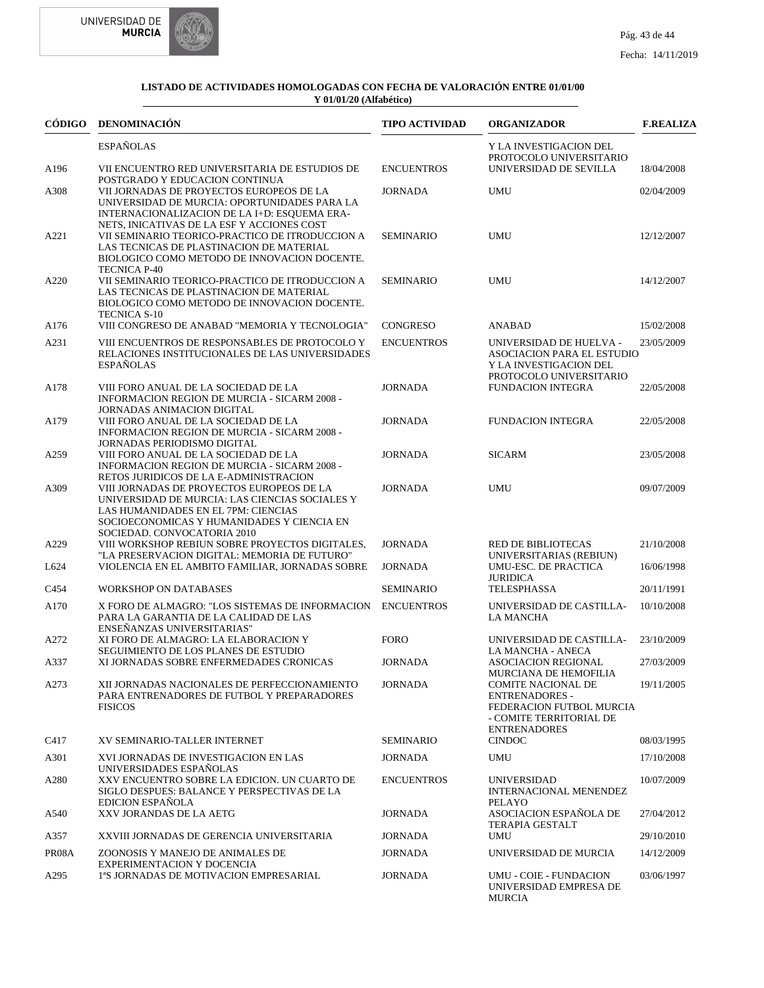

# Fecha: 14/11/2019

| CÓDIGO | <b>DENOMINACIÓN</b>                                                                                                                                                                                             | <b>TIPO ACTIVIDAD</b> | <b>ORGANIZADOR</b>                                                                                                | <b>F.REALIZA</b> |
|--------|-----------------------------------------------------------------------------------------------------------------------------------------------------------------------------------------------------------------|-----------------------|-------------------------------------------------------------------------------------------------------------------|------------------|
|        | <b>ESPAÑOLAS</b>                                                                                                                                                                                                |                       | Y LA INVESTIGACION DEL<br>PROTOCOLO UNIVERSITARIO                                                                 |                  |
| A196   | VII ENCUENTRO RED UNIVERSITARIA DE ESTUDIOS DE<br>POSTGRADO Y EDUCACION CONTINUA                                                                                                                                | <b>ENCUENTROS</b>     | UNIVERSIDAD DE SEVILLA                                                                                            | 18/04/2008       |
| A308   | VII JORNADAS DE PROYECTOS EUROPEOS DE LA<br>UNIVERSIDAD DE MURCIA: OPORTUNIDADES PARA LA<br>INTERNACIONALIZACION DE LA I+D: ESQUEMA ERA-<br>NETS, INICATIVAS DE LA ESF Y ACCIONES COST                          | <b>JORNADA</b>        | UMU                                                                                                               | 02/04/2009       |
| A221   | VII SEMINARIO TEORICO-PRACTICO DE ITRODUCCION A<br>LAS TECNICAS DE PLASTINACION DE MATERIAL<br>BIOLOGICO COMO METODO DE INNOVACION DOCENTE.<br><b>TECNICA P-40</b>                                              | <b>SEMINARIO</b>      | <b>UMU</b>                                                                                                        | 12/12/2007       |
| A220   | VII SEMINARIO TEORICO-PRACTICO DE ITRODUCCION A<br>LAS TECNICAS DE PLASTINACION DE MATERIAL<br>BIOLOGICO COMO METODO DE INNOVACION DOCENTE.<br><b>TECNICA S-10</b>                                              | <b>SEMINARIO</b>      | <b>UMU</b>                                                                                                        | 14/12/2007       |
| A176   | VIII CONGRESO DE ANABAD "MEMORIA Y TECNOLOGIA"                                                                                                                                                                  | <b>CONGRESO</b>       | <b>ANABAD</b>                                                                                                     | 15/02/2008       |
| A231   | VIII ENCUENTROS DE RESPONSABLES DE PROTOCOLO Y<br>RELACIONES INSTITUCIONALES DE LAS UNIVERSIDADES<br><b>ESPANOLAS</b>                                                                                           | <b>ENCUENTROS</b>     | UNIVERSIDAD DE HUELVA -<br><b>ASOCIACION PARA EL ESTUDIO</b><br>Y LA INVESTIGACION DEL<br>PROTOCOLO UNIVERSITARIO | 23/05/2009       |
| A178   | VIII FORO ANUAL DE LA SOCIEDAD DE LA<br>INFORMACION REGION DE MURCIA - SICARM 2008 -<br><b>JORNADAS ANIMACION DIGITAL</b>                                                                                       | <b>JORNADA</b>        | <b>FUNDACION INTEGRA</b>                                                                                          | 22/05/2008       |
| A179   | VIII FORO ANUAL DE LA SOCIEDAD DE LA<br>INFORMACION REGION DE MURCIA - SICARM 2008 -<br>JORNADAS PERIODISMO DIGITAL                                                                                             | <b>JORNADA</b>        | <b>FUNDACION INTEGRA</b>                                                                                          | 22/05/2008       |
| A259   | VIII FORO ANUAL DE LA SOCIEDAD DE LA<br>INFORMACION REGION DE MURCIA - SICARM 2008 -<br>RETOS JURIDICOS DE LA E-ADMINISTRACION                                                                                  | <b>JORNADA</b>        | <b>SICARM</b>                                                                                                     | 23/05/2008       |
| A309   | VIII JORNADAS DE PROYECTOS EUROPEOS DE LA<br>UNIVERSIDAD DE MURCIA: LAS CIENCIAS SOCIALES Y<br>LAS HUMANIDADES EN EL 7PM: CIENCIAS<br>SOCIOECONOMICAS Y HUMANIDADES Y CIENCIA EN<br>SOCIEDAD. CONVOCATORIA 2010 | <b>JORNADA</b>        | <b>UMU</b>                                                                                                        | 09/07/2009       |
| A229   | VIII WORKSHOP REBIUN SOBRE PROYECTOS DIGITALES,<br>"LA PRESERVACION DIGITAL: MEMORIA DE FUTURO"                                                                                                                 | <b>JORNADA</b>        | <b>RED DE BIBLIOTECAS</b><br>UNIVERSITARIAS (REBIUN)                                                              | 21/10/2008       |
| L624   | VIOLENCIA EN EL AMBITO FAMILIAR, JORNADAS SOBRE                                                                                                                                                                 | <b>JORNADA</b>        | UMU-ESC. DE PRACTICA<br><b>JURIDICA</b>                                                                           | 16/06/1998       |
| C454   | <b>WORKSHOP ON DATABASES</b>                                                                                                                                                                                    | <b>SEMINARIO</b>      | TELESPHASSA                                                                                                       | 20/11/1991       |
| A170   | X FORO DE ALMAGRO: "LOS SISTEMAS DE INFORMACION<br>PARA LA GARANTIA DE LA CALIDAD DE LAS<br>ENSEÑANZAS UNIVERSITARIAS"                                                                                          | <b>ENCUENTROS</b>     | UNIVERSIDAD DE CASTILLA-<br>LA MANCHA                                                                             | 10/10/2008       |
| A272   | XI FORO DE ALMAGRO: LA ELABORACION Y<br>SEGUIMIENTO DE LOS PLANES DE ESTUDIO                                                                                                                                    | <b>FORO</b>           | UNIVERSIDAD DE CASTILLA-<br>LA MANCHA - ANECA                                                                     | 23/10/2009       |
| A337   | XI JORNADAS SOBRE ENFERMEDADES CRONICAS                                                                                                                                                                         | <b>JORNADA</b>        | <b>ASOCIACION REGIONAL</b><br>MURCIANA DE HEMOFILIA                                                               | 27/03/2009       |
| A273   | XII JORNADAS NACIONALES DE PERFECCIONAMIENTO<br>PARA ENTRENADORES DE FUTBOL Y PREPARADORES<br><b>FISICOS</b>                                                                                                    | <b>JORNADA</b>        | <b>COMITE NACIONAL DE</b><br><b>ENTRENADORES -</b><br>FEDERACION FUTBOL MURCIA<br>- COMITE TERRITORIAL DE         | 19/11/2005       |
| C417   | XV SEMINARIO-TALLER INTERNET                                                                                                                                                                                    | <b>SEMINARIO</b>      | <b>ENTRENADORES</b><br><b>CINDOC</b>                                                                              | 08/03/1995       |
| A301   | XVI JORNADAS DE INVESTIGACION EN LAS<br>UNIVERSIDADES ESPAÑOLAS                                                                                                                                                 | JORNADA               | UMU                                                                                                               | 17/10/2008       |
| A280   | XXV ENCUENTRO SOBRE LA EDICION. UN CUARTO DE<br>SIGLO DESPUES: BALANCE Y PERSPECTIVAS DE LA<br><b>EDICION ESPAÑOLA</b>                                                                                          | <b>ENCUENTROS</b>     | <b>UNIVERSIDAD</b><br>INTERNACIONAL MENENDEZ<br>PELAYO                                                            | 10/07/2009       |
| A540   | XXV JORANDAS DE LA AETG                                                                                                                                                                                         | <b>JORNADA</b>        | ASOCIACION ESPAÑOLA DE<br><b>TERAPIA GESTALT</b>                                                                  | 27/04/2012       |
| A357   | XXVIII JORNADAS DE GERENCIA UNIVERSITARIA                                                                                                                                                                       | <b>JORNADA</b>        | UMU                                                                                                               | 29/10/2010       |
| PR08A  | ZOONOSIS Y MANEJO DE ANIMALES DE<br>EXPERIMENTACION Y DOCENCIA                                                                                                                                                  | JORNADA               | UNIVERSIDAD DE MURCIA                                                                                             | 14/12/2009       |
| A295   | 1ªS JORNADAS DE MOTIVACION EMPRESARIAL                                                                                                                                                                          | JORNADA               | <b>UMU - COIE - FUNDACION</b><br>UNIVERSIDAD EMPRESA DE<br><b>MURCIA</b>                                          | 03/06/1997       |